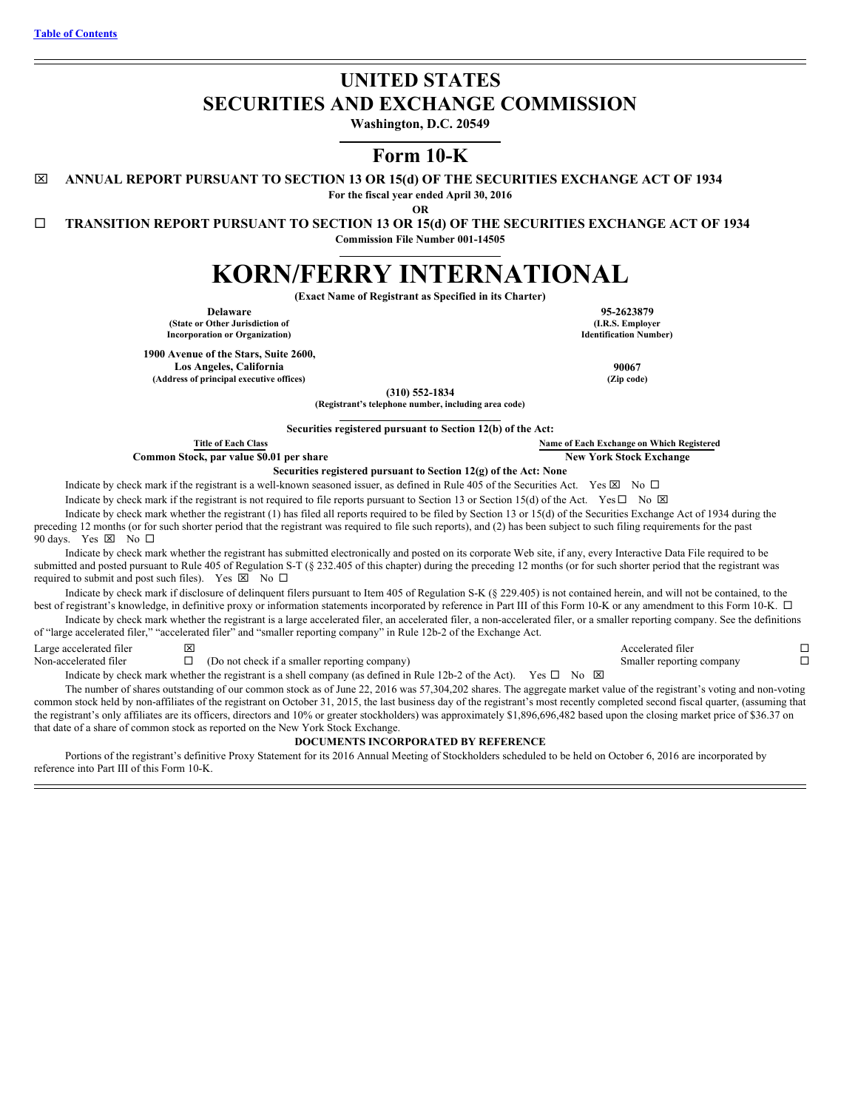# **UNITED STATES SECURITIES AND EXCHANGE COMMISSION**

**Washington, D.C. 20549**

## **Form 10-K**

x **ANNUAL REPORT PURSUANT TO SECTION 13 OR 15(d) OF THE SECURITIES EXCHANGE ACT OF 1934**

**For the fiscal year ended April 30, 2016**

**OR**

¨ **TRANSITION REPORT PURSUANT TO SECTION 13 OR 15(d) OF THE SECURITIES EXCHANGE ACT OF 1934**

**Commission File Number 001-14505**

# **KORN/FERRY INTERNATIONAL**

**(Exact Name of Registrant as Specified in its Charter)**

**Delaware 95-2623879**

**(State or Other Jurisdiction of Incorporation or Organization)**

**1900 Avenue of the Stars, Suite 2600,**

**Los Angeles, California 90067**

**(Address of principal executive offices) (Zip code)**

**(310) 552-1834**

**(Registrant's telephone number, including area code)**

**Securities registered pursuant to Section 12(b) of the Act:**

| <b>Title of Each Class</b>                                       | Name of Each Exchange on Which Registered |  |  |  |
|------------------------------------------------------------------|-------------------------------------------|--|--|--|
| Common Stock, par value \$0.01 per share                         | <b>New York Stock Exchange</b>            |  |  |  |
| Securities registered pursuant to Section 12(g) of the Act: None |                                           |  |  |  |

Indicate by check mark if the registrant is a well-known seasoned issuer, as defined in Rule 405 of the Securities Act. Yes  $\boxtimes$  No  $\Box$ 

Indicate by check mark if the registrant is not required to file reports pursuant to Section 13 or Section 15(d) of the Act. Yes  $\Box$  No  $\boxtimes$ 

Indicate by check mark whether the registrant (1) has filed all reports required to be filed by Section 13 or 15(d) of the Securities Exchange Act of 1934 during the preceding 12 months (or for such shorter period that the registrant was required to file such reports), and (2) has been subject to such filing requirements for the past 90 days. Yes  $\boxtimes$  No  $\square$ 

Indicate by check mark whether the registrant has submitted electronically and posted on its corporate Web site, if any, every Interactive Data File required to be submitted and posted pursuant to Rule 405 of Regulation S-T (§ 232.405 of this chapter) during the preceding 12 months (or for such shorter period that the registrant was required to submit and post such files). Yes  $\boxtimes$  No  $\square$ 

Indicate by check mark if disclosure of delinquent filers pursuant to Item 405 of Regulation S-K (§ 229.405) is not contained herein, and will not be contained, to the best of registrant's knowledge, in definitive proxy or information statements incorporated by reference in Part III of this Form 10-K or any amendment to this Form 10-K.  $\Box$ Indicate by check mark whether the registrant is a large accelerated filer, an accelerated filer, a non-accelerated filer, or a smaller reporting company. See the definitions

|                         | of "large accelerated filer," "accelerated filer" and "smaller reporting company" in Rule 12b-2 of the Exchange Act. |                           |  |
|-------------------------|----------------------------------------------------------------------------------------------------------------------|---------------------------|--|
| Large accelerated filer |                                                                                                                      | Accelerated filer         |  |
| Non-accelerated filer   | (Do not check if a smaller reporting company)                                                                        | Smaller reporting company |  |

Indicate by check mark whether the registrant is a shell company (as defined in Rule 12b-2 of the Act). Yes  $\Box$  No  $\boxtimes$ 

The number of shares outstanding of our common stock as of June 22, 2016 was 57,304,202 shares. The aggregate market value of the registrant's voting and non-voting common stock held by non-affiliates of the registrant on October 31, 2015, the last business day of the registrant's most recently completed second fiscal quarter, (assuming that the registrant's only affiliates are its officers, directors and 10% or greater stockholders) was approximately \$1,896,696,482 based upon the closing market price of \$36.37 on that date of a share of common stock as reported on the New York Stock Exchange.

## **DOCUMENTS INCORPORATED BY REFERENCE**

Portions of the registrant's definitive Proxy Statement for its 2016 Annual Meeting of Stockholders scheduled to be held on October 6, 2016 are incorporated by reference into Part III of this Form 10-K.

**(I.R.S. Employer Identification Number)**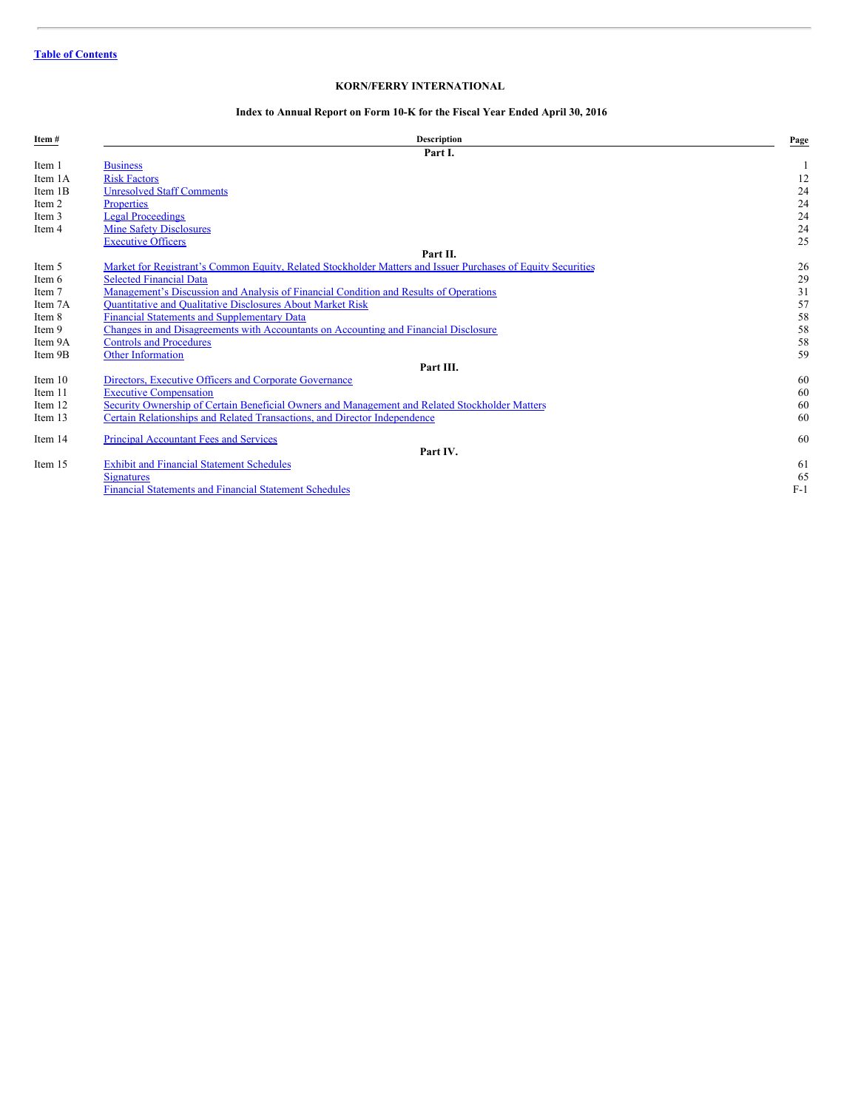## **KORN/FERRY INTERNATIONAL**

## <span id="page-1-0"></span>**Index to Annual Report on Form 10-K for the Fiscal Year Ended April 30, 2016**

| Item #  | Description                                                                                                  | Page  |
|---------|--------------------------------------------------------------------------------------------------------------|-------|
|         | Part I.                                                                                                      |       |
| Item 1  | <b>Business</b>                                                                                              |       |
| Item 1A | <b>Risk Factors</b>                                                                                          | 12    |
| Item 1B | <b>Unresolved Staff Comments</b>                                                                             | 24    |
| Item 2  | <b>Properties</b>                                                                                            | 24    |
| Item 3  | <b>Legal Proceedings</b>                                                                                     | 24    |
| Item 4  | <b>Mine Safety Disclosures</b>                                                                               | 24    |
|         | <b>Executive Officers</b>                                                                                    | 25    |
|         | Part II.                                                                                                     |       |
| Item 5  | Market for Registrant's Common Equity, Related Stockholder Matters and Issuer Purchases of Equity Securities | 26    |
| Item 6  | <b>Selected Financial Data</b>                                                                               | 29    |
| Item 7  | Management's Discussion and Analysis of Financial Condition and Results of Operations                        | 31    |
| Item 7A | <b>Ouantitative and Oualitative Disclosures About Market Risk</b>                                            | 57    |
| Item 8  | <b>Financial Statements and Supplementary Data</b>                                                           | 58    |
| Item 9  | Changes in and Disagreements with Accountants on Accounting and Financial Disclosure                         | 58    |
| Item 9A | <b>Controls and Procedures</b>                                                                               | 58    |
| Item 9B | <b>Other Information</b>                                                                                     | 59    |
|         | Part III.                                                                                                    |       |
| Item 10 | Directors, Executive Officers and Corporate Governance                                                       | 60    |
| Item 11 | <b>Executive Compensation</b>                                                                                | 60    |
| Item 12 | Security Ownership of Certain Beneficial Owners and Management and Related Stockholder Matters               | 60    |
| Item 13 | Certain Relationships and Related Transactions, and Director Independence                                    | 60    |
| Item 14 | <b>Principal Accountant Fees and Services</b>                                                                | 60    |
|         | Part IV.                                                                                                     |       |
| Item 15 | <b>Exhibit and Financial Statement Schedules</b>                                                             | 61    |
|         | <b>Signatures</b>                                                                                            | 65    |
|         | <b>Financial Statements and Financial Statement Schedules</b>                                                | $F-1$ |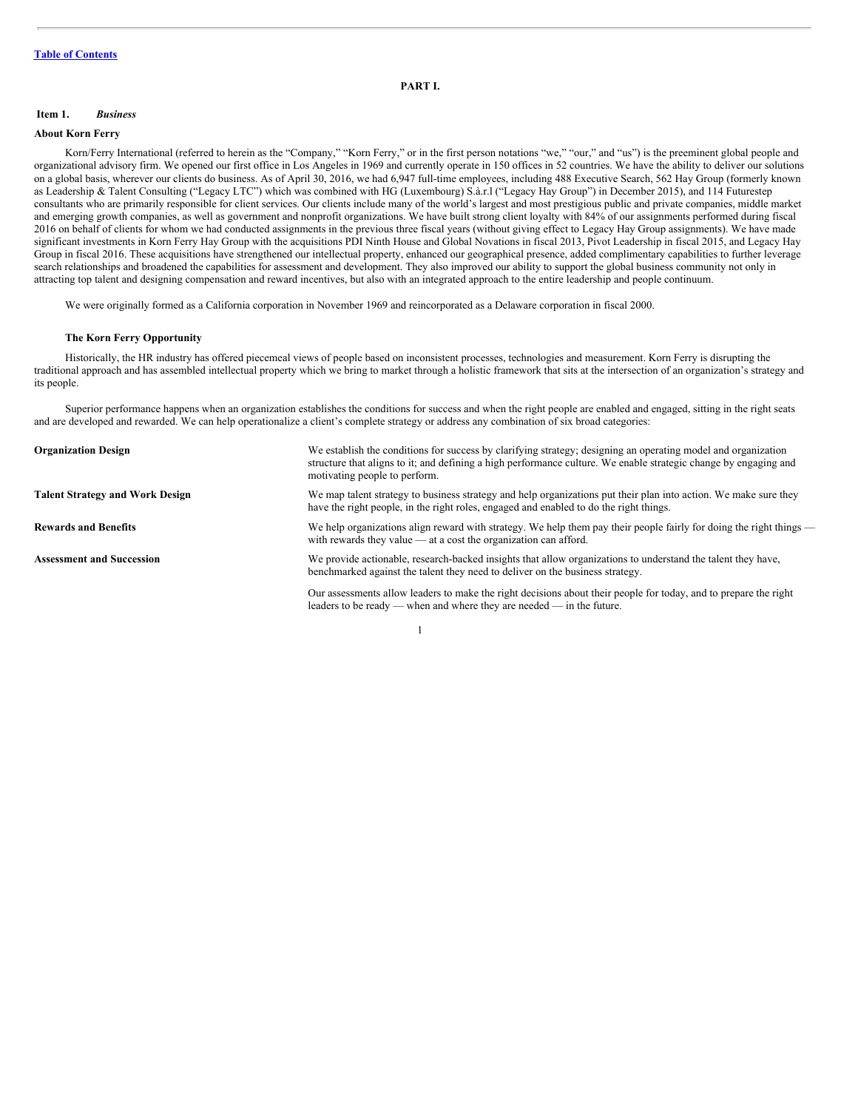## **PART I.**

## <span id="page-2-0"></span>**Item 1.** *Business*

#### **About Korn Ferry**

Korn/Ferry International (referred to herein as the "Company," "Korn Ferry," or in the first person notations "we," "our," and "us") is the preeminent global people and organizational advisory firm. We opened our first office in Los Angeles in 1969 and currently operate in 150 offices in 52 countries. We have the ability to deliver our solutions on a global basis, wherever our clients do business. As of April 30, 2016, we had 6,947 full-time employees, including 488 Executive Search, 562 Hay Group (formerly known as Leadership & Talent Consulting ("Legacy LTC") which was combined with HG (Luxembourg) S.à.r.l ("Legacy Hay Group") in December 2015), and 114 Futurestep consultants who are primarily responsible for client services. Our clients include many of the world's largest and most prestigious public and private companies, middle market and emerging growth companies, as well as government and nonprofit organizations. We have built strong client loyalty with 84% of our assignments performed during fiscal 2016 on behalf of clients for whom we had conducted assignments in the previous three fiscal years (without giving effect to Legacy Hay Group assignments). We have made significant investments in Korn Ferry Hay Group with the acquisitions PDI Ninth House and Global Novations in fiscal 2013, Pivot Leadership in fiscal 2015, and Legacy Hay Group in fiscal 2016. These acquisitions have strengthened our intellectual property, enhanced our geographical presence, added complimentary capabilities to further leverage search relationships and broadened the capabilities for assessment and development. They also improved our ability to support the global business community not only in attracting top talent and designing compensation and reward incentives, but also with an integrated approach to the entire leadership and people continuum.

We were originally formed as a California corporation in November 1969 and reincorporated as a Delaware corporation in fiscal 2000.

## **The Korn Ferry Opportunity**

Historically, the HR industry has offered piecemeal views of people based on inconsistent processes, technologies and measurement. Korn Ferry is disrupting the traditional approach and has assembled intellectual property which we bring to market through a holistic framework that sits at the intersection of an organization's strategy and its people.

Superior performance happens when an organization establishes the conditions for success and when the right people are enabled and engaged, sitting in the right seats and are developed and rewarded. We can help operationalize a client's complete strategy or address any combination of six broad categories:

| <b>Organization Design</b>             | We establish the conditions for success by clarifying strategy; designing an operating model and organization<br>structure that aligns to it; and defining a high performance culture. We enable strategic change by engaging and<br>motivating people to perform. |
|----------------------------------------|--------------------------------------------------------------------------------------------------------------------------------------------------------------------------------------------------------------------------------------------------------------------|
| <b>Talent Strategy and Work Design</b> | We map talent strategy to business strategy and help organizations put their plan into action. We make sure they<br>have the right people, in the right roles, engaged and enabled to do the right things.                                                         |
| <b>Rewards and Benefits</b>            | We help organizations align reward with strategy. We help them pay their people fairly for doing the right things —<br>with rewards they value $-$ at a cost the organization can afford.                                                                          |
| <b>Assessment and Succession</b>       | We provide actionable, research-backed insights that allow organizations to understand the talent they have,<br>benchmarked against the talent they need to deliver on the business strategy.                                                                      |
|                                        | Our assessments allow leaders to make the right decisions about their people for today, and to prepare the right<br>leaders to be ready — when and where they are needed — in the future.                                                                          |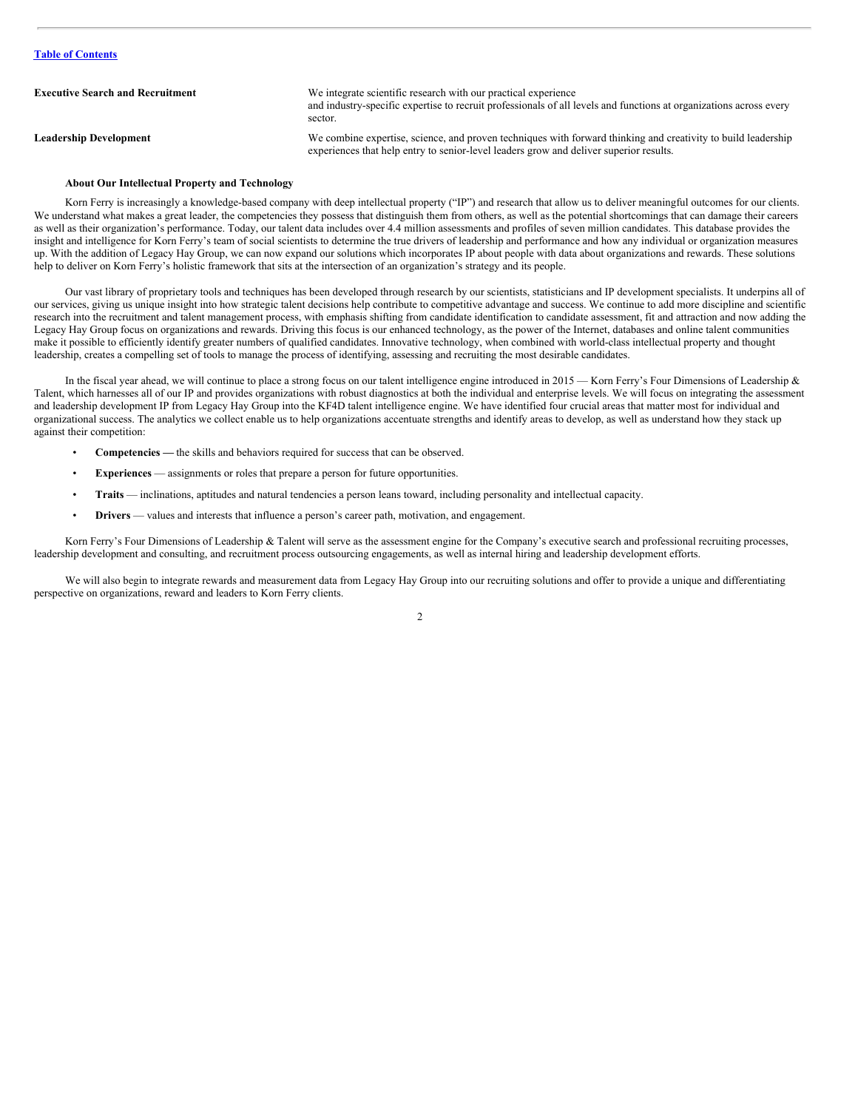| <b>Executive Search and Recruitment</b> | We integrate scientific research with our practical experience<br>and industry-specific expertise to recruit professionals of all levels and functions at organizations across every<br>sector.         |
|-----------------------------------------|---------------------------------------------------------------------------------------------------------------------------------------------------------------------------------------------------------|
| <b>Leadership Development</b>           | We combine expertise, science, and proven techniques with forward thinking and creativity to build leadership<br>experiences that help entry to senior-level leaders grow and deliver superior results. |

#### **About Our Intellectual Property and Technology**

Korn Ferry is increasingly a knowledge-based company with deep intellectual property ("IP") and research that allow us to deliver meaningful outcomes for our clients. We understand what makes a great leader, the competencies they possess that distinguish them from others, as well as the potential shortcomings that can damage their careers as well as their organization's performance. Today, our talent data includes over 4.4 million assessments and profiles of seven million candidates. This database provides the insight and intelligence for Korn Ferry's team of social scientists to determine the true drivers of leadership and performance and how any individual or organization measures up. With the addition of Legacy Hay Group, we can now expand our solutions which incorporates IP about people with data about organizations and rewards. These solutions help to deliver on Korn Ferry's holistic framework that sits at the intersection of an organization's strategy and its people.

Our vast library of proprietary tools and techniques has been developed through research by our scientists, statisticians and IP development specialists. It underpins all of our services, giving us unique insight into how strategic talent decisions help contribute to competitive advantage and success. We continue to add more discipline and scientific research into the recruitment and talent management process, with emphasis shifting from candidate identification to candidate assessment, fit and attraction and now adding the Legacy Hay Group focus on organizations and rewards. Driving this focus is our enhanced technology, as the power of the Internet, databases and online talent communities make it possible to efficiently identify greater numbers of qualified candidates. Innovative technology, when combined with world-class intellectual property and thought leadership, creates a compelling set of tools to manage the process of identifying, assessing and recruiting the most desirable candidates.

In the fiscal year ahead, we will continue to place a strong focus on our talent intelligence engine introduced in 2015 — Korn Ferry's Four Dimensions of Leadership & Talent, which harnesses all of our IP and provides organizations with robust diagnostics at both the individual and enterprise levels. We will focus on integrating the assessment and leadership development IP from Legacy Hay Group into the KF4D talent intelligence engine. We have identified four crucial areas that matter most for individual and organizational success. The analytics we collect enable us to help organizations accentuate strengths and identify areas to develop, as well as understand how they stack up against their competition:

- **Competencies —** the skills and behaviors required for success that can be observed.
- **Experiences** assignments or roles that prepare a person for future opportunities.
- **Traits** inclinations, aptitudes and natural tendencies a person leans toward, including personality and intellectual capacity.
- **Drivers** values and interests that influence a person's career path, motivation, and engagement.

Korn Ferry's Four Dimensions of Leadership & Talent will serve as the assessment engine for the Company's executive search and professional recruiting processes, leadership development and consulting, and recruitment process outsourcing engagements, as well as internal hiring and leadership development efforts.

We will also begin to integrate rewards and measurement data from Legacy Hay Group into our recruiting solutions and offer to provide a unique and differentiating perspective on organizations, reward and leaders to Korn Ferry clients.

 $\overline{2}$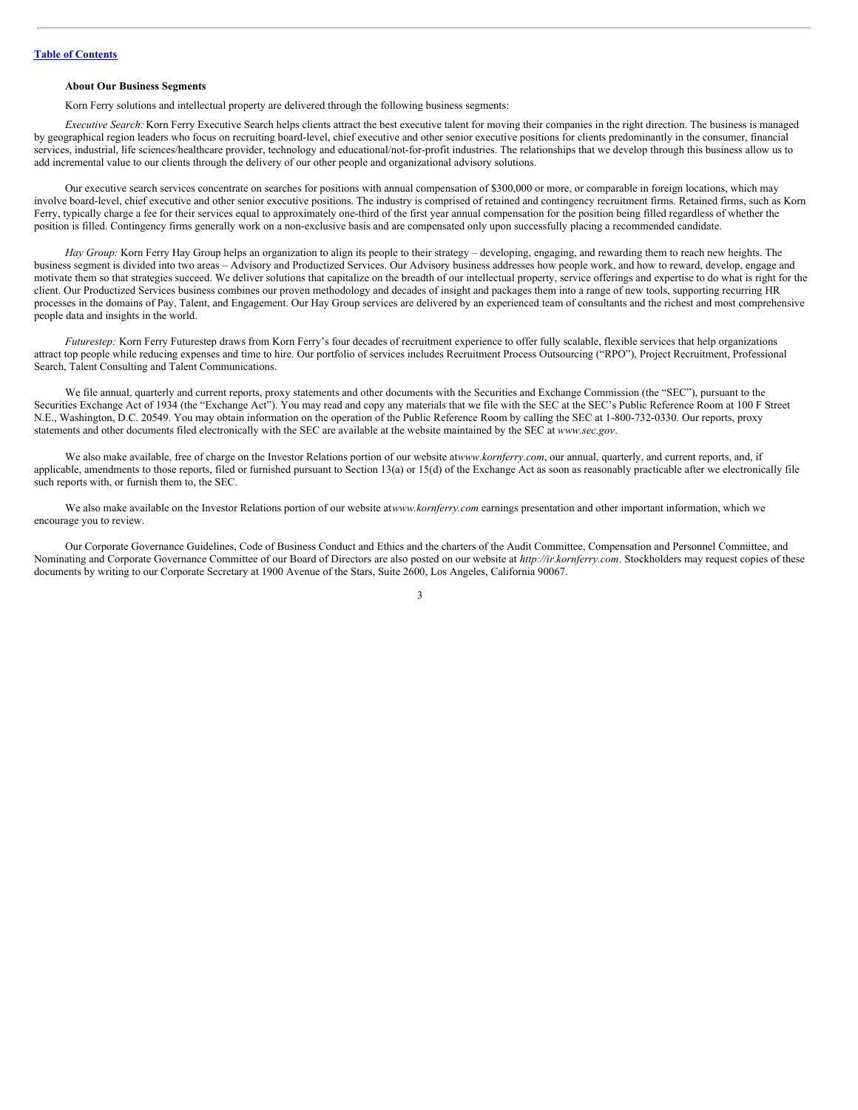## **About Our Business Segments**

Korn Ferry solutions and intellectual property are delivered through the following business segments:

*Executive Search:* Korn Ferry Executive Search helps clients attract the best executive talent for moving their companies in the right direction. The business is managed by geographical region leaders who focus on recruiting board-level, chief executive and other senior executive positions for clients predominantly in the consumer, financial services, industrial, life sciences/healthcare provider, technology and educational/not-for-profit industries. The relationships that we develop through this business allow us to add incremental value to our clients through the delivery of our other people and organizational advisory solutions.

Our executive search services concentrate on searches for positions with annual compensation of \$300,000 or more, or comparable in foreign locations, which may involve board-level, chief executive and other senior executive positions. The industry is comprised of retained and contingency recruitment firms. Retained firms, such as Korn Ferry, typically charge a fee for their services equal to approximately one-third of the first year annual compensation for the position being filled regardless of whether the position is filled. Contingency firms generally work on a non-exclusive basis and are compensated only upon successfully placing a recommended candidate.

*Hay Group:* Korn Ferry Hay Group helps an organization to align its people to their strategy – developing, engaging, and rewarding them to reach new heights. The business segment is divided into two areas – Advisory and Productized Services. Our Advisory business addresses how people work, and how to reward, develop, engage and motivate them so that strategies succeed. We deliver solutions that capitalize on the breadth of our intellectual property, service offerings and expertise to do what is right for the client. Our Productized Services business combines our proven methodology and decades of insight and packages them into a range of new tools, supporting recurring HR processes in the domains of Pay, Talent, and Engagement. Our Hay Group services are delivered by an experienced team of consultants and the richest and most comprehensive people data and insights in the world.

*Futurestep:* Korn Ferry Futurestep draws from Korn Ferry's four decades of recruitment experience to offer fully scalable, flexible services that help organizations attract top people while reducing expenses and time to hire. Our portfolio of services includes Recruitment Process Outsourcing ("RPO"), Project Recruitment, Professional Search, Talent Consulting and Talent Communications.

We file annual, quarterly and current reports, proxy statements and other documents with the Securities and Exchange Commission (the "SEC"), pursuant to the Securities Exchange Act of 1934 (the "Exchange Act"). You may read and copy any materials that we file with the SEC at the SEC's Public Reference Room at 100 F Street N.E., Washington, D.C. 20549. You may obtain information on the operation of the Public Reference Room by calling the SEC at 1-800-732-0330. Our reports, proxy statements and other documents filed electronically with the SEC are available at the website maintained by the SEC at *www.sec.gov*.

We also make available, free of charge on the Investor Relations portion of our website at*www.kornferry.com*, our annual, quarterly, and current reports, and, if applicable, amendments to those reports, filed or furnished pursuant to Section 13(a) or 15(d) of the Exchange Act as soon as reasonably practicable after we electronically file such reports with, or furnish them to, the SEC.

We also make available on the Investor Relations portion of our website at*www.kornferry.com* earnings presentation and other important information, which we encourage you to review.

Our Corporate Governance Guidelines, Code of Business Conduct and Ethics and the charters of the Audit Committee, Compensation and Personnel Committee, and Nominating and Corporate Governance Committee of our Board of Directors are also posted on our website at *http://ir.kornferry.com*. Stockholders may request copies of these documents by writing to our Corporate Secretary at 1900 Avenue of the Stars, Suite 2600, Los Angeles, California 90067.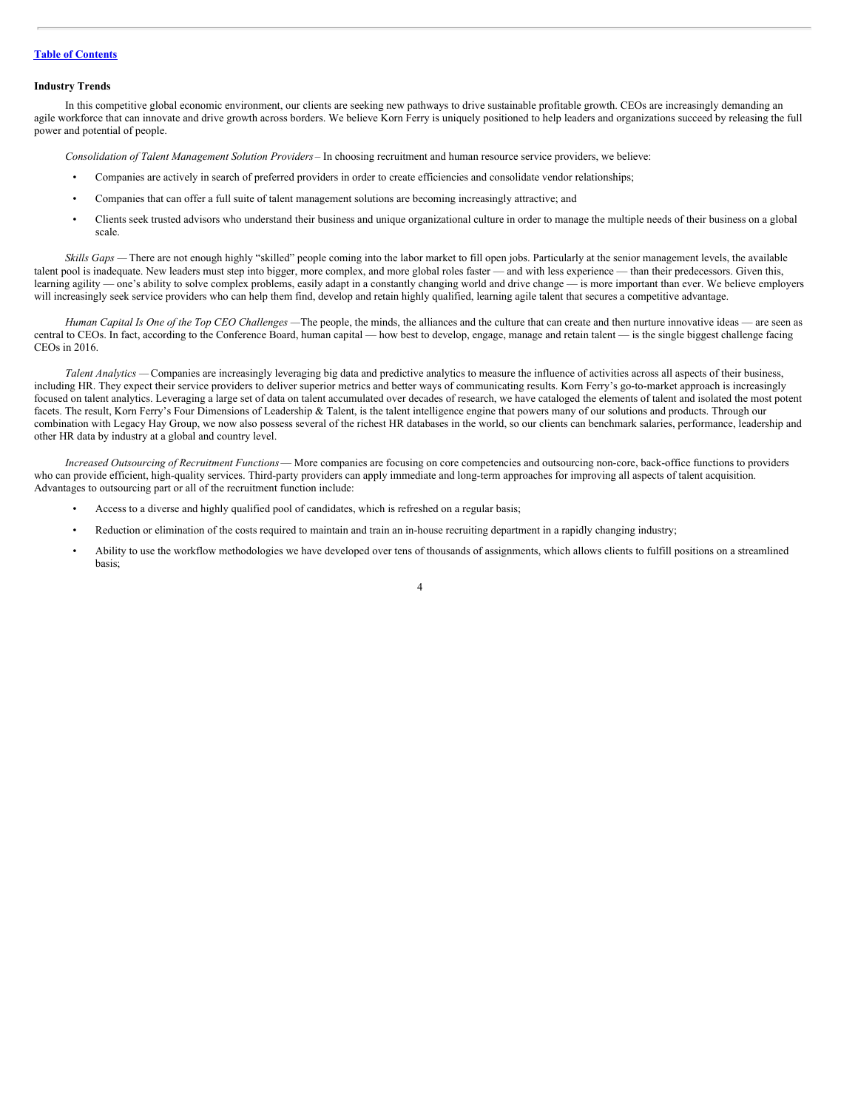#### **Industry Trends**

In this competitive global economic environment, our clients are seeking new pathways to drive sustainable profitable growth. CEOs are increasingly demanding an agile workforce that can innovate and drive growth across borders. We believe Korn Ferry is uniquely positioned to help leaders and organizations succeed by releasing the full power and potential of people.

*Consolidation of Talent Management Solution Providers* – In choosing recruitment and human resource service providers, we believe:

- Companies are actively in search of preferred providers in order to create efficiencies and consolidate vendor relationships;
- Companies that can offer a full suite of talent management solutions are becoming increasingly attractive; and
- Clients seek trusted advisors who understand their business and unique organizational culture in order to manage the multiple needs of their business on a global scale.

*Skills Gaps* — There are not enough highly "skilled" people coming into the labor market to fill open jobs. Particularly at the senior management levels, the available talent pool is inadequate. New leaders must step into bigger, more complex, and more global roles faster — and with less experience — than their predecessors. Given this, learning agility — one's ability to solve complex problems, easily adapt in a constantly changing world and drive change — is more important than ever. We believe employers will increasingly seek service providers who can help them find, develop and retain highly qualified, learning agile talent that secures a competitive advantage.

Human Capital Is One of the Top CEO Challenges —The people, the minds, the alliances and the culture that can create and then nurture innovative ideas — are seen as central to CEOs. In fact, according to the Conference Board, human capital — how best to develop, engage, manage and retain talent — is the single biggest challenge facing CEOs in 2016.

*Talent Analytics —* Companies are increasingly leveraging big data and predictive analytics to measure the influence of activities across all aspects of their business, including HR. They expect their service providers to deliver superior metrics and better ways of communicating results. Korn Ferry's go-to-market approach is increasingly focused on talent analytics. Leveraging a large set of data on talent accumulated over decades of research, we have cataloged the elements of talent and isolated the most potent facets. The result, Korn Ferry's Four Dimensions of Leadership & Talent, is the talent intelligence engine that powers many of our solutions and products. Through our combination with Legacy Hay Group, we now also possess several of the richest HR databases in the world, so our clients can benchmark salaries, performance, leadership and other HR data by industry at a global and country level.

*Increased Outsourcing of Recruitment Functions*— More companies are focusing on core competencies and outsourcing non-core, back-office functions to providers who can provide efficient, high-quality services. Third-party providers can apply immediate and long-term approaches for improving all aspects of talent acquisition. Advantages to outsourcing part or all of the recruitment function include:

- Access to a diverse and highly qualified pool of candidates, which is refreshed on a regular basis;
- Reduction or elimination of the costs required to maintain and train an in-house recruiting department in a rapidly changing industry;
- Ability to use the workflow methodologies we have developed over tens of thousands of assignments, which allows clients to fulfill positions on a streamlined basis;

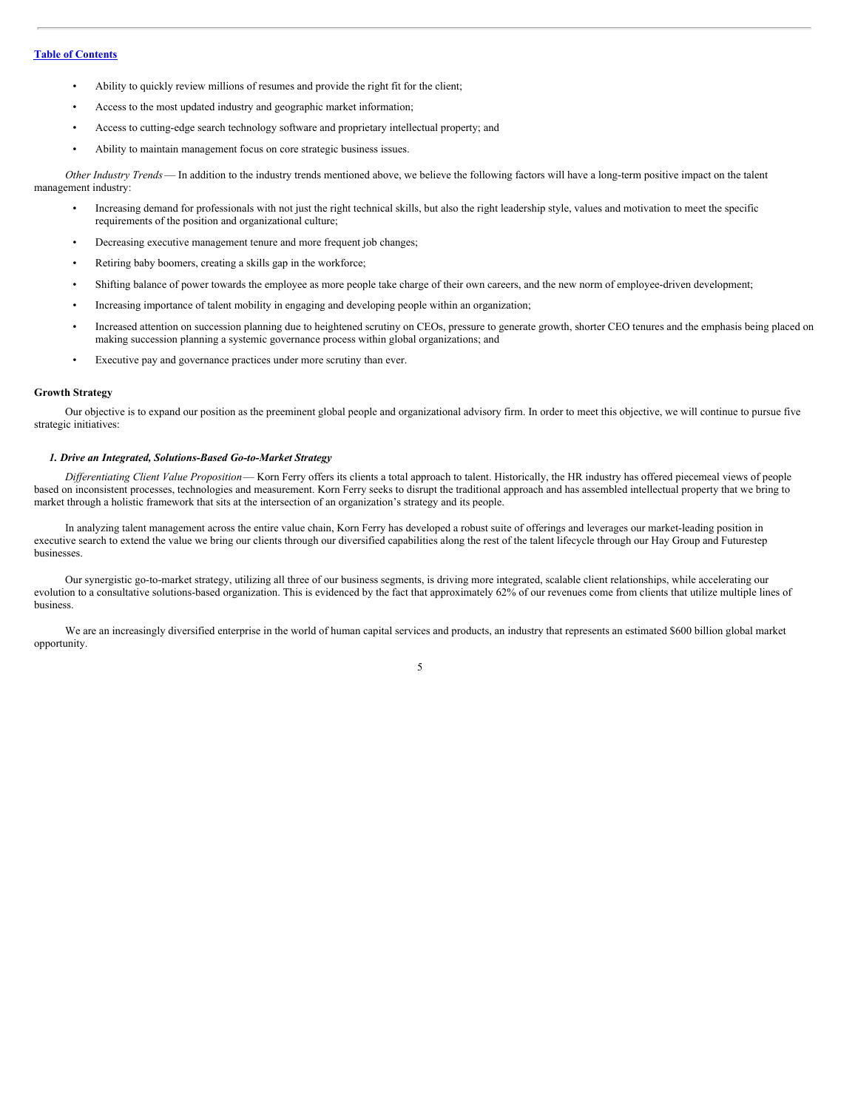- Ability to quickly review millions of resumes and provide the right fit for the client;
- Access to the most updated industry and geographic market information;
- Access to cutting-edge search technology software and proprietary intellectual property; and
- Ability to maintain management focus on core strategic business issues.

*Other Industry Trends*— In addition to the industry trends mentioned above, we believe the following factors will have a long-term positive impact on the talent management industry:

- Increasing demand for professionals with not just the right technical skills, but also the right leadership style, values and motivation to meet the specific requirements of the position and organizational culture;
- Decreasing executive management tenure and more frequent job changes;
- Retiring baby boomers, creating a skills gap in the workforce;
- Shifting balance of power towards the employee as more people take charge of their own careers, and the new norm of employee-driven development;
- Increasing importance of talent mobility in engaging and developing people within an organization;
- Increased attention on succession planning due to heightened scrutiny on CEOs, pressure to generate growth, shorter CEO tenures and the emphasis being placed on making succession planning a systemic governance process within global organizations; and
- Executive pay and governance practices under more scrutiny than ever.

#### **Growth Strategy**

Our objective is to expand our position as the preeminent global people and organizational advisory firm. In order to meet this objective, we will continue to pursue five strategic initiatives:

#### *1. Drive an Integrated, Solutions-Based Go-to-Market Strategy*

*Dif erentiating Client Value Proposition*— Korn Ferry offers its clients a total approach to talent. Historically, the HR industry has offered piecemeal views of people based on inconsistent processes, technologies and measurement. Korn Ferry seeks to disrupt the traditional approach and has assembled intellectual property that we bring to market through a holistic framework that sits at the intersection of an organization's strategy and its people.

In analyzing talent management across the entire value chain, Korn Ferry has developed a robust suite of offerings and leverages our market-leading position in executive search to extend the value we bring our clients through our diversified capabilities along the rest of the talent lifecycle through our Hay Group and Futurestep businesses.

Our synergistic go-to-market strategy, utilizing all three of our business segments, is driving more integrated, scalable client relationships, while accelerating our evolution to a consultative solutions-based organization. This is evidenced by the fact that approximately 62% of our revenues come from clients that utilize multiple lines of business.

We are an increasingly diversified enterprise in the world of human capital services and products, an industry that represents an estimated \$600 billion global market opportunity.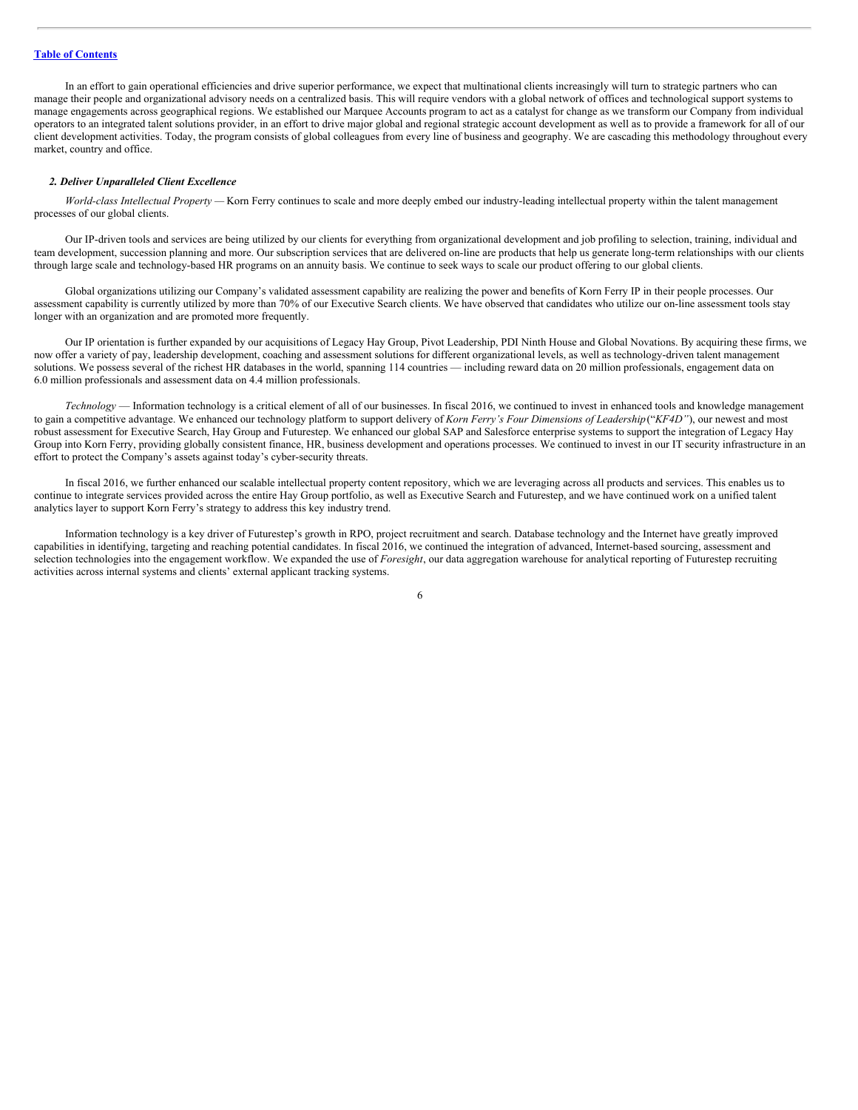In an effort to gain operational efficiencies and drive superior performance, we expect that multinational clients increasingly will turn to strategic partners who can manage their people and organizational advisory needs on a centralized basis. This will require vendors with a global network of offices and technological support systems to manage engagements across geographical regions. We established our Marquee Accounts program to act as a catalyst for change as we transform our Company from individual operators to an integrated talent solutions provider, in an effort to drive major global and regional strategic account development as well as to provide a framework for all of our client development activities. Today, the program consists of global colleagues from every line of business and geography. We are cascading this methodology throughout every market, country and office.

#### *2. Deliver Unparalleled Client Excellence*

*World-class Intellectual Property —* Korn Ferry continues to scale and more deeply embed our industry-leading intellectual property within the talent management processes of our global clients.

Our IP-driven tools and services are being utilized by our clients for everything from organizational development and job profiling to selection, training, individual and team development, succession planning and more. Our subscription services that are delivered on-line are products that help us generate long-term relationships with our clients through large scale and technology-based HR programs on an annuity basis. We continue to seek ways to scale our product offering to our global clients.

Global organizations utilizing our Company's validated assessment capability are realizing the power and benefits of Korn Ferry IP in their people processes. Our assessment capability is currently utilized by more than 70% of our Executive Search clients. We have observed that candidates who utilize our on-line assessment tools stay longer with an organization and are promoted more frequently.

Our IP orientation is further expanded by our acquisitions of Legacy Hay Group, Pivot Leadership, PDI Ninth House and Global Novations. By acquiring these firms, we now offer a variety of pay, leadership development, coaching and assessment solutions for different organizational levels, as well as technology-driven talent management solutions. We possess several of the richest HR databases in the world, spanning 114 countries — including reward data on 20 million professionals, engagement data on 6.0 million professionals and assessment data on 4.4 million professionals.

*Technology* — Information technology is a critical element of all of our businesses. In fiscal 2016, we continued to invest in enhanced tools and knowledge management to gain a competitive advantage. We enhanced our technology platform to support delivery of *Korn Ferry's Four Dimensions of Leadership*("*KF4D"*), our newest and most robust assessment for Executive Search, Hay Group and Futurestep. We enhanced our global SAP and Salesforce enterprise systems to support the integration of Legacy Hay Group into Korn Ferry, providing globally consistent finance, HR, business development and operations processes. We continued to invest in our IT security infrastructure in an effort to protect the Company's assets against today's cyber-security threats.

In fiscal 2016, we further enhanced our scalable intellectual property content repository, which we are leveraging across all products and services. This enables us to continue to integrate services provided across the entire Hay Group portfolio, as well as Executive Search and Futurestep, and we have continued work on a unified talent analytics layer to support Korn Ferry's strategy to address this key industry trend.

Information technology is a key driver of Futurestep's growth in RPO, project recruitment and search. Database technology and the Internet have greatly improved capabilities in identifying, targeting and reaching potential candidates. In fiscal 2016, we continued the integration of advanced, Internet-based sourcing, assessment and selection technologies into the engagement workflow. We expanded the use of *Foresight*, our data aggregation warehouse for analytical reporting of Futurestep recruiting activities across internal systems and clients' external applicant tracking systems.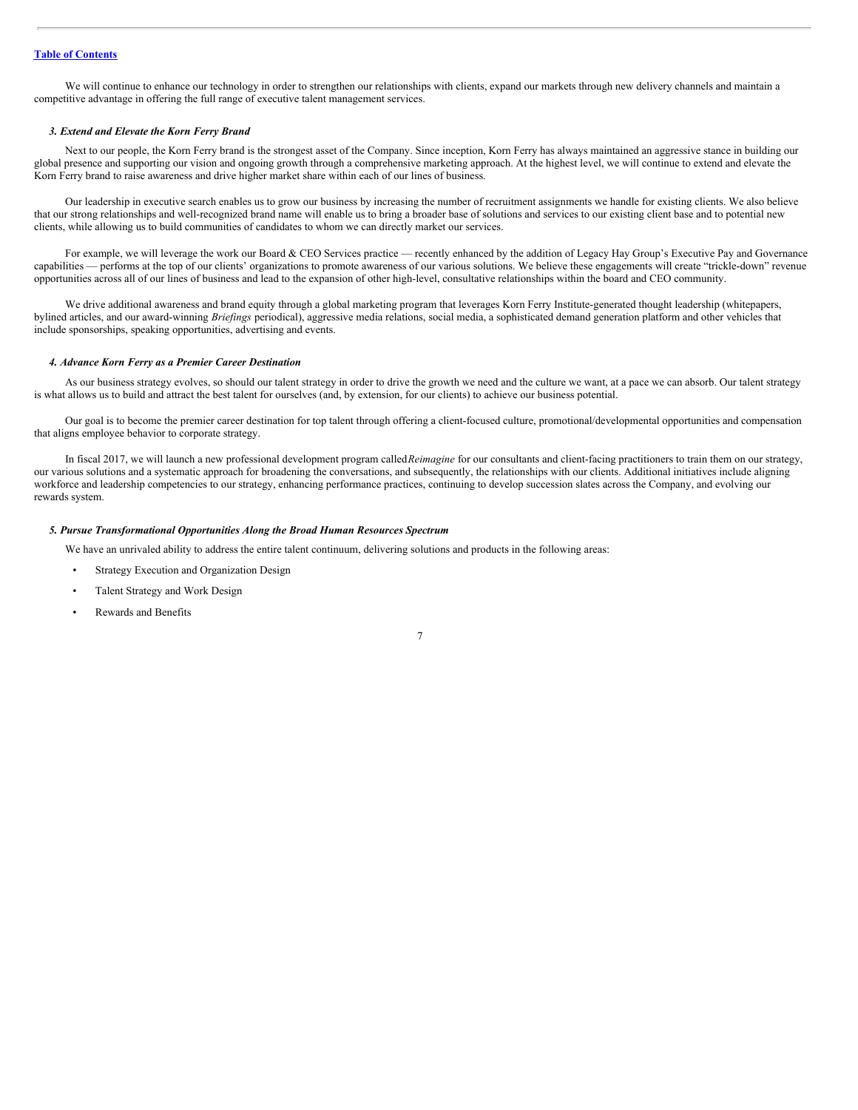We will continue to enhance our technology in order to strengthen our relationships with clients, expand our markets through new delivery channels and maintain a competitive advantage in offering the full range of executive talent management services.

## *3. Extend and Elevate the Korn Ferry Brand*

Next to our people, the Korn Ferry brand is the strongest asset of the Company. Since inception, Korn Ferry has always maintained an aggressive stance in building our global presence and supporting our vision and ongoing growth through a comprehensive marketing approach. At the highest level, we will continue to extend and elevate the Korn Ferry brand to raise awareness and drive higher market share within each of our lines of business.

Our leadership in executive search enables us to grow our business by increasing the number of recruitment assignments we handle for existing clients. We also believe that our strong relationships and well-recognized brand name will enable us to bring a broader base of solutions and services to our existing client base and to potential new clients, while allowing us to build communities of candidates to whom we can directly market our services.

For example, we will leverage the work our Board & CEO Services practice — recently enhanced by the addition of Legacy Hay Group's Executive Pay and Governance capabilities — performs at the top of our clients' organizations to promote awareness of our various solutions. We believe these engagements will create "trickle-down" revenue opportunities across all of our lines of business and lead to the expansion of other high-level, consultative relationships within the board and CEO community.

We drive additional awareness and brand equity through a global marketing program that leverages Korn Ferry Institute-generated thought leadership (whitepapers, bylined articles, and our award-winning *Briefings* periodical), aggressive media relations, social media, a sophisticated demand generation platform and other vehicles that include sponsorships, speaking opportunities, advertising and events.

#### *4. Advance Korn Ferry as a Premier Career Destination*

As our business strategy evolves, so should our talent strategy in order to drive the growth we need and the culture we want, at a pace we can absorb. Our talent strategy is what allows us to build and attract the best talent for ourselves (and, by extension, for our clients) to achieve our business potential.

Our goal is to become the premier career destination for top talent through offering a client-focused culture, promotional/developmental opportunities and compensation that aligns employee behavior to corporate strategy.

In fiscal 2017, we will launch a new professional development program called*Reimagine* for our consultants and client-facing practitioners to train them on our strategy, our various solutions and a systematic approach for broadening the conversations, and subsequently, the relationships with our clients. Additional initiatives include aligning workforce and leadership competencies to our strategy, enhancing performance practices, continuing to develop succession slates across the Company, and evolving our rewards system.

## *5. Pursue Transformational Opportunities Along the Broad Human Resources Spectrum*

We have an unrivaled ability to address the entire talent continuum, delivering solutions and products in the following areas:

- Strategy Execution and Organization Design
- Talent Strategy and Work Design
- Rewards and Benefits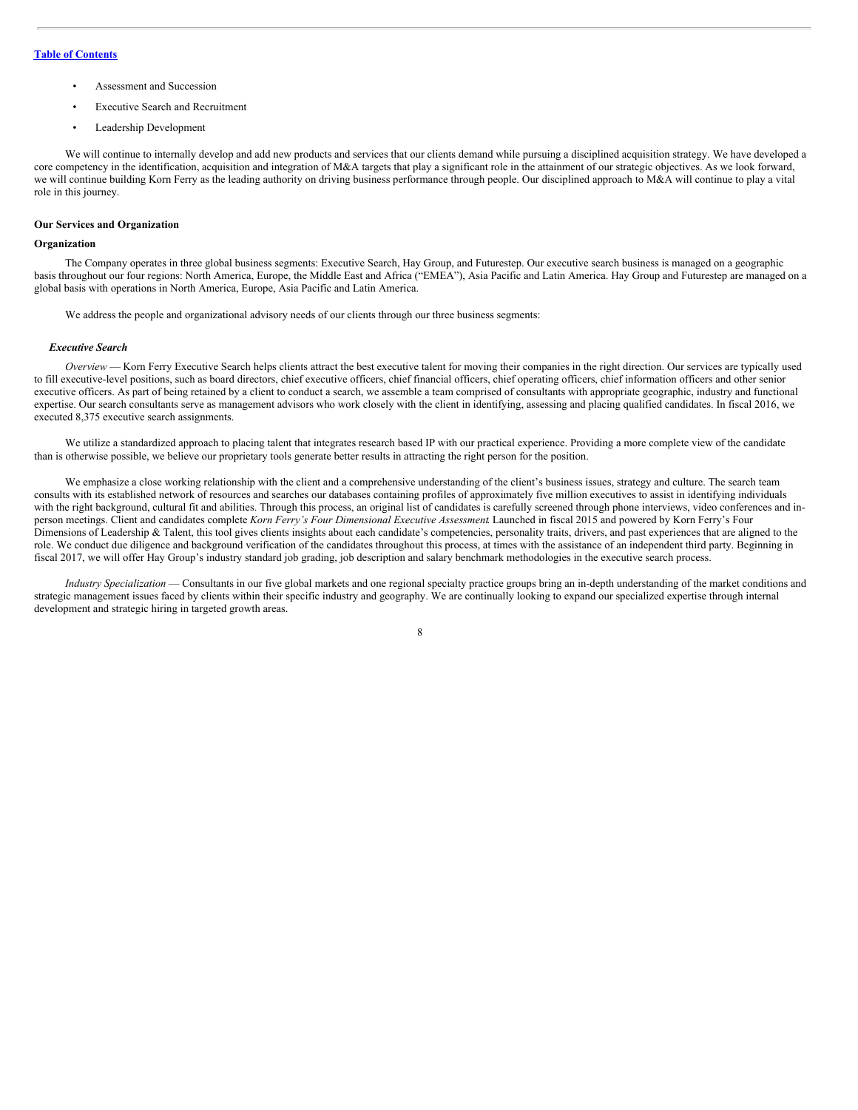- Assessment and Succession
- **Executive Search and Recruitment**
- Leadership Development

We will continue to internally develop and add new products and services that our clients demand while pursuing a disciplined acquisition strategy. We have developed a core competency in the identification, acquisition and integration of M&A targets that play a significant role in the attainment of our strategic objectives. As we look forward, we will continue building Korn Ferry as the leading authority on driving business performance through people. Our disciplined approach to M&A will continue to play a vital role in this journey.

#### **Our Services and Organization**

## **Organization**

The Company operates in three global business segments: Executive Search, Hay Group, and Futurestep. Our executive search business is managed on a geographic basis throughout our four regions: North America, Europe, the Middle East and Africa ("EMEA"), Asia Pacific and Latin America. Hay Group and Futurestep are managed on a global basis with operations in North America, Europe, Asia Pacific and Latin America.

We address the people and organizational advisory needs of our clients through our three business segments:

#### *Executive Search*

*Overview* — Korn Ferry Executive Search helps clients attract the best executive talent for moving their companies in the right direction. Our services are typically used to fill executive-level positions, such as board directors, chief executive officers, chief financial officers, chief operating officers, chief information officers and other senior executive officers. As part of being retained by a client to conduct a search, we assemble a team comprised of consultants with appropriate geographic, industry and functional expertise. Our search consultants serve as management advisors who work closely with the client in identifying, assessing and placing qualified candidates. In fiscal 2016, we executed 8,375 executive search assignments.

We utilize a standardized approach to placing talent that integrates research based IP with our practical experience. Providing a more complete view of the candidate than is otherwise possible, we believe our proprietary tools generate better results in attracting the right person for the position.

We emphasize a close working relationship with the client and a comprehensive understanding of the client's business issues, strategy and culture. The search team consults with its established network of resources and searches our databases containing profiles of approximately five million executives to assist in identifying individuals with the right background, cultural fit and abilities. Through this process, an original list of candidates is carefully screened through phone interviews, video conferences and inperson meetings. Client and candidates complete *Korn Ferry's Four Dimensional Executive Assessment*. Launched in fiscal 2015 and powered by Korn Ferry's Four Dimensions of Leadership & Talent, this tool gives clients insights about each candidate's competencies, personality traits, drivers, and past experiences that are aligned to the role. We conduct due diligence and background verification of the candidates throughout this process, at times with the assistance of an independent third party. Beginning in fiscal 2017, we will offer Hay Group's industry standard job grading, job description and salary benchmark methodologies in the executive search process.

*Industry Specialization* — Consultants in our five global markets and one regional specialty practice groups bring an in-depth understanding of the market conditions and strategic management issues faced by clients within their specific industry and geography. We are continually looking to expand our specialized expertise through internal development and strategic hiring in targeted growth areas.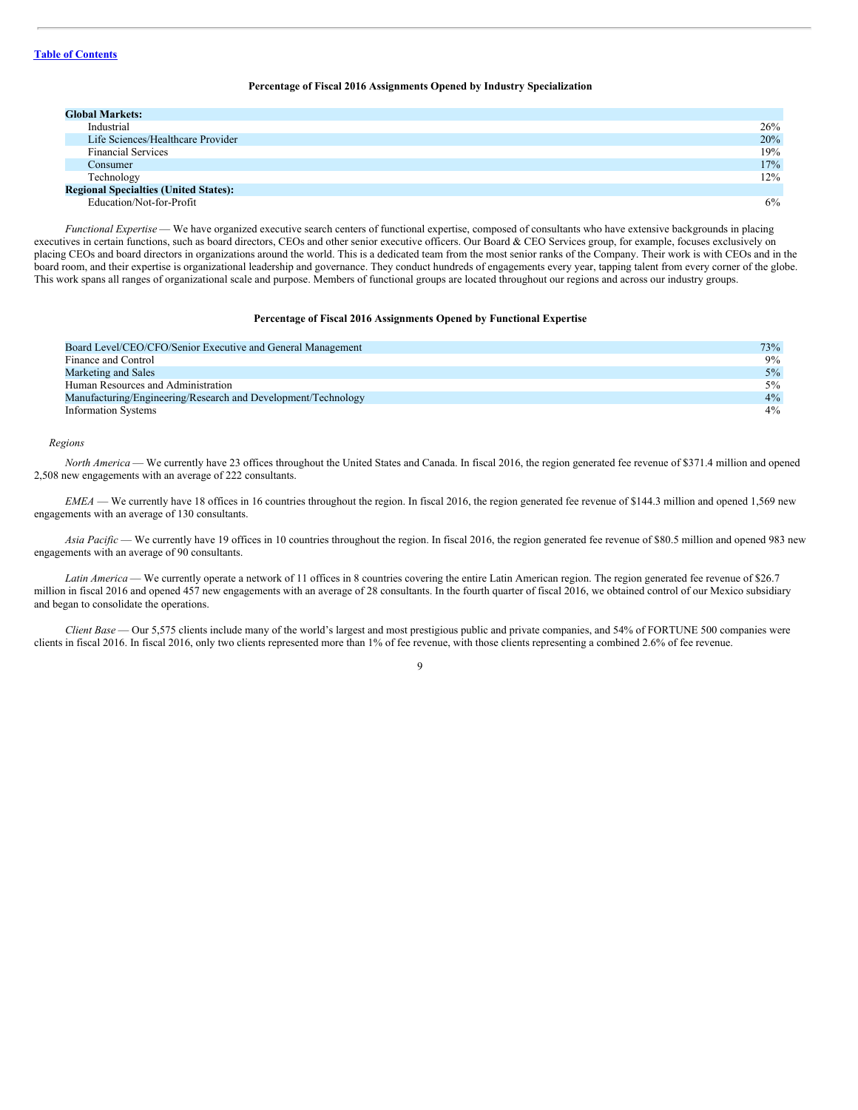## **Percentage of Fiscal 2016 Assignments Opened by Industry Specialization**

| <b>Global Markets:</b>                       |        |
|----------------------------------------------|--------|
| Industrial                                   | 26%    |
| Life Sciences/Healthcare Provider            | 20%    |
| <b>Financial Services</b>                    | 19%    |
| Consumer                                     | 17%    |
| Technology                                   | $12\%$ |
| <b>Regional Specialties (United States):</b> |        |
| Education/Not-for-Profit                     | 6%     |

*Functional Expertise* — We have organized executive search centers of functional expertise, composed of consultants who have extensive backgrounds in placing executives in certain functions, such as board directors, CEOs and other senior executive officers. Our Board & CEO Services group, for example, focuses exclusively on placing CEOs and board directors in organizations around the world. This is a dedicated team from the most senior ranks of the Company. Their work is with CEOs and in the board room, and their expertise is organizational leadership and governance. They conduct hundreds of engagements every year, tapping talent from every corner of the globe. This work spans all ranges of organizational scale and purpose. Members of functional groups are located throughout our regions and across our industry groups.

## **Percentage of Fiscal 2016 Assignments Opened by Functional Expertise**

| Board Level/CEO/CFO/Senior Executive and General Management   | 73%   |
|---------------------------------------------------------------|-------|
| Finance and Control                                           | $9\%$ |
| Marketing and Sales                                           | $5\%$ |
| Human Resources and Administration                            | $5\%$ |
| Manufacturing/Engineering/Research and Development/Technology | $4\%$ |
| <b>Information Systems</b>                                    | $4\%$ |

#### *Regions*

*North America* — We currently have 23 offices throughout the United States and Canada. In fiscal 2016, the region generated fee revenue of \$371.4 million and opened 2,508 new engagements with an average of 222 consultants.

*EMEA* — We currently have 18 offices in 16 countries throughout the region. In fiscal 2016, the region generated fee revenue of \$144.3 million and opened 1,569 new engagements with an average of 130 consultants.

*Asia Pacific* — We currently have 19 offices in 10 countries throughout the region. In fiscal 2016, the region generated fee revenue of \$80.5 million and opened 983 new engagements with an average of 90 consultants.

*Latin America* — We currently operate a network of 11 offices in 8 countries covering the entire Latin American region. The region generated fee revenue of \$26.7 million in fiscal 2016 and opened 457 new engagements with an average of 28 consultants. In the fourth quarter of fiscal 2016, we obtained control of our Mexico subsidiary and began to consolidate the operations.

*Client Base* — Our 5,575 clients include many of the world's largest and most prestigious public and private companies, and 54% of FORTUNE 500 companies were clients in fiscal 2016. In fiscal 2016, only two clients represented more than 1% of fee revenue, with those clients representing a combined 2.6% of fee revenue.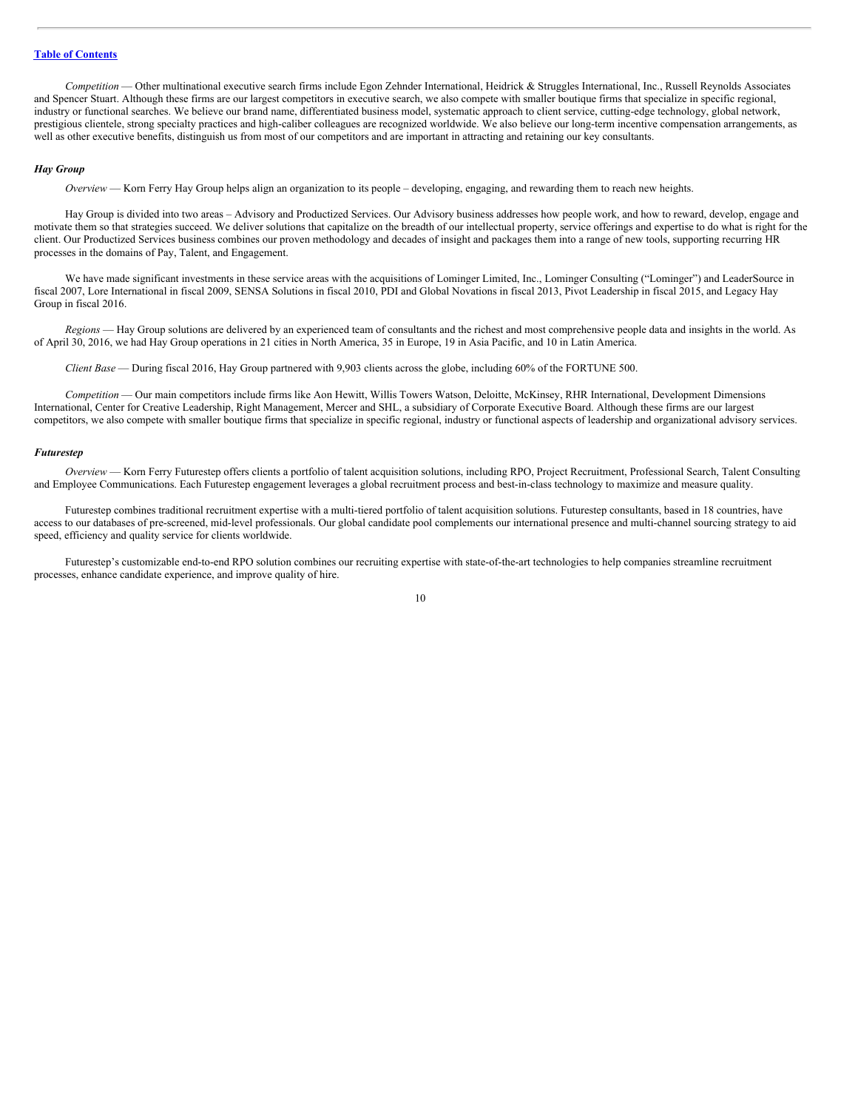*Competition* — Other multinational executive search firms include Egon Zehnder International, Heidrick & Struggles International, Inc., Russell Reynolds Associates and Spencer Stuart. Although these firms are our largest competitors in executive search, we also compete with smaller boutique firms that specialize in specific regional, industry or functional searches. We believe our brand name, differentiated business model, systematic approach to client service, cutting-edge technology, global network, prestigious clientele, strong specialty practices and high-caliber colleagues are recognized worldwide. We also believe our long-term incentive compensation arrangements, as well as other executive benefits, distinguish us from most of our competitors and are important in attracting and retaining our key consultants.

#### *Hay Group*

*Overview* — Korn Ferry Hay Group helps align an organization to its people – developing, engaging, and rewarding them to reach new heights.

Hay Group is divided into two areas – Advisory and Productized Services. Our Advisory business addresses how people work, and how to reward, develop, engage and motivate them so that strategies succeed. We deliver solutions that capitalize on the breadth of our intellectual property, service offerings and expertise to do what is right for the client. Our Productized Services business combines our proven methodology and decades of insight and packages them into a range of new tools, supporting recurring HR processes in the domains of Pay, Talent, and Engagement.

We have made significant investments in these service areas with the acquisitions of Lominger Limited, Inc., Lominger Consulting ("Lominger") and LeaderSource in fiscal 2007, Lore International in fiscal 2009, SENSA Solutions in fiscal 2010, PDI and Global Novations in fiscal 2013, Pivot Leadership in fiscal 2015, and Legacy Hay Group in fiscal 2016.

*Regions* — Hay Group solutions are delivered by an experienced team of consultants and the richest and most comprehensive people data and insights in the world. As of April 30, 2016, we had Hay Group operations in 21 cities in North America, 35 in Europe, 19 in Asia Pacific, and 10 in Latin America.

*Client Base* — During fiscal 2016, Hay Group partnered with 9,903 clients across the globe, including 60% of the FORTUNE 500.

*Competition* — Our main competitors include firms like Aon Hewitt, Willis Towers Watson, Deloitte, McKinsey, RHR International, Development Dimensions International, Center for Creative Leadership, Right Management, Mercer and SHL, a subsidiary of Corporate Executive Board. Although these firms are our largest competitors, we also compete with smaller boutique firms that specialize in specific regional, industry or functional aspects of leadership and organizational advisory services.

#### *Futurestep*

*Overview* — Korn Ferry Futurestep offers clients a portfolio of talent acquisition solutions, including RPO, Project Recruitment, Professional Search, Talent Consulting and Employee Communications. Each Futurestep engagement leverages a global recruitment process and best-in-class technology to maximize and measure quality.

Futurestep combines traditional recruitment expertise with a multi-tiered portfolio of talent acquisition solutions. Futurestep consultants, based in 18 countries, have access to our databases of pre-screened, mid-level professionals. Our global candidate pool complements our international presence and multi-channel sourcing strategy to aid speed, efficiency and quality service for clients worldwide.

Futurestep's customizable end-to-end RPO solution combines our recruiting expertise with state-of-the-art technologies to help companies streamline recruitment processes, enhance candidate experience, and improve quality of hire.

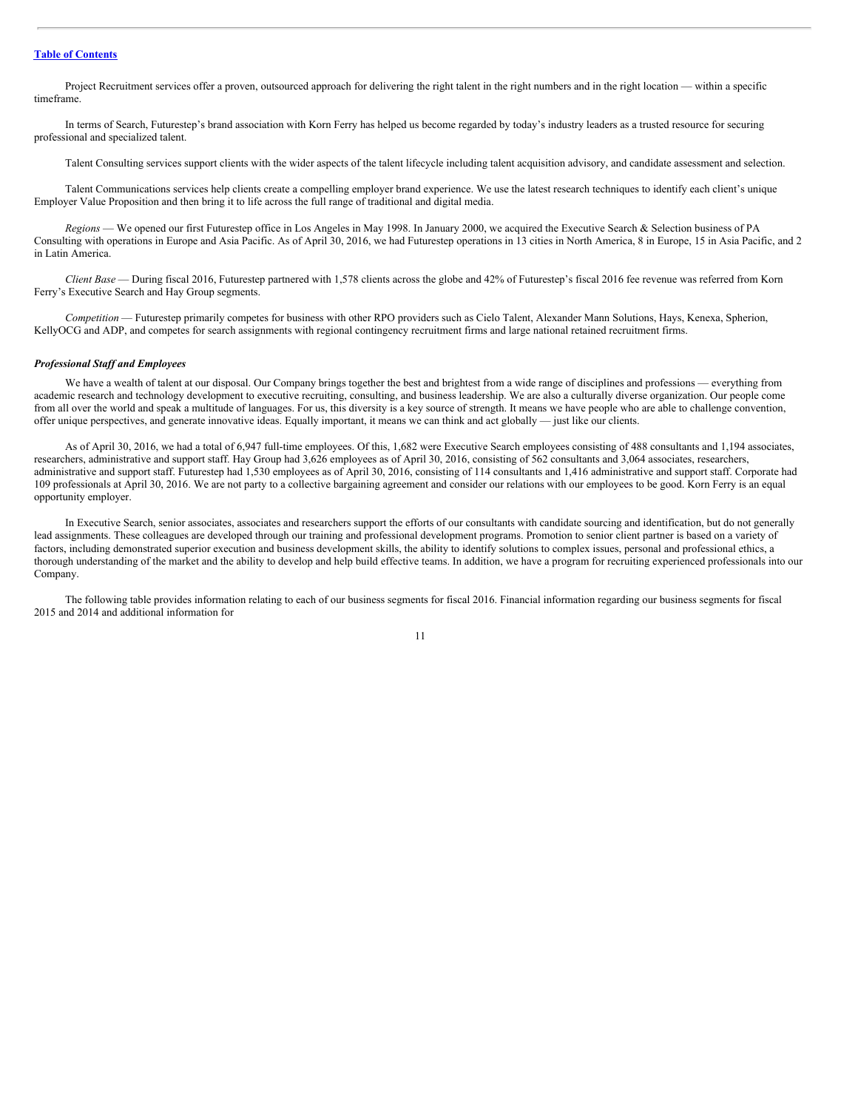Project Recruitment services offer a proven, outsourced approach for delivering the right talent in the right numbers and in the right location — within a specific timeframe.

In terms of Search, Futurestep's brand association with Korn Ferry has helped us become regarded by today's industry leaders as a trusted resource for securing professional and specialized talent.

Talent Consulting services support clients with the wider aspects of the talent lifecycle including talent acquisition advisory, and candidate assessment and selection.

Talent Communications services help clients create a compelling employer brand experience. We use the latest research techniques to identify each client's unique Employer Value Proposition and then bring it to life across the full range of traditional and digital media.

*Regions* — We opened our first Futurestep office in Los Angeles in May 1998. In January 2000, we acquired the Executive Search & Selection business of PA Consulting with operations in Europe and Asia Pacific. As of April 30, 2016, we had Futurestep operations in 13 cities in North America, 8 in Europe, 15 in Asia Pacific, and 2 in Latin America.

*Client Base* — During fiscal 2016, Futurestep partnered with 1,578 clients across the globe and 42% of Futurestep's fiscal 2016 fee revenue was referred from Korn Ferry's Executive Search and Hay Group segments.

*Competition* — Futurestep primarily competes for business with other RPO providers such as Cielo Talent, Alexander Mann Solutions, Hays, Kenexa, Spherion, KellyOCG and ADP, and competes for search assignments with regional contingency recruitment firms and large national retained recruitment firms.

## *Professional Staf and Employees*

We have a wealth of talent at our disposal. Our Company brings together the best and brightest from a wide range of disciplines and professions — everything from academic research and technology development to executive recruiting, consulting, and business leadership. We are also a culturally diverse organization. Our people come from all over the world and speak a multitude of languages. For us, this diversity is a key source of strength. It means we have people who are able to challenge convention, offer unique perspectives, and generate innovative ideas. Equally important, it means we can think and act globally — just like our clients.

As of April 30, 2016, we had a total of 6,947 full-time employees. Of this, 1,682 were Executive Search employees consisting of 488 consultants and 1,194 associates, researchers, administrative and support staff. Hay Group had 3,626 employees as of April 30, 2016, consisting of 562 consultants and 3,064 associates, researchers, administrative and support staff. Futurestep had 1,530 employees as of April 30, 2016, consisting of 114 consultants and 1,416 administrative and support staff. Corporate had 109 professionals at April 30, 2016. We are not party to a collective bargaining agreement and consider our relations with our employees to be good. Korn Ferry is an equal opportunity employer.

In Executive Search, senior associates, associates and researchers support the efforts of our consultants with candidate sourcing and identification, but do not generally lead assignments. These colleagues are developed through our training and professional development programs. Promotion to senior client partner is based on a variety of factors, including demonstrated superior execution and business development skills, the ability to identify solutions to complex issues, personal and professional ethics, a thorough understanding of the market and the ability to develop and help build effective teams. In addition, we have a program for recruiting experienced professionals into our Company.

The following table provides information relating to each of our business segments for fiscal 2016. Financial information regarding our business segments for fiscal 2015 and 2014 and additional information for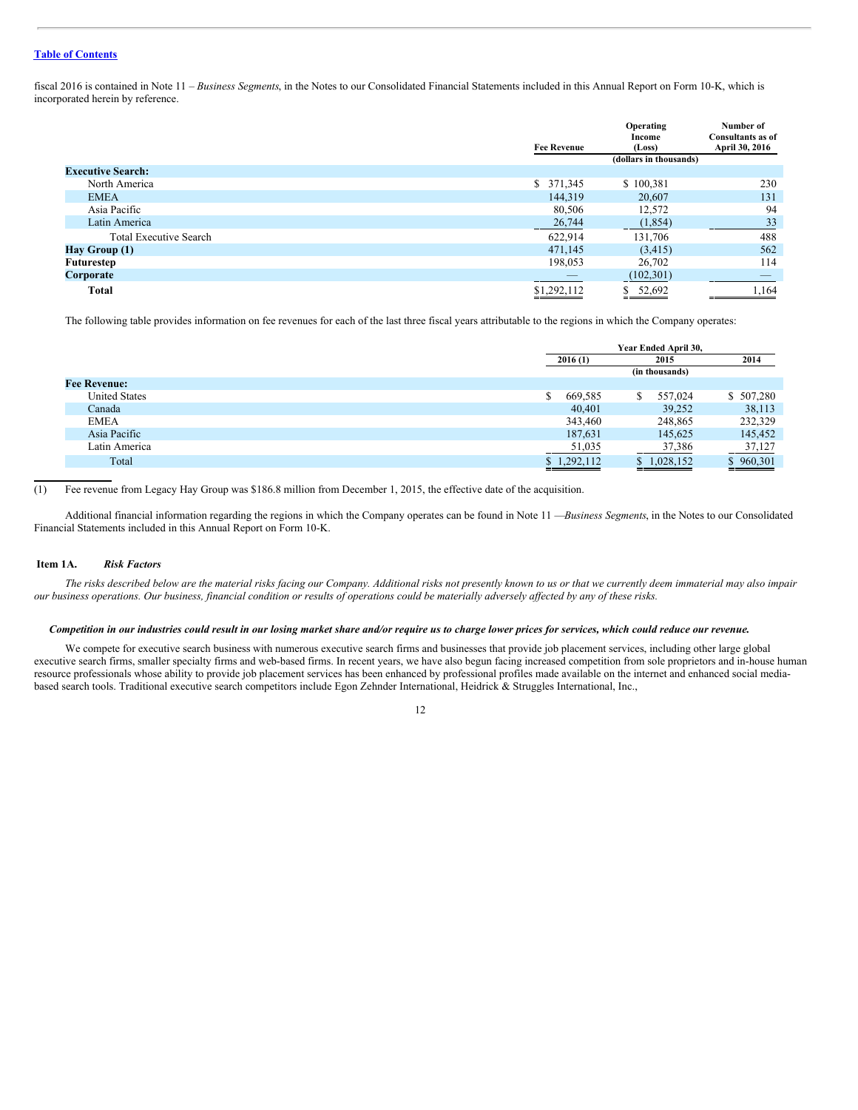fiscal 2016 is contained in Note 11 – *Business Segments*, in the Notes to our Consolidated Financial Statements included in this Annual Report on Form 10-K, which is incorporated herein by reference.

|                               |                    | Operating<br>Income              | Number of<br><b>Consultants as of</b> |
|-------------------------------|--------------------|----------------------------------|---------------------------------------|
|                               | <b>Fee Revenue</b> | (Loss)<br>(dollars in thousands) | April 30, 2016                        |
| <b>Executive Search:</b>      |                    |                                  |                                       |
| North America                 | \$371,345          | \$100,381                        | 230                                   |
| <b>EMEA</b>                   | 144.319            | 20,607                           | 131                                   |
| Asia Pacific                  | 80,506             | 12,572                           | 94                                    |
| Latin America                 | 26,744             | (1,854)                          | 33                                    |
| <b>Total Executive Search</b> | 622,914            | 131,706                          | 488                                   |
| Hay Group (1)                 | 471,145            | (3, 415)                         | 562                                   |
| Futurestep                    | 198,053            | 26,702                           | 114                                   |
| Corporate                     |                    | (102, 301)                       |                                       |
| Total                         | \$1,292,112        | 52,692                           | 1,164                                 |

The following table provides information on fee revenues for each of the last three fiscal years attributable to the regions in which the Company operates:

|                      |               | Year Ended April 30, |                |           |
|----------------------|---------------|----------------------|----------------|-----------|
|                      |               | 2016(1)<br>2015      |                | 2014      |
|                      |               |                      | (in thousands) |           |
| <b>Fee Revenue:</b>  |               |                      |                |           |
| <b>United States</b> | 669,585<br>S. |                      | 557,024        | \$507,280 |
| Canada               |               | 40,401               | 39,252         | 38,113    |
| <b>EMEA</b>          | 343,460       |                      | 248,865        | 232,329   |
| Asia Pacific         |               | 187,631              | 145,625        | 145,452   |
| Latin America        |               | 51,035               | 37,386         | 37,127    |
| Total                | \$1,292,112   |                      | \$1,028,152    | \$960,301 |
|                      |               |                      |                |           |

(1) Fee revenue from Legacy Hay Group was \$186.8 million from December 1, 2015, the effective date of the acquisition.

Additional financial information regarding the regions in which the Company operates can be found in Note 11 —*Business Segments*, in the Notes to our Consolidated Financial Statements included in this Annual Report on Form 10-K.

#### <span id="page-13-0"></span>**Item 1A.** *Risk Factors*

The risks described below are the material risks facing our Company. Additional risks not presently known to us or that we currently deem immaterial may also impair our business operations. Our business, financial condition or results of operations could be materially adversely affected by any of these risks.

#### Competition in our industries could result in our losing market share and/or require us to charge lower prices for services, which could reduce our revenue.

We compete for executive search business with numerous executive search firms and businesses that provide job placement services, including other large global executive search firms, smaller specialty firms and web-based firms. In recent years, we have also begun facing increased competition from sole proprietors and in-house human resource professionals whose ability to provide job placement services has been enhanced by professional profiles made available on the internet and enhanced social mediabased search tools. Traditional executive search competitors include Egon Zehnder International, Heidrick & Struggles International, Inc.,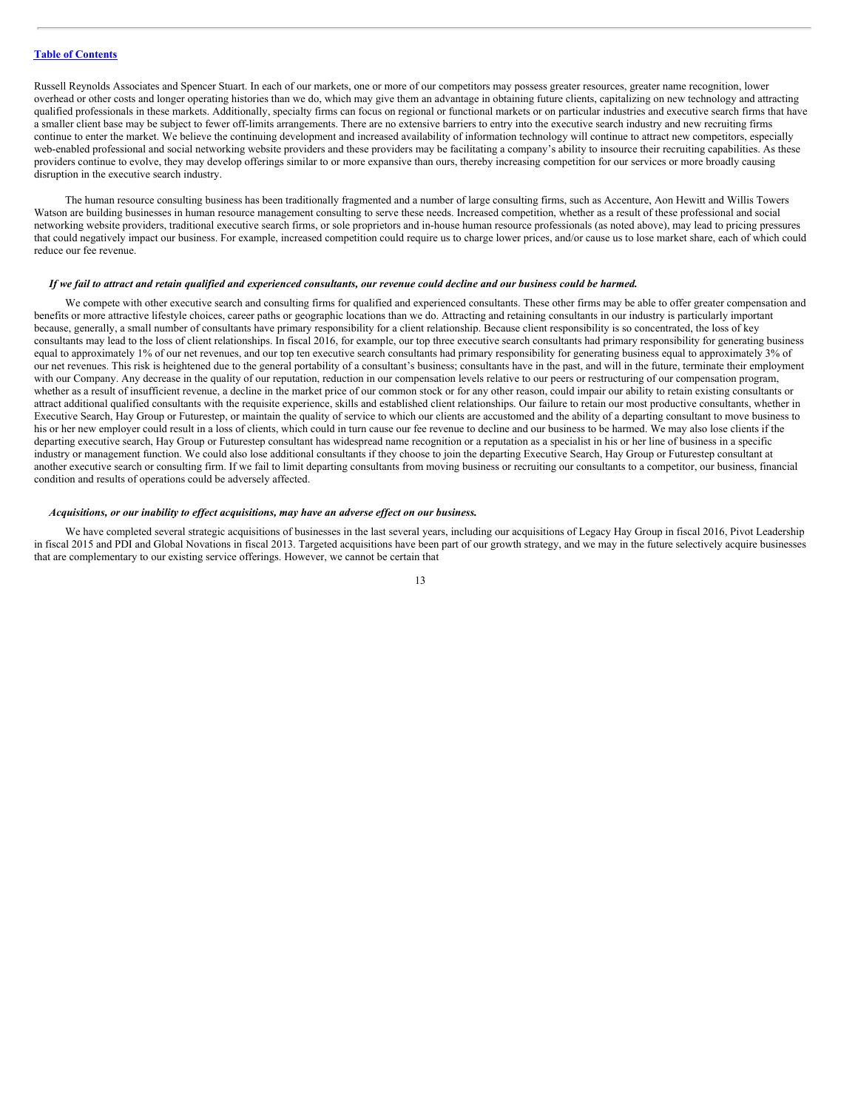Russell Reynolds Associates and Spencer Stuart. In each of our markets, one or more of our competitors may possess greater resources, greater name recognition, lower overhead or other costs and longer operating histories than we do, which may give them an advantage in obtaining future clients, capitalizing on new technology and attracting qualified professionals in these markets. Additionally, specialty firms can focus on regional or functional markets or on particular industries and executive search firms that have a smaller client base may be subject to fewer off-limits arrangements. There are no extensive barriers to entry into the executive search industry and new recruiting firms continue to enter the market. We believe the continuing development and increased availability of information technology will continue to attract new competitors, especially web-enabled professional and social networking website providers and these providers may be facilitating a company's ability to insource their recruiting capabilities. As these providers continue to evolve, they may develop offerings similar to or more expansive than ours, thereby increasing competition for our services or more broadly causing disruption in the executive search industry.

The human resource consulting business has been traditionally fragmented and a number of large consulting firms, such as Accenture, Aon Hewitt and Willis Towers Watson are building businesses in human resource management consulting to serve these needs. Increased competition, whether as a result of these professional and social networking website providers, traditional executive search firms, or sole proprietors and in-house human resource professionals (as noted above), may lead to pricing pressures that could negatively impact our business. For example, increased competition could require us to charge lower prices, and/or cause us to lose market share, each of which could reduce our fee revenue.

#### If we fail to attract and retain qualified and experienced consultants, our revenue could decline and our business could be harmed.

We compete with other executive search and consulting firms for qualified and experienced consultants. These other firms may be able to offer greater compensation and benefits or more attractive lifestyle choices, career paths or geographic locations than we do. Attracting and retaining consultants in our industry is particularly important because, generally, a small number of consultants have primary responsibility for a client relationship. Because client responsibility is so concentrated, the loss of key consultants may lead to the loss of client relationships. In fiscal 2016, for example, our top three executive search consultants had primary responsibility for generating business equal to approximately 1% of our net revenues, and our top ten executive search consultants had primary responsibility for generating business equal to approximately 3% of our net revenues. This risk is heightened due to the general portability of a consultant's business; consultants have in the past, and will in the future, terminate their employment with our Company. Any decrease in the quality of our reputation, reduction in our compensation levels relative to our peers or restructuring of our compensation program, whether as a result of insufficient revenue, a decline in the market price of our common stock or for any other reason, could impair our ability to retain existing consultants or attract additional qualified consultants with the requisite experience, skills and established client relationships. Our failure to retain our most productive consultants, whether in Executive Search, Hay Group or Futurestep, or maintain the quality of service to which our clients are accustomed and the ability of a departing consultant to move business to his or her new employer could result in a loss of clients, which could in turn cause our fee revenue to decline and our business to be harmed. We may also lose clients if the departing executive search, Hay Group or Futurestep consultant has widespread name recognition or a reputation as a specialist in his or her line of business in a specific industry or management function. We could also lose additional consultants if they choose to join the departing Executive Search, Hay Group or Futurestep consultant at another executive search or consulting firm. If we fail to limit departing consultants from moving business or recruiting our consultants to a competitor, our business, financial condition and results of operations could be adversely affected.

#### *Acquisitions, or our inability to ef ect acquisitions, may have an adverse ef ect on our business.*

We have completed several strategic acquisitions of businesses in the last several years, including our acquisitions of Legacy Hay Group in fiscal 2016, Pivot Leadership in fiscal 2015 and PDI and Global Novations in fiscal 2013. Targeted acquisitions have been part of our growth strategy, and we may in the future selectively acquire businesses that are complementary to our existing service offerings. However, we cannot be certain that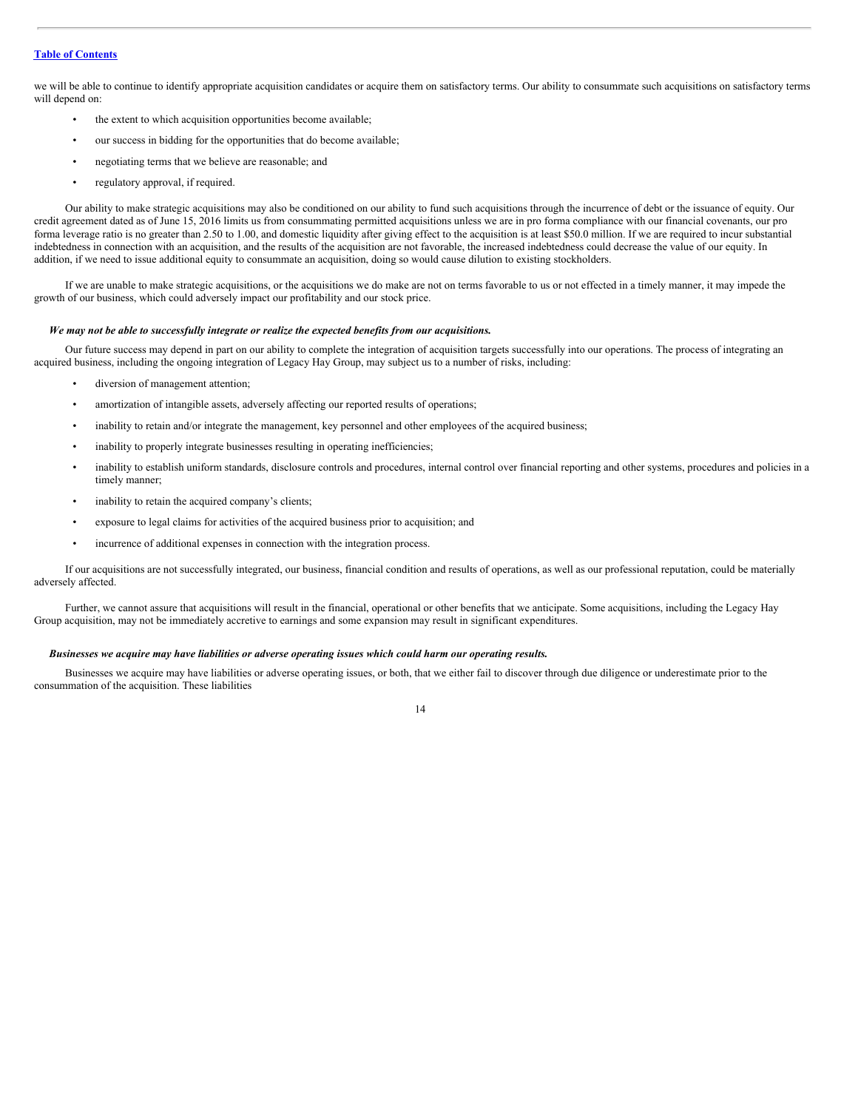we will be able to continue to identify appropriate acquisition candidates or acquire them on satisfactory terms. Our ability to consummate such acquisitions on satisfactory terms will depend on:

- the extent to which acquisition opportunities become available;
- our success in bidding for the opportunities that do become available;
- negotiating terms that we believe are reasonable; and
- regulatory approval, if required.

Our ability to make strategic acquisitions may also be conditioned on our ability to fund such acquisitions through the incurrence of debt or the issuance of equity. Our credit agreement dated as of June 15, 2016 limits us from consummating permitted acquisitions unless we are in pro forma compliance with our financial covenants, our pro forma leverage ratio is no greater than 2.50 to 1.00, and domestic liquidity after giving effect to the acquisition is at least \$50.0 million. If we are required to incur substantial indebtedness in connection with an acquisition, and the results of the acquisition are not favorable, the increased indebtedness could decrease the value of our equity. In addition, if we need to issue additional equity to consummate an acquisition, doing so would cause dilution to existing stockholders.

If we are unable to make strategic acquisitions, or the acquisitions we do make are not on terms favorable to us or not effected in a timely manner, it may impede the growth of our business, which could adversely impact our profitability and our stock price.

#### *We may not be able to successfully integrate or realize the expected benefits from our acquisitions.*

Our future success may depend in part on our ability to complete the integration of acquisition targets successfully into our operations. The process of integrating an acquired business, including the ongoing integration of Legacy Hay Group, may subject us to a number of risks, including:

- diversion of management attention;
- amortization of intangible assets, adversely affecting our reported results of operations;
- inability to retain and/or integrate the management, key personnel and other employees of the acquired business;
- inability to properly integrate businesses resulting in operating inefficiencies;
- inability to establish uniform standards, disclosure controls and procedures, internal control over financial reporting and other systems, procedures and policies in a timely manner;
- inability to retain the acquired company's clients;
- exposure to legal claims for activities of the acquired business prior to acquisition; and
- incurrence of additional expenses in connection with the integration process.

If our acquisitions are not successfully integrated, our business, financial condition and results of operations, as well as our professional reputation, could be materially adversely affected.

Further, we cannot assure that acquisitions will result in the financial, operational or other benefits that we anticipate. Some acquisitions, including the Legacy Hay Group acquisition, may not be immediately accretive to earnings and some expansion may result in significant expenditures.

## *Businesses we acquire may have liabilities or adverse operating issues which could harm our operating results.*

Businesses we acquire may have liabilities or adverse operating issues, or both, that we either fail to discover through due diligence or underestimate prior to the consummation of the acquisition. These liabilities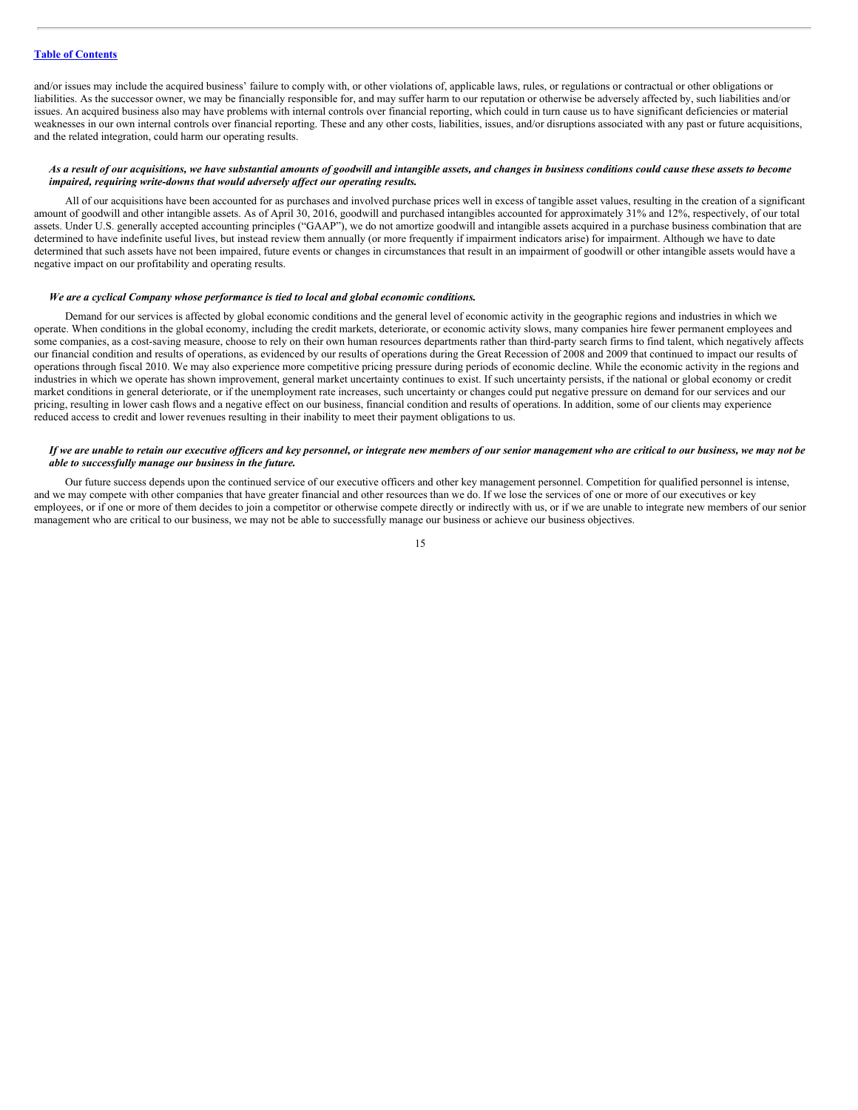and/or issues may include the acquired business' failure to comply with, or other violations of, applicable laws, rules, or regulations or contractual or other obligations or liabilities. As the successor owner, we may be financially responsible for, and may suffer harm to our reputation or otherwise be adversely affected by, such liabilities and/or issues. An acquired business also may have problems with internal controls over financial reporting, which could in turn cause us to have significant deficiencies or material weaknesses in our own internal controls over financial reporting. These and any other costs, liabilities, issues, and/or disruptions associated with any past or future acquisitions, and the related integration, could harm our operating results.

#### As a result of our acquisitions, we have substantial amounts of goodwill and intangible assets, and changes in business conditions could cause these assets to become *impaired, requiring write-downs that would adversely af ect our operating results.*

All of our acquisitions have been accounted for as purchases and involved purchase prices well in excess of tangible asset values, resulting in the creation of a significant amount of goodwill and other intangible assets. As of April 30, 2016, goodwill and purchased intangibles accounted for approximately 31% and 12%, respectively, of our total assets. Under U.S. generally accepted accounting principles ("GAAP"), we do not amortize goodwill and intangible assets acquired in a purchase business combination that are determined to have indefinite useful lives, but instead review them annually (or more frequently if impairment indicators arise) for impairment. Although we have to date determined that such assets have not been impaired, future events or changes in circumstances that result in an impairment of goodwill or other intangible assets would have a negative impact on our profitability and operating results.

#### *We are a cyclical Company whose performance is tied to local and global economic conditions.*

Demand for our services is affected by global economic conditions and the general level of economic activity in the geographic regions and industries in which we operate. When conditions in the global economy, including the credit markets, deteriorate, or economic activity slows, many companies hire fewer permanent employees and some companies, as a cost-saving measure, choose to rely on their own human resources departments rather than third-party search firms to find talent, which negatively affects our financial condition and results of operations, as evidenced by our results of operations during the Great Recession of 2008 and 2009 that continued to impact our results of operations through fiscal 2010. We may also experience more competitive pricing pressure during periods of economic decline. While the economic activity in the regions and industries in which we operate has shown improvement, general market uncertainty continues to exist. If such uncertainty persists, if the national or global economy or credit market conditions in general deteriorate, or if the unemployment rate increases, such uncertainty or changes could put negative pressure on demand for our services and our pricing, resulting in lower cash flows and a negative effect on our business, financial condition and results of operations. In addition, some of our clients may experience reduced access to credit and lower revenues resulting in their inability to meet their payment obligations to us.

#### If we are unable to retain our executive officers and key personnel, or integrate new members of our senior management who are critical to our business, we may not be *able to successfully manage our business in the future.*

Our future success depends upon the continued service of our executive officers and other key management personnel. Competition for qualified personnel is intense, and we may compete with other companies that have greater financial and other resources than we do. If we lose the services of one or more of our executives or key employees, or if one or more of them decides to join a competitor or otherwise compete directly or indirectly with us, or if we are unable to integrate new members of our senior management who are critical to our business, we may not be able to successfully manage our business or achieve our business objectives.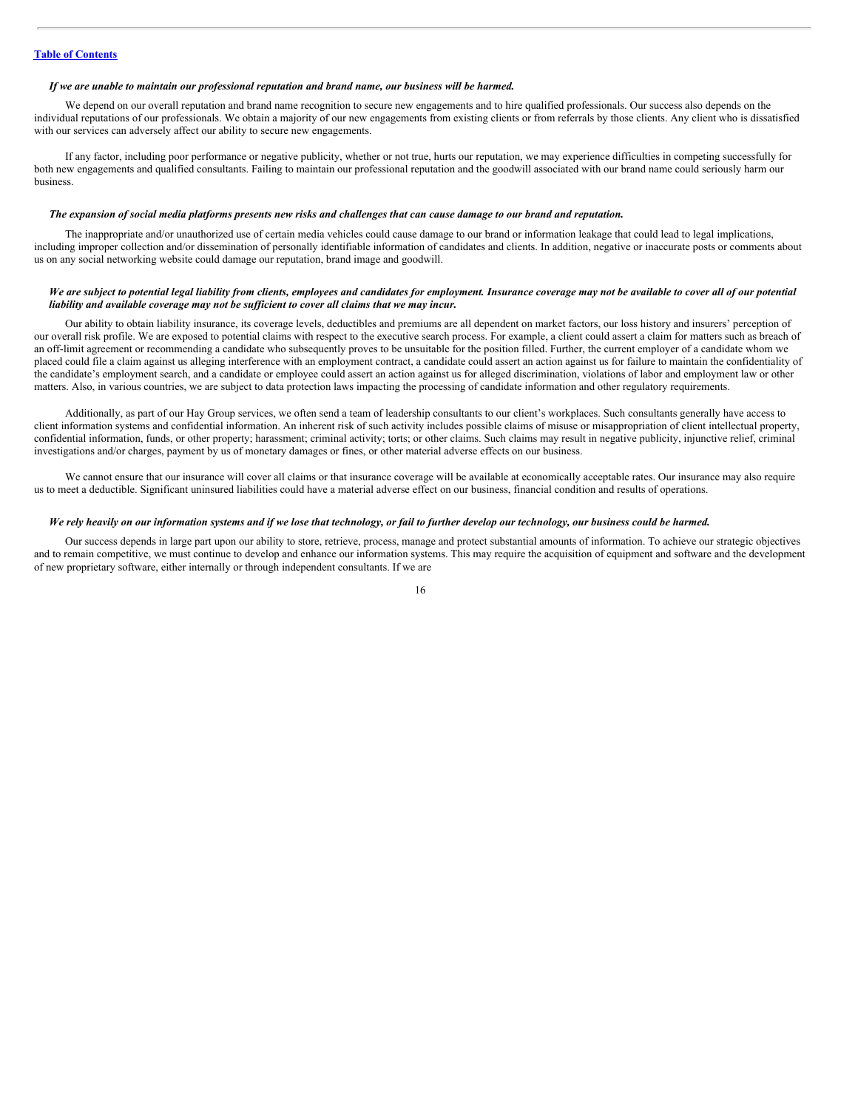#### *If we are unable to maintain our professional reputation and brand name, our business will be harmed.*

We depend on our overall reputation and brand name recognition to secure new engagements and to hire qualified professionals. Our success also depends on the individual reputations of our professionals. We obtain a majority of our new engagements from existing clients or from referrals by those clients. Any client who is dissatisfied with our services can adversely affect our ability to secure new engagements.

If any factor, including poor performance or negative publicity, whether or not true, hurts our reputation, we may experience difficulties in competing successfully for both new engagements and qualified consultants. Failing to maintain our professional reputation and the goodwill associated with our brand name could seriously harm our business.

#### The expansion of social media platforms presents new risks and challenges that can cause damage to our brand and reputation.

The inappropriate and/or unauthorized use of certain media vehicles could cause damage to our brand or information leakage that could lead to legal implications, including improper collection and/or dissemination of personally identifiable information of candidates and clients. In addition, negative or inaccurate posts or comments about us on any social networking website could damage our reputation, brand image and goodwill.

#### We are subject to potential legal liability from clients, employees and candidates for employment. Insurance coverage may not be available to cover all of our potential *liability and available coverage may not be suf icient to cover all claims that we may incur.*

Our ability to obtain liability insurance, its coverage levels, deductibles and premiums are all dependent on market factors, our loss history and insurers' perception of our overall risk profile. We are exposed to potential claims with respect to the executive search process. For example, a client could assert a claim for matters such as breach of an off-limit agreement or recommending a candidate who subsequently proves to be unsuitable for the position filled. Further, the current employer of a candidate whom we placed could file a claim against us alleging interference with an employment contract, a candidate could assert an action against us for failure to maintain the confidentiality of the candidate's employment search, and a candidate or employee could assert an action against us for alleged discrimination, violations of labor and employment law or other matters. Also, in various countries, we are subject to data protection laws impacting the processing of candidate information and other regulatory requirements.

Additionally, as part of our Hay Group services, we often send a team of leadership consultants to our client's workplaces. Such consultants generally have access to client information systems and confidential information. An inherent risk of such activity includes possible claims of misuse or misappropriation of client intellectual property, confidential information, funds, or other property; harassment; criminal activity; torts; or other claims. Such claims may result in negative publicity, injunctive relief, criminal investigations and/or charges, payment by us of monetary damages or fines, or other material adverse effects on our business.

We cannot ensure that our insurance will cover all claims or that insurance coverage will be available at economically acceptable rates. Our insurance may also require us to meet a deductible. Significant uninsured liabilities could have a material adverse effect on our business, financial condition and results of operations.

#### We rely heavily on our information systems and if we lose that technology, or fail to further develop our technology, our business could be harmed.

Our success depends in large part upon our ability to store, retrieve, process, manage and protect substantial amounts of information. To achieve our strategic objectives and to remain competitive, we must continue to develop and enhance our information systems. This may require the acquisition of equipment and software and the development of new proprietary software, either internally or through independent consultants. If we are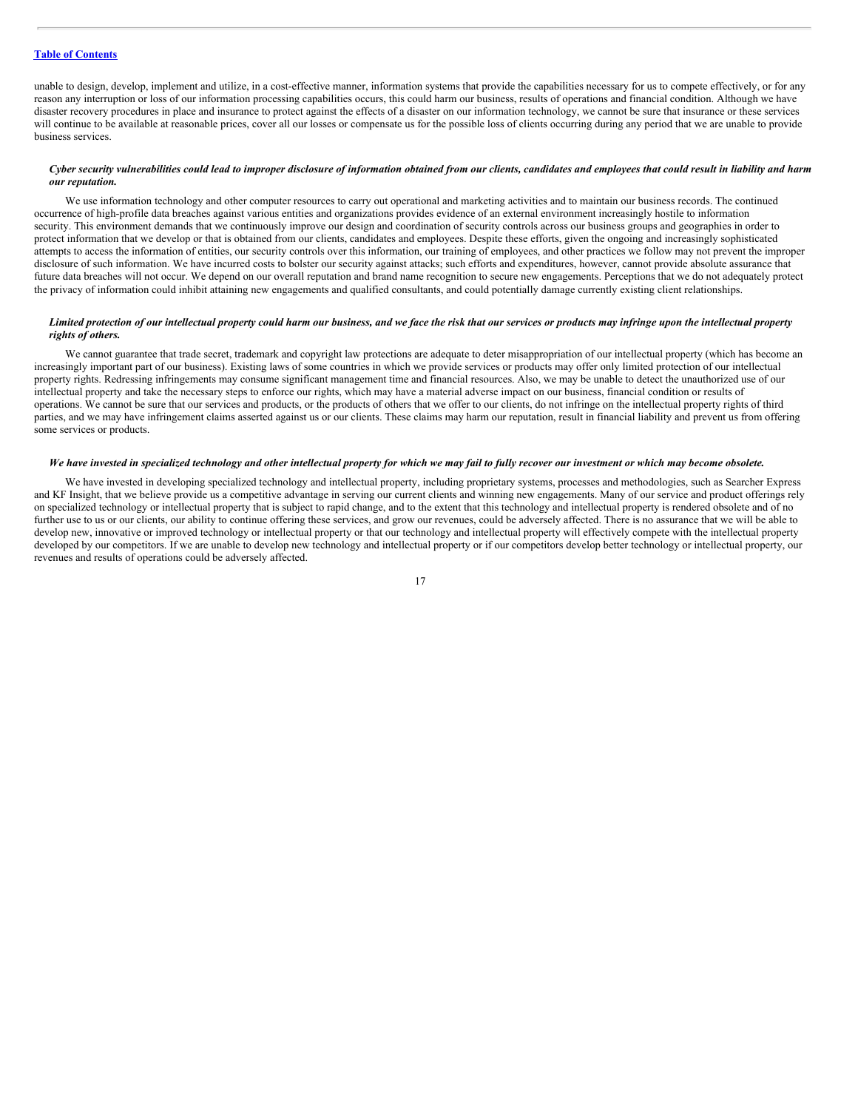unable to design, develop, implement and utilize, in a cost-effective manner, information systems that provide the capabilities necessary for us to compete effectively, or for any reason any interruption or loss of our information processing capabilities occurs, this could harm our business, results of operations and financial condition. Although we have disaster recovery procedures in place and insurance to protect against the effects of a disaster on our information technology, we cannot be sure that insurance or these services will continue to be available at reasonable prices, cover all our losses or compensate us for the possible loss of clients occurring during any period that we are unable to provide business services.

#### Cyber security vulnerabilities could lead to improper disclosure of information obtained from our clients, candidates and employees that could result in liability and harm *our reputation.*

We use information technology and other computer resources to carry out operational and marketing activities and to maintain our business records. The continued occurrence of high-profile data breaches against various entities and organizations provides evidence of an external environment increasingly hostile to information security. This environment demands that we continuously improve our design and coordination of security controls across our business groups and geographies in order to protect information that we develop or that is obtained from our clients, candidates and employees. Despite these efforts, given the ongoing and increasingly sophisticated attempts to access the information of entities, our security controls over this information, our training of employees, and other practices we follow may not prevent the improper disclosure of such information. We have incurred costs to bolster our security against attacks; such efforts and expenditures, however, cannot provide absolute assurance that future data breaches will not occur. We depend on our overall reputation and brand name recognition to secure new engagements. Perceptions that we do not adequately protect the privacy of information could inhibit attaining new engagements and qualified consultants, and could potentially damage currently existing client relationships.

## Limited protection of our intellectual property could harm our business, and we face the risk that our services or products may infringe upon the intellectual property *rights of others.*

We cannot guarantee that trade secret, trademark and copyright law protections are adequate to deter misappropriation of our intellectual property (which has become an increasingly important part of our business). Existing laws of some countries in which we provide services or products may offer only limited protection of our intellectual property rights. Redressing infringements may consume significant management time and financial resources. Also, we may be unable to detect the unauthorized use of our intellectual property and take the necessary steps to enforce our rights, which may have a material adverse impact on our business, financial condition or results of operations. We cannot be sure that our services and products, or the products of others that we offer to our clients, do not infringe on the intellectual property rights of third parties, and we may have infringement claims asserted against us or our clients. These claims may harm our reputation, result in financial liability and prevent us from offering some services or products.

## We have invested in specialized technology and other intellectual property for which we may fail to fully recover our investment or which may become obsolete.

We have invested in developing specialized technology and intellectual property, including proprietary systems, processes and methodologies, such as Searcher Express and KF Insight, that we believe provide us a competitive advantage in serving our current clients and winning new engagements. Many of our service and product offerings rely on specialized technology or intellectual property that is subject to rapid change, and to the extent that this technology and intellectual property is rendered obsolete and of no further use to us or our clients, our ability to continue offering these services, and grow our revenues, could be adversely affected. There is no assurance that we will be able to develop new, innovative or improved technology or intellectual property or that our technology and intellectual property will effectively compete with the intellectual property developed by our competitors. If we are unable to develop new technology and intellectual property or if our competitors develop better technology or intellectual property, our revenues and results of operations could be adversely affected.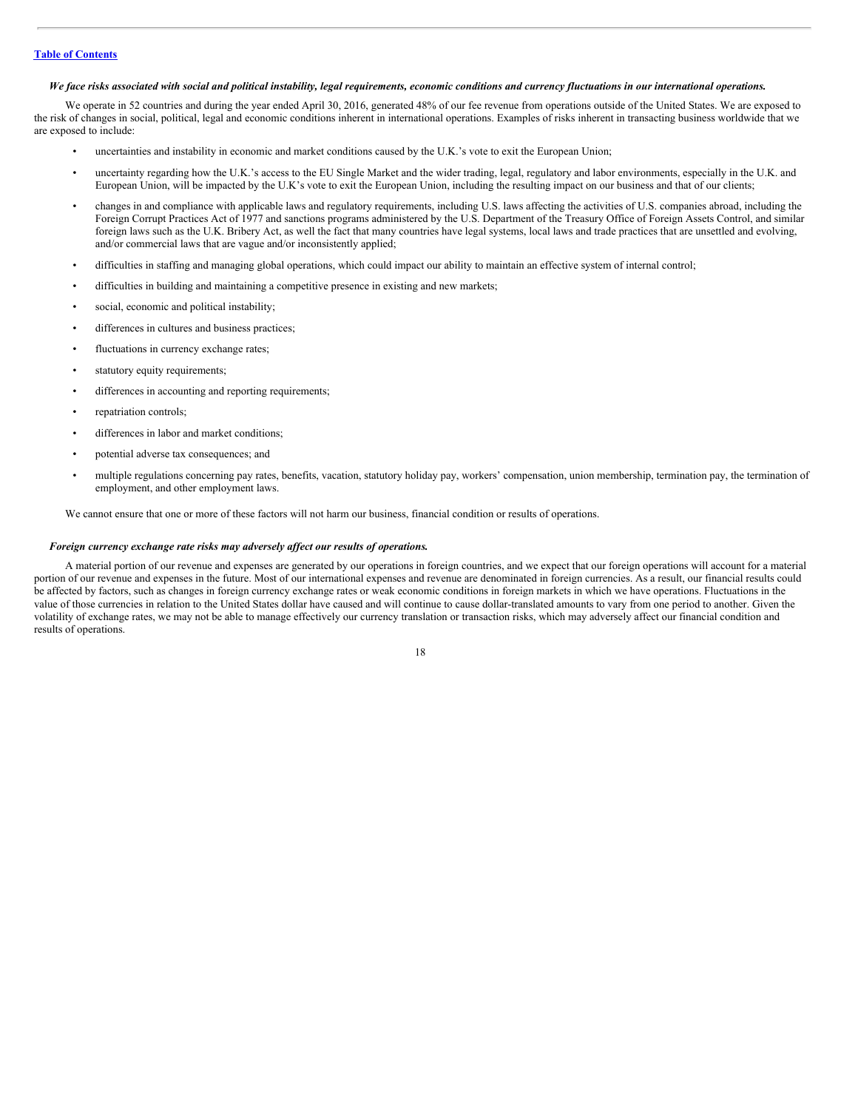### We face risks associated with social and political instability, legal requirements, economic conditions and currency fluctuations in our international operations.

We operate in 52 countries and during the year ended April 30, 2016, generated 48% of our fee revenue from operations outside of the United States. We are exposed to the risk of changes in social, political, legal and economic conditions inherent in international operations. Examples of risks inherent in transacting business worldwide that we are exposed to include:

- uncertainties and instability in economic and market conditions caused by the U.K.'s vote to exit the European Union;
- uncertainty regarding how the U.K.'s access to the EU Single Market and the wider trading, legal, regulatory and labor environments, especially in the U.K. and European Union, will be impacted by the U.K's vote to exit the European Union, including the resulting impact on our business and that of our clients;
- changes in and compliance with applicable laws and regulatory requirements, including U.S. laws affecting the activities of U.S. companies abroad, including the Foreign Corrupt Practices Act of 1977 and sanctions programs administered by the U.S. Department of the Treasury Office of Foreign Assets Control, and similar foreign laws such as the U.K. Bribery Act, as well the fact that many countries have legal systems, local laws and trade practices that are unsettled and evolving, and/or commercial laws that are vague and/or inconsistently applied;
- difficulties in staffing and managing global operations, which could impact our ability to maintain an effective system of internal control;
- difficulties in building and maintaining a competitive presence in existing and new markets;
- social, economic and political instability;
- differences in cultures and business practices;
- fluctuations in currency exchange rates;
- statutory equity requirements;
- differences in accounting and reporting requirements;
- repatriation controls;
- differences in labor and market conditions;
- potential adverse tax consequences; and
- multiple regulations concerning pay rates, benefits, vacation, statutory holiday pay, workers' compensation, union membership, termination pay, the termination of employment, and other employment laws.

We cannot ensure that one or more of these factors will not harm our business, financial condition or results of operations.

#### *Foreign currency exchange rate risks may adversely af ect our results of operations.*

A material portion of our revenue and expenses are generated by our operations in foreign countries, and we expect that our foreign operations will account for a material portion of our revenue and expenses in the future. Most of our international expenses and revenue are denominated in foreign currencies. As a result, our financial results could be affected by factors, such as changes in foreign currency exchange rates or weak economic conditions in foreign markets in which we have operations. Fluctuations in the value of those currencies in relation to the United States dollar have caused and will continue to cause dollar-translated amounts to vary from one period to another. Given the volatility of exchange rates, we may not be able to manage effectively our currency translation or transaction risks, which may adversely affect our financial condition and results of operations.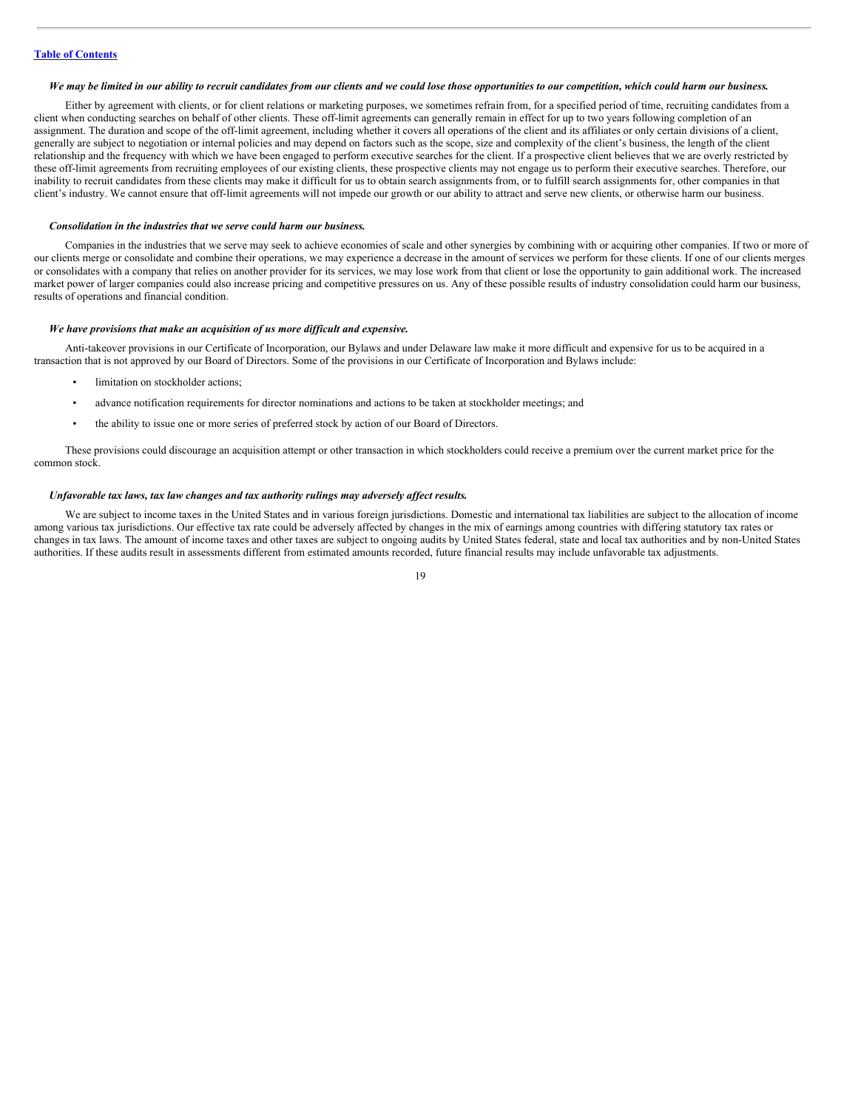#### We may be limited in our ability to recruit candidates from our clients and we could lose those opportunities to our competition, which could harm our business.

Either by agreement with clients, or for client relations or marketing purposes, we sometimes refrain from, for a specified period of time, recruiting candidates from a client when conducting searches on behalf of other clients. These off-limit agreements can generally remain in effect for up to two years following completion of an assignment. The duration and scope of the off-limit agreement, including whether it covers all operations of the client and its affiliates or only certain divisions of a client, generally are subject to negotiation or internal policies and may depend on factors such as the scope, size and complexity of the client's business, the length of the client relationship and the frequency with which we have been engaged to perform executive searches for the client. If a prospective client believes that we are overly restricted by these off-limit agreements from recruiting employees of our existing clients, these prospective clients may not engage us to perform their executive searches. Therefore, our inability to recruit candidates from these clients may make it difficult for us to obtain search assignments from, or to fulfill search assignments for, other companies in that client's industry. We cannot ensure that off-limit agreements will not impede our growth or our ability to attract and serve new clients, or otherwise harm our business.

#### *Consolidation in the industries that we serve could harm our business.*

Companies in the industries that we serve may seek to achieve economies of scale and other synergies by combining with or acquiring other companies. If two or more of our clients merge or consolidate and combine their operations, we may experience a decrease in the amount of services we perform for these clients. If one of our clients merges or consolidates with a company that relies on another provider for its services, we may lose work from that client or lose the opportunity to gain additional work. The increased market power of larger companies could also increase pricing and competitive pressures on us. Any of these possible results of industry consolidation could harm our business, results of operations and financial condition.

#### *We have provisions that make an acquisition of us more dif icult and expensive.*

Anti-takeover provisions in our Certificate of Incorporation, our Bylaws and under Delaware law make it more difficult and expensive for us to be acquired in a transaction that is not approved by our Board of Directors. Some of the provisions in our Certificate of Incorporation and Bylaws include:

- limitation on stockholder actions:
- advance notification requirements for director nominations and actions to be taken at stockholder meetings; and
- the ability to issue one or more series of preferred stock by action of our Board of Directors.

These provisions could discourage an acquisition attempt or other transaction in which stockholders could receive a premium over the current market price for the common stock.

## *Unfavorable tax laws, tax law changes and tax authority rulings may adversely af ect results.*

We are subject to income taxes in the United States and in various foreign jurisdictions. Domestic and international tax liabilities are subject to the allocation of income among various tax jurisdictions. Our effective tax rate could be adversely affected by changes in the mix of earnings among countries with differing statutory tax rates or changes in tax laws. The amount of income taxes and other taxes are subject to ongoing audits by United States federal, state and local tax authorities and by non-United States authorities. If these audits result in assessments different from estimated amounts recorded, future financial results may include unfavorable tax adjustments.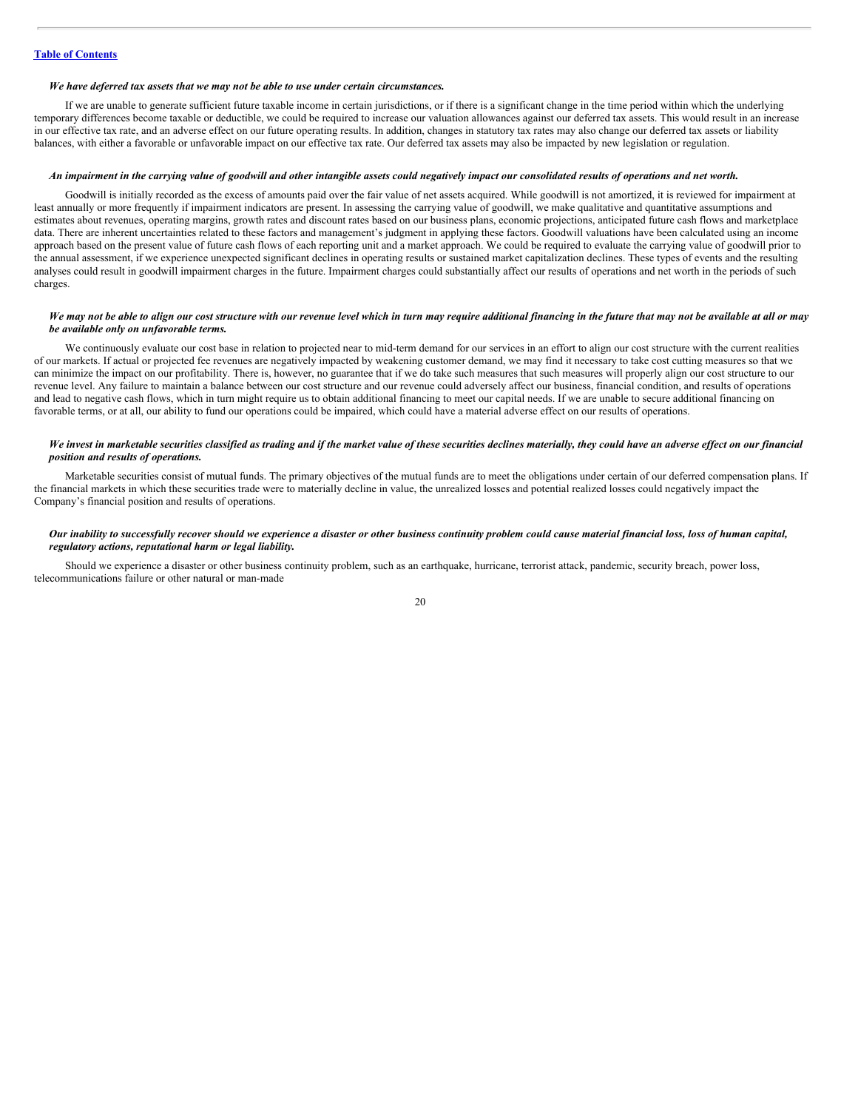## *We have deferred tax assets that we may not be able to use under certain circumstances.*

If we are unable to generate sufficient future taxable income in certain jurisdictions, or if there is a significant change in the time period within which the underlying temporary differences become taxable or deductible, we could be required to increase our valuation allowances against our deferred tax assets. This would result in an increase in our effective tax rate, and an adverse effect on our future operating results. In addition, changes in statutory tax rates may also change our deferred tax assets or liability balances, with either a favorable or unfavorable impact on our effective tax rate. Our deferred tax assets may also be impacted by new legislation or regulation.

#### An impairment in the carrying value of goodwill and other intangible assets could negatively impact our consolidated results of operations and net worth.

Goodwill is initially recorded as the excess of amounts paid over the fair value of net assets acquired. While goodwill is not amortized, it is reviewed for impairment at least annually or more frequently if impairment indicators are present. In assessing the carrying value of goodwill, we make qualitative and quantitative assumptions and estimates about revenues, operating margins, growth rates and discount rates based on our business plans, economic projections, anticipated future cash flows and marketplace data. There are inherent uncertainties related to these factors and management's judgment in applying these factors. Goodwill valuations have been calculated using an income approach based on the present value of future cash flows of each reporting unit and a market approach. We could be required to evaluate the carrying value of goodwill prior to the annual assessment, if we experience unexpected significant declines in operating results or sustained market capitalization declines. These types of events and the resulting analyses could result in goodwill impairment charges in the future. Impairment charges could substantially affect our results of operations and net worth in the periods of such charges.

#### We may not be able to align our cost structure with our revenue level which in turn may require additional financing in the future that may not be available at all or may *be available only on unfavorable terms.*

We continuously evaluate our cost base in relation to projected near to mid-term demand for our services in an effort to align our cost structure with the current realities of our markets. If actual or projected fee revenues are negatively impacted by weakening customer demand, we may find it necessary to take cost cutting measures so that we can minimize the impact on our profitability. There is, however, no guarantee that if we do take such measures that such measures will properly align our cost structure to our revenue level. Any failure to maintain a balance between our cost structure and our revenue could adversely affect our business, financial condition, and results of operations and lead to negative cash flows, which in turn might require us to obtain additional financing to meet our capital needs. If we are unable to secure additional financing on favorable terms, or at all, our ability to fund our operations could be impaired, which could have a material adverse effect on our results of operations.

## We invest in marketable securities classified as trading and if the market value of these securities declines materially, they could have an adverse effect on our financial *position and results of operations.*

Marketable securities consist of mutual funds. The primary objectives of the mutual funds are to meet the obligations under certain of our deferred compensation plans. If the financial markets in which these securities trade were to materially decline in value, the unrealized losses and potential realized losses could negatively impact the Company's financial position and results of operations.

#### Our inability to successfully recover should we experience a disaster or other business continuity problem could cause material financial loss, loss of human capital, *regulatory actions, reputational harm or legal liability.*

Should we experience a disaster or other business continuity problem, such as an earthquake, hurricane, terrorist attack, pandemic, security breach, power loss, telecommunications failure or other natural or man-made

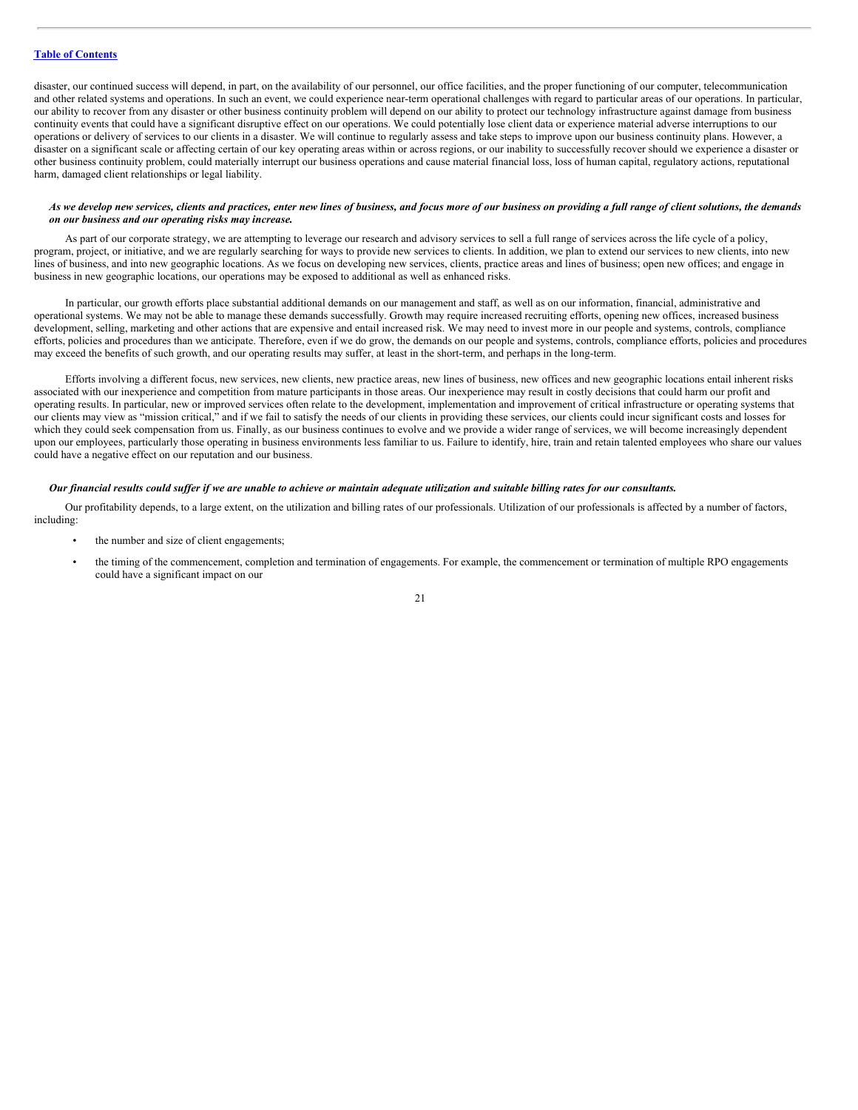disaster, our continued success will depend, in part, on the availability of our personnel, our office facilities, and the proper functioning of our computer, telecommunication and other related systems and operations. In such an event, we could experience near-term operational challenges with regard to particular areas of our operations. In particular, our ability to recover from any disaster or other business continuity problem will depend on our ability to protect our technology infrastructure against damage from business continuity events that could have a significant disruptive effect on our operations. We could potentially lose client data or experience material adverse interruptions to our operations or delivery of services to our clients in a disaster. We will continue to regularly assess and take steps to improve upon our business continuity plans. However, a disaster on a significant scale or affecting certain of our key operating areas within or across regions, or our inability to successfully recover should we experience a disaster or other business continuity problem, could materially interrupt our business operations and cause material financial loss, loss of human capital, regulatory actions, reputational harm, damaged client relationships or legal liability.

## As we develop new services, clients and practices, enter new lines of business, and focus more of our business on providing a full range of client solutions, the demands *on our business and our operating risks may increase.*

As part of our corporate strategy, we are attempting to leverage our research and advisory services to sell a full range of services across the life cycle of a policy, program, project, or initiative, and we are regularly searching for ways to provide new services to clients. In addition, we plan to extend our services to new clients, into new lines of business, and into new geographic locations. As we focus on developing new services, clients, practice areas and lines of business; open new offices; and engage in business in new geographic locations, our operations may be exposed to additional as well as enhanced risks.

In particular, our growth efforts place substantial additional demands on our management and staff, as well as on our information, financial, administrative and operational systems. We may not be able to manage these demands successfully. Growth may require increased recruiting efforts, opening new offices, increased business development, selling, marketing and other actions that are expensive and entail increased risk. We may need to invest more in our people and systems, controls, compliance efforts, policies and procedures than we anticipate. Therefore, even if we do grow, the demands on our people and systems, controls, compliance efforts, policies and procedures may exceed the benefits of such growth, and our operating results may suffer, at least in the short-term, and perhaps in the long-term.

Efforts involving a different focus, new services, new clients, new practice areas, new lines of business, new offices and new geographic locations entail inherent risks associated with our inexperience and competition from mature participants in those areas. Our inexperience may result in costly decisions that could harm our profit and operating results. In particular, new or improved services often relate to the development, implementation and improvement of critical infrastructure or operating systems that our clients may view as "mission critical," and if we fail to satisfy the needs of our clients in providing these services, our clients could incur significant costs and losses for which they could seek compensation from us. Finally, as our business continues to evolve and we provide a wider range of services, we will become increasingly dependent upon our employees, particularly those operating in business environments less familiar to us. Failure to identify, hire, train and retain talented employees who share our values could have a negative effect on our reputation and our business.

## Our financial results could suffer if we are unable to achieve or maintain adequate utilization and suitable billing rates for our consultants.

Our profitability depends, to a large extent, on the utilization and billing rates of our professionals. Utilization of our professionals is affected by a number of factors, including:

- the number and size of client engagements:
- the timing of the commencement, completion and termination of engagements. For example, the commencement or termination of multiple RPO engagements could have a significant impact on our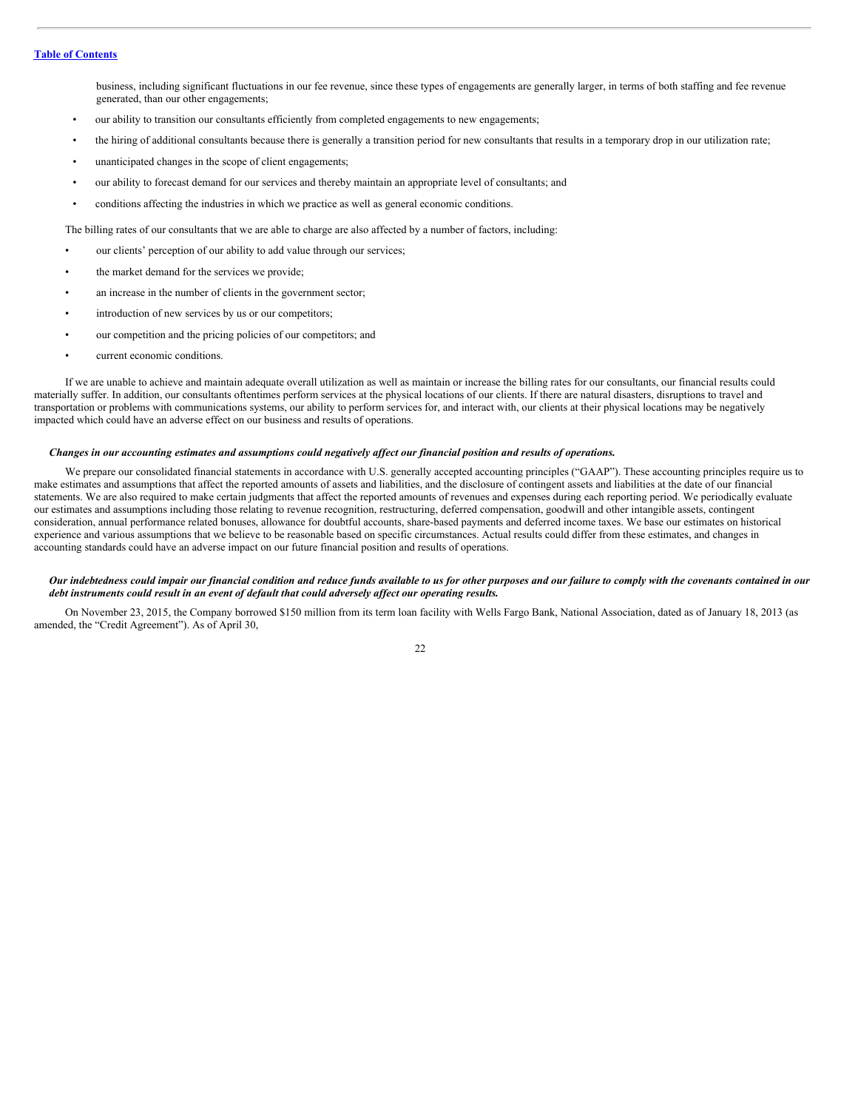business, including significant fluctuations in our fee revenue, since these types of engagements are generally larger, in terms of both staffing and fee revenue generated, than our other engagements;

- our ability to transition our consultants efficiently from completed engagements to new engagements;
- the hiring of additional consultants because there is generally a transition period for new consultants that results in a temporary drop in our utilization rate;
- unanticipated changes in the scope of client engagements;
- our ability to forecast demand for our services and thereby maintain an appropriate level of consultants; and
- conditions affecting the industries in which we practice as well as general economic conditions.

The billing rates of our consultants that we are able to charge are also affected by a number of factors, including:

- our clients' perception of our ability to add value through our services;
- the market demand for the services we provide;
- an increase in the number of clients in the government sector;
- introduction of new services by us or our competitors;
- our competition and the pricing policies of our competitors; and
- current economic conditions.

If we are unable to achieve and maintain adequate overall utilization as well as maintain or increase the billing rates for our consultants, our financial results could materially suffer. In addition, our consultants oftentimes perform services at the physical locations of our clients. If there are natural disasters, disruptions to travel and transportation or problems with communications systems, our ability to perform services for, and interact with, our clients at their physical locations may be negatively impacted which could have an adverse effect on our business and results of operations.

## Changes in our accounting estimates and assumptions could negatively affect our financial position and results of operations.

We prepare our consolidated financial statements in accordance with U.S. generally accepted accounting principles ("GAAP"). These accounting principles require us to make estimates and assumptions that affect the reported amounts of assets and liabilities, and the disclosure of contingent assets and liabilities at the date of our financial statements. We are also required to make certain judgments that affect the reported amounts of revenues and expenses during each reporting period. We periodically evaluate our estimates and assumptions including those relating to revenue recognition, restructuring, deferred compensation, goodwill and other intangible assets, contingent consideration, annual performance related bonuses, allowance for doubtful accounts, share-based payments and deferred income taxes. We base our estimates on historical experience and various assumptions that we believe to be reasonable based on specific circumstances. Actual results could differ from these estimates, and changes in accounting standards could have an adverse impact on our future financial position and results of operations.

## Our indebtedness could impair our financial condition and reduce funds available to us for other purposes and our failure to comply with the covenants contained in our *debt instruments could result in an event of default that could adversely af ect our operating results.*

On November 23, 2015, the Company borrowed \$150 million from its term loan facility with Wells Fargo Bank, National Association, dated as of January 18, 2013 (as amended, the "Credit Agreement"). As of April 30,

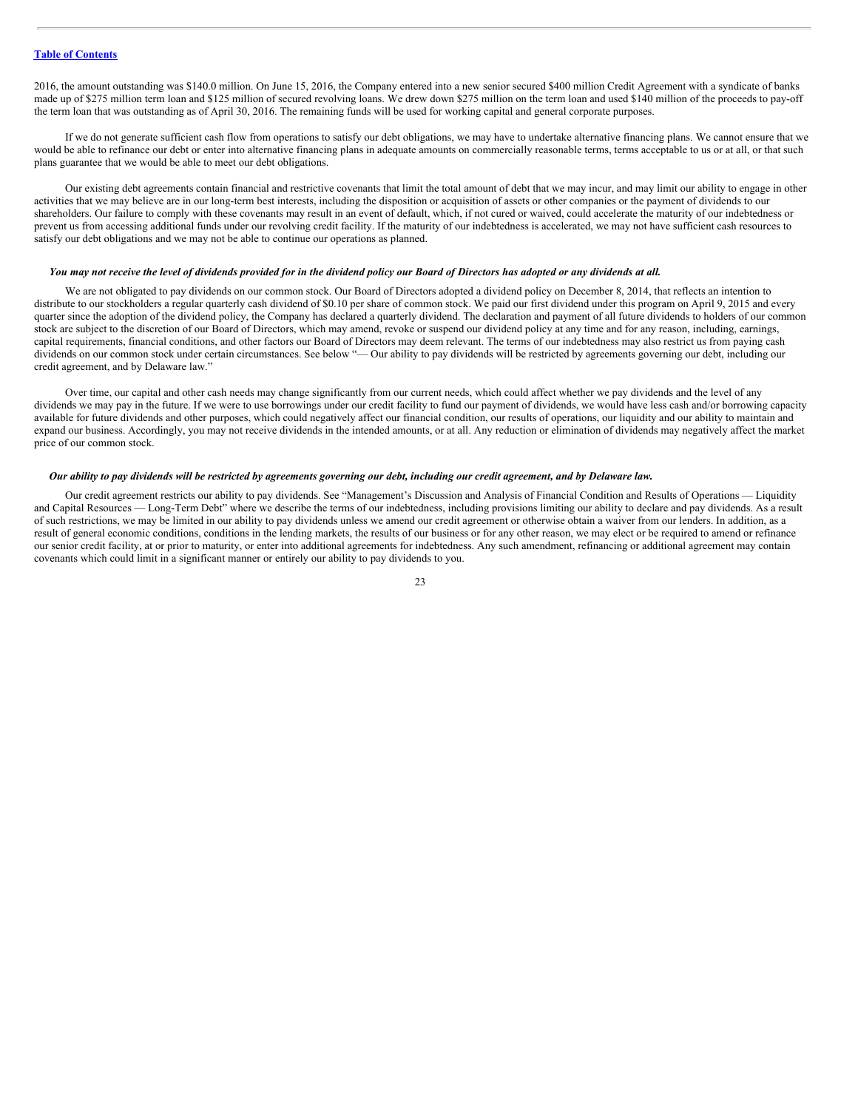2016, the amount outstanding was \$140.0 million. On June 15, 2016, the Company entered into a new senior secured \$400 million Credit Agreement with a syndicate of banks made up of \$275 million term loan and \$125 million of secured revolving loans. We drew down \$275 million on the term loan and used \$140 million of the proceeds to pay-off the term loan that was outstanding as of April 30, 2016. The remaining funds will be used for working capital and general corporate purposes.

If we do not generate sufficient cash flow from operations to satisfy our debt obligations, we may have to undertake alternative financing plans. We cannot ensure that we would be able to refinance our debt or enter into alternative financing plans in adequate amounts on commercially reasonable terms, terms acceptable to us or at all, or that such plans guarantee that we would be able to meet our debt obligations.

Our existing debt agreements contain financial and restrictive covenants that limit the total amount of debt that we may incur, and may limit our ability to engage in other activities that we may believe are in our long-term best interests, including the disposition or acquisition of assets or other companies or the payment of dividends to our shareholders. Our failure to comply with these covenants may result in an event of default, which, if not cured or waived, could accelerate the maturity of our indebtedness or prevent us from accessing additional funds under our revolving credit facility. If the maturity of our indebtedness is accelerated, we may not have sufficient cash resources to satisfy our debt obligations and we may not be able to continue our operations as planned.

#### You may not receive the level of dividends provided for in the dividend policy our Board of Directors has adopted or any dividends at all.

We are not obligated to pay dividends on our common stock. Our Board of Directors adopted a dividend policy on December 8, 2014, that reflects an intention to distribute to our stockholders a regular quarterly cash dividend of \$0.10 per share of common stock. We paid our first dividend under this program on April 9, 2015 and every quarter since the adoption of the dividend policy, the Company has declared a quarterly dividend. The declaration and payment of all future dividends to holders of our common stock are subject to the discretion of our Board of Directors, which may amend, revoke or suspend our dividend policy at any time and for any reason, including, earnings, capital requirements, financial conditions, and other factors our Board of Directors may deem relevant. The terms of our indebtedness may also restrict us from paying cash dividends on our common stock under certain circumstances. See below "— Our ability to pay dividends will be restricted by agreements governing our debt, including our credit agreement, and by Delaware law."

Over time, our capital and other cash needs may change significantly from our current needs, which could affect whether we pay dividends and the level of any dividends we may pay in the future. If we were to use borrowings under our credit facility to fund our payment of dividends, we would have less cash and/or borrowing capacity available for future dividends and other purposes, which could negatively affect our financial condition, our results of operations, our liquidity and our ability to maintain and expand our business. Accordingly, you may not receive dividends in the intended amounts, or at all. Any reduction or elimination of dividends may negatively affect the market price of our common stock.

#### Our ability to pay dividends will be restricted by agreements governing our debt, including our credit agreement, and by Delaware law.

Our credit agreement restricts our ability to pay dividends. See "Management's Discussion and Analysis of Financial Condition and Results of Operations — Liquidity and Capital Resources — Long-Term Debt" where we describe the terms of our indebtedness, including provisions limiting our ability to declare and pay dividends. As a result of such restrictions, we may be limited in our ability to pay dividends unless we amend our credit agreement or otherwise obtain a waiver from our lenders. In addition, as a result of general economic conditions, conditions in the lending markets, the results of our business or for any other reason, we may elect or be required to amend or refinance our senior credit facility, at or prior to maturity, or enter into additional agreements for indebtedness. Any such amendment, refinancing or additional agreement may contain covenants which could limit in a significant manner or entirely our ability to pay dividends to you.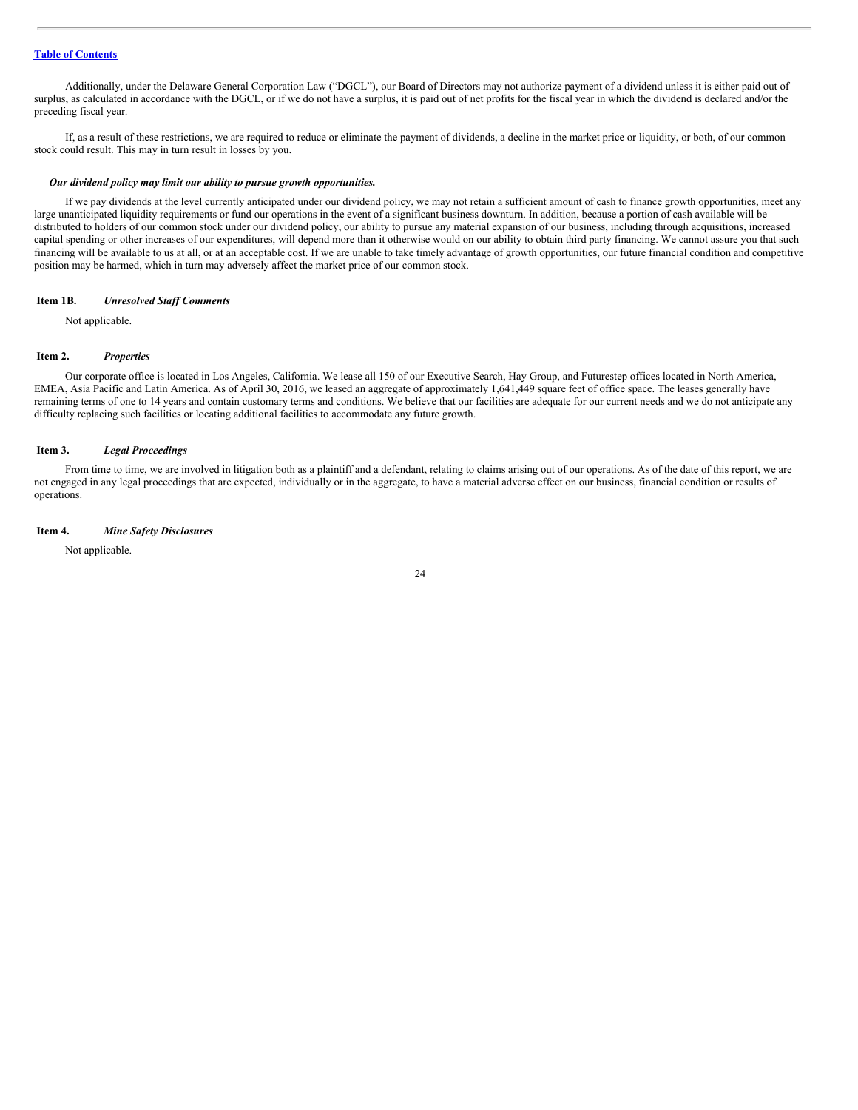Additionally, under the Delaware General Corporation Law ("DGCL"), our Board of Directors may not authorize payment of a dividend unless it is either paid out of surplus, as calculated in accordance with the DGCL, or if we do not have a surplus, it is paid out of net profits for the fiscal year in which the dividend is declared and/or the preceding fiscal year.

If, as a result of these restrictions, we are required to reduce or eliminate the payment of dividends, a decline in the market price or liquidity, or both, of our common stock could result. This may in turn result in losses by you.

#### *Our dividend policy may limit our ability to pursue growth opportunities.*

If we pay dividends at the level currently anticipated under our dividend policy, we may not retain a sufficient amount of cash to finance growth opportunities, meet any large unanticipated liquidity requirements or fund our operations in the event of a significant business downturn. In addition, because a portion of cash available will be distributed to holders of our common stock under our dividend policy, our ability to pursue any material expansion of our business, including through acquisitions, increased capital spending or other increases of our expenditures, will depend more than it otherwise would on our ability to obtain third party financing. We cannot assure you that such financing will be available to us at all, or at an acceptable cost. If we are unable to take timely advantage of growth opportunities, our future financial condition and competitive position may be harmed, which in turn may adversely affect the market price of our common stock.

#### <span id="page-25-0"></span>**Item 1B.** *Unresolved Staf Comments*

Not applicable.

#### <span id="page-25-1"></span>**Item 2.** *Properties*

Our corporate office is located in Los Angeles, California. We lease all 150 of our Executive Search, Hay Group, and Futurestep offices located in North America, EMEA, Asia Pacific and Latin America. As of April 30, 2016, we leased an aggregate of approximately 1,641,449 square feet of office space. The leases generally have remaining terms of one to 14 years and contain customary terms and conditions. We believe that our facilities are adequate for our current needs and we do not anticipate any difficulty replacing such facilities or locating additional facilities to accommodate any future growth.

#### <span id="page-25-2"></span>**Item 3.** *Legal Proceedings*

From time to time, we are involved in litigation both as a plaintiff and a defendant, relating to claims arising out of our operations. As of the date of this report, we are not engaged in any legal proceedings that are expected, individually or in the aggregate, to have a material adverse effect on our business, financial condition or results of operations.

## <span id="page-25-3"></span>**Item 4.** *Mine Safety Disclosures*

Not applicable.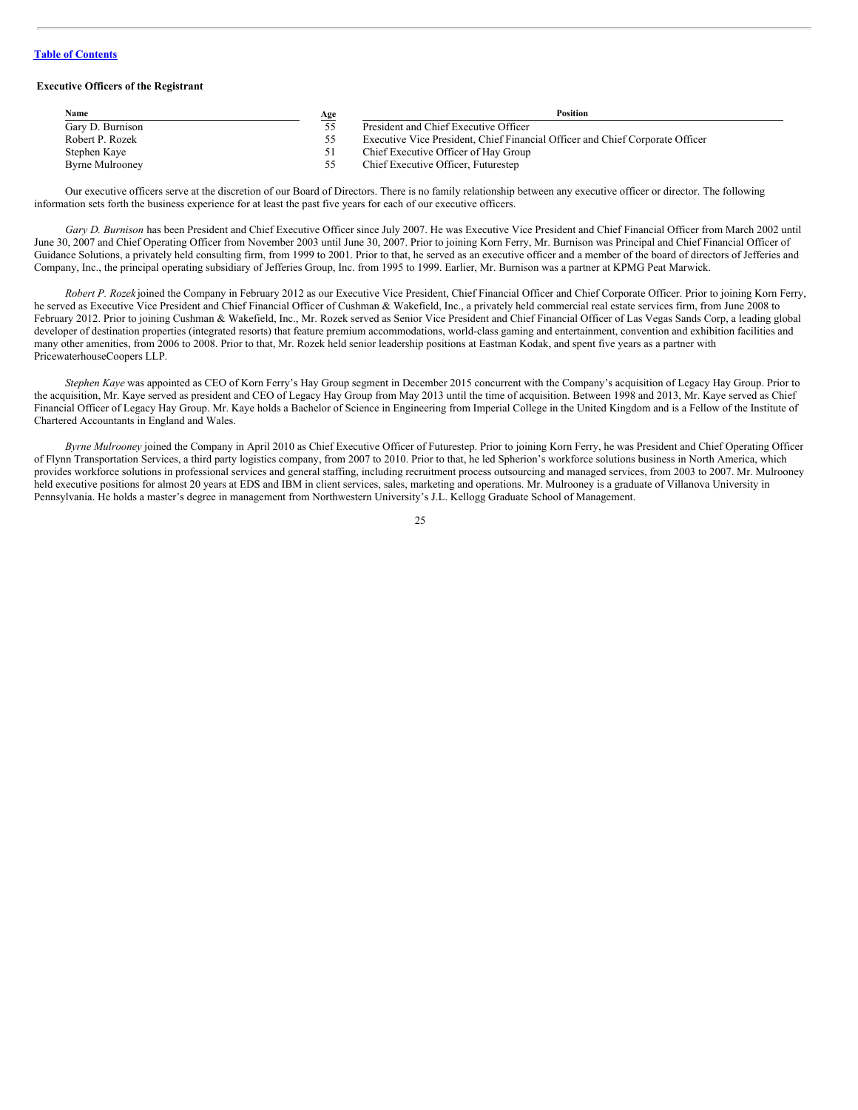## <span id="page-26-0"></span>**Executive Officers of the Registrant**

| Name                   | Age | <b>Position</b>                                                               |
|------------------------|-----|-------------------------------------------------------------------------------|
| Gary D. Burnison       | 55  | President and Chief Executive Officer                                         |
| Robert P. Rozek        | 55  | Executive Vice President, Chief Financial Officer and Chief Corporate Officer |
| Stephen Kaye           |     | Chief Executive Officer of Hay Group                                          |
| <b>Byrne Mulrooney</b> | 55  | Chief Executive Officer, Futurestep                                           |

Our executive officers serve at the discretion of our Board of Directors. There is no family relationship between any executive officer or director. The following information sets forth the business experience for at least the past five years for each of our executive officers.

*Gary D. Burnison* has been President and Chief Executive Officer since July 2007. He was Executive Vice President and Chief Financial Officer from March 2002 until June 30, 2007 and Chief Operating Officer from November 2003 until June 30, 2007. Prior to joining Korn Ferry, Mr. Burnison was Principal and Chief Financial Officer of Guidance Solutions, a privately held consulting firm, from 1999 to 2001. Prior to that, he served as an executive officer and a member of the board of directors of Jefferies and Company, Inc., the principal operating subsidiary of Jefferies Group, Inc. from 1995 to 1999. Earlier, Mr. Burnison was a partner at KPMG Peat Marwick.

*Robert P. Rozek* joined the Company in February 2012 as our Executive Vice President, Chief Financial Officer and Chief Corporate Officer. Prior to joining Korn Ferry, he served as Executive Vice President and Chief Financial Officer of Cushman & Wakefield, Inc., a privately held commercial real estate services firm, from June 2008 to February 2012. Prior to joining Cushman & Wakefield, Inc., Mr. Rozek served as Senior Vice President and Chief Financial Officer of Las Vegas Sands Corp, a leading global developer of destination properties (integrated resorts) that feature premium accommodations, world-class gaming and entertainment, convention and exhibition facilities and many other amenities, from 2006 to 2008. Prior to that, Mr. Rozek held senior leadership positions at Eastman Kodak, and spent five years as a partner with PricewaterhouseCoopers LLP.

*Stephen Kaye* was appointed as CEO of Korn Ferry's Hay Group segment in December 2015 concurrent with the Company's acquisition of Legacy Hay Group. Prior to the acquisition, Mr. Kaye served as president and CEO of Legacy Hay Group from May 2013 until the time of acquisition. Between 1998 and 2013, Mr. Kaye served as Chief Financial Officer of Legacy Hay Group. Mr. Kaye holds a Bachelor of Science in Engineering from Imperial College in the United Kingdom and is a Fellow of the Institute of Chartered Accountants in England and Wales.

*Byrne Mulrooney* joined the Company in April 2010 as Chief Executive Officer of Futurestep. Prior to joining Korn Ferry, he was President and Chief Operating Officer of Flynn Transportation Services, a third party logistics company, from 2007 to 2010. Prior to that, he led Spherion's workforce solutions business in North America, which provides workforce solutions in professional services and general staffing, including recruitment process outsourcing and managed services, from 2003 to 2007. Mr. Mulrooney held executive positions for almost 20 years at EDS and IBM in client services, sales, marketing and operations. Mr. Mulrooney is a graduate of Villanova University in Pennsylvania. He holds a master's degree in management from Northwestern University's J.L. Kellogg Graduate School of Management.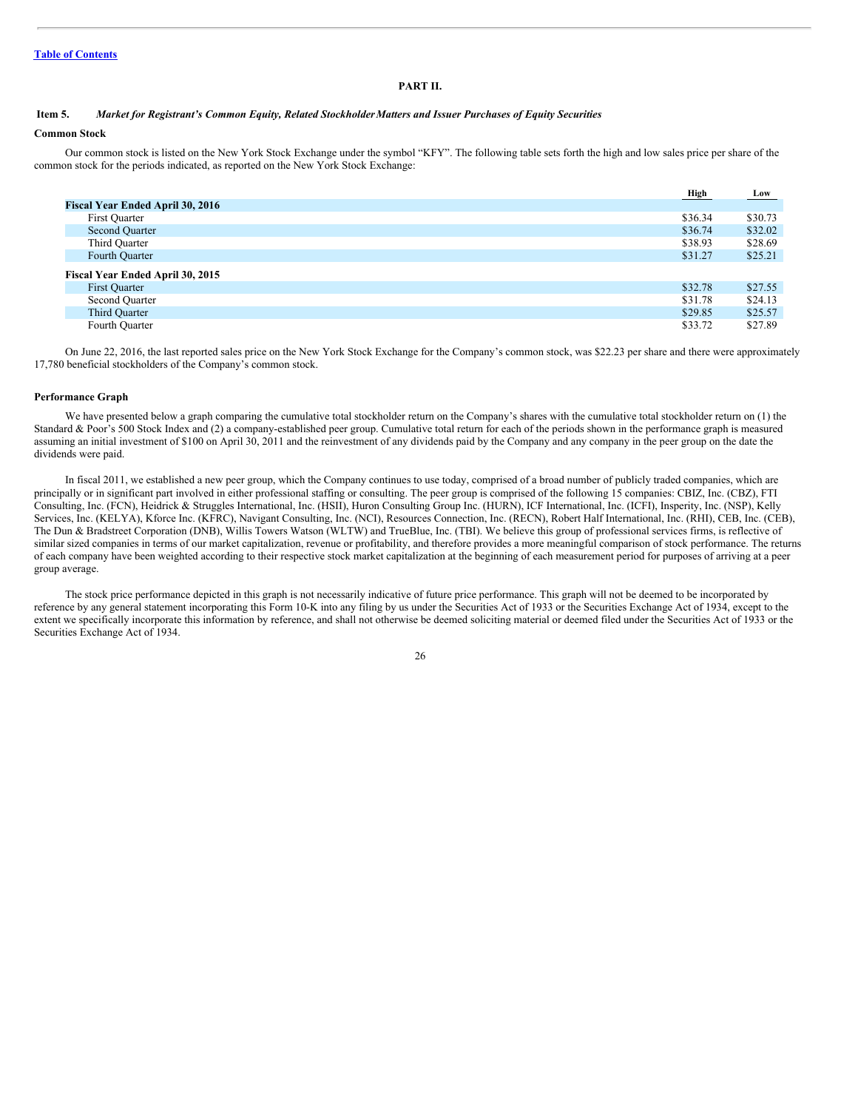## **PART II.**

## <span id="page-27-0"></span>**Item 5.** *Market for Registrant's Common Equity, Related StockholderMatters and Issuer Purchases of Equity Securities*

## **Common Stock**

Our common stock is listed on the New York Stock Exchange under the symbol "KFY". The following table sets forth the high and low sales price per share of the common stock for the periods indicated, as reported on the New York Stock Exchange:

| <b>Fiscal Year Ended April 30, 2016</b><br>\$36.34<br>First Ouarter<br>Second Quarter<br>\$36.74<br>Third Quarter<br>\$38.93<br>Fourth Quarter<br>\$31.27<br>Fiscal Year Ended April 30, 2015<br>First Quarter<br>\$32.78<br>Second Quarter<br>\$31.78 |               | <b>High</b> | Low     |
|--------------------------------------------------------------------------------------------------------------------------------------------------------------------------------------------------------------------------------------------------------|---------------|-------------|---------|
|                                                                                                                                                                                                                                                        |               |             |         |
|                                                                                                                                                                                                                                                        |               |             | \$30.73 |
|                                                                                                                                                                                                                                                        |               |             | \$32.02 |
|                                                                                                                                                                                                                                                        |               |             | \$28.69 |
|                                                                                                                                                                                                                                                        |               |             | \$25.21 |
|                                                                                                                                                                                                                                                        |               |             |         |
|                                                                                                                                                                                                                                                        |               |             | \$27.55 |
|                                                                                                                                                                                                                                                        |               |             | \$24.13 |
|                                                                                                                                                                                                                                                        | Third Quarter | \$29.85     | \$25.57 |
| Fourth Quarter<br>\$33.72                                                                                                                                                                                                                              |               |             | \$27.89 |

On June 22, 2016, the last reported sales price on the New York Stock Exchange for the Company's common stock, was \$22.23 per share and there were approximately 17,780 beneficial stockholders of the Company's common stock.

#### **Performance Graph**

We have presented below a graph comparing the cumulative total stockholder return on the Company's shares with the cumulative total stockholder return on (1) the Standard & Poor's 500 Stock Index and (2) a company-established peer group. Cumulative total return for each of the periods shown in the performance graph is measured assuming an initial investment of \$100 on April 30, 2011 and the reinvestment of any dividends paid by the Company and any company in the peer group on the date the dividends were paid.

In fiscal 2011, we established a new peer group, which the Company continues to use today, comprised of a broad number of publicly traded companies, which are principally or in significant part involved in either professional staffing or consulting. The peer group is comprised of the following 15 companies: CBIZ, Inc. (CBZ), FTI Consulting, Inc. (FCN), Heidrick & Struggles International, Inc. (HSII), Huron Consulting Group Inc. (HURN), ICF International, Inc. (ICFI), Insperity, Inc. (NSP), Kelly Services, Inc. (KELYA), Kforce Inc. (KFRC), Navigant Consulting, Inc. (NCI), Resources Connection, Inc. (RECN), Robert Half International, Inc. (RHI), CEB, Inc. (CEB), The Dun & Bradstreet Corporation (DNB), Willis Towers Watson (WLTW) and TrueBlue, Inc. (TBI). We believe this group of professional services firms, is reflective of similar sized companies in terms of our market capitalization, revenue or profitability, and therefore provides a more meaningful comparison of stock performance. The returns of each company have been weighted according to their respective stock market capitalization at the beginning of each measurement period for purposes of arriving at a peer group average.

The stock price performance depicted in this graph is not necessarily indicative of future price performance. This graph will not be deemed to be incorporated by reference by any general statement incorporating this Form 10-K into any filing by us under the Securities Act of 1933 or the Securities Exchange Act of 1934, except to the extent we specifically incorporate this information by reference, and shall not otherwise be deemed soliciting material or deemed filed under the Securities Act of 1933 or the Securities Exchange Act of 1934.

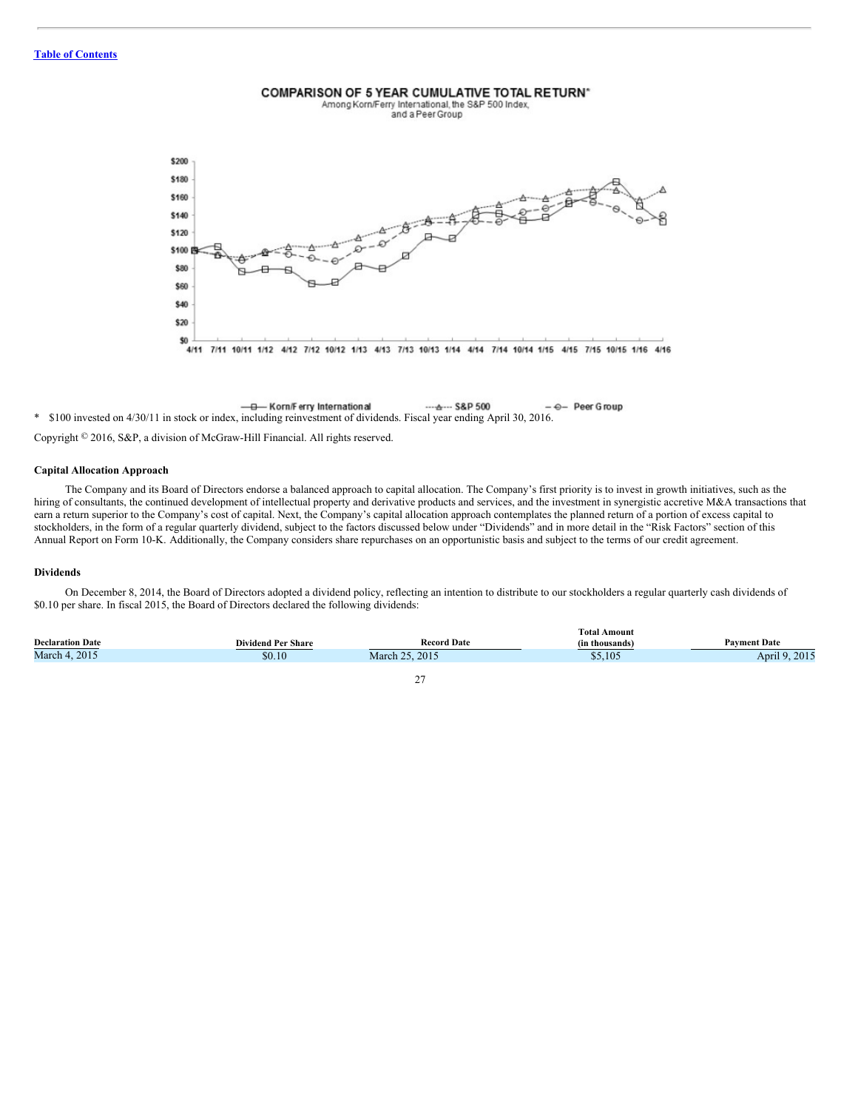

COMPARISON OF 5 YEAR CUMULATIVE TOTAL RETURN\* Among Korn/Ferry International, the S&P 500 Index. and a Peer Group

- B-Korn/F erry International  $-2 - 58P500$ ← Peer Group \* \$100 invested on 4/30/11 in stock or index, including reinvestment of dividends. Fiscal year ending April 30, 2016.

Copyright © 2016, S&P, a division of McGraw-Hill Financial. All rights reserved.

## **Capital Allocation Approach**

The Company and its Board of Directors endorse a balanced approach to capital allocation. The Company's first priority is to invest in growth initiatives, such as the hiring of consultants, the continued development of intellectual property and derivative products and services, and the investment in synergistic accretive M&A transactions that earn a return superior to the Company's cost of capital. Next, the Company's capital allocation approach contemplates the planned return of a portion of excess capital to stockholders, in the form of a regular quarterly dividend, subject to the factors discussed below under "Dividends" and in more detail in the "Risk Factors" section of this Annual Report on Form 10-K. Additionally, the Company considers share repurchases on an opportunistic basis and subject to the terms of our credit agreement.

#### **Dividends**

On December 8, 2014, the Board of Directors adopted a dividend policy, reflecting an intention to distribute to our stockholders a regular quarterly cash dividends of \$0.10 per share. In fiscal 2015, the Board of Directors declared the following dividends:

|                         |                    |                    | <b>Total Amount</b> |               |
|-------------------------|--------------------|--------------------|---------------------|---------------|
| <b>Declaration Date</b> | Dividend Per Share | <b>Record Date</b> | (in thousands)      | Pavment Date  |
| March 4, 2015           | \$0.10             | March 25, 2015     | \$5,105             | April 9, 2015 |
|                         |                    |                    |                     |               |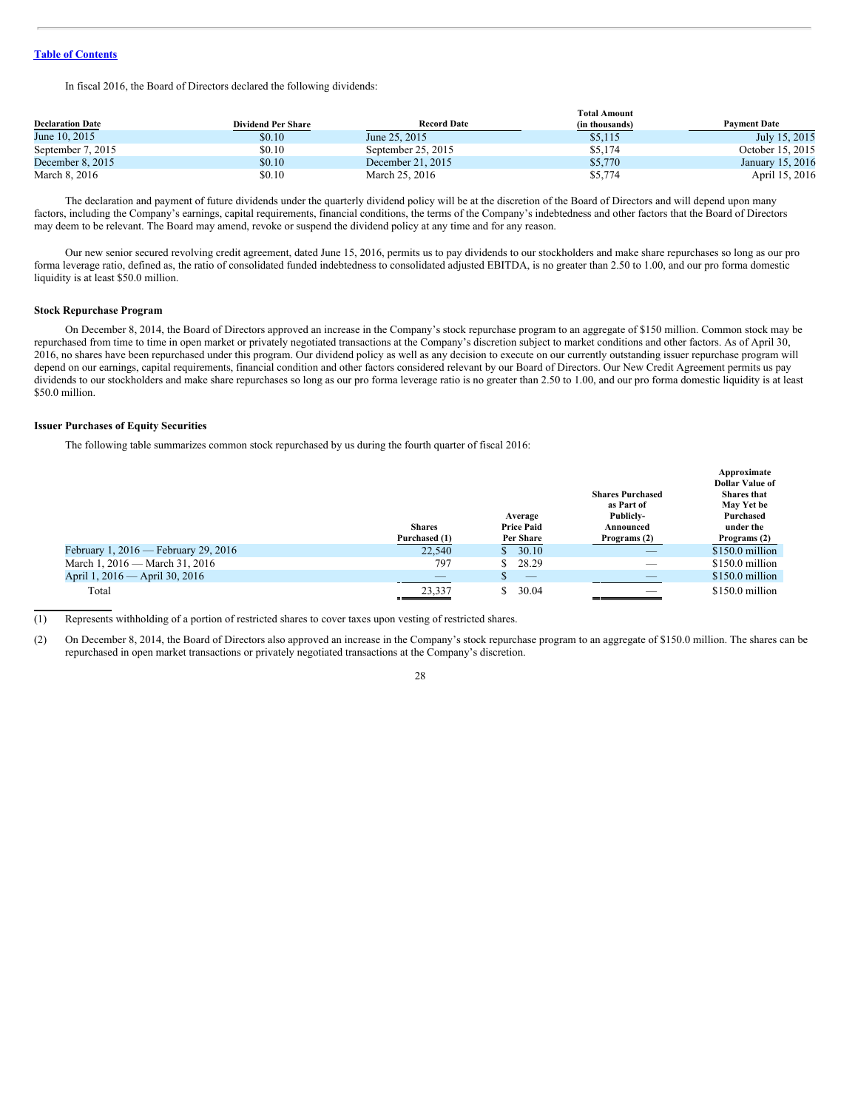In fiscal 2016, the Board of Directors declared the following dividends:

|                         |                           |                    | <b>Total Amount</b> |                     |
|-------------------------|---------------------------|--------------------|---------------------|---------------------|
| <b>Declaration Date</b> | <b>Dividend Per Share</b> | <b>Record Date</b> | (in thousands)      | <b>Payment Date</b> |
| June 10, 2015           | \$0.10                    | June 25, 2015      | \$5,115             | July 15, 2015       |
| September 7, 2015       | \$0.10                    | September 25, 2015 | \$5,174             | October 15, 2015    |
| December $8, 2015$      | \$0.10                    | December 21, 2015  | \$5,770             | January 15, 2016    |
| March 8, 2016           | \$0.10                    | March 25, 2016     | \$5,774             | April 15, 2016      |

The declaration and payment of future dividends under the quarterly dividend policy will be at the discretion of the Board of Directors and will depend upon many factors, including the Company's earnings, capital requirements, financial conditions, the terms of the Company's indebtedness and other factors that the Board of Directors may deem to be relevant. The Board may amend, revoke or suspend the dividend policy at any time and for any reason.

Our new senior secured revolving credit agreement, dated June 15, 2016, permits us to pay dividends to our stockholders and make share repurchases so long as our pro forma leverage ratio, defined as, the ratio of consolidated funded indebtedness to consolidated adjusted EBITDA, is no greater than 2.50 to 1.00, and our pro forma domestic liquidity is at least \$50.0 million.

## **Stock Repurchase Program**

On December 8, 2014, the Board of Directors approved an increase in the Company's stock repurchase program to an aggregate of \$150 million. Common stock may be repurchased from time to time in open market or privately negotiated transactions at the Company's discretion subject to market conditions and other factors. As of April 30, 2016, no shares have been repurchased under this program. Our dividend policy as well as any decision to execute on our currently outstanding issuer repurchase program will depend on our earnings, capital requirements, financial condition and other factors considered relevant by our Board of Directors. Our New Credit Agreement permits us pay dividends to our stockholders and make share repurchases so long as our pro forma leverage ratio is no greater than 2.50 to 1.00, and our pro forma domestic liquidity is at least \$50.0 million.

#### **Issuer Purchases of Equity Securities**

The following table summarizes common stock repurchased by us during the fourth quarter of fiscal 2016:

|                                      |               |                                |                         | Approximate            |
|--------------------------------------|---------------|--------------------------------|-------------------------|------------------------|
|                                      |               |                                |                         | <b>Dollar Value of</b> |
|                                      |               |                                | <b>Shares Purchased</b> | <b>Shares that</b>     |
|                                      |               |                                | as Part of              | May Yet be             |
|                                      |               | Average                        | Publicly-               | Purchased              |
|                                      | <b>Shares</b> | <b>Price Paid</b>              | Announced               | under the              |
|                                      | Purchased (1) | Per Share                      | Programs (2)            | Programs (2)           |
| February 1, 2016 — February 29, 2016 | 22,540        | \$30.10                        | _                       | \$150.0 million        |
| March 1, 2016 — March 31, 2016       | 797           | \$28.29                        |                         | $$150.0$ million       |
| April 1, 2016 — April 30, 2016       | _             | $\overbrace{\hspace{25mm}}^{}$ |                         | \$150.0 million        |
| Total                                | 23,337        | 30.04<br>S.                    |                         | \$150.0 million        |

(1) Represents withholding of a portion of restricted shares to cover taxes upon vesting of restricted shares.

<sup>(2)</sup> On December 8, 2014, the Board of Directors also approved an increase in the Company's stock repurchase program to an aggregate of \$150.0 million. The shares can be repurchased in open market transactions or privately negotiated transactions at the Company's discretion.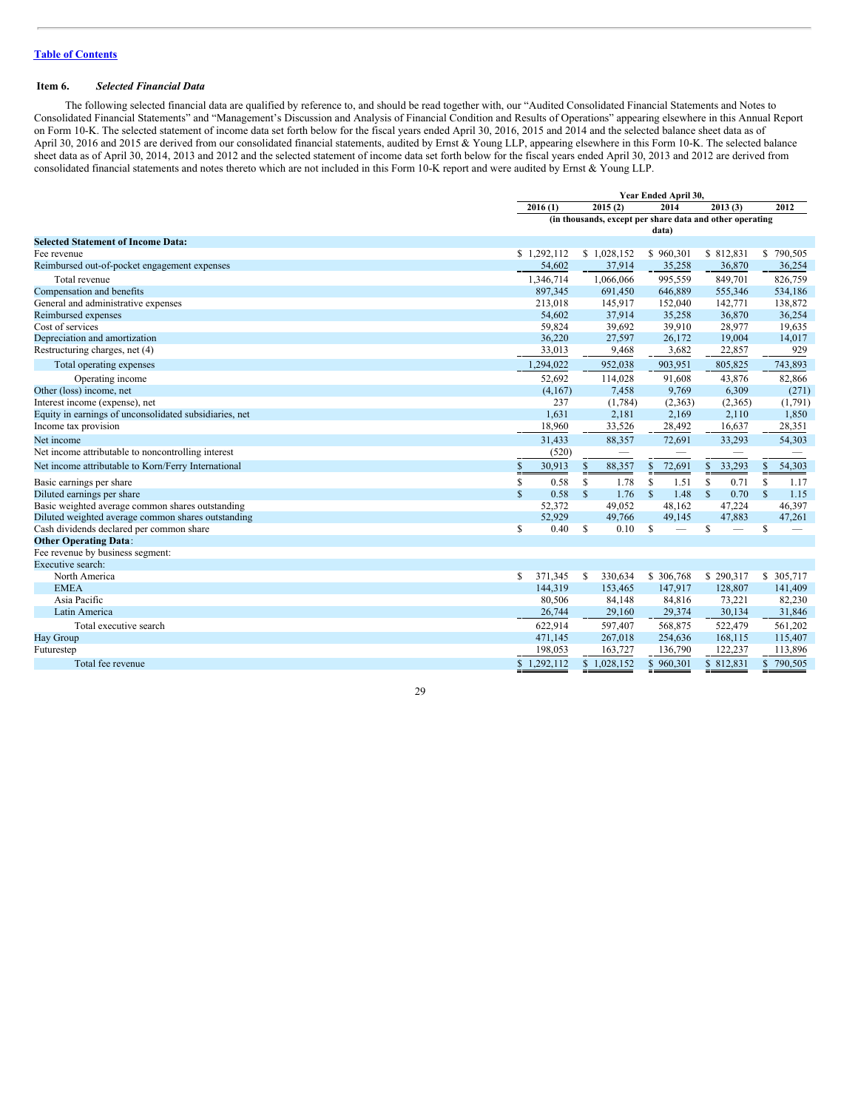## <span id="page-30-0"></span>**Item 6.** *Selected Financial Data*

The following selected financial data are qualified by reference to, and should be read together with, our "Audited Consolidated Financial Statements and Notes to Consolidated Financial Statements" and "Management's Discussion and Analysis of Financial Condition and Results of Operations" appearing elsewhere in this Annual Report on Form 10-K. The selected statement of income data set forth below for the fiscal years ended April 30, 2016, 2015 and 2014 and the selected balance sheet data as of April 30, 2016 and 2015 are derived from our consolidated financial statements, audited by Ernst & Young LLP, appearing elsewhere in this Form 10-K. The selected balance sheet data as of April 30, 2014, 2013 and 2012 and the selected statement of income data set forth below for the fiscal years ended April 30, 2013 and 2012 are derived from consolidated financial statements and notes thereto which are not included in this Form 10-K report and were audited by Ernst & Young LLP.

|                                                        |                         | Year Ended April 30,                                     |                     |                          |                         |
|--------------------------------------------------------|-------------------------|----------------------------------------------------------|---------------------|--------------------------|-------------------------|
|                                                        | 2016(1)                 | 2015(2)                                                  | 2014                | 2013(3)                  | 2012                    |
|                                                        |                         | (in thousands, except per share data and other operating |                     |                          |                         |
|                                                        |                         |                                                          | data)               |                          |                         |
| <b>Selected Statement of Income Data:</b>              |                         |                                                          |                     |                          |                         |
| Fee revenue                                            | \$1,292,112             | \$1,028,152                                              | \$960,301           | \$ 812,831               | \$790,505               |
| Reimbursed out-of-pocket engagement expenses           | 54,602                  | 37,914                                                   | 35,258              | 36,870                   | 36,254                  |
| Total revenue                                          | 1,346,714               | 1,066,066                                                | 995,559             | 849,701                  | 826,759                 |
| Compensation and benefits                              | 897,345                 | 691,450                                                  | 646,889             | 555,346                  | 534,186                 |
| General and administrative expenses                    | 213,018                 | 145,917                                                  | 152,040             | 142,771                  | 138,872                 |
| Reimbursed expenses                                    | 54,602                  | 37,914                                                   | 35,258              | 36,870                   | 36,254                  |
| Cost of services                                       | 59,824                  | 39,692                                                   | 39,910              | 28,977                   | 19,635                  |
| Depreciation and amortization                          | 36,220                  | 27,597                                                   | 26,172              | 19,004                   | 14,017                  |
| Restructuring charges, net (4)                         | 33,013                  | 9,468                                                    | 3,682               | 22,857                   | 929                     |
| Total operating expenses                               | 1,294,022               | 952,038                                                  | 903,951             | 805,825                  | 743,893                 |
| Operating income                                       | 52,692                  | 114,028                                                  | 91,608              | 43,876                   | 82,866                  |
| Other (loss) income, net                               | (4,167)                 | 7,458                                                    | 9,769               | 6,309                    | (271)                   |
| Interest income (expense), net                         | 237                     | (1,784)                                                  | (2,363)             | (2,365)                  | (1,791)                 |
| Equity in earnings of unconsolidated subsidiaries, net | 1,631                   | 2,181                                                    | 2,169               | 2,110                    | 1,850                   |
| Income tax provision                                   | 18,960                  | 33,526                                                   | 28,492              | 16,637                   | 28,351                  |
| Net income                                             | 31,433                  | 88,357                                                   | 72,691              | 33,293                   | 54,303                  |
| Net income attributable to noncontrolling interest     | (520)                   | $\overline{\phantom{m}}$                                 | $\qquad \qquad -$   | $\overline{\phantom{m}}$ | $\qquad \qquad$         |
| Net income attributable to Korn/Ferry International    | 30,913<br><sup>\$</sup> | \$<br>88,357                                             | 72,691<br>\$        | $\frac{1}{2}$<br>33,293  | 54,303<br>$\mathcal{S}$ |
| Basic earnings per share                               | $\mathbb{S}$<br>0.58    | S<br>1.78                                                | S<br>1.51           | <sup>\$</sup><br>0.71    | <sup>\$</sup><br>1.17   |
| Diluted earnings per share                             | $\mathcal{S}$<br>0.58   | $\mathcal{S}$<br>1.76                                    | $\mathbf S$<br>1.48 | $\mathbf{s}$<br>0.70     | $\mathbf{s}$<br>1.15    |
| Basic weighted average common shares outstanding       | 52,372                  | 49,052                                                   | 48,162              | 47,224                   | 46,397                  |
| Diluted weighted average common shares outstanding     | 52,929                  | 49,766                                                   | 49,145              | 47,883                   | 47,261                  |
| Cash dividends declared per common share               | $\mathbb{S}$<br>0.40    | S<br>0.10                                                | S                   | <sup>\$</sup>            | \$                      |
| <b>Other Operating Data:</b>                           |                         |                                                          |                     |                          |                         |
| Fee revenue by business segment:                       |                         |                                                          |                     |                          |                         |
| Executive search:                                      |                         |                                                          |                     |                          |                         |
| North America                                          | 371,345<br>\$.          | 330,634<br>S                                             | \$306,768           | \$290,317                | \$ 305,717              |
| <b>EMEA</b>                                            | 144,319                 | 153,465                                                  | 147,917             | 128,807                  | 141,409                 |
| Asia Pacific                                           | 80,506                  | 84,148                                                   | 84,816              | 73,221                   | 82,230                  |
| Latin America                                          | 26,744                  | 29,160                                                   | 29,374              | 30,134                   | 31,846                  |
| Total executive search                                 | 622,914                 | 597,407                                                  | 568,875             | 522,479                  | 561,202                 |
| <b>Hay Group</b>                                       | 471,145                 | 267,018                                                  | 254,636             | 168,115                  | 115,407                 |
| Futurestep                                             | 198,053                 | 163,727                                                  | 136,790             | 122,237                  | 113,896                 |
| Total fee revenue                                      | \$1,292,112             | \$1,028,152                                              | \$960,301           | \$812,831                | \$790,505               |
|                                                        |                         |                                                          |                     |                          |                         |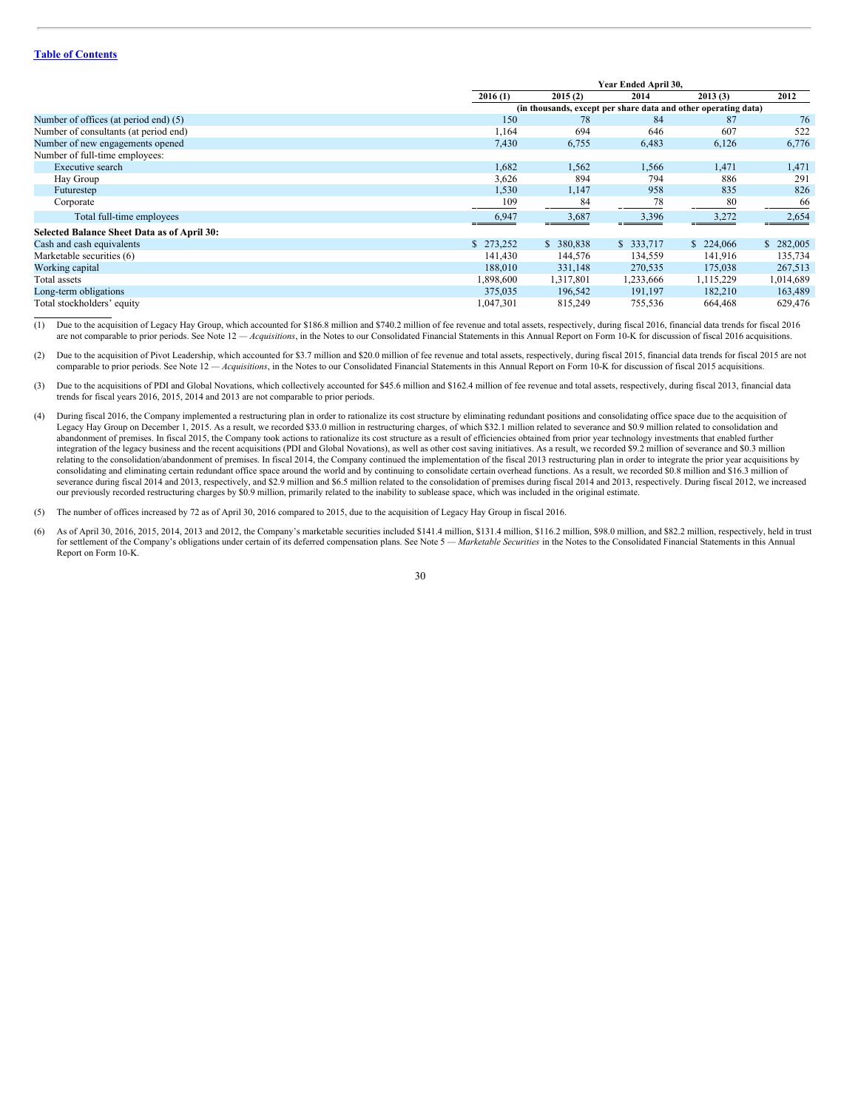|                                             |           | Year Ended April 30,                                           |           |           |           |
|---------------------------------------------|-----------|----------------------------------------------------------------|-----------|-----------|-----------|
|                                             | 2016(1)   | 2015(2)                                                        | 2014      | 2013(3)   | 2012      |
|                                             |           | (in thousands, except per share data and other operating data) |           |           |           |
| Number of offices (at period end) (5)       | 150       | 78                                                             | 84        | 87        | 76        |
| Number of consultants (at period end)       | 1,164     | 694                                                            | 646       | 607       | 522       |
| Number of new engagements opened            | 7,430     | 6,755                                                          | 6,483     | 6,126     | 6,776     |
| Number of full-time employees:              |           |                                                                |           |           |           |
| Executive search                            | 1,682     | 1,562                                                          | 1,566     | 1,471     | 1,471     |
| Hay Group                                   | 3,626     | 894                                                            | 794       | 886       | 291       |
| Futurestep                                  | 1,530     | 1,147                                                          | 958       | 835       | 826       |
| Corporate                                   | 109       | 84                                                             | 78        | 80        | 66        |
| Total full-time employees                   | 6,947     | 3,687                                                          | 3,396     | 3,272     | 2,654     |
| Selected Balance Sheet Data as of April 30: |           |                                                                |           |           |           |
| Cash and cash equivalents                   | \$273,252 | 380,838<br>S.                                                  | \$333,717 | \$224,066 | \$282,005 |
| Marketable securities (6)                   | 141,430   | 144,576                                                        | 134,559   | 141,916   | 135,734   |
| Working capital                             | 188,010   | 331,148                                                        | 270,535   | 175,038   | 267,513   |
| Total assets                                | 1,898,600 | 1,317,801                                                      | 1,233,666 | 1,115,229 | 1,014,689 |
| Long-term obligations                       | 375,035   | 196,542                                                        | 191,197   | 182,210   | 163,489   |
| Total stockholders' equity                  | 1,047,301 | 815,249                                                        | 755,536   | 664,468   | 629,476   |

(1) Due to the acquisition of Legacy Hay Group, which accounted for \$186.8 million and \$740.2 million of fee revenue and total assets, respectively, during fiscal 2016, financial data trends for fiscal 2016 are not comparable to prior periods. See Note 12 - *Acquisitions*, in the Notes to our Consolidated Financial Statements in this Annual Report on Form 10-K for discussion of fiscal 2016 acquisitions.

(2) Due to the acquisition of Pivot Leadership, which accounted for \$3.7 million and \$20.0 million of fee revenue and total assets, respectively, during fiscal 2015, financial data trends for fiscal 2015 are not comparable to prior periods. See Note 12 *— Acquisitions*, in the Notes to our Consolidated Financial Statements in this Annual Report on Form 10-K for discussion of fiscal 2015 acquisitions.

(3) Due to the acquisitions of PDI and Global Novations, which collectively accounted for \$45.6 million and \$162.4 million of fee revenue and total assets, respectively, during fiscal 2013, financial data trends for fiscal years 2016, 2015, 2014 and 2013 are not comparable to prior periods.

(4) During fiscal 2016, the Company implemented a restructuring plan in order to rationalize its cost structure by eliminating redundant positions and consolidating office space due to the acquisition of Legacy Hay Group on December 1, 2015. As a result, we recorded \$33.0 million in restructuring charges, of which \$32.1 million related to severance and \$0.9 million related to consolidation and abandonment of premises. In fiscal 2015, the Company took actions to rationalize its cost structure as a result of efficiencies obtained from prior year technology investments that enabled further integration of the legacy business and the recent acquisitions (PDI and Global Novations), as well as other cost saving initiatives. As a result, we recorded \$9.2 million of severance and \$0.3 million relating to the consolidation/abandonment of premises. In fiscal 2014, the Company continued the implementation of the fiscal 2013 restructuring plan in order to integrate the prior year acquisitions by consolidating and eliminating certain redundant office space around the world and by continuing to consolidate certain overhead functions. As a result, we recorded \$0.8 million and \$16.3 million of severance during fiscal 2014 and 2013, respectively, and \$2.9 million and \$6.5 million related to the consolidation of premises during fiscal 2014 and 2013, respectively. During fiscal 2012, we increased our previously recorded restructuring charges by \$0.9 million, primarily related to the inability to sublease space, which was included in the original estimate.

(5) The number of offices increased by 72 as of April 30, 2016 compared to 2015, due to the acquisition of Legacy Hay Group in fiscal 2016.

(6) As of April 30, 2016, 2015, 2014, 2013 and 2012, the Company's marketable securities included \$141.4 million, \$131.4 million, \$116.2 million, \$98.0 million, and \$82.2 million, respectively, held in trust for settlement of the Company's obligations under certain of its deferred compensation plans. See Note 5 *— Marketable Securities* in the Notes to the Consolidated Financial Statements in this Annual Report on Form 10-K.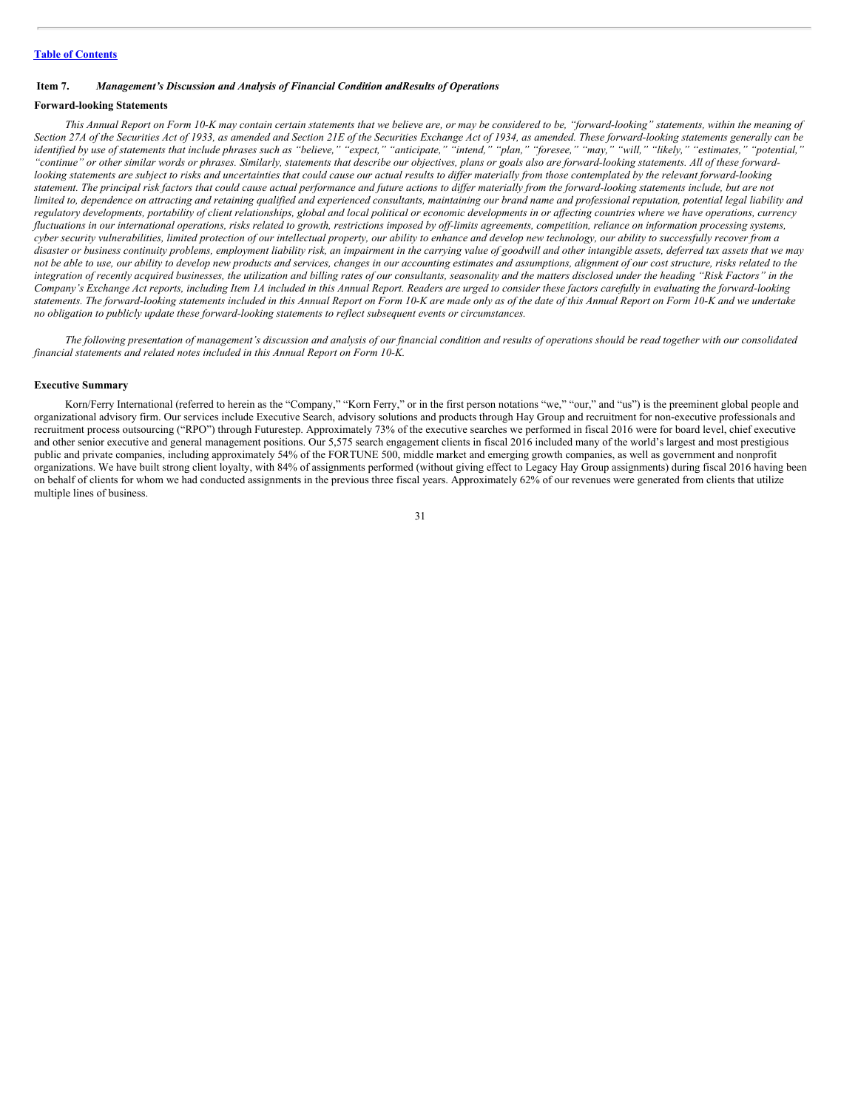## <span id="page-32-0"></span>**Item 7.** *Management's Discussion and Analysis of Financial Condition andResults of Operations*

#### **Forward-looking Statements**

This Annual Report on Form 10-K may contain certain statements that we believe are, or may be considered to be, "forward-looking" statements, within the meaning of Section 27A of the Securities Act of 1933, as amended and Section 21E of the Securities Exchange Act of 1934, as amended. These forward-looking statements generally can be identified by use of statements that include phrases such as "believe," "expect," "anticipate," "intend," "plan," "foresee," "may," "will," "likely," "estimates," "potential," "continue" or other similar words or phrases. Similarly, statements that describe our objectives, plans or goals also are forward-looking statements. All of these forwardlooking statements are subject to risks and uncertainties that could cause our actual results to differ materially from those contemplated by the relevant forward-looking statement. The principal risk factors that could cause actual performance and future actions to differ materially from the forward-looking statements include, but are not limited to, dependence on attracting and retaining qualified and experienced consultants, maintaining our brand name and professional reputation, potential legal liability and regulatory developments, portability of client relationships, global and local political or economic developments in or affecting countries where we have operations, currency fluctuations in our international operations, risks related to growth, restrictions imposed by off-limits agreements, competition, reliance on information processing systems, cyber security vulnerabilities, limited protection of our intellectual property, our ability to enhance and develop new technology, our ability to successfully recover from a disaster or business continuity problems, employment liability risk, an impairment in the carrying value of goodwill and other intangible assets, deferred tax assets that we may not be able to use, our ability to develop new products and services, changes in our accounting estimates and assumptions, alignment of our cost structure, risks related to the integration of recently acquired businesses, the utilization and billing rates of our consultants, seasonality and the matters disclosed under the heading "Risk Factors" in the Company's Exchange Act reports, including Item 1A included in this Annual Report. Readers are urged to consider these factors carefully in evaluating the forward-looking statements. The forward-looking statements included in this Annual Report on Form 10-K are made only as of the date of this Annual Report on Form 10-K and we undertake *no obligation to publicly update these forward-looking statements to reflect subsequent events or circumstances.*

The following presentation of management's discussion and analysis of our financial condition and results of operations should be read together with our consolidated *financial statements and related notes included in this Annual Report on Form 10-K.*

#### **Executive Summary**

Korn/Ferry International (referred to herein as the "Company," "Korn Ferry," or in the first person notations "we," "our," and "us") is the preeminent global people and organizational advisory firm. Our services include Executive Search, advisory solutions and products through Hay Group and recruitment for non-executive professionals and recruitment process outsourcing ("RPO") through Futurestep. Approximately 73% of the executive searches we performed in fiscal 2016 were for board level, chief executive and other senior executive and general management positions. Our 5,575 search engagement clients in fiscal 2016 included many of the world's largest and most prestigious public and private companies, including approximately 54% of the FORTUNE 500, middle market and emerging growth companies, as well as government and nonprofit organizations. We have built strong client loyalty, with 84% of assignments performed (without giving effect to Legacy Hay Group assignments) during fiscal 2016 having been on behalf of clients for whom we had conducted assignments in the previous three fiscal years. Approximately 62% of our revenues were generated from clients that utilize multiple lines of business.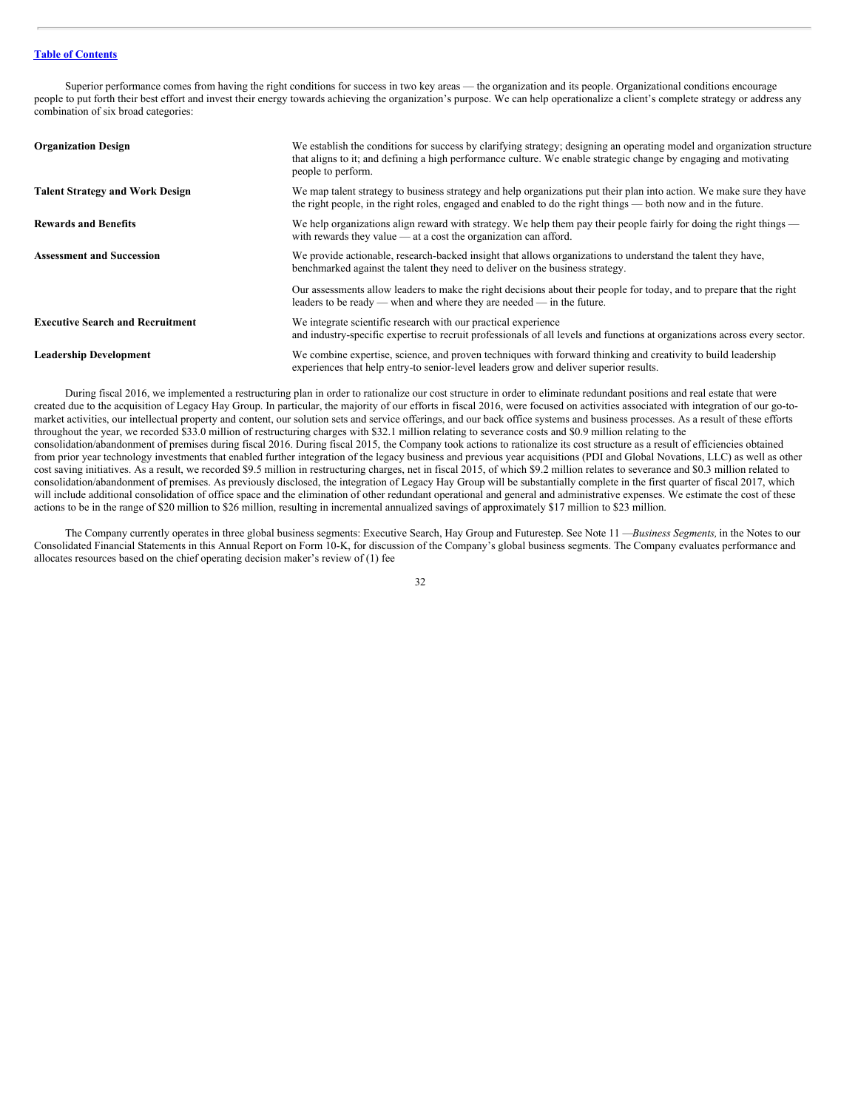Superior performance comes from having the right conditions for success in two key areas — the organization and its people. Organizational conditions encourage people to put forth their best effort and invest their energy towards achieving the organization's purpose. We can help operationalize a client's complete strategy or address any combination of six broad categories:

| <b>Organization Design</b>              | We establish the conditions for success by clarifying strategy; designing an operating model and organization structure<br>that aligns to it; and defining a high performance culture. We enable strategic change by engaging and motivating<br>people to perform. |
|-----------------------------------------|--------------------------------------------------------------------------------------------------------------------------------------------------------------------------------------------------------------------------------------------------------------------|
| <b>Talent Strategy and Work Design</b>  | We map talent strategy to business strategy and help organizations put their plan into action. We make sure they have<br>the right people, in the right roles, engaged and enabled to do the right things — both now and in the future.                            |
| <b>Rewards and Benefits</b>             | We help organizations align reward with strategy. We help them pay their people fairly for doing the right things —<br>with rewards they value $-$ at a cost the organization can afford.                                                                          |
| <b>Assessment and Succession</b>        | We provide actionable, research-backed insight that allows organizations to understand the talent they have,<br>benchmarked against the talent they need to deliver on the business strategy.                                                                      |
|                                         | Our assessments allow leaders to make the right decisions about their people for today, and to prepare that the right<br>leaders to be ready — when and where they are needed — in the future.                                                                     |
| <b>Executive Search and Recruitment</b> | We integrate scientific research with our practical experience<br>and industry-specific expertise to recruit professionals of all levels and functions at organizations across every sector.                                                                       |
| <b>Leadership Development</b>           | We combine expertise, science, and proven techniques with forward thinking and creativity to build leadership<br>experiences that help entry-to senior-level leaders grow and deliver superior results.                                                            |

During fiscal 2016, we implemented a restructuring plan in order to rationalize our cost structure in order to eliminate redundant positions and real estate that were created due to the acquisition of Legacy Hay Group. In particular, the majority of our efforts in fiscal 2016, were focused on activities associated with integration of our go-tomarket activities, our intellectual property and content, our solution sets and service offerings, and our back office systems and business processes. As a result of these efforts throughout the year, we recorded \$33.0 million of restructuring charges with \$32.1 million relating to severance costs and \$0.9 million relating to the consolidation/abandonment of premises during fiscal 2016. During fiscal 2015, the Company took actions to rationalize its cost structure as a result of efficiencies obtained from prior year technology investments that enabled further integration of the legacy business and previous year acquisitions (PDI and Global Novations, LLC) as well as other cost saving initiatives. As a result, we recorded \$9.5 million in restructuring charges, net in fiscal 2015, of which \$9.2 million relates to severance and \$0.3 million related to consolidation/abandonment of premises. As previously disclosed, the integration of Legacy Hay Group will be substantially complete in the first quarter of fiscal 2017, which will include additional consolidation of office space and the elimination of other redundant operational and general and administrative expenses. We estimate the cost of these actions to be in the range of \$20 million to \$26 million, resulting in incremental annualized savings of approximately \$17 million to \$23 million.

The Company currently operates in three global business segments: Executive Search, Hay Group and Futurestep. See Note 11 —*Business Segments,* in the Notes to our Consolidated Financial Statements in this Annual Report on Form 10-K, for discussion of the Company's global business segments. The Company evaluates performance and allocates resources based on the chief operating decision maker's review of (1) fee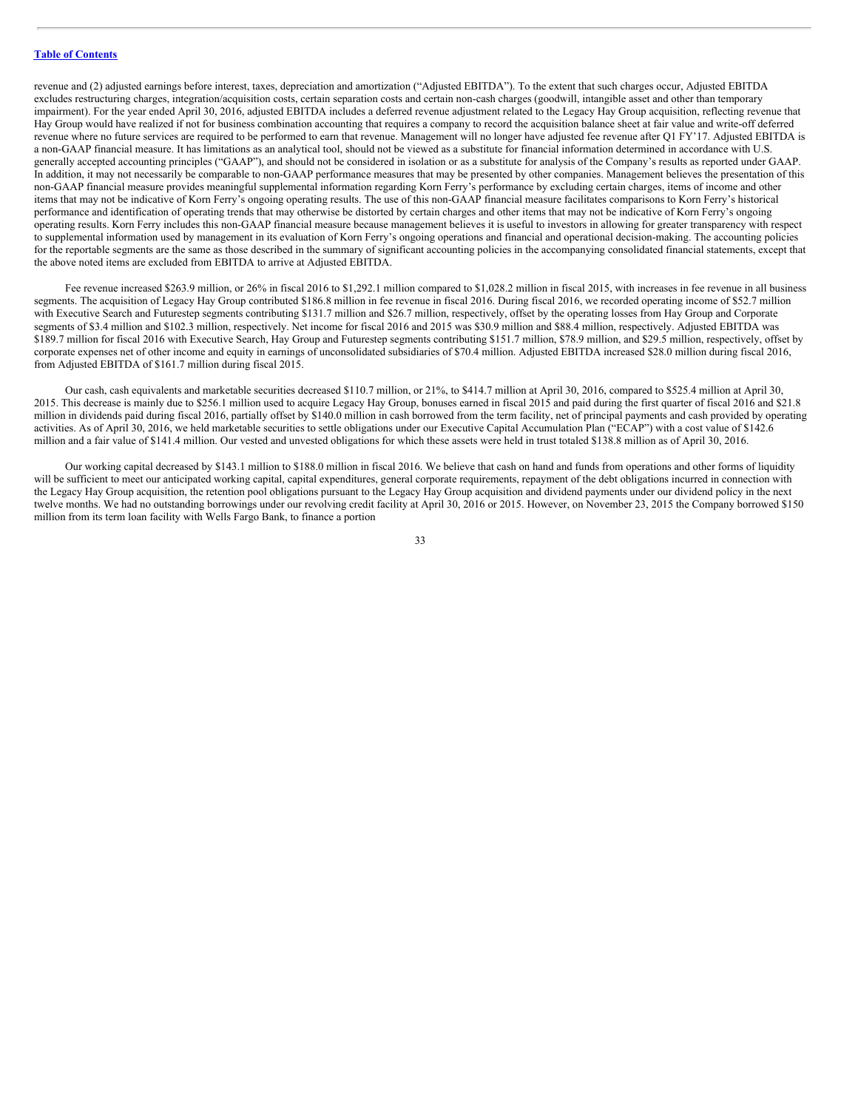revenue and (2) adjusted earnings before interest, taxes, depreciation and amortization ("Adjusted EBITDA"). To the extent that such charges occur, Adjusted EBITDA excludes restructuring charges, integration/acquisition costs, certain separation costs and certain non-cash charges (goodwill, intangible asset and other than temporary impairment). For the year ended April 30, 2016, adjusted EBITDA includes a deferred revenue adjustment related to the Legacy Hay Group acquisition, reflecting revenue that Hay Group would have realized if not for business combination accounting that requires a company to record the acquisition balance sheet at fair value and write-off deferred revenue where no future services are required to be performed to earn that revenue. Management will no longer have adjusted fee revenue after Q1 FY'17. Adjusted EBITDA is a non-GAAP financial measure. It has limitations as an analytical tool, should not be viewed as a substitute for financial information determined in accordance with U.S. generally accepted accounting principles ("GAAP"), and should not be considered in isolation or as a substitute for analysis of the Company's results as reported under GAAP. In addition, it may not necessarily be comparable to non-GAAP performance measures that may be presented by other companies. Management believes the presentation of this non-GAAP financial measure provides meaningful supplemental information regarding Korn Ferry's performance by excluding certain charges, items of income and other items that may not be indicative of Korn Ferry's ongoing operating results. The use of this non-GAAP financial measure facilitates comparisons to Korn Ferry's historical performance and identification of operating trends that may otherwise be distorted by certain charges and other items that may not be indicative of Korn Ferry's ongoing operating results. Korn Ferry includes this non-GAAP financial measure because management believes it is useful to investors in allowing for greater transparency with respect to supplemental information used by management in its evaluation of Korn Ferry's ongoing operations and financial and operational decision-making. The accounting policies for the reportable segments are the same as those described in the summary of significant accounting policies in the accompanying consolidated financial statements, except that the above noted items are excluded from EBITDA to arrive at Adjusted EBITDA.

Fee revenue increased \$263.9 million, or 26% in fiscal 2016 to \$1,292.1 million compared to \$1,028.2 million in fiscal 2015, with increases in fee revenue in all business segments. The acquisition of Legacy Hay Group contributed \$186.8 million in fee revenue in fiscal 2016. During fiscal 2016, we recorded operating income of \$52.7 million with Executive Search and Futurestep segments contributing \$131.7 million and \$26.7 million, respectively, offset by the operating losses from Hay Group and Corporate segments of \$3.4 million and \$102.3 million, respectively. Net income for fiscal 2016 and 2015 was \$30.9 million and \$88.4 million, respectively. Adjusted EBITDA was \$189.7 million for fiscal 2016 with Executive Search, Hay Group and Futurestep segments contributing \$151.7 million, \$78.9 million, and \$29.5 million, respectively, offset by corporate expenses net of other income and equity in earnings of unconsolidated subsidiaries of \$70.4 million. Adjusted EBITDA increased \$28.0 million during fiscal 2016, from Adjusted EBITDA of \$161.7 million during fiscal 2015.

Our cash, cash equivalents and marketable securities decreased \$110.7 million, or 21%, to \$414.7 million at April 30, 2016, compared to \$525.4 million at April 30, 2015. This decrease is mainly due to \$256.1 million used to acquire Legacy Hay Group, bonuses earned in fiscal 2015 and paid during the first quarter of fiscal 2016 and \$21.8 million in dividends paid during fiscal 2016, partially offset by \$140.0 million in cash borrowed from the term facility, net of principal payments and cash provided by operating activities. As of April 30, 2016, we held marketable securities to settle obligations under our Executive Capital Accumulation Plan ("ECAP") with a cost value of \$142.6 million and a fair value of \$141.4 million. Our vested and unvested obligations for which these assets were held in trust totaled \$138.8 million as of April 30, 2016.

Our working capital decreased by \$143.1 million to \$188.0 million in fiscal 2016. We believe that cash on hand and funds from operations and other forms of liquidity will be sufficient to meet our anticipated working capital, capital expenditures, general corporate requirements, repayment of the debt obligations incurred in connection with the Legacy Hay Group acquisition, the retention pool obligations pursuant to the Legacy Hay Group acquisition and dividend payments under our dividend policy in the next twelve months. We had no outstanding borrowings under our revolving credit facility at April 30, 2016 or 2015. However, on November 23, 2015 the Company borrowed \$150 million from its term loan facility with Wells Fargo Bank, to finance a portion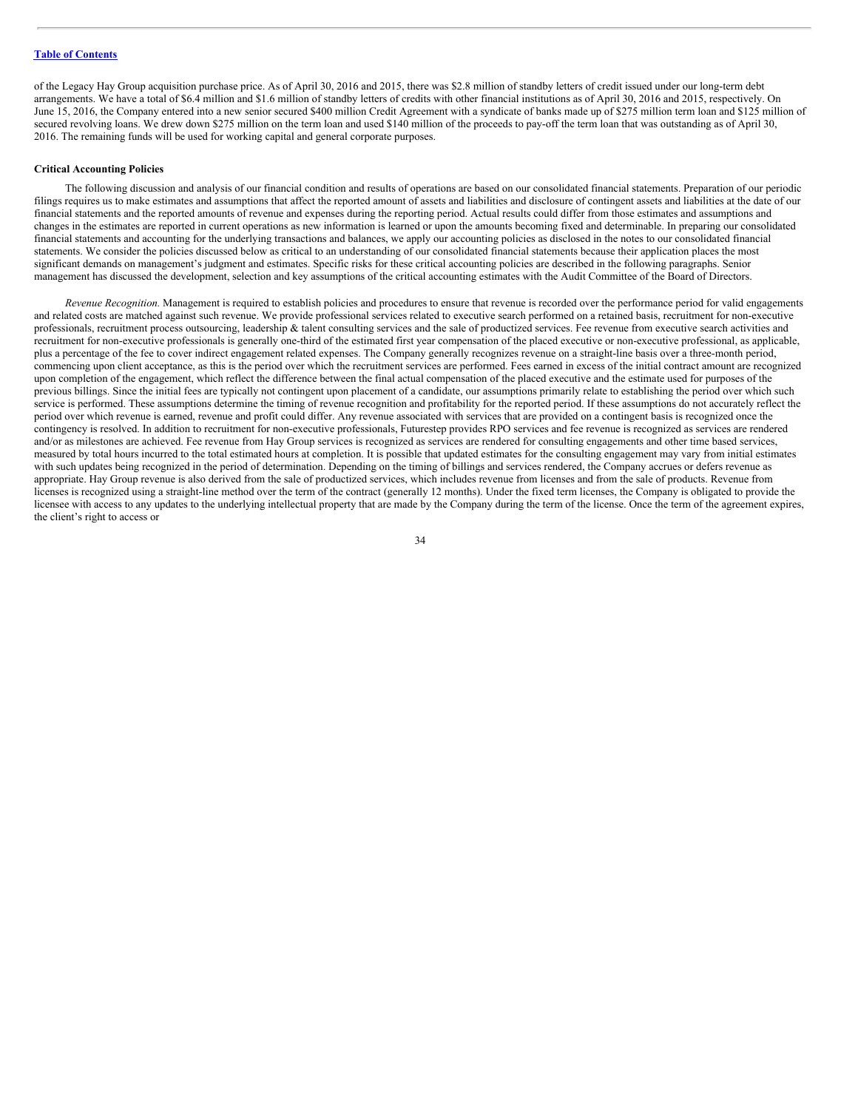of the Legacy Hay Group acquisition purchase price. As of April 30, 2016 and 2015, there was \$2.8 million of standby letters of credit issued under our long-term debt arrangements. We have a total of \$6.4 million and \$1.6 million of standby letters of credits with other financial institutions as of April 30, 2016 and 2015, respectively. On June 15, 2016, the Company entered into a new senior secured \$400 million Credit Agreement with a syndicate of banks made up of \$275 million term loan and \$125 million of secured revolving loans. We drew down \$275 million on the term loan and used \$140 million of the proceeds to pay-off the term loan that was outstanding as of April 30, 2016. The remaining funds will be used for working capital and general corporate purposes.

#### **Critical Accounting Policies**

The following discussion and analysis of our financial condition and results of operations are based on our consolidated financial statements. Preparation of our periodic filings requires us to make estimates and assumptions that affect the reported amount of assets and liabilities and disclosure of contingent assets and liabilities at the date of our financial statements and the reported amounts of revenue and expenses during the reporting period. Actual results could differ from those estimates and assumptions and changes in the estimates are reported in current operations as new information is learned or upon the amounts becoming fixed and determinable. In preparing our consolidated financial statements and accounting for the underlying transactions and balances, we apply our accounting policies as disclosed in the notes to our consolidated financial statements. We consider the policies discussed below as critical to an understanding of our consolidated financial statements because their application places the most significant demands on management's judgment and estimates. Specific risks for these critical accounting policies are described in the following paragraphs. Senior management has discussed the development, selection and key assumptions of the critical accounting estimates with the Audit Committee of the Board of Directors.

*Revenue Recognition.* Management is required to establish policies and procedures to ensure that revenue is recorded over the performance period for valid engagements and related costs are matched against such revenue. We provide professional services related to executive search performed on a retained basis, recruitment for non-executive professionals, recruitment process outsourcing, leadership & talent consulting services and the sale of productized services. Fee revenue from executive search activities and recruitment for non-executive professionals is generally one-third of the estimated first year compensation of the placed executive or non-executive professional, as applicable, plus a percentage of the fee to cover indirect engagement related expenses. The Company generally recognizes revenue on a straight-line basis over a three-month period, commencing upon client acceptance, as this is the period over which the recruitment services are performed. Fees earned in excess of the initial contract amount are recognized upon completion of the engagement, which reflect the difference between the final actual compensation of the placed executive and the estimate used for purposes of the previous billings. Since the initial fees are typically not contingent upon placement of a candidate, our assumptions primarily relate to establishing the period over which such service is performed. These assumptions determine the timing of revenue recognition and profitability for the reported period. If these assumptions do not accurately reflect the period over which revenue is earned, revenue and profit could differ. Any revenue associated with services that are provided on a contingent basis is recognized once the contingency is resolved. In addition to recruitment for non-executive professionals, Futurestep provides RPO services and fee revenue is recognized as services are rendered and/or as milestones are achieved. Fee revenue from Hay Group services is recognized as services are rendered for consulting engagements and other time based services, measured by total hours incurred to the total estimated hours at completion. It is possible that updated estimates for the consulting engagement may vary from initial estimates with such updates being recognized in the period of determination. Depending on the timing of billings and services rendered, the Company accrues or defers revenue as appropriate. Hay Group revenue is also derived from the sale of productized services, which includes revenue from licenses and from the sale of products. Revenue from licenses is recognized using a straight-line method over the term of the contract (generally 12 months). Under the fixed term licenses, the Company is obligated to provide the licensee with access to any updates to the underlying intellectual property that are made by the Company during the term of the license. Once the term of the agreement expires, the client's right to access or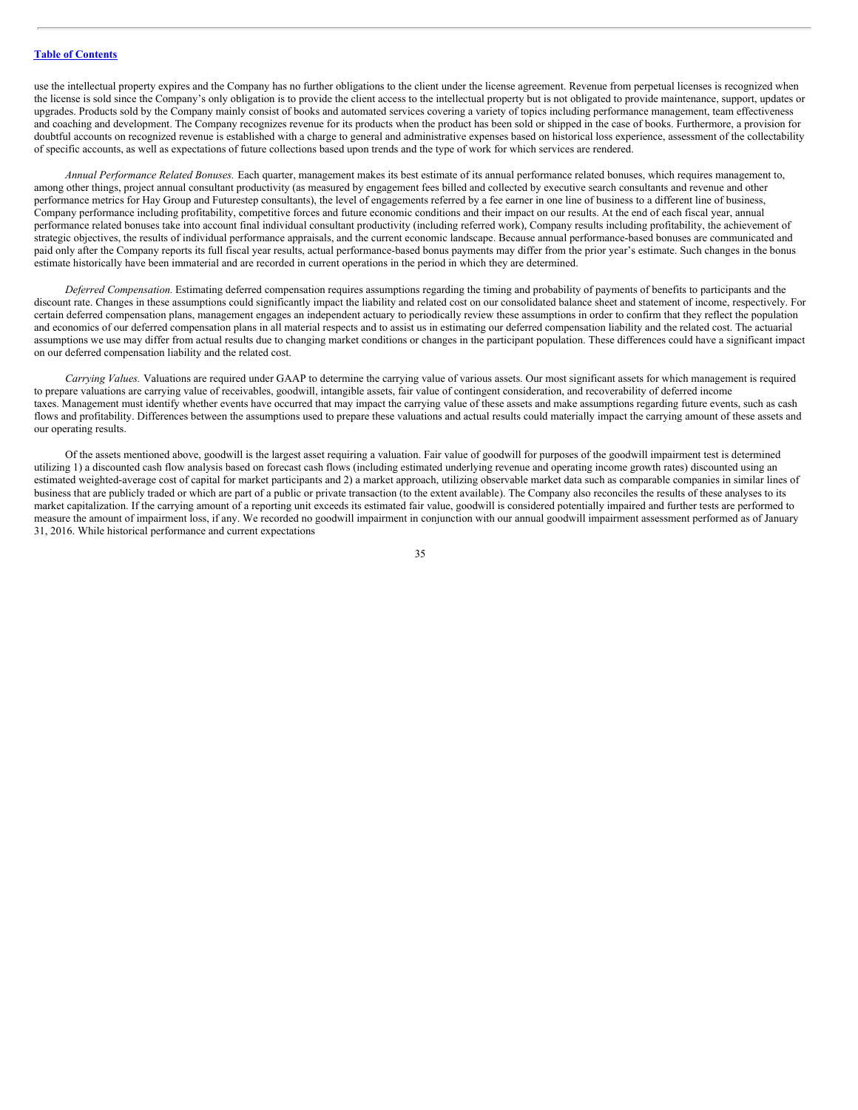use the intellectual property expires and the Company has no further obligations to the client under the license agreement. Revenue from perpetual licenses is recognized when the license is sold since the Company's only obligation is to provide the client access to the intellectual property but is not obligated to provide maintenance, support, updates or upgrades. Products sold by the Company mainly consist of books and automated services covering a variety of topics including performance management, team effectiveness and coaching and development. The Company recognizes revenue for its products when the product has been sold or shipped in the case of books. Furthermore, a provision for doubtful accounts on recognized revenue is established with a charge to general and administrative expenses based on historical loss experience, assessment of the collectability of specific accounts, as well as expectations of future collections based upon trends and the type of work for which services are rendered.

*Annual Performance Related Bonuses.* Each quarter, management makes its best estimate of its annual performance related bonuses, which requires management to, among other things, project annual consultant productivity (as measured by engagement fees billed and collected by executive search consultants and revenue and other performance metrics for Hay Group and Futurestep consultants), the level of engagements referred by a fee earner in one line of business to a different line of business, Company performance including profitability, competitive forces and future economic conditions and their impact on our results. At the end of each fiscal year, annual performance related bonuses take into account final individual consultant productivity (including referred work), Company results including profitability, the achievement of strategic objectives, the results of individual performance appraisals, and the current economic landscape. Because annual performance-based bonuses are communicated and paid only after the Company reports its full fiscal year results, actual performance-based bonus payments may differ from the prior year's estimate. Such changes in the bonus estimate historically have been immaterial and are recorded in current operations in the period in which they are determined.

*Deferred Compensation.* Estimating deferred compensation requires assumptions regarding the timing and probability of payments of benefits to participants and the discount rate. Changes in these assumptions could significantly impact the liability and related cost on our consolidated balance sheet and statement of income, respectively. For certain deferred compensation plans, management engages an independent actuary to periodically review these assumptions in order to confirm that they reflect the population and economics of our deferred compensation plans in all material respects and to assist us in estimating our deferred compensation liability and the related cost. The actuarial assumptions we use may differ from actual results due to changing market conditions or changes in the participant population. These differences could have a significant impact on our deferred compensation liability and the related cost.

*Carrying Values.* Valuations are required under GAAP to determine the carrying value of various assets. Our most significant assets for which management is required to prepare valuations are carrying value of receivables, goodwill, intangible assets, fair value of contingent consideration, and recoverability of deferred income taxes. Management must identify whether events have occurred that may impact the carrying value of these assets and make assumptions regarding future events, such as cash flows and profitability. Differences between the assumptions used to prepare these valuations and actual results could materially impact the carrying amount of these assets and our operating results.

Of the assets mentioned above, goodwill is the largest asset requiring a valuation. Fair value of goodwill for purposes of the goodwill impairment test is determined utilizing 1) a discounted cash flow analysis based on forecast cash flows (including estimated underlying revenue and operating income growth rates) discounted using an estimated weighted-average cost of capital for market participants and 2) a market approach, utilizing observable market data such as comparable companies in similar lines of business that are publicly traded or which are part of a public or private transaction (to the extent available). The Company also reconciles the results of these analyses to its market capitalization. If the carrying amount of a reporting unit exceeds its estimated fair value, goodwill is considered potentially impaired and further tests are performed to measure the amount of impairment loss, if any. We recorded no goodwill impairment in conjunction with our annual goodwill impairment assessment performed as of January 31, 2016. While historical performance and current expectations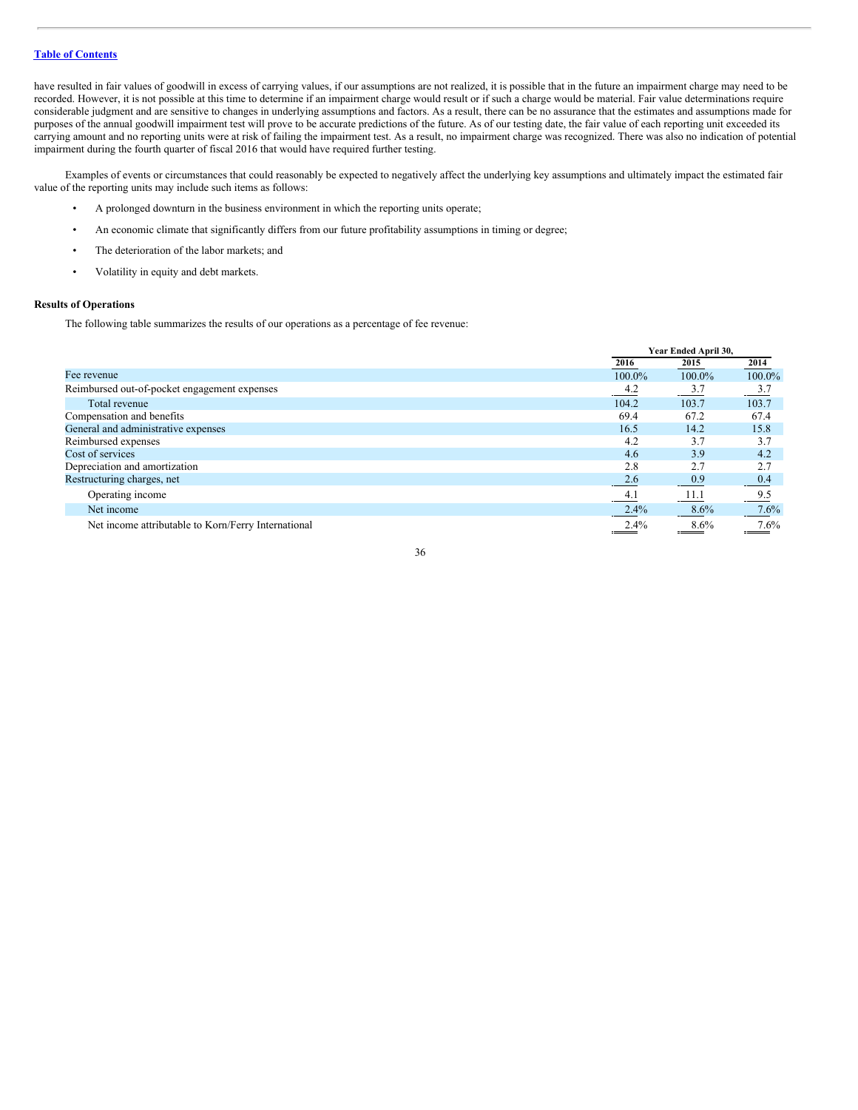have resulted in fair values of goodwill in excess of carrying values, if our assumptions are not realized, it is possible that in the future an impairment charge may need to be recorded. However, it is not possible at this time to determine if an impairment charge would result or if such a charge would be material. Fair value determinations require considerable judgment and are sensitive to changes in underlying assumptions and factors. As a result, there can be no assurance that the estimates and assumptions made for purposes of the annual goodwill impairment test will prove to be accurate predictions of the future. As of our testing date, the fair value of each reporting unit exceeded its carrying amount and no reporting units were at risk of failing the impairment test. As a result, no impairment charge was recognized. There was also no indication of potential impairment during the fourth quarter of fiscal 2016 that would have required further testing.

Examples of events or circumstances that could reasonably be expected to negatively affect the underlying key assumptions and ultimately impact the estimated fair value of the reporting units may include such items as follows:

- A prolonged downturn in the business environment in which the reporting units operate;
- An economic climate that significantly differs from our future profitability assumptions in timing or degree;
- The deterioration of the labor markets; and
- Volatility in equity and debt markets.

# **Results of Operations**

The following table summarizes the results of our operations as a percentage of fee revenue:

|                                                     |         | Year Ended April 30, |                 |  |  |
|-----------------------------------------------------|---------|----------------------|-----------------|--|--|
|                                                     | 2016    | 2015                 | 2014            |  |  |
| Fee revenue                                         | 100.0%  | 100.0%               | 100.0%          |  |  |
| Reimbursed out-of-pocket engagement expenses        | $-4.2$  | 3.7                  | $\frac{3.7}{2}$ |  |  |
| Total revenue                                       | 104.2   | 103.7                | 103.7           |  |  |
| Compensation and benefits                           | 69.4    | 67.2                 | 67.4            |  |  |
| General and administrative expenses                 | 16.5    | 14.2                 | 15.8            |  |  |
| Reimbursed expenses                                 | 4.2     | 3.7                  | 3.7             |  |  |
| Cost of services                                    | 4.6     | 3.9                  | 4.2             |  |  |
| Depreciation and amortization                       | 2.8     | 2.7                  | 2.7             |  |  |
| Restructuring charges, net                          | 2.6     | 0.9                  | 0.4             |  |  |
| Operating income                                    | 4.1     | 11.1                 | 9.5             |  |  |
| Net income                                          | 2.4%    | 8.6%                 | 7.6%            |  |  |
| Net income attributable to Korn/Ferry International | $2.4\%$ | 8.6%                 | $7.6\%$         |  |  |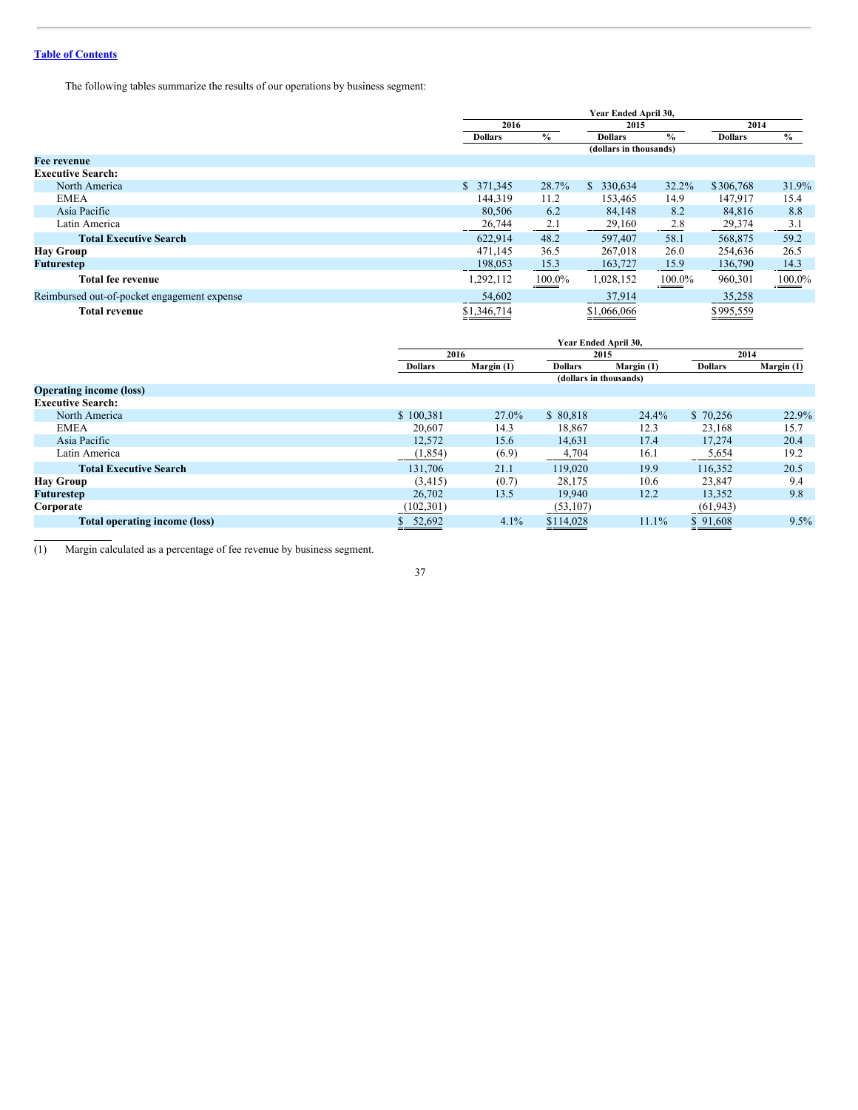The following tables summarize the results of our operations by business segment:

|                                             |                          | Year Ended April 30, |                        |               |                |        |  |
|---------------------------------------------|--------------------------|----------------------|------------------------|---------------|----------------|--------|--|
|                                             | 2016                     |                      | 2015                   |               | 2014           |        |  |
|                                             | <b>Dollars</b>           | $\frac{6}{9}$        | <b>Dollars</b>         | $\frac{6}{9}$ | <b>Dollars</b> | $\%$   |  |
|                                             |                          |                      | (dollars in thousands) |               |                |        |  |
| <b>Fee revenue</b>                          |                          |                      |                        |               |                |        |  |
| <b>Executive Search:</b>                    |                          |                      |                        |               |                |        |  |
| North America                               | 371,345<br><sup>\$</sup> | 28.7%                | 330,634<br>\$.         | $32.2\%$      | \$306,768      | 31.9%  |  |
| <b>EMEA</b>                                 | 144,319                  | 11.2                 | 153,465                | 14.9          | 147,917        | 15.4   |  |
| Asia Pacific                                | 80,506                   | 6.2                  | 84,148                 | 8.2           | 84,816         | 8.8    |  |
| Latin America                               | 26,744                   | 2.1                  | 29,160                 | 2.8           | 29,374         | 3.1    |  |
| <b>Total Executive Search</b>               | 622,914                  | 48.2                 | 597,407                | 58.1          | 568,875        | 59.2   |  |
| <b>Hay Group</b>                            | 471,145                  | 36.5                 | 267,018                | 26.0          | 254,636        | 26.5   |  |
| <b>Futurestep</b>                           | 198,053                  | 15.3                 | 163,727                | 15.9          | 136,790        | 14.3   |  |
| <b>Total fee revenue</b>                    | 1,292,112                | 100.0%               | 1,028,152              | 100.0%        | 960,301        | 100.0% |  |
| Reimbursed out-of-pocket engagement expense | 54,602                   |                      | 37,914                 |               | 35,258         |        |  |
| <b>Total revenue</b>                        | \$1,346,714              |                      | \$1,066,066            |               | \$995,559      |        |  |

|                                |                | Year Ended April 30, |                        |            |                |            |  |  |  |
|--------------------------------|----------------|----------------------|------------------------|------------|----------------|------------|--|--|--|
|                                | 2016           |                      |                        | 2015       |                | 2014       |  |  |  |
|                                | <b>Dollars</b> | Margin (1)           | <b>Dollars</b>         | Margin (1) | <b>Dollars</b> | Margin (1) |  |  |  |
|                                |                |                      | (dollars in thousands) |            |                |            |  |  |  |
| <b>Operating income (loss)</b> |                |                      |                        |            |                |            |  |  |  |
| <b>Executive Search:</b>       |                |                      |                        |            |                |            |  |  |  |
| North America                  | \$100.381      | 27.0%                | \$80.818               | 24.4%      | \$70,256       | 22.9%      |  |  |  |
| <b>EMEA</b>                    | 20,607         | 14.3                 | 18,867                 | 12.3       | 23,168         | 15.7       |  |  |  |
| Asia Pacific                   | 12.572         | 15.6                 | 14,631                 | 17.4       | 17.274         | 20.4       |  |  |  |
| Latin America                  | (1,854)        | (6.9)                | 4,704                  | 16.1       | 5,654          | 19.2       |  |  |  |
| <b>Total Executive Search</b>  | 131,706        | 21.1                 | 119,020                | 19.9       | 116,352        | 20.5       |  |  |  |
| <b>Hay Group</b>               | (3, 415)       | (0.7)                | 28,175                 | 10.6       | 23,847         | 9.4        |  |  |  |
| <b>Futurestep</b>              | 26,702         | 13.5                 | 19.940                 | 12.2       | 13,352         | 9.8        |  |  |  |
| Corporate                      | (102, 301)     |                      | (53, 107)              |            | (61, 943)      |            |  |  |  |
| Total operating income (loss)  | 52,692         | 4.1%                 | \$114,028              | 11.1%      | \$91,608       | 9.5%       |  |  |  |

(1) Margin calculated as a percentage of fee revenue by business segment.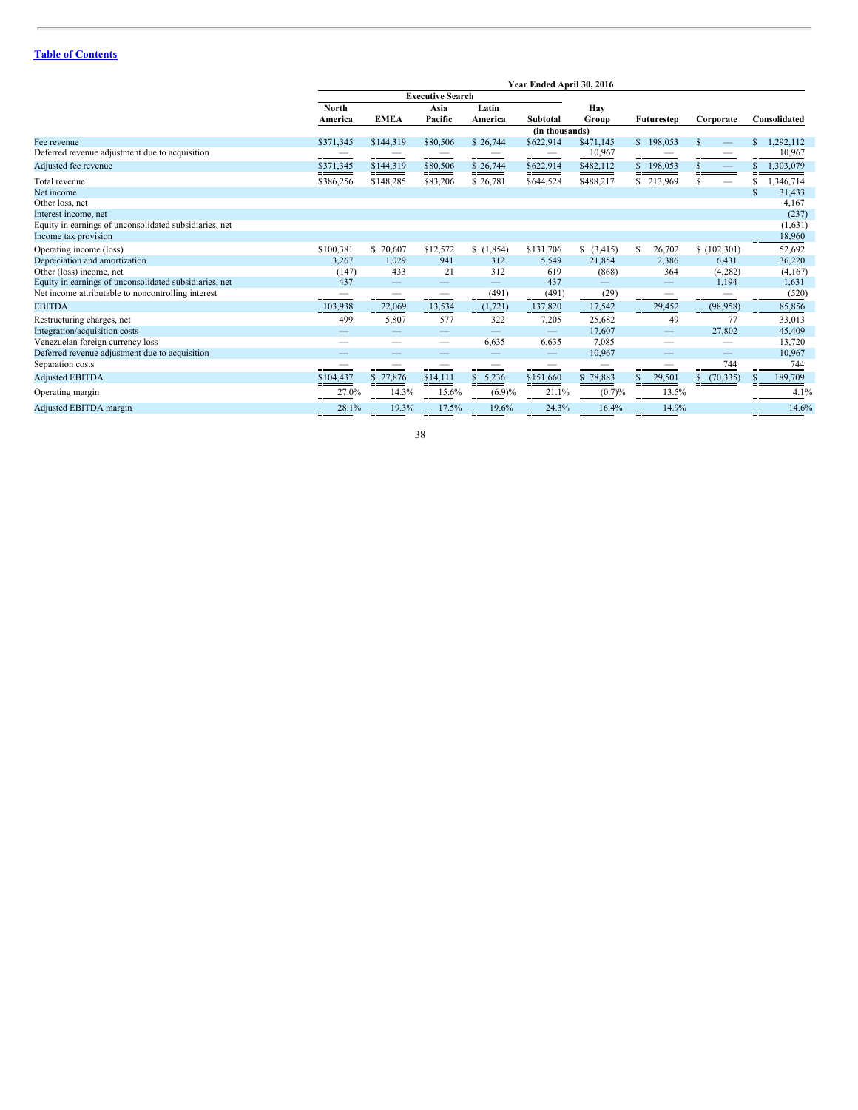|                                                        | Year Ended April 30, 2016 |                          |                         |                     |                   |              |                          |                   |              |
|--------------------------------------------------------|---------------------------|--------------------------|-------------------------|---------------------|-------------------|--------------|--------------------------|-------------------|--------------|
|                                                        |                           |                          | <b>Executive Search</b> |                     |                   |              |                          |                   |              |
|                                                        | <b>North</b>              |                          | Asia                    | Latin               |                   | Hay          |                          |                   |              |
|                                                        | America                   | <b>EMEA</b>              | Pacific                 | America             | Subtotal          | Group        | <b>Futurestep</b>        | Corporate         | Consolidated |
|                                                        |                           |                          |                         |                     | (in thousands)    |              |                          |                   |              |
| Fee revenue                                            | \$371,345                 | \$144,319                | \$80,506                | \$26,744            | \$622,914         | \$471,145    | \$198,053                | $\mathbf{s}$      | 1,292,112    |
| Deferred revenue adjustment due to acquisition         |                           | $\overline{\phantom{a}}$ |                         |                     | $\qquad \qquad$   | 10,967       | $\overline{\phantom{a}}$ |                   | 10,967       |
| Adjusted fee revenue                                   | \$371,345                 | \$144,319                | \$80,506                | \$26,744            | \$622,914         | \$482,112    | 198,053<br>\$            |                   | 1,303,079    |
| Total revenue                                          | \$386,256                 | \$148,285                | \$83,206                | \$26,781            | \$644,528         | \$488,217    | \$213,969                |                   | 1,346,714    |
| Net income                                             |                           |                          |                         |                     |                   |              |                          |                   | 31,433       |
| Other loss, net                                        |                           |                          |                         |                     |                   |              |                          |                   | 4,167        |
| Interest income, net                                   |                           |                          |                         |                     |                   |              |                          |                   | (237)        |
| Equity in earnings of unconsolidated subsidiaries, net |                           |                          |                         |                     |                   |              |                          |                   | (1,631)      |
| Income tax provision                                   |                           |                          |                         |                     |                   |              |                          |                   | 18,960       |
| Operating income (loss)                                | \$100,381                 | \$20,607                 | \$12,572                | \$(1,854)           | \$131,706         | \$(3,415)    | <sup>\$</sup><br>26,702  | \$(102,301)       | 52,692       |
| Depreciation and amortization                          | 3,267                     | 1,029                    | 941                     | 312                 | 5,549             | 21,854       | 2,386                    | 6,431             | 36,220       |
| Other (loss) income, net                               | (147)                     | 433                      | 21                      | 312                 | 619               | (868)        | 364                      | (4,282)           | (4,167)      |
| Equity in earnings of unconsolidated subsidiaries, net | 437                       |                          |                         |                     | 437               |              |                          | 1,194             | 1,631        |
| Net income attributable to noncontrolling interest     |                           |                          |                         | (491)               | (491)             | (29)         |                          |                   | (520)        |
| <b>EBITDA</b>                                          | 103,938                   | 22,069                   | 13,534                  | (1,721)             | 137,820           | 17,542       | 29,452                   | (98, 958)         | 85,856       |
| Restructuring charges, net                             | 499                       | 5,807                    | 577                     | 322                 | 7,205             | 25,682       | 49                       | 77                | 33,013       |
| Integration/acquisition costs                          |                           |                          |                         |                     |                   | 17,607       |                          | 27,802            | 45,409       |
| Venezuelan foreign currency loss                       |                           |                          |                         | 6,635               | 6,635             | 7,085        | $\qquad \qquad$          |                   | 13,720       |
| Deferred revenue adjustment due to acquisition         |                           |                          |                         |                     | $\qquad \qquad -$ | 10,967       |                          | $\qquad \qquad -$ | 10,967       |
| Separation costs                                       |                           |                          |                         |                     |                   |              |                          | 744               | 744          |
| <b>Adjusted EBITDA</b>                                 | \$104,437                 | \$27,876                 | \$14,111                | $\frac{$}{2}$ 5,236 | \$151,660         | \$78,883     | 29,501                   | (70, 335)<br>\$   | 189,709      |
| Operating margin                                       | 27.0%                     | 14.3%                    | 15.6%                   | (6.9)%              | 21.1%             | (0.7)%       | 13.5%                    |                   | 4.1%         |
| Adjusted EBITDA margin                                 | 28.1%<br>--               | 19.3%<br>$=$             | 17.5%<br>ΞĒ             | 19.6%<br>$\sim$     | 24.3%             | 16.4%<br>$=$ | 14.9%                    |                   | 14.6%        |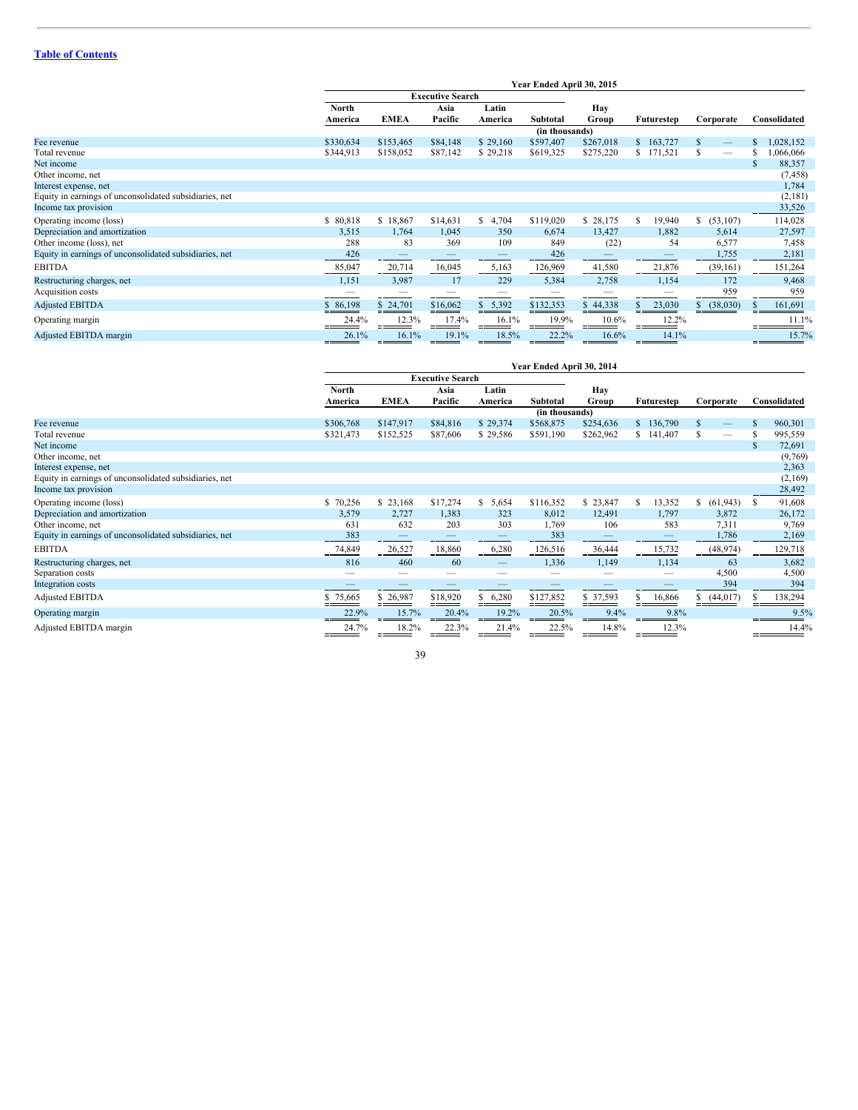| Year Ended April 30, 2015 |             |          |             |                         |           |                |        |                                           |           |                                      |              |
|---------------------------|-------------|----------|-------------|-------------------------|-----------|----------------|--------|-------------------------------------------|-----------|--------------------------------------|--------------|
|                           |             |          |             |                         |           |                |        |                                           |           |                                      |              |
| North                     |             | Asia     | Latin       |                         | Hay       |                |        |                                           |           |                                      |              |
| America                   | <b>EMEA</b> | Pacific  | America     | <b>Subtotal</b>         | Group     |                |        |                                           |           |                                      | Consolidated |
|                           |             |          |             |                         |           |                |        |                                           |           |                                      |              |
| \$330,634                 | \$153,465   | \$84,148 | \$29,160    | \$597,407               | \$267,018 | <sup>\$</sup>  |        | S                                         |           |                                      | 1,028,152    |
| \$344,913                 | \$158,052   | \$87,142 | \$29,218    | \$619,325               | \$275,220 |                |        | S                                         | –         |                                      | ,066,066     |
|                           |             |          |             |                         |           |                |        |                                           |           | <sup>35</sup>                        | 88,357       |
|                           |             |          |             |                         |           |                |        |                                           |           |                                      | (7, 458)     |
|                           |             |          |             |                         |           |                |        |                                           |           |                                      | 1,784        |
|                           |             |          |             |                         |           |                |        |                                           |           |                                      | (2,181)      |
|                           |             |          |             |                         |           |                |        |                                           |           |                                      | 33,526       |
| \$80,818                  | \$18,867    | \$14,631 | S.<br>4,704 | \$119,020               | \$28,175  | £.             | 19,940 |                                           |           |                                      | 114,028      |
| 3,515                     | 1,764       | 1,045    | 350         | 6,674                   | 13,427    |                | 1,882  |                                           | 5,614     |                                      | 27,597       |
| 288                       | 83          | 369      | 109         | 849                     | (22)      |                | 54     |                                           | 6,577     |                                      | 7,458        |
| 426                       |             |          |             | 426                     |           |                |        |                                           | 1,755     |                                      | 2,181        |
| 85,047                    | 20,714      | 16,045   | 5,163       | 126,969                 | 41,580    |                | 21,876 |                                           | (39, 161) |                                      | 151,264      |
| 1,151                     | 3,987       | 17       | 229         | 5,384                   | 2,758     |                | 1,154  |                                           | 172       |                                      | 9,468        |
|                           |             |          |             |                         |           |                | _      |                                           | 959       |                                      | 959          |
| \$86,198                  | \$24,701    | \$16,062 | 5,392<br>S. | \$132,353               | 44,338    |                | 23,030 | \$                                        |           |                                      | 161,691      |
| 24.4%                     | 12.3%       | 17.4%    | 16.1%       | 19.9%                   | 10.6%     |                | 12.2%  |                                           |           |                                      | 11.1%        |
| 26.1%<br>_____            | 16.1%       | 19.1%    | 18.5%       | 22.2%                   | 16.6%     |                | 14.1%  |                                           |           |                                      | 15.7%        |
|                           |             |          |             | <b>Executive Search</b> |           | (in thousands) |        | <b>Futurestep</b><br>163,727<br>\$171,521 |           | Corporate<br>\$ (53,107)<br>(38,030) |              |

|                                                        | Year Ended April 30, 2014 |                                           |          |          |                |                          |               |                   |    |           |   |              |
|--------------------------------------------------------|---------------------------|-------------------------------------------|----------|----------|----------------|--------------------------|---------------|-------------------|----|-----------|---|--------------|
|                                                        | <b>Executive Search</b>   |                                           |          |          |                |                          |               |                   |    |           |   |              |
|                                                        | North                     |                                           | Asia     | Latin    |                | Hay                      |               |                   |    |           |   |              |
|                                                        | America                   | <b>EMEA</b>                               | Pacific  | America  | Subtotal       | Group                    |               | <b>Futurestep</b> |    | Corporate |   | Consolidated |
|                                                        |                           |                                           |          |          | (in thousands) |                          |               |                   |    |           |   |              |
| Fee revenue                                            | \$306,768                 | \$147,917                                 | \$84,816 | \$29,374 | \$568,875      | \$254,636                |               | \$136,790         | S  |           |   | 960,301      |
| Total revenue                                          | \$321,473                 | \$152,525                                 | \$87,606 | \$29,586 | \$591,190      | \$262,962                |               | \$141,407         |    |           |   | 995,559      |
| Net income                                             |                           |                                           |          |          |                |                          |               |                   |    |           |   | 72,691       |
| Other income, net                                      |                           |                                           |          |          |                |                          |               |                   |    |           |   | (9,769)      |
| Interest expense, net                                  |                           |                                           |          |          |                |                          |               |                   |    |           |   | 2,363        |
| Equity in earnings of unconsolidated subsidiaries, net |                           |                                           |          |          |                |                          |               |                   |    |           |   | (2,169)      |
| Income tax provision                                   |                           |                                           |          |          |                |                          |               |                   |    |           |   | 28,492       |
| Operating income (loss)                                | \$70,256                  | \$23,168                                  | \$17,274 | \$5,654  | \$116,352      | \$23,847                 | <sup>\$</sup> | 13,352            | \$ | (61, 943) | S | 91,608       |
| Depreciation and amortization                          | 3,579                     | 2,727                                     | 1,383    | 323      | 8,012          | 12,491                   |               | 1,797             |    | 3,872     |   | 26,172       |
| Other income, net                                      | 631                       | 632                                       | 203      | 303      | 1,769          | 106                      |               | 583               |    | 7,311     |   | 9,769        |
| Equity in earnings of unconsolidated subsidiaries, net | 383                       | $\qquad \qquad \overline{\qquad \qquad }$ |          |          | 383            | $\overline{\phantom{a}}$ |               |                   |    | 1,786     |   | 2,169        |
| <b>EBITDA</b>                                          | 74,849                    | 26,527                                    | 18,860   | 6,280    | 126,516        | 36,444                   |               | 15,732            |    | (48, 974) |   | 129,718      |
| Restructuring charges, net                             | 816                       | 460                                       | 60       |          | 1,336          | 1,149                    |               | 1,134             |    | 63        |   | 3,682        |
| Separation costs                                       |                           | __                                        |          |          |                |                          |               | -                 |    | 4,500     |   | 4,500        |
| Integration costs                                      |                           |                                           |          |          |                |                          |               |                   |    | 394       |   | 394          |
| <b>Adjusted EBITDA</b>                                 | \$75,665                  | \$26,987                                  | \$18,920 | \$6,280  | \$127,852      | \$37,593                 |               | 16,866            | S. | (44, 017) |   | 138,294      |
| Operating margin                                       | 22.9%                     | 15.7%                                     | 20.4%    | 19.2%    | 20.5%          | 9.4%                     |               | 9.8%              |    |           |   | 9.5%         |
| Adjusted EBITDA margin                                 | 24.7%                     | 18.2%                                     | 22.3%    | 21.4%    | 22.5%          | 14.8%                    |               | 12.3%             |    |           |   | 14.4%        |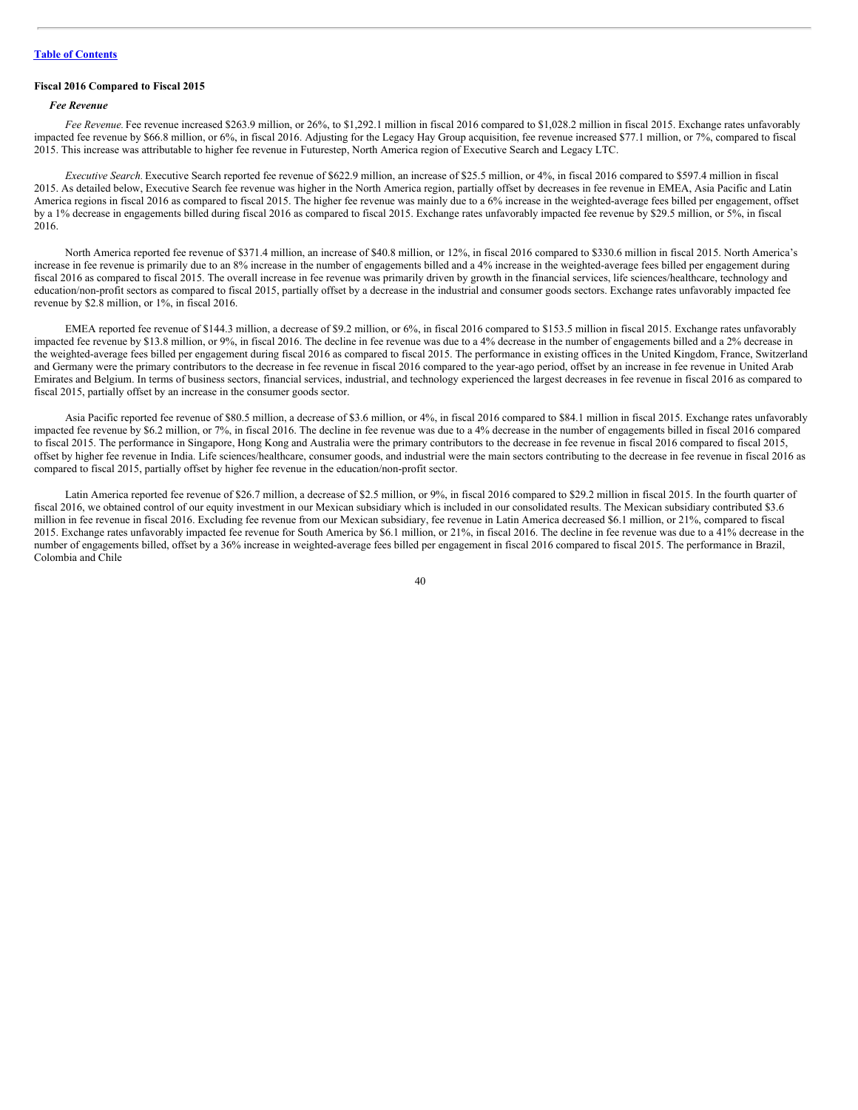### **Fiscal 2016 Compared to Fiscal 2015**

### *Fee Revenue*

*Fee Revenue.* Fee revenue increased \$263.9 million, or 26%, to \$1,292.1 million in fiscal 2016 compared to \$1,028.2 million in fiscal 2015. Exchange rates unfavorably impacted fee revenue by \$66.8 million, or 6%, in fiscal 2016. Adjusting for the Legacy Hay Group acquisition, fee revenue increased \$77.1 million, or 7%, compared to fiscal 2015. This increase was attributable to higher fee revenue in Futurestep, North America region of Executive Search and Legacy LTC.

*Executive Search.*Executive Search reported fee revenue of \$622.9 million, an increase of \$25.5 million, or 4%, in fiscal 2016 compared to \$597.4 million in fiscal 2015. As detailed below, Executive Search fee revenue was higher in the North America region, partially offset by decreases in fee revenue in EMEA, Asia Pacific and Latin America regions in fiscal 2016 as compared to fiscal 2015. The higher fee revenue was mainly due to a 6% increase in the weighted-average fees billed per engagement, offset by a 1% decrease in engagements billed during fiscal 2016 as compared to fiscal 2015. Exchange rates unfavorably impacted fee revenue by \$29.5 million, or 5%, in fiscal 2016.

North America reported fee revenue of \$371.4 million, an increase of \$40.8 million, or 12%, in fiscal 2016 compared to \$330.6 million in fiscal 2015. North America's increase in fee revenue is primarily due to an 8% increase in the number of engagements billed and a 4% increase in the weighted-average fees billed per engagement during fiscal 2016 as compared to fiscal 2015. The overall increase in fee revenue was primarily driven by growth in the financial services, life sciences/healthcare, technology and education/non-profit sectors as compared to fiscal 2015, partially offset by a decrease in the industrial and consumer goods sectors. Exchange rates unfavorably impacted fee revenue by \$2.8 million, or 1%, in fiscal 2016.

EMEA reported fee revenue of \$144.3 million, a decrease of \$9.2 million, or 6%, in fiscal 2016 compared to \$153.5 million in fiscal 2015. Exchange rates unfavorably impacted fee revenue by \$13.8 million, or 9%, in fiscal 2016. The decline in fee revenue was due to a 4% decrease in the number of engagements billed and a 2% decrease in the weighted-average fees billed per engagement during fiscal 2016 as compared to fiscal 2015. The performance in existing offices in the United Kingdom, France, Switzerland and Germany were the primary contributors to the decrease in fee revenue in fiscal 2016 compared to the year-ago period, offset by an increase in fee revenue in United Arab Emirates and Belgium. In terms of business sectors, financial services, industrial, and technology experienced the largest decreases in fee revenue in fiscal 2016 as compared to fiscal 2015, partially offset by an increase in the consumer goods sector.

Asia Pacific reported fee revenue of \$80.5 million, a decrease of \$3.6 million, or 4%, in fiscal 2016 compared to \$84.1 million in fiscal 2015. Exchange rates unfavorably impacted fee revenue by \$6.2 million, or 7%, in fiscal 2016. The decline in fee revenue was due to a 4% decrease in the number of engagements billed in fiscal 2016 compared to fiscal 2015. The performance in Singapore, Hong Kong and Australia were the primary contributors to the decrease in fee revenue in fiscal 2016 compared to fiscal 2015, offset by higher fee revenue in India. Life sciences/healthcare, consumer goods, and industrial were the main sectors contributing to the decrease in fee revenue in fiscal 2016 as compared to fiscal 2015, partially offset by higher fee revenue in the education/non-profit sector.

Latin America reported fee revenue of \$26.7 million, a decrease of \$2.5 million, or 9%, in fiscal 2016 compared to \$29.2 million in fiscal 2015. In the fourth quarter of fiscal 2016, we obtained control of our equity investment in our Mexican subsidiary which is included in our consolidated results. The Mexican subsidiary contributed \$3.6 million in fee revenue in fiscal 2016. Excluding fee revenue from our Mexican subsidiary, fee revenue in Latin America decreased \$6.1 million, or 21%, compared to fiscal 2015. Exchange rates unfavorably impacted fee revenue for South America by \$6.1 million, or 21%, in fiscal 2016. The decline in fee revenue was due to a 41% decrease in the number of engagements billed, offset by a 36% increase in weighted-average fees billed per engagement in fiscal 2016 compared to fiscal 2015. The performance in Brazil, Colombia and Chile

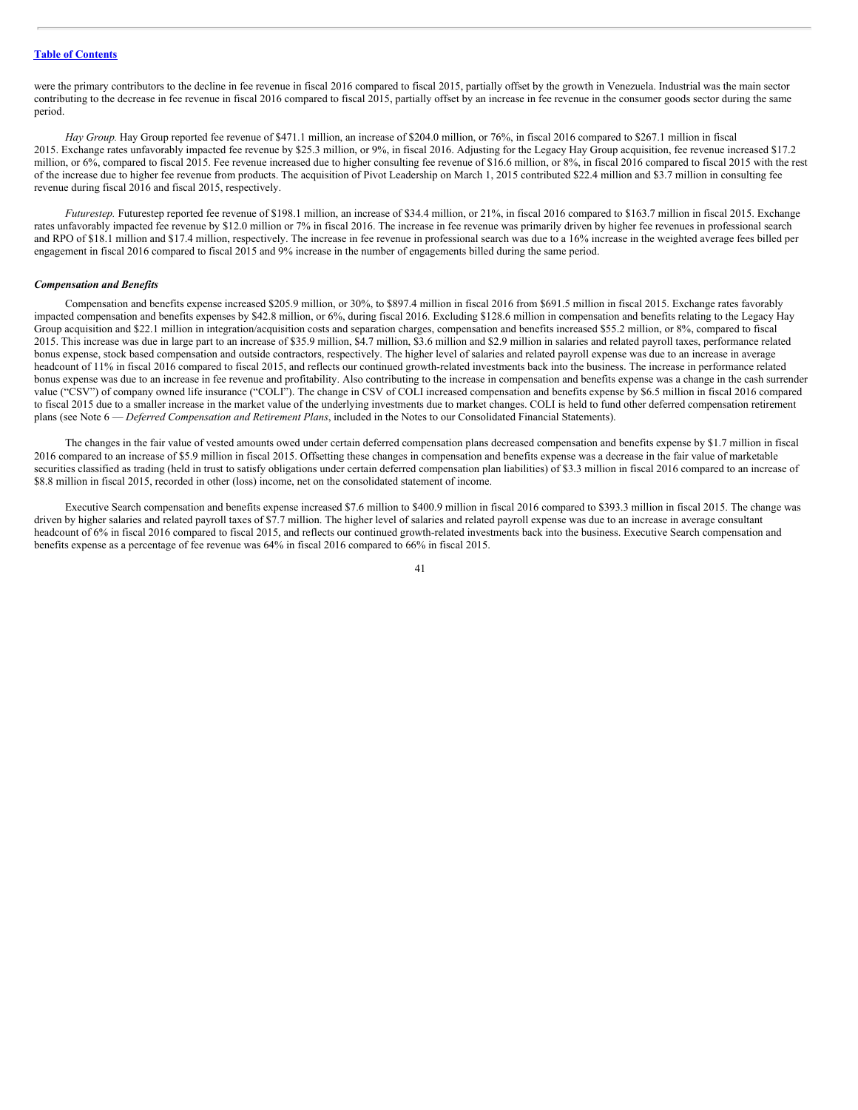were the primary contributors to the decline in fee revenue in fiscal 2016 compared to fiscal 2015, partially offset by the growth in Venezuela. Industrial was the main sector contributing to the decrease in fee revenue in fiscal 2016 compared to fiscal 2015, partially offset by an increase in fee revenue in the consumer goods sector during the same period.

*Hay Group.* Hay Group reported fee revenue of \$471.1 million, an increase of \$204.0 million, or 76%, in fiscal 2016 compared to \$267.1 million in fiscal 2015. Exchange rates unfavorably impacted fee revenue by \$25.3 million, or 9%, in fiscal 2016. Adjusting for the Legacy Hay Group acquisition, fee revenue increased \$17.2 million, or 6%, compared to fiscal 2015. Fee revenue increased due to higher consulting fee revenue of \$16.6 million, or 8%, in fiscal 2016 compared to fiscal 2015 with the rest of the increase due to higher fee revenue from products. The acquisition of Pivot Leadership on March 1, 2015 contributed \$22.4 million and \$3.7 million in consulting fee revenue during fiscal 2016 and fiscal 2015, respectively.

*Futurestep*. Futurestep reported fee revenue of \$198.1 million, an increase of \$34.4 million, or 21%, in fiscal 2016 compared to \$163.7 million in fiscal 2015. Exchange rates unfavorably impacted fee revenue by \$12.0 million or 7% in fiscal 2016. The increase in fee revenue was primarily driven by higher fee revenues in professional search and RPO of \$18.1 million and \$17.4 million, respectively. The increase in fee revenue in professional search was due to a 16% increase in the weighted average fees billed per engagement in fiscal 2016 compared to fiscal 2015 and 9% increase in the number of engagements billed during the same period.

### *Compensation and Benefits*

Compensation and benefits expense increased \$205.9 million, or 30%, to \$897.4 million in fiscal 2016 from \$691.5 million in fiscal 2015. Exchange rates favorably impacted compensation and benefits expenses by \$42.8 million, or 6%, during fiscal 2016. Excluding \$128.6 million in compensation and benefits relating to the Legacy Hay Group acquisition and \$22.1 million in integration/acquisition costs and separation charges, compensation and benefits increased \$55.2 million, or 8%, compared to fiscal 2015. This increase was due in large part to an increase of \$35.9 million, \$4.7 million, \$3.6 million and \$2.9 million in salaries and related payroll taxes, performance related bonus expense, stock based compensation and outside contractors, respectively. The higher level of salaries and related payroll expense was due to an increase in average headcount of 11% in fiscal 2016 compared to fiscal 2015, and reflects our continued growth-related investments back into the business. The increase in performance related bonus expense was due to an increase in fee revenue and profitability. Also contributing to the increase in compensation and benefits expense was a change in the cash surrender value ("CSV") of company owned life insurance ("COLI"). The change in CSV of COLI increased compensation and benefits expense by \$6.5 million in fiscal 2016 compared to fiscal 2015 due to a smaller increase in the market value of the underlying investments due to market changes. COLI is held to fund other deferred compensation retirement plans (see Note 6 — *Deferred Compensation and Retirement Plans*, included in the Notes to our Consolidated Financial Statements).

The changes in the fair value of vested amounts owed under certain deferred compensation plans decreased compensation and benefits expense by \$1.7 million in fiscal 2016 compared to an increase of \$5.9 million in fiscal 2015. Offsetting these changes in compensation and benefits expense was a decrease in the fair value of marketable securities classified as trading (held in trust to satisfy obligations under certain deferred compensation plan liabilities) of \$3.3 million in fiscal 2016 compared to an increase of \$8.8 million in fiscal 2015, recorded in other (loss) income, net on the consolidated statement of income.

Executive Search compensation and benefits expense increased \$7.6 million to \$400.9 million in fiscal 2016 compared to \$393.3 million in fiscal 2015. The change was driven by higher salaries and related payroll taxes of \$7.7 million. The higher level of salaries and related payroll expense was due to an increase in average consultant headcount of 6% in fiscal 2016 compared to fiscal 2015, and reflects our continued growth-related investments back into the business. Executive Search compensation and benefits expense as a percentage of fee revenue was 64% in fiscal 2016 compared to 66% in fiscal 2015.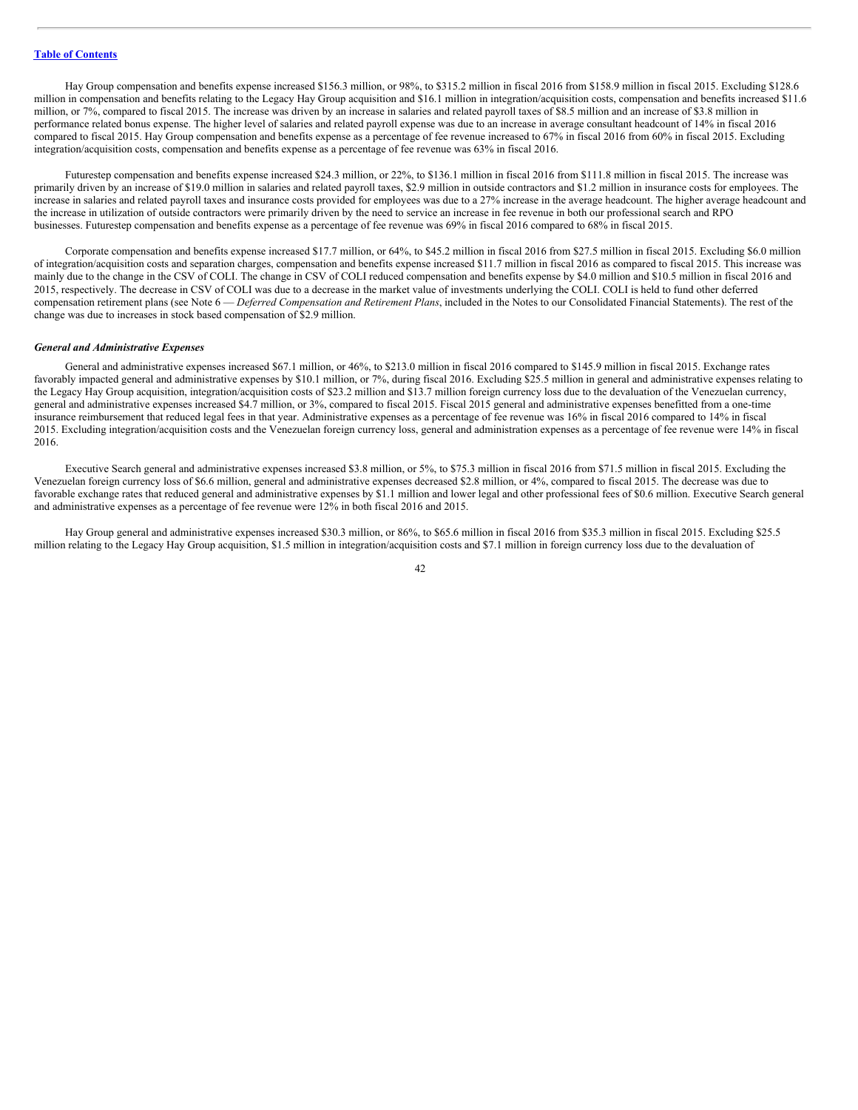Hay Group compensation and benefits expense increased \$156.3 million, or 98%, to \$315.2 million in fiscal 2016 from \$158.9 million in fiscal 2015. Excluding \$128.6 million in compensation and benefits relating to the Legacy Hay Group acquisition and \$16.1 million in integration/acquisition costs, compensation and benefits increased \$11.6 million, or 7%, compared to fiscal 2015. The increase was driven by an increase in salaries and related payroll taxes of \$8.5 million and an increase of \$3.8 million in performance related bonus expense. The higher level of salaries and related payroll expense was due to an increase in average consultant headcount of 14% in fiscal 2016 compared to fiscal 2015. Hay Group compensation and benefits expense as a percentage of fee revenue increased to 67% in fiscal 2016 from 60% in fiscal 2015. Excluding integration/acquisition costs, compensation and benefits expense as a percentage of fee revenue was 63% in fiscal 2016.

Futurestep compensation and benefits expense increased \$24.3 million, or 22%, to \$136.1 million in fiscal 2016 from \$111.8 million in fiscal 2015. The increase was primarily driven by an increase of \$19.0 million in salaries and related payroll taxes, \$2.9 million in outside contractors and \$1.2 million in insurance costs for employees. The increase in salaries and related payroll taxes and insurance costs provided for employees was due to a 27% increase in the average headcount. The higher average headcount and the increase in utilization of outside contractors were primarily driven by the need to service an increase in fee revenue in both our professional search and RPO businesses. Futurestep compensation and benefits expense as a percentage of fee revenue was 69% in fiscal 2016 compared to 68% in fiscal 2015.

Corporate compensation and benefits expense increased \$17.7 million, or 64%, to \$45.2 million in fiscal 2016 from \$27.5 million in fiscal 2015. Excluding \$6.0 million of integration/acquisition costs and separation charges, compensation and benefits expense increased \$11.7 million in fiscal 2016 as compared to fiscal 2015. This increase was mainly due to the change in the CSV of COLI. The change in CSV of COLI reduced compensation and benefits expense by \$4.0 million and \$10.5 million in fiscal 2016 and 2015, respectively. The decrease in CSV of COLI was due to a decrease in the market value of investments underlying the COLI. COLI is held to fund other deferred compensation retirement plans (see Note 6 — *Deferred Compensation and Retirement Plans*, included in the Notes to our Consolidated Financial Statements). The rest of the change was due to increases in stock based compensation of \$2.9 million.

### *General and Administrative Expenses*

General and administrative expenses increased \$67.1 million, or 46%, to \$213.0 million in fiscal 2016 compared to \$145.9 million in fiscal 2015. Exchange rates favorably impacted general and administrative expenses by \$10.1 million, or 7%, during fiscal 2016. Excluding \$25.5 million in general and administrative expenses relating to the Legacy Hay Group acquisition, integration/acquisition costs of \$23.2 million and \$13.7 million foreign currency loss due to the devaluation of the Venezuelan currency, general and administrative expenses increased \$4.7 million, or 3%, compared to fiscal 2015. Fiscal 2015 general and administrative expenses benefitted from a one-time insurance reimbursement that reduced legal fees in that year. Administrative expenses as a percentage of fee revenue was 16% in fiscal 2016 compared to 14% in fiscal 2015. Excluding integration/acquisition costs and the Venezuelan foreign currency loss, general and administration expenses as a percentage of fee revenue were 14% in fiscal 2016.

Executive Search general and administrative expenses increased \$3.8 million, or 5%, to \$75.3 million in fiscal 2016 from \$71.5 million in fiscal 2015. Excluding the Venezuelan foreign currency loss of \$6.6 million, general and administrative expenses decreased \$2.8 million, or 4%, compared to fiscal 2015. The decrease was due to favorable exchange rates that reduced general and administrative expenses by \$1.1 million and lower legal and other professional fees of \$0.6 million. Executive Search general and administrative expenses as a percentage of fee revenue were 12% in both fiscal 2016 and 2015.

Hay Group general and administrative expenses increased \$30.3 million, or 86%, to \$65.6 million in fiscal 2016 from \$35.3 million in fiscal 2015. Excluding \$25.5 million relating to the Legacy Hay Group acquisition, \$1.5 million in integration/acquisition costs and \$7.1 million in foreign currency loss due to the devaluation of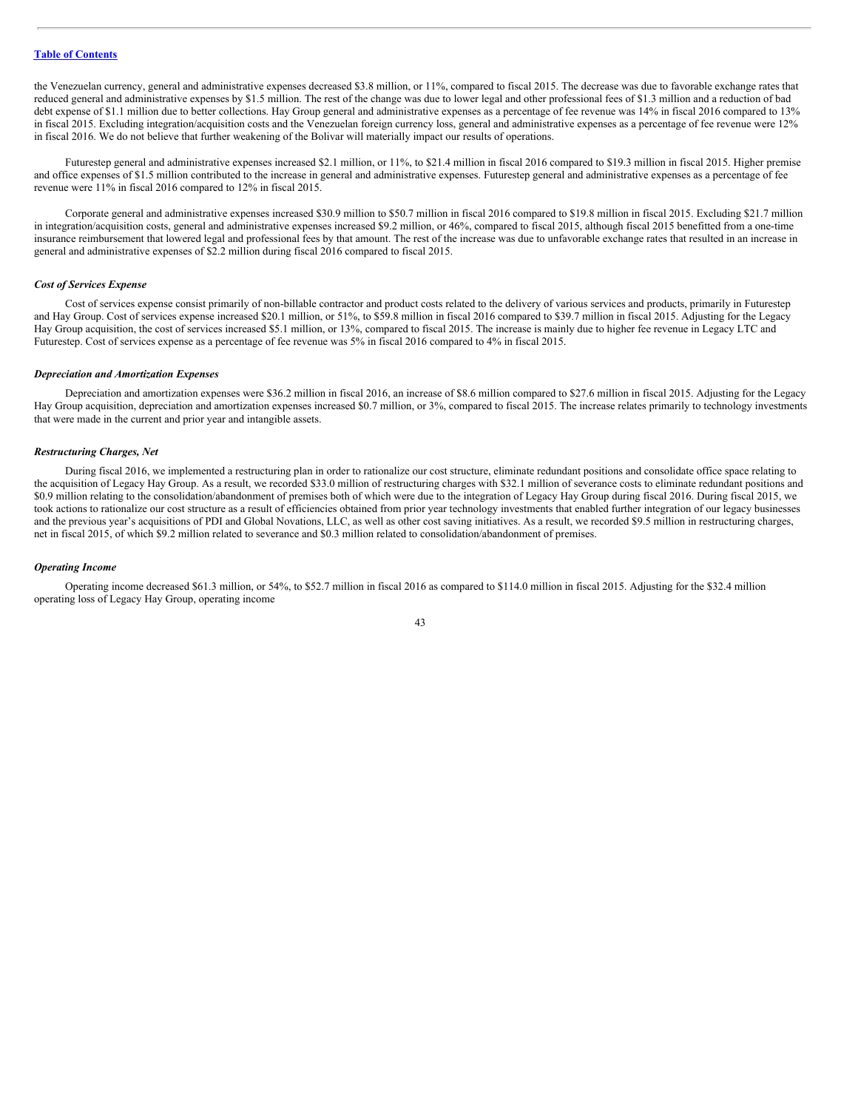the Venezuelan currency, general and administrative expenses decreased \$3.8 million, or 11%, compared to fiscal 2015. The decrease was due to favorable exchange rates that reduced general and administrative expenses by \$1.5 million. The rest of the change was due to lower legal and other professional fees of \$1.3 million and a reduction of bad debt expense of \$1.1 million due to better collections. Hay Group general and administrative expenses as a percentage of fee revenue was 14% in fiscal 2016 compared to 13% in fiscal 2015. Excluding integration/acquisition costs and the Venezuelan foreign currency loss, general and administrative expenses as a percentage of fee revenue were 12% in fiscal 2016. We do not believe that further weakening of the Bolivar will materially impact our results of operations.

Futurestep general and administrative expenses increased \$2.1 million, or 11%, to \$21.4 million in fiscal 2016 compared to \$19.3 million in fiscal 2015. Higher premise and office expenses of \$1.5 million contributed to the increase in general and administrative expenses. Futurestep general and administrative expenses as a percentage of fee revenue were 11% in fiscal 2016 compared to 12% in fiscal 2015.

Corporate general and administrative expenses increased \$30.9 million to \$50.7 million in fiscal 2016 compared to \$19.8 million in fiscal 2015. Excluding \$21.7 million in integration/acquisition costs, general and administrative expenses increased \$9.2 million, or 46%, compared to fiscal 2015, although fiscal 2015 benefitted from a one-time insurance reimbursement that lowered legal and professional fees by that amount. The rest of the increase was due to unfavorable exchange rates that resulted in an increase in general and administrative expenses of \$2.2 million during fiscal 2016 compared to fiscal 2015.

## *Cost of Services Expense*

Cost of services expense consist primarily of non-billable contractor and product costs related to the delivery of various services and products, primarily in Futurestep and Hay Group. Cost of services expense increased \$20.1 million, or 51%, to \$59.8 million in fiscal 2016 compared to \$39.7 million in fiscal 2015. Adjusting for the Legacy Hay Group acquisition, the cost of services increased \$5.1 million, or 13%, compared to fiscal 2015. The increase is mainly due to higher fee revenue in Legacy LTC and Futurestep. Cost of services expense as a percentage of fee revenue was 5% in fiscal 2016 compared to 4% in fiscal 2015.

#### *Depreciation and Amortization Expenses*

Depreciation and amortization expenses were \$36.2 million in fiscal 2016, an increase of \$8.6 million compared to \$27.6 million in fiscal 2015. Adjusting for the Legacy Hay Group acquisition, depreciation and amortization expenses increased \$0.7 million, or 3%, compared to fiscal 2015. The increase relates primarily to technology investments that were made in the current and prior year and intangible assets.

#### *Restructuring Charges, Net*

During fiscal 2016, we implemented a restructuring plan in order to rationalize our cost structure, eliminate redundant positions and consolidate office space relating to the acquisition of Legacy Hay Group. As a result, we recorded \$33.0 million of restructuring charges with \$32.1 million of severance costs to eliminate redundant positions and \$0.9 million relating to the consolidation/abandonment of premises both of which were due to the integration of Legacy Hay Group during fiscal 2016. During fiscal 2015, we took actions to rationalize our cost structure as a result of efficiencies obtained from prior year technology investments that enabled further integration of our legacy businesses and the previous year's acquisitions of PDI and Global Novations, LLC, as well as other cost saving initiatives. As a result, we recorded \$9.5 million in restructuring charges, net in fiscal 2015, of which \$9.2 million related to severance and \$0.3 million related to consolidation/abandonment of premises.

#### *Operating Income*

Operating income decreased \$61.3 million, or 54%, to \$52.7 million in fiscal 2016 as compared to \$114.0 million in fiscal 2015. Adjusting for the \$32.4 million operating loss of Legacy Hay Group, operating income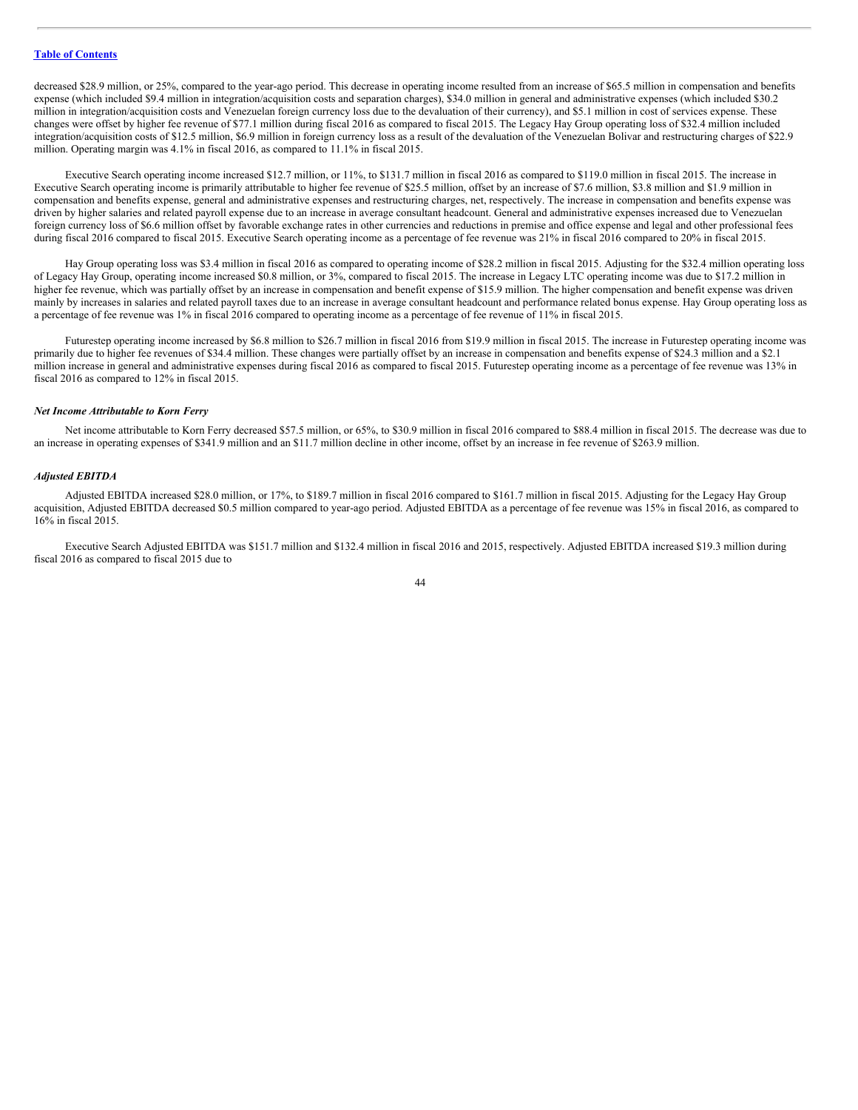decreased \$28.9 million, or 25%, compared to the year-ago period. This decrease in operating income resulted from an increase of \$65.5 million in compensation and benefits expense (which included \$9.4 million in integration/acquisition costs and separation charges), \$34.0 million in general and administrative expenses (which included \$30.2 million in integration/acquisition costs and Venezuelan foreign currency loss due to the devaluation of their currency), and \$5.1 million in cost of services expense. These changes were offset by higher fee revenue of \$77.1 million during fiscal 2016 as compared to fiscal 2015. The Legacy Hay Group operating loss of \$32.4 million included integration/acquisition costs of \$12.5 million, \$6.9 million in foreign currency loss as a result of the devaluation of the Venezuelan Bolivar and restructuring charges of \$22.9 million. Operating margin was 4.1% in fiscal 2016, as compared to 11.1% in fiscal 2015.

Executive Search operating income increased \$12.7 million, or 11%, to \$131.7 million in fiscal 2016 as compared to \$119.0 million in fiscal 2015. The increase in Executive Search operating income is primarily attributable to higher fee revenue of \$25.5 million, offset by an increase of \$7.6 million, \$3.8 million and \$1.9 million in compensation and benefits expense, general and administrative expenses and restructuring charges, net, respectively. The increase in compensation and benefits expense was driven by higher salaries and related payroll expense due to an increase in average consultant headcount. General and administrative expenses increased due to Venezuelan foreign currency loss of \$6.6 million offset by favorable exchange rates in other currencies and reductions in premise and office expense and legal and other professional fees during fiscal 2016 compared to fiscal 2015. Executive Search operating income as a percentage of fee revenue was 21% in fiscal 2016 compared to 20% in fiscal 2015.

Hay Group operating loss was \$3.4 million in fiscal 2016 as compared to operating income of \$28.2 million in fiscal 2015. Adjusting for the \$32.4 million operating loss of Legacy Hay Group, operating income increased \$0.8 million, or 3%, compared to fiscal 2015. The increase in Legacy LTC operating income was due to \$17.2 million in higher fee revenue, which was partially offset by an increase in compensation and benefit expense of \$15.9 million. The higher compensation and benefit expense was driven mainly by increases in salaries and related payroll taxes due to an increase in average consultant headcount and performance related bonus expense. Hay Group operating loss as a percentage of fee revenue was 1% in fiscal 2016 compared to operating income as a percentage of fee revenue of 11% in fiscal 2015.

Futurestep operating income increased by \$6.8 million to \$26.7 million in fiscal 2016 from \$19.9 million in fiscal 2015. The increase in Futurestep operating income was primarily due to higher fee revenues of \$34.4 million. These changes were partially offset by an increase in compensation and benefits expense of \$24.3 million and a \$2.1 million increase in general and administrative expenses during fiscal 2016 as compared to fiscal 2015. Futurestep operating income as a percentage of fee revenue was 13% in fiscal 2016 as compared to 12% in fiscal 2015.

#### *Net Income Attributable to Korn Ferry*

Net income attributable to Korn Ferry decreased \$57.5 million, or 65%, to \$30.9 million in fiscal 2016 compared to \$88.4 million in fiscal 2015. The decrease was due to an increase in operating expenses of \$341.9 million and an \$11.7 million decline in other income, offset by an increase in fee revenue of \$263.9 million.

## *Adjusted EBITDA*

Adjusted EBITDA increased \$28.0 million, or 17%, to \$189.7 million in fiscal 2016 compared to \$161.7 million in fiscal 2015. Adjusting for the Legacy Hay Group acquisition, Adjusted EBITDA decreased \$0.5 million compared to year-ago period. Adjusted EBITDA as a percentage of fee revenue was 15% in fiscal 2016, as compared to 16% in fiscal 2015.

Executive Search Adjusted EBITDA was \$151.7 million and \$132.4 million in fiscal 2016 and 2015, respectively. Adjusted EBITDA increased \$19.3 million during fiscal 2016 as compared to fiscal 2015 due to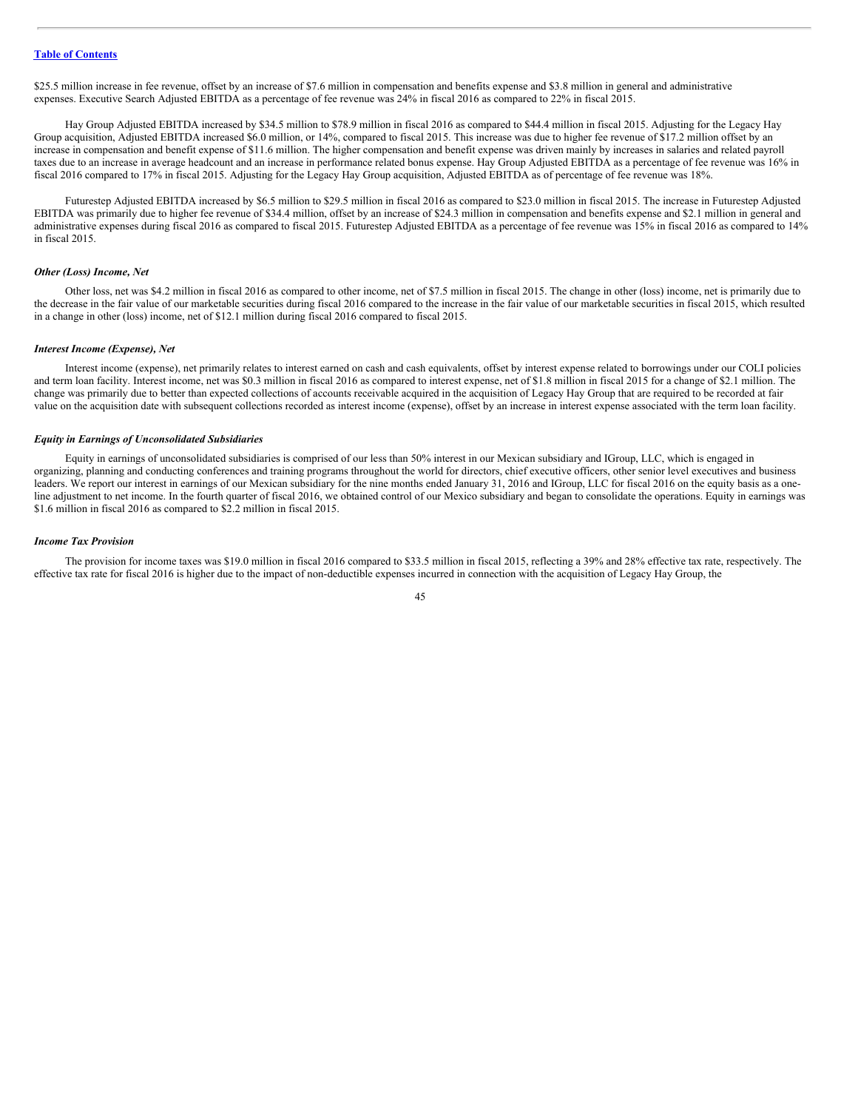\$25.5 million increase in fee revenue, offset by an increase of \$7.6 million in compensation and benefits expense and \$3.8 million in general and administrative expenses. Executive Search Adjusted EBITDA as a percentage of fee revenue was 24% in fiscal 2016 as compared to 22% in fiscal 2015.

Hay Group Adjusted EBITDA increased by \$34.5 million to \$78.9 million in fiscal 2016 as compared to \$44.4 million in fiscal 2015. Adjusting for the Legacy Hay Group acquisition, Adjusted EBITDA increased \$6.0 million, or 14%, compared to fiscal 2015. This increase was due to higher fee revenue of \$17.2 million offset by an increase in compensation and benefit expense of \$11.6 million. The higher compensation and benefit expense was driven mainly by increases in salaries and related payroll taxes due to an increase in average headcount and an increase in performance related bonus expense. Hay Group Adjusted EBITDA as a percentage of fee revenue was 16% in fiscal 2016 compared to 17% in fiscal 2015. Adjusting for the Legacy Hay Group acquisition, Adjusted EBITDA as of percentage of fee revenue was 18%.

Futurestep Adjusted EBITDA increased by \$6.5 million to \$29.5 million in fiscal 2016 as compared to \$23.0 million in fiscal 2015. The increase in Futurestep Adjusted EBITDA was primarily due to higher fee revenue of \$34.4 million, offset by an increase of \$24.3 million in compensation and benefits expense and \$2.1 million in general and administrative expenses during fiscal 2016 as compared to fiscal 2015. Futurestep Adjusted EBITDA as a percentage of fee revenue was 15% in fiscal 2016 as compared to 14% in fiscal 2015.

#### *Other (Loss) Income, Net*

Other loss, net was \$4.2 million in fiscal 2016 as compared to other income, net of \$7.5 million in fiscal 2015. The change in other (loss) income, net is primarily due to the decrease in the fair value of our marketable securities during fiscal 2016 compared to the increase in the fair value of our marketable securities in fiscal 2015, which resulted in a change in other (loss) income, net of \$12.1 million during fiscal 2016 compared to fiscal 2015.

#### *Interest Income (Expense), Net*

Interest income (expense), net primarily relates to interest earned on cash and cash equivalents, offset by interest expense related to borrowings under our COLI policies and term loan facility. Interest income, net was \$0.3 million in fiscal 2016 as compared to interest expense, net of \$1.8 million in fiscal 2015 for a change of \$2.1 million. The change was primarily due to better than expected collections of accounts receivable acquired in the acquisition of Legacy Hay Group that are required to be recorded at fair value on the acquisition date with subsequent collections recorded as interest income (expense), offset by an increase in interest expense associated with the term loan facility.

### *Equity in Earnings of Unconsolidated Subsidiaries*

Equity in earnings of unconsolidated subsidiaries is comprised of our less than 50% interest in our Mexican subsidiary and IGroup, LLC, which is engaged in organizing, planning and conducting conferences and training programs throughout the world for directors, chief executive officers, other senior level executives and business leaders. We report our interest in earnings of our Mexican subsidiary for the nine months ended January 31, 2016 and IGroup, LLC for fiscal 2016 on the equity basis as a oneline adjustment to net income. In the fourth quarter of fiscal 2016, we obtained control of our Mexico subsidiary and began to consolidate the operations. Equity in earnings was \$1.6 million in fiscal 2016 as compared to \$2.2 million in fiscal 2015.

#### *Income Tax Provision*

The provision for income taxes was \$19.0 million in fiscal 2016 compared to \$33.5 million in fiscal 2015, reflecting a 39% and 28% effective tax rate, respectively. The effective tax rate for fiscal 2016 is higher due to the impact of non-deductible expenses incurred in connection with the acquisition of Legacy Hay Group, the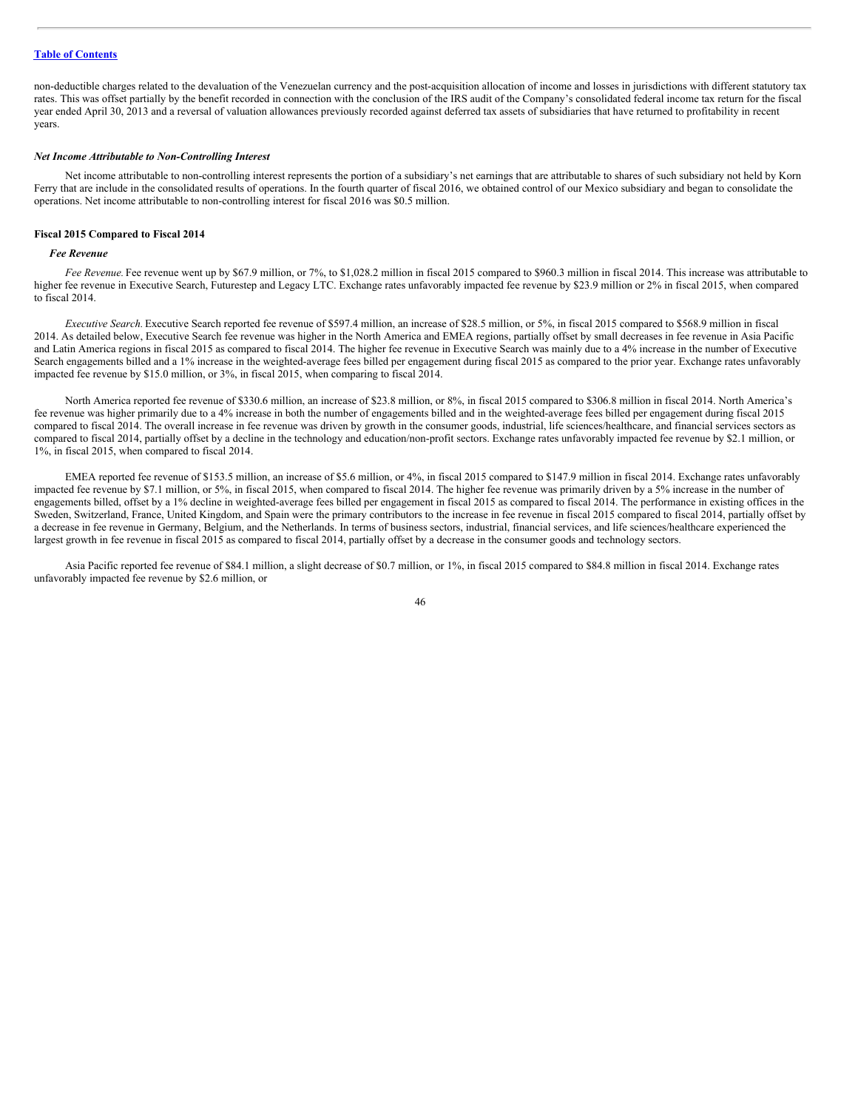non-deductible charges related to the devaluation of the Venezuelan currency and the post-acquisition allocation of income and losses in jurisdictions with different statutory tax rates. This was offset partially by the benefit recorded in connection with the conclusion of the IRS audit of the Company's consolidated federal income tax return for the fiscal year ended April 30, 2013 and a reversal of valuation allowances previously recorded against deferred tax assets of subsidiaries that have returned to profitability in recent years.

#### *Net Income Attributable to Non-Controlling Interest*

Net income attributable to non-controlling interest represents the portion of a subsidiary's net earnings that are attributable to shares of such subsidiary not held by Korn Ferry that are include in the consolidated results of operations. In the fourth quarter of fiscal 2016, we obtained control of our Mexico subsidiary and began to consolidate the operations. Net income attributable to non-controlling interest for fiscal 2016 was \$0.5 million.

#### **Fiscal 2015 Compared to Fiscal 2014**

#### *Fee Revenue*

*Fee Revenue.* Fee revenue went up by \$67.9 million, or 7%, to \$1,028.2 million in fiscal 2015 compared to \$960.3 million in fiscal 2014. This increase was attributable to higher fee revenue in Executive Search, Futurestep and Legacy LTC. Exchange rates unfavorably impacted fee revenue by \$23.9 million or 2% in fiscal 2015, when compared to fiscal 2014.

*Executive Search.*Executive Search reported fee revenue of \$597.4 million, an increase of \$28.5 million, or 5%, in fiscal 2015 compared to \$568.9 million in fiscal 2014. As detailed below, Executive Search fee revenue was higher in the North America and EMEA regions, partially offset by small decreases in fee revenue in Asia Pacific and Latin America regions in fiscal 2015 as compared to fiscal 2014. The higher fee revenue in Executive Search was mainly due to a 4% increase in the number of Executive Search engagements billed and a 1% increase in the weighted-average fees billed per engagement during fiscal 2015 as compared to the prior year. Exchange rates unfavorably impacted fee revenue by \$15.0 million, or 3%, in fiscal 2015, when comparing to fiscal 2014.

North America reported fee revenue of \$330.6 million, an increase of \$23.8 million, or 8%, in fiscal 2015 compared to \$306.8 million in fiscal 2014. North America's fee revenue was higher primarily due to a 4% increase in both the number of engagements billed and in the weighted-average fees billed per engagement during fiscal 2015 compared to fiscal 2014. The overall increase in fee revenue was driven by growth in the consumer goods, industrial, life sciences/healthcare, and financial services sectors as compared to fiscal 2014, partially offset by a decline in the technology and education/non-profit sectors. Exchange rates unfavorably impacted fee revenue by \$2.1 million, or 1%, in fiscal 2015, when compared to fiscal 2014.

EMEA reported fee revenue of \$153.5 million, an increase of \$5.6 million, or 4%, in fiscal 2015 compared to \$147.9 million in fiscal 2014. Exchange rates unfavorably impacted fee revenue by \$7.1 million, or 5%, in fiscal 2015, when compared to fiscal 2014. The higher fee revenue was primarily driven by a 5% increase in the number of engagements billed, offset by a 1% decline in weighted-average fees billed per engagement in fiscal 2015 as compared to fiscal 2014. The performance in existing offices in the Sweden, Switzerland, France, United Kingdom, and Spain were the primary contributors to the increase in fee revenue in fiscal 2015 compared to fiscal 2014, partially offset by a decrease in fee revenue in Germany, Belgium, and the Netherlands. In terms of business sectors, industrial, financial services, and life sciences/healthcare experienced the largest growth in fee revenue in fiscal 2015 as compared to fiscal 2014, partially offset by a decrease in the consumer goods and technology sectors.

Asia Pacific reported fee revenue of \$84.1 million, a slight decrease of \$0.7 million, or 1%, in fiscal 2015 compared to \$84.8 million in fiscal 2014. Exchange rates unfavorably impacted fee revenue by \$2.6 million, or

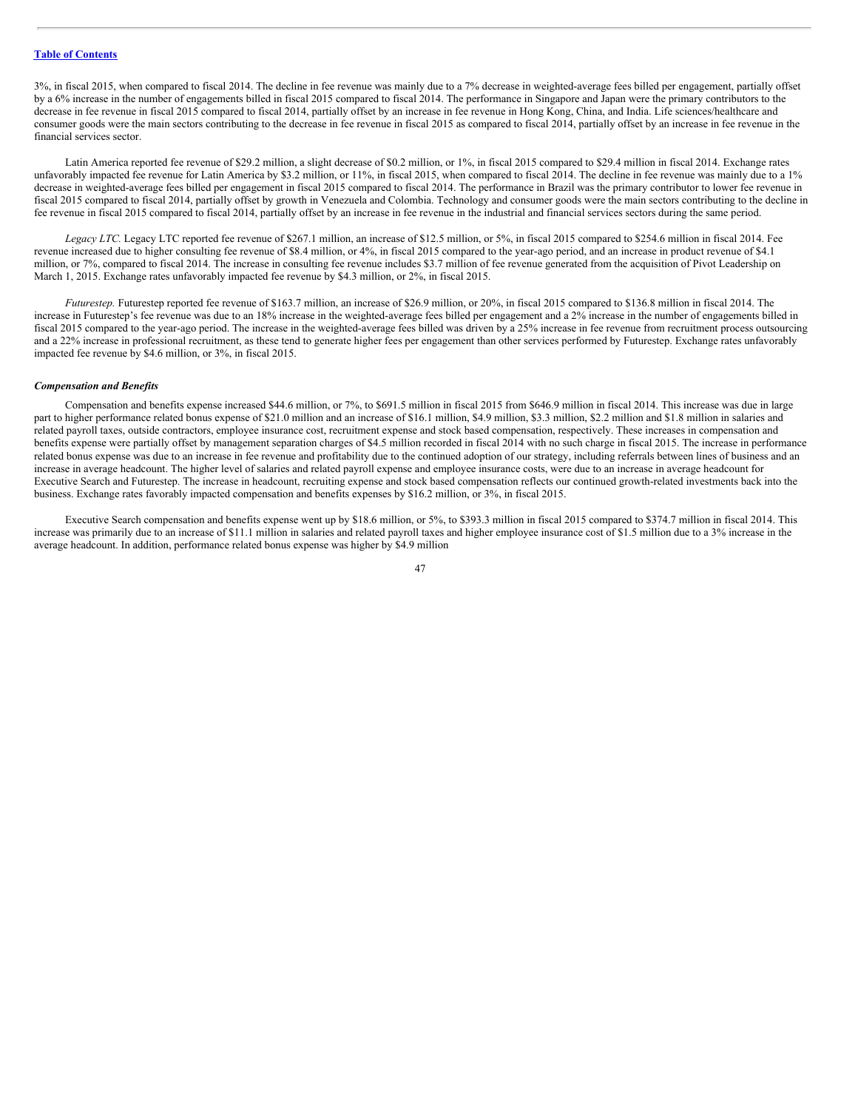3%, in fiscal 2015, when compared to fiscal 2014. The decline in fee revenue was mainly due to a 7% decrease in weighted-average fees billed per engagement, partially offset by a 6% increase in the number of engagements billed in fiscal 2015 compared to fiscal 2014. The performance in Singapore and Japan were the primary contributors to the decrease in fee revenue in fiscal 2015 compared to fiscal 2014, partially offset by an increase in fee revenue in Hong Kong, China, and India. Life sciences/healthcare and consumer goods were the main sectors contributing to the decrease in fee revenue in fiscal 2015 as compared to fiscal 2014, partially offset by an increase in fee revenue in the financial services sector.

Latin America reported fee revenue of \$29.2 million, a slight decrease of \$0.2 million, or 1%, in fiscal 2015 compared to \$29.4 million in fiscal 2014. Exchange rates unfavorably impacted fee revenue for Latin America by \$3.2 million, or 11%, in fiscal 2015, when compared to fiscal 2014. The decline in fee revenue was mainly due to a 1% decrease in weighted-average fees billed per engagement in fiscal 2015 compared to fiscal 2014. The performance in Brazil was the primary contributor to lower fee revenue in fiscal 2015 compared to fiscal 2014, partially offset by growth in Venezuela and Colombia. Technology and consumer goods were the main sectors contributing to the decline in fee revenue in fiscal 2015 compared to fiscal 2014, partially offset by an increase in fee revenue in the industrial and financial services sectors during the same period.

*Legacy LTC.* Legacy LTC reported fee revenue of \$267.1 million, an increase of \$12.5 million, or 5%, in fiscal 2015 compared to \$254.6 million in fiscal 2014. Fee revenue increased due to higher consulting fee revenue of \$8.4 million, or 4%, in fiscal 2015 compared to the year-ago period, and an increase in product revenue of \$4.1 million, or 7%, compared to fiscal 2014. The increase in consulting fee revenue includes \$3.7 million of fee revenue generated from the acquisition of Pivot Leadership on March 1, 2015. Exchange rates unfavorably impacted fee revenue by \$4.3 million, or 2%, in fiscal 2015.

*Futurestep.* Futurestep reported fee revenue of \$163.7 million, an increase of \$26.9 million, or 20%, in fiscal 2015 compared to \$136.8 million in fiscal 2014. The increase in Futurestep's fee revenue was due to an 18% increase in the weighted-average fees billed per engagement and a 2% increase in the number of engagements billed in fiscal 2015 compared to the year-ago period. The increase in the weighted-average fees billed was driven by a 25% increase in fee revenue from recruitment process outsourcing and a 22% increase in professional recruitment, as these tend to generate higher fees per engagement than other services performed by Futurestep. Exchange rates unfavorably impacted fee revenue by \$4.6 million, or 3%, in fiscal 2015.

#### *Compensation and Benefits*

Compensation and benefits expense increased \$44.6 million, or 7%, to \$691.5 million in fiscal 2015 from \$646.9 million in fiscal 2014. This increase was due in large part to higher performance related bonus expense of \$21.0 million and an increase of \$16.1 million, \$4.9 million, \$3.3 million, \$2.2 million and \$1.8 million in salaries and related payroll taxes, outside contractors, employee insurance cost, recruitment expense and stock based compensation, respectively. These increases in compensation and benefits expense were partially offset by management separation charges of \$4.5 million recorded in fiscal 2014 with no such charge in fiscal 2015. The increase in performance related bonus expense was due to an increase in fee revenue and profitability due to the continued adoption of our strategy, including referrals between lines of business and an increase in average headcount. The higher level of salaries and related payroll expense and employee insurance costs, were due to an increase in average headcount for Executive Search and Futurestep. The increase in headcount, recruiting expense and stock based compensation reflects our continued growth-related investments back into the business. Exchange rates favorably impacted compensation and benefits expenses by \$16.2 million, or 3%, in fiscal 2015.

Executive Search compensation and benefits expense went up by \$18.6 million, or 5%, to \$393.3 million in fiscal 2015 compared to \$374.7 million in fiscal 2014. This increase was primarily due to an increase of \$11.1 million in salaries and related payroll taxes and higher employee insurance cost of \$1.5 million due to a 3% increase in the average headcount. In addition, performance related bonus expense was higher by \$4.9 million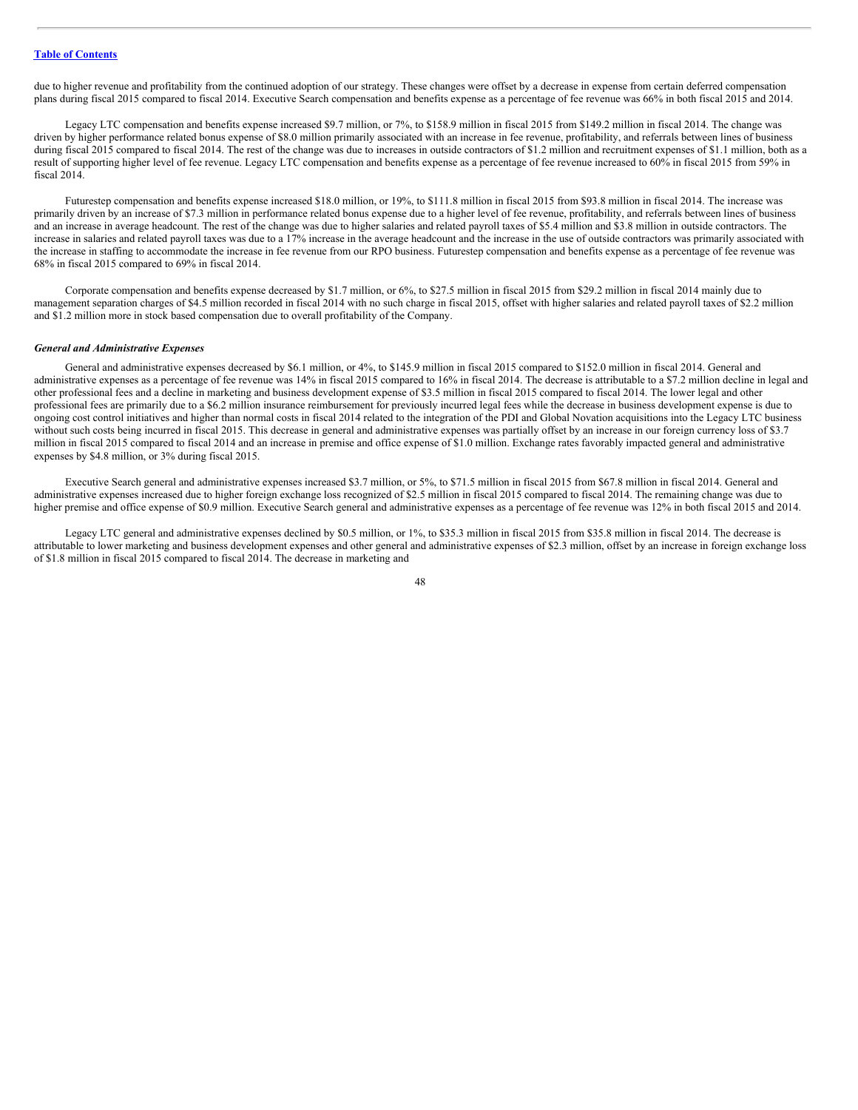due to higher revenue and profitability from the continued adoption of our strategy. These changes were offset by a decrease in expense from certain deferred compensation plans during fiscal 2015 compared to fiscal 2014. Executive Search compensation and benefits expense as a percentage of fee revenue was 66% in both fiscal 2015 and 2014.

Legacy LTC compensation and benefits expense increased \$9.7 million, or 7%, to \$158.9 million in fiscal 2015 from \$149.2 million in fiscal 2014. The change was driven by higher performance related bonus expense of \$8.0 million primarily associated with an increase in fee revenue, profitability, and referrals between lines of business during fiscal 2015 compared to fiscal 2014. The rest of the change was due to increases in outside contractors of \$1.2 million and recruitment expenses of \$1.1 million, both as a result of supporting higher level of fee revenue. Legacy LTC compensation and benefits expense as a percentage of fee revenue increased to 60% in fiscal 2015 from 59% in fiscal 2014.

Futurestep compensation and benefits expense increased \$18.0 million, or 19%, to \$111.8 million in fiscal 2015 from \$93.8 million in fiscal 2014. The increase was primarily driven by an increase of \$7.3 million in performance related bonus expense due to a higher level of fee revenue, profitability, and referrals between lines of business and an increase in average headcount. The rest of the change was due to higher salaries and related payroll taxes of \$5.4 million and \$3.8 million in outside contractors. The increase in salaries and related payroll taxes was due to a 17% increase in the average headcount and the increase in the use of outside contractors was primarily associated with the increase in staffing to accommodate the increase in fee revenue from our RPO business. Futurestep compensation and benefits expense as a percentage of fee revenue was 68% in fiscal 2015 compared to 69% in fiscal 2014.

Corporate compensation and benefits expense decreased by \$1.7 million, or 6%, to \$27.5 million in fiscal 2015 from \$29.2 million in fiscal 2014 mainly due to management separation charges of \$4.5 million recorded in fiscal 2014 with no such charge in fiscal 2015, offset with higher salaries and related payroll taxes of \$2.2 million and \$1.2 million more in stock based compensation due to overall profitability of the Company.

### *General and Administrative Expenses*

General and administrative expenses decreased by \$6.1 million, or 4%, to \$145.9 million in fiscal 2015 compared to \$152.0 million in fiscal 2014. General and administrative expenses as a percentage of fee revenue was 14% in fiscal 2015 compared to 16% in fiscal 2014. The decrease is attributable to a \$7.2 million decline in legal and other professional fees and a decline in marketing and business development expense of \$3.5 million in fiscal 2015 compared to fiscal 2014. The lower legal and other professional fees are primarily due to a \$6.2 million insurance reimbursement for previously incurred legal fees while the decrease in business development expense is due to ongoing cost control initiatives and higher than normal costs in fiscal 2014 related to the integration of the PDI and Global Novation acquisitions into the Legacy LTC business without such costs being incurred in fiscal 2015. This decrease in general and administrative expenses was partially offset by an increase in our foreign currency loss of \$3.7 million in fiscal 2015 compared to fiscal 2014 and an increase in premise and office expense of \$1.0 million. Exchange rates favorably impacted general and administrative expenses by \$4.8 million, or 3% during fiscal 2015.

Executive Search general and administrative expenses increased \$3.7 million, or 5%, to \$71.5 million in fiscal 2015 from \$67.8 million in fiscal 2014. General and administrative expenses increased due to higher foreign exchange loss recognized of \$2.5 million in fiscal 2015 compared to fiscal 2014. The remaining change was due to higher premise and office expense of \$0.9 million. Executive Search general and administrative expenses as a percentage of fee revenue was 12% in both fiscal 2015 and 2014.

Legacy LTC general and administrative expenses declined by \$0.5 million, or 1%, to \$35.3 million in fiscal 2015 from \$35.8 million in fiscal 2014. The decrease is attributable to lower marketing and business development expenses and other general and administrative expenses of \$2.3 million, offset by an increase in foreign exchange loss of \$1.8 million in fiscal 2015 compared to fiscal 2014. The decrease in marketing and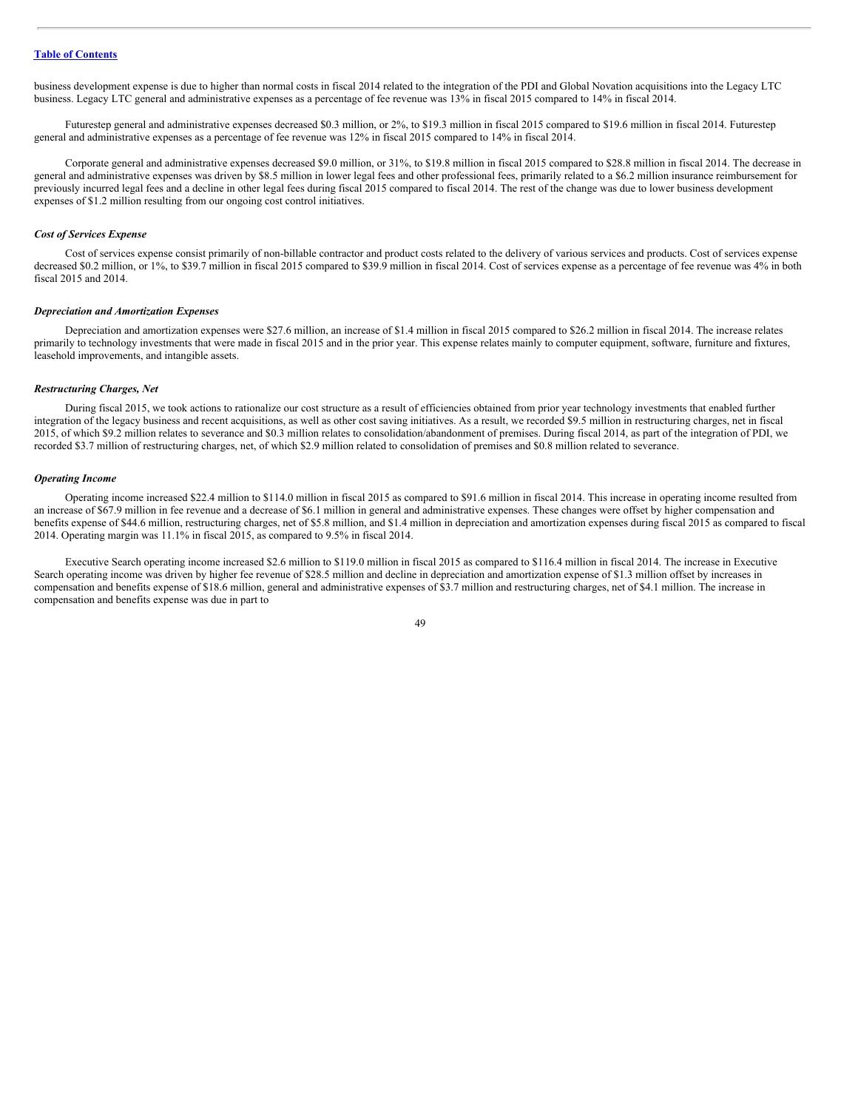business development expense is due to higher than normal costs in fiscal 2014 related to the integration of the PDI and Global Novation acquisitions into the Legacy LTC business. Legacy LTC general and administrative expenses as a percentage of fee revenue was 13% in fiscal 2015 compared to 14% in fiscal 2014.

Futurestep general and administrative expenses decreased \$0.3 million, or 2%, to \$19.3 million in fiscal 2015 compared to \$19.6 million in fiscal 2014. Futurestep general and administrative expenses as a percentage of fee revenue was 12% in fiscal 2015 compared to 14% in fiscal 2014.

Corporate general and administrative expenses decreased \$9.0 million, or 31%, to \$19.8 million in fiscal 2015 compared to \$28.8 million in fiscal 2014. The decrease in general and administrative expenses was driven by \$8.5 million in lower legal fees and other professional fees, primarily related to a \$6.2 million insurance reimbursement for previously incurred legal fees and a decline in other legal fees during fiscal 2015 compared to fiscal 2014. The rest of the change was due to lower business development expenses of \$1.2 million resulting from our ongoing cost control initiatives.

#### *Cost of Services Expense*

Cost of services expense consist primarily of non-billable contractor and product costs related to the delivery of various services and products. Cost of services expense decreased \$0.2 million, or 1%, to \$39.7 million in fiscal 2015 compared to \$39.9 million in fiscal 2014. Cost of services expense as a percentage of fee revenue was 4% in both fiscal 2015 and 2014.

#### *Depreciation and Amortization Expenses*

Depreciation and amortization expenses were \$27.6 million, an increase of \$1.4 million in fiscal 2015 compared to \$26.2 million in fiscal 2014. The increase relates primarily to technology investments that were made in fiscal 2015 and in the prior year. This expense relates mainly to computer equipment, software, furniture and fixtures, leasehold improvements, and intangible assets.

#### *Restructuring Charges, Net*

During fiscal 2015, we took actions to rationalize our cost structure as a result of efficiencies obtained from prior year technology investments that enabled further integration of the legacy business and recent acquisitions, as well as other cost saving initiatives. As a result, we recorded \$9.5 million in restructuring charges, net in fiscal 2015, of which \$9.2 million relates to severance and \$0.3 million relates to consolidation/abandonment of premises. During fiscal 2014, as part of the integration of PDI, we recorded \$3.7 million of restructuring charges, net, of which \$2.9 million related to consolidation of premises and \$0.8 million related to severance.

### *Operating Income*

Operating income increased \$22.4 million to \$114.0 million in fiscal 2015 as compared to \$91.6 million in fiscal 2014. This increase in operating income resulted from an increase of \$67.9 million in fee revenue and a decrease of \$6.1 million in general and administrative expenses. These changes were offset by higher compensation and benefits expense of \$44.6 million, restructuring charges, net of \$5.8 million, and \$1.4 million in depreciation and amortization expenses during fiscal 2015 as compared to fiscal 2014. Operating margin was 11.1% in fiscal 2015, as compared to 9.5% in fiscal 2014.

Executive Search operating income increased \$2.6 million to \$119.0 million in fiscal 2015 as compared to \$116.4 million in fiscal 2014. The increase in Executive Search operating income was driven by higher fee revenue of \$28.5 million and decline in depreciation and amortization expense of \$1.3 million offset by increases in compensation and benefits expense of \$18.6 million, general and administrative expenses of \$3.7 million and restructuring charges, net of \$4.1 million. The increase in compensation and benefits expense was due in part to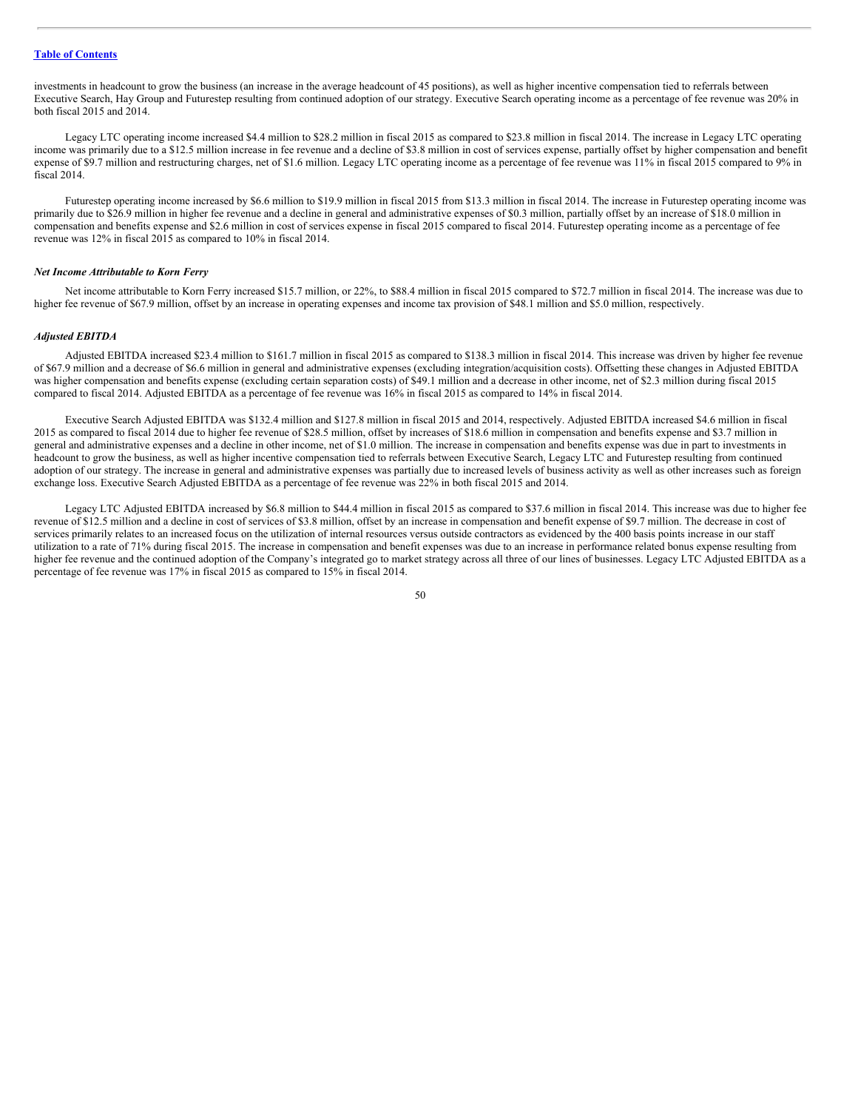investments in headcount to grow the business (an increase in the average headcount of 45 positions), as well as higher incentive compensation tied to referrals between Executive Search, Hay Group and Futurestep resulting from continued adoption of our strategy. Executive Search operating income as a percentage of fee revenue was 20% in both fiscal 2015 and 2014.

Legacy LTC operating income increased \$4.4 million to \$28.2 million in fiscal 2015 as compared to \$23.8 million in fiscal 2014. The increase in Legacy LTC operating income was primarily due to a \$12.5 million increase in fee revenue and a decline of \$3.8 million in cost of services expense, partially offset by higher compensation and benefit expense of \$9.7 million and restructuring charges, net of \$1.6 million. Legacy LTC operating income as a percentage of fee revenue was 11% in fiscal 2015 compared to 9% in fiscal 2014.

Futurestep operating income increased by \$6.6 million to \$19.9 million in fiscal 2015 from \$13.3 million in fiscal 2014. The increase in Futurestep operating income was primarily due to \$26.9 million in higher fee revenue and a decline in general and administrative expenses of \$0.3 million, partially offset by an increase of \$18.0 million in compensation and benefits expense and \$2.6 million in cost of services expense in fiscal 2015 compared to fiscal 2014. Futurestep operating income as a percentage of fee revenue was 12% in fiscal 2015 as compared to 10% in fiscal 2014.

#### *Net Income Attributable to Korn Ferry*

Net income attributable to Korn Ferry increased \$15.7 million, or 22%, to \$88.4 million in fiscal 2015 compared to \$72.7 million in fiscal 2014. The increase was due to higher fee revenue of \$67.9 million, offset by an increase in operating expenses and income tax provision of \$48.1 million and \$5.0 million, respectively.

#### *Adjusted EBITDA*

Adjusted EBITDA increased \$23.4 million to \$161.7 million in fiscal 2015 as compared to \$138.3 million in fiscal 2014. This increase was driven by higher fee revenue of \$67.9 million and a decrease of \$6.6 million in general and administrative expenses (excluding integration/acquisition costs). Offsetting these changes in Adjusted EBITDA was higher compensation and benefits expense (excluding certain separation costs) of \$49.1 million and a decrease in other income, net of \$2.3 million during fiscal 2015 compared to fiscal 2014. Adjusted EBITDA as a percentage of fee revenue was 16% in fiscal 2015 as compared to 14% in fiscal 2014.

Executive Search Adjusted EBITDA was \$132.4 million and \$127.8 million in fiscal 2015 and 2014, respectively. Adjusted EBITDA increased \$4.6 million in fiscal 2015 as compared to fiscal 2014 due to higher fee revenue of \$28.5 million, offset by increases of \$18.6 million in compensation and benefits expense and \$3.7 million in general and administrative expenses and a decline in other income, net of \$1.0 million. The increase in compensation and benefits expense was due in part to investments in headcount to grow the business, as well as higher incentive compensation tied to referrals between Executive Search, Legacy LTC and Futurestep resulting from continued adoption of our strategy. The increase in general and administrative expenses was partially due to increased levels of business activity as well as other increases such as foreign exchange loss. Executive Search Adjusted EBITDA as a percentage of fee revenue was 22% in both fiscal 2015 and 2014.

Legacy LTC Adjusted EBITDA increased by \$6.8 million to \$44.4 million in fiscal 2015 as compared to \$37.6 million in fiscal 2014. This increase was due to higher fee revenue of \$12.5 million and a decline in cost of services of \$3.8 million, offset by an increase in compensation and benefit expense of \$9.7 million. The decrease in cost of services primarily relates to an increased focus on the utilization of internal resources versus outside contractors as evidenced by the 400 basis points increase in our staff utilization to a rate of 71% during fiscal 2015. The increase in compensation and benefit expenses was due to an increase in performance related bonus expense resulting from higher fee revenue and the continued adoption of the Company's integrated go to market strategy across all three of our lines of businesses. Legacy LTC Adjusted EBITDA as a percentage of fee revenue was 17% in fiscal 2015 as compared to 15% in fiscal 2014.

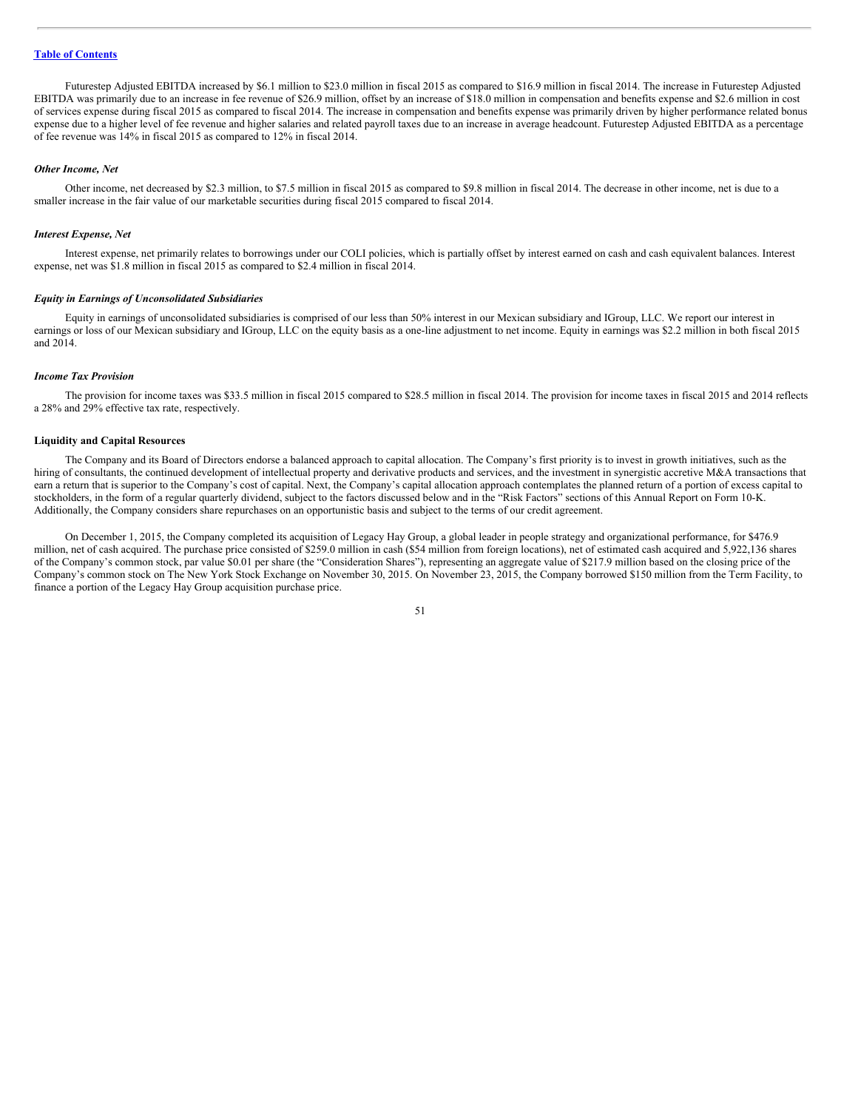Futurestep Adjusted EBITDA increased by \$6.1 million to \$23.0 million in fiscal 2015 as compared to \$16.9 million in fiscal 2014. The increase in Futurestep Adjusted EBITDA was primarily due to an increase in fee revenue of \$26.9 million, offset by an increase of \$18.0 million in compensation and benefits expense and \$2.6 million in cost of services expense during fiscal 2015 as compared to fiscal 2014. The increase in compensation and benefits expense was primarily driven by higher performance related bonus expense due to a higher level of fee revenue and higher salaries and related payroll taxes due to an increase in average headcount. Futurestep Adjusted EBITDA as a percentage of fee revenue was 14% in fiscal 2015 as compared to 12% in fiscal 2014.

#### *Other Income, Net*

Other income, net decreased by \$2.3 million, to \$7.5 million in fiscal 2015 as compared to \$9.8 million in fiscal 2014. The decrease in other income, net is due to a smaller increase in the fair value of our marketable securities during fiscal 2015 compared to fiscal 2014.

#### *Interest Expense, Net*

Interest expense, net primarily relates to borrowings under our COLI policies, which is partially offset by interest earned on cash and cash equivalent balances. Interest expense, net was \$1.8 million in fiscal 2015 as compared to \$2.4 million in fiscal 2014.

### *Equity in Earnings of Unconsolidated Subsidiaries*

Equity in earnings of unconsolidated subsidiaries is comprised of our less than 50% interest in our Mexican subsidiary and IGroup, LLC. We report our interest in earnings or loss of our Mexican subsidiary and IGroup, LLC on the equity basis as a one-line adjustment to net income. Equity in earnings was \$2.2 million in both fiscal 2015 and 2014.

### *Income Tax Provision*

The provision for income taxes was \$33.5 million in fiscal 2015 compared to \$28.5 million in fiscal 2014. The provision for income taxes in fiscal 2015 and 2014 reflects a 28% and 29% effective tax rate, respectively.

## **Liquidity and Capital Resources**

The Company and its Board of Directors endorse a balanced approach to capital allocation. The Company's first priority is to invest in growth initiatives, such as the hiring of consultants, the continued development of intellectual property and derivative products and services, and the investment in synergistic accretive M&A transactions that earn a return that is superior to the Company's cost of capital. Next, the Company's capital allocation approach contemplates the planned return of a portion of excess capital to stockholders, in the form of a regular quarterly dividend, subject to the factors discussed below and in the "Risk Factors" sections of this Annual Report on Form 10-K. Additionally, the Company considers share repurchases on an opportunistic basis and subject to the terms of our credit agreement.

On December 1, 2015, the Company completed its acquisition of Legacy Hay Group, a global leader in people strategy and organizational performance, for \$476.9 million, net of cash acquired. The purchase price consisted of \$259.0 million in cash (\$54 million from foreign locations), net of estimated cash acquired and 5,922,136 shares of the Company's common stock, par value \$0.01 per share (the "Consideration Shares"), representing an aggregate value of \$217.9 million based on the closing price of the Company's common stock on The New York Stock Exchange on November 30, 2015. On November 23, 2015, the Company borrowed \$150 million from the Term Facility, to finance a portion of the Legacy Hay Group acquisition purchase price.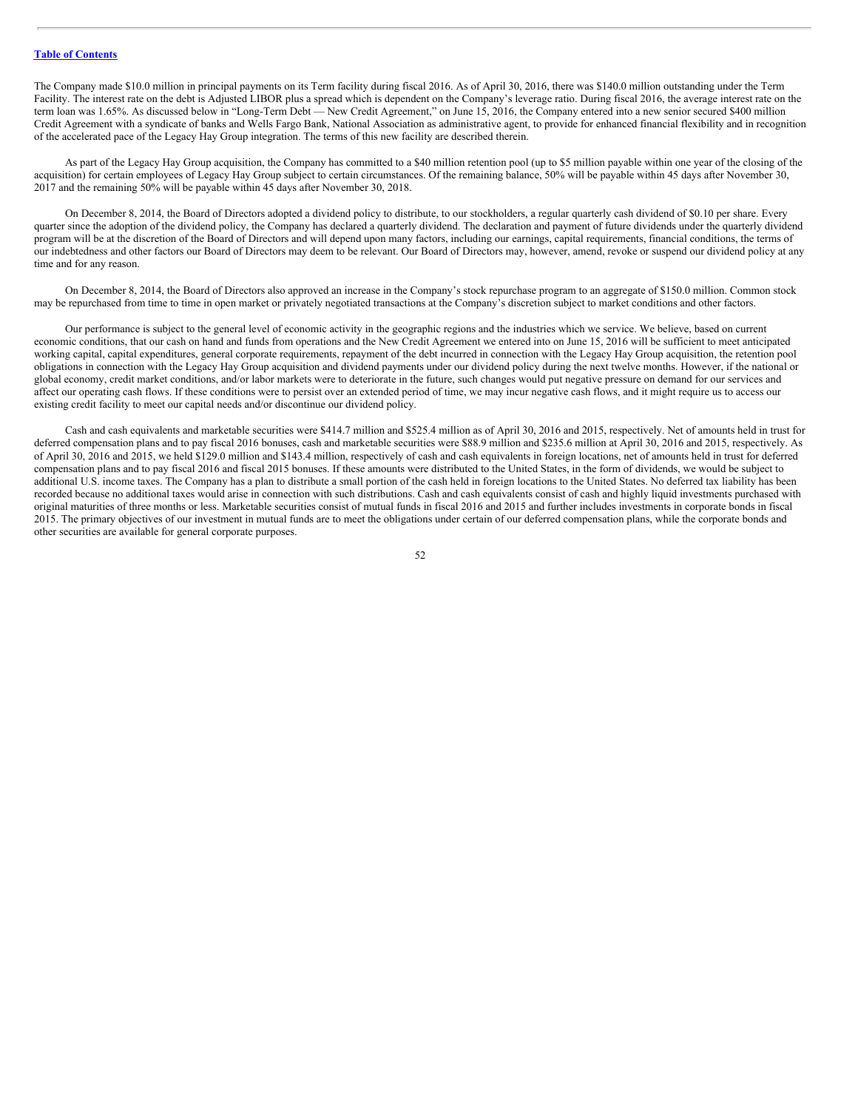The Company made \$10.0 million in principal payments on its Term facility during fiscal 2016. As of April 30, 2016, there was \$140.0 million outstanding under the Term Facility. The interest rate on the debt is Adjusted LIBOR plus a spread which is dependent on the Company's leverage ratio. During fiscal 2016, the average interest rate on the term loan was 1.65%. As discussed below in "Long-Term Debt — New Credit Agreement," on June 15, 2016, the Company entered into a new senior secured \$400 million Credit Agreement with a syndicate of banks and Wells Fargo Bank, National Association as administrative agent, to provide for enhanced financial flexibility and in recognition of the accelerated pace of the Legacy Hay Group integration. The terms of this new facility are described therein.

As part of the Legacy Hay Group acquisition, the Company has committed to a \$40 million retention pool (up to \$5 million payable within one year of the closing of the acquisition) for certain employees of Legacy Hay Group subject to certain circumstances. Of the remaining balance, 50% will be payable within 45 days after November 30, 2017 and the remaining 50% will be payable within 45 days after November 30, 2018.

On December 8, 2014, the Board of Directors adopted a dividend policy to distribute, to our stockholders, a regular quarterly cash dividend of \$0.10 per share. Every quarter since the adoption of the dividend policy, the Company has declared a quarterly dividend. The declaration and payment of future dividends under the quarterly dividend program will be at the discretion of the Board of Directors and will depend upon many factors, including our earnings, capital requirements, financial conditions, the terms of our indebtedness and other factors our Board of Directors may deem to be relevant. Our Board of Directors may, however, amend, revoke or suspend our dividend policy at any time and for any reason.

On December 8, 2014, the Board of Directors also approved an increase in the Company's stock repurchase program to an aggregate of \$150.0 million. Common stock may be repurchased from time to time in open market or privately negotiated transactions at the Company's discretion subject to market conditions and other factors.

Our performance is subject to the general level of economic activity in the geographic regions and the industries which we service. We believe, based on current economic conditions, that our cash on hand and funds from operations and the New Credit Agreement we entered into on June 15, 2016 will be sufficient to meet anticipated working capital, capital expenditures, general corporate requirements, repayment of the debt incurred in connection with the Legacy Hay Group acquisition, the retention pool obligations in connection with the Legacy Hay Group acquisition and dividend payments under our dividend policy during the next twelve months. However, if the national or global economy, credit market conditions, and/or labor markets were to deteriorate in the future, such changes would put negative pressure on demand for our services and affect our operating cash flows. If these conditions were to persist over an extended period of time, we may incur negative cash flows, and it might require us to access our existing credit facility to meet our capital needs and/or discontinue our dividend policy.

Cash and cash equivalents and marketable securities were \$414.7 million and \$525.4 million as of April 30, 2016 and 2015, respectively. Net of amounts held in trust for deferred compensation plans and to pay fiscal 2016 bonuses, cash and marketable securities were \$88.9 million and \$235.6 million at April 30, 2016 and 2015, respectively. As of April 30, 2016 and 2015, we held \$129.0 million and \$143.4 million, respectively of cash and cash equivalents in foreign locations, net of amounts held in trust for deferred compensation plans and to pay fiscal 2016 and fiscal 2015 bonuses. If these amounts were distributed to the United States, in the form of dividends, we would be subject to additional U.S. income taxes. The Company has a plan to distribute a small portion of the cash held in foreign locations to the United States. No deferred tax liability has been recorded because no additional taxes would arise in connection with such distributions. Cash and cash equivalents consist of cash and highly liquid investments purchased with original maturities of three months or less. Marketable securities consist of mutual funds in fiscal 2016 and 2015 and further includes investments in corporate bonds in fiscal 2015. The primary objectives of our investment in mutual funds are to meet the obligations under certain of our deferred compensation plans, while the corporate bonds and other securities are available for general corporate purposes.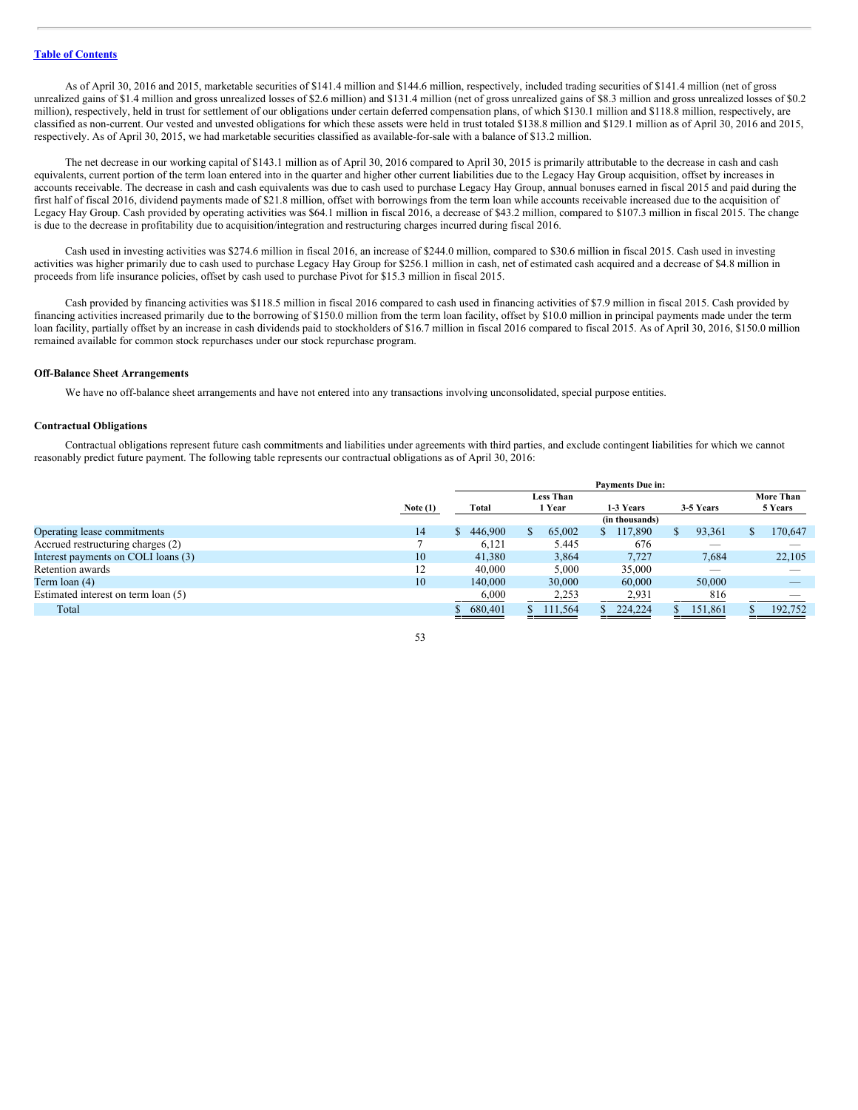As of April 30, 2016 and 2015, marketable securities of \$141.4 million and \$144.6 million, respectively, included trading securities of \$141.4 million (net of gross unrealized gains of \$1.4 million and gross unrealized losses of \$2.6 million) and \$131.4 million (net of gross unrealized gains of \$8.3 million and gross unrealized losses of \$0.2 million), respectively, held in trust for settlement of our obligations under certain deferred compensation plans, of which \$130.1 million and \$118.8 million, respectively, are classified as non-current. Our vested and unvested obligations for which these assets were held in trust totaled \$138.8 million and \$129.1 million as of April 30, 2016 and 2015, respectively. As of April 30, 2015, we had marketable securities classified as available-for-sale with a balance of \$13.2 million.

The net decrease in our working capital of \$143.1 million as of April 30, 2016 compared to April 30, 2015 is primarily attributable to the decrease in cash and cash equivalents, current portion of the term loan entered into in the quarter and higher other current liabilities due to the Legacy Hay Group acquisition, offset by increases in accounts receivable. The decrease in cash and cash equivalents was due to cash used to purchase Legacy Hay Group, annual bonuses earned in fiscal 2015 and paid during the first half of fiscal 2016, dividend payments made of \$21.8 million, offset with borrowings from the term loan while accounts receivable increased due to the acquisition of Legacy Hay Group. Cash provided by operating activities was \$64.1 million in fiscal 2016, a decrease of \$43.2 million, compared to \$107.3 million in fiscal 2015. The change is due to the decrease in profitability due to acquisition/integration and restructuring charges incurred during fiscal 2016.

Cash used in investing activities was \$274.6 million in fiscal 2016, an increase of \$244.0 million, compared to \$30.6 million in fiscal 2015. Cash used in investing activities was higher primarily due to cash used to purchase Legacy Hay Group for \$256.1 million in cash, net of estimated cash acquired and a decrease of \$4.8 million in proceeds from life insurance policies, offset by cash used to purchase Pivot for \$15.3 million in fiscal 2015.

Cash provided by financing activities was \$118.5 million in fiscal 2016 compared to cash used in financing activities of \$7.9 million in fiscal 2015. Cash provided by financing activities increased primarily due to the borrowing of \$150.0 million from the term loan facility, offset by \$10.0 million in principal payments made under the term loan facility, partially offset by an increase in cash dividends paid to stockholders of \$16.7 million in fiscal 2016 compared to fiscal 2015. As of April 30, 2016, \$150.0 million remained available for common stock repurchases under our stock repurchase program.

#### **Off-Balance Sheet Arrangements**

We have no off-balance sheet arrangements and have not entered into any transactions involving unconsolidated, special purpose entities.

### **Contractual Obligations**

Contractual obligations represent future cash commitments and liabilities under agreements with third parties, and exclude contingent liabilities for which we cannot reasonably predict future payment. The following table represents our contractual obligations as of April 30, 2016:

|                                     |            |              |                  | <b>Payments Due in:</b> |           |                  |
|-------------------------------------|------------|--------------|------------------|-------------------------|-----------|------------------|
|                                     |            |              | <b>Less Than</b> |                         |           | <b>More Than</b> |
|                                     | Note $(1)$ | <b>Total</b> | 1 Year           | 1-3 Years               | 3-5 Years | 5 Years          |
|                                     |            |              |                  | (in thousands)          |           |                  |
| Operating lease commitments         | 14         | \$446,900    | 65,002           | \$117,890               | 93,361    | 170,647          |
| Accrued restructuring charges (2)   |            | 6,121        | 5.445            | 676                     |           |                  |
| Interest payments on COLI loans (3) | 10         | 41,380       | 3,864            | 7.727                   | 7,684     | 22,105           |
| Retention awards                    | 12         | 40,000       | 5,000            | 35,000                  |           |                  |
| Term $loan(4)$                      | 10         | 140,000      | 30,000           | 60,000                  | 50,000    |                  |
| Estimated interest on term loan (5) |            | 6,000        | 2,253            | 2,931                   | 816       |                  |
| Total                               |            | 680,401      | 111,564          | 224,224                 | 151,861   | 192,752          |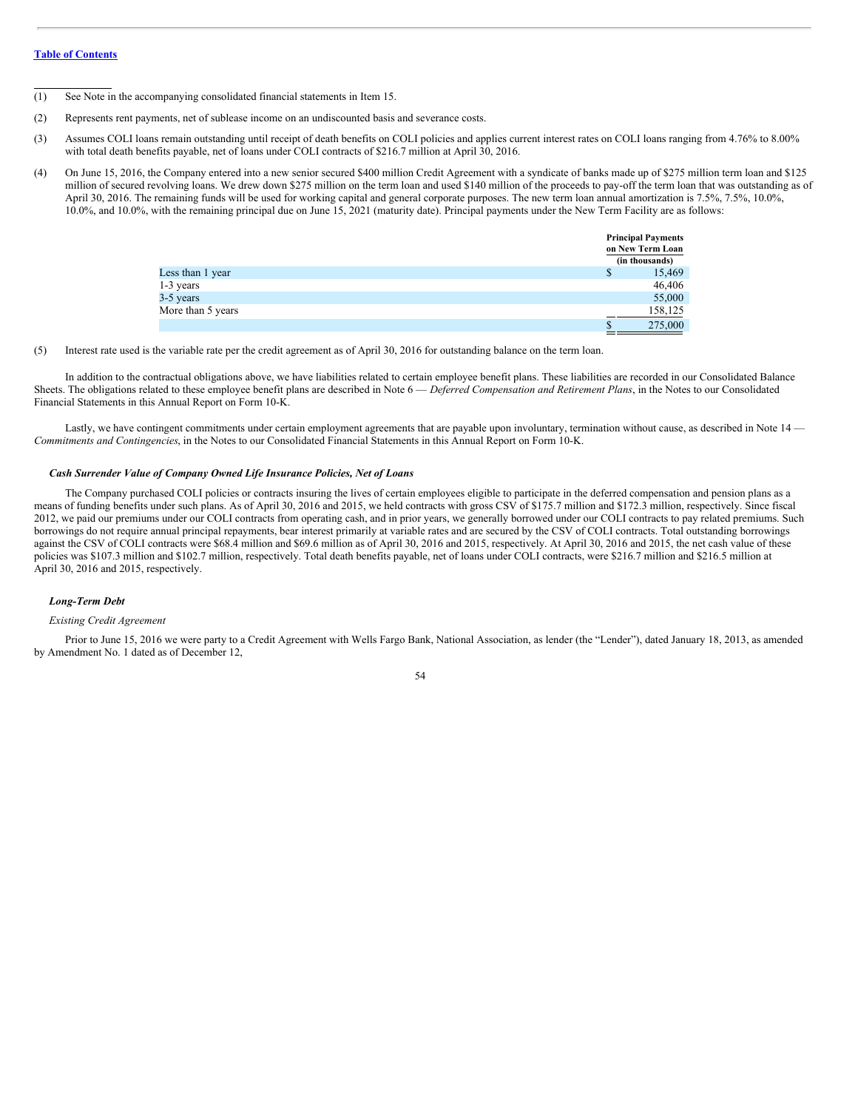- (1) See Note in the accompanying consolidated financial statements in Item 15.
- (2) Represents rent payments, net of sublease income on an undiscounted basis and severance costs.
- (3) Assumes COLI loans remain outstanding until receipt of death benefits on COLI policies and applies current interest rates on COLI loans ranging from 4.76% to 8.00% with total death benefits payable, net of loans under COLI contracts of \$216.7 million at April 30, 2016.
- (4) On June 15, 2016, the Company entered into a new senior secured \$400 million Credit Agreement with a syndicate of banks made up of \$275 million term loan and \$125 million of secured revolving loans. We drew down \$275 million on the term loan and used \$140 million of the proceeds to pay-off the term loan that was outstanding as of April 30, 2016. The remaining funds will be used for working capital and general corporate purposes. The new term loan annual amortization is 7.5%, 7.5%, 10.0%, 10.0%, and 10.0%, with the remaining principal due on June 15, 2021 (maturity date). Principal payments under the New Term Facility are as follows:

|                   | <b>Principal Payments</b><br>on New Term Loan |
|-------------------|-----------------------------------------------|
|                   | (in thousands)                                |
| Less than 1 year  | 15,469<br>S                                   |
| 1-3 years         | 46,406                                        |
| 3-5 years         | 55,000                                        |
| More than 5 years | 158,125                                       |
|                   | 275,000<br><sup>\$</sup>                      |

(5) Interest rate used is the variable rate per the credit agreement as of April 30, 2016 for outstanding balance on the term loan.

In addition to the contractual obligations above, we have liabilities related to certain employee benefit plans. These liabilities are recorded in our Consolidated Balance Sheets. The obligations related to these employee benefit plans are described in Note 6 — *Deferred Compensation and Retirement Plans*, in the Notes to our Consolidated Financial Statements in this Annual Report on Form 10-K.

Lastly, we have contingent commitments under certain employment agreements that are payable upon involuntary, termination without cause, as described in Note 14 — *Commitments and Contingencies*, in the Notes to our Consolidated Financial Statements in this Annual Report on Form 10-K.

### *Cash Surrender Value of Company Owned Life Insurance Policies, Net of Loans*

The Company purchased COLI policies or contracts insuring the lives of certain employees eligible to participate in the deferred compensation and pension plans as a means of funding benefits under such plans. As of April 30, 2016 and 2015, we held contracts with gross CSV of \$175.7 million and \$172.3 million, respectively. Since fiscal 2012, we paid our premiums under our COLI contracts from operating cash, and in prior years, we generally borrowed under our COLI contracts to pay related premiums. Such borrowings do not require annual principal repayments, bear interest primarily at variable rates and are secured by the CSV of COLI contracts. Total outstanding borrowings against the CSV of COLI contracts were \$68.4 million and \$69.6 million as of April 30, 2016 and 2015, respectively. At April 30, 2016 and 2015, the net cash value of these policies was \$107.3 million and \$102.7 million, respectively. Total death benefits payable, net of loans under COLI contracts, were \$216.7 million and \$216.5 million at April 30, 2016 and 2015, respectively.

### *Long-Term Debt*

#### *Existing Credit Agreement*

Prior to June 15, 2016 we were party to a Credit Agreement with Wells Fargo Bank, National Association, as lender (the "Lender"), dated January 18, 2013, as amended by Amendment No. 1 dated as of December 12,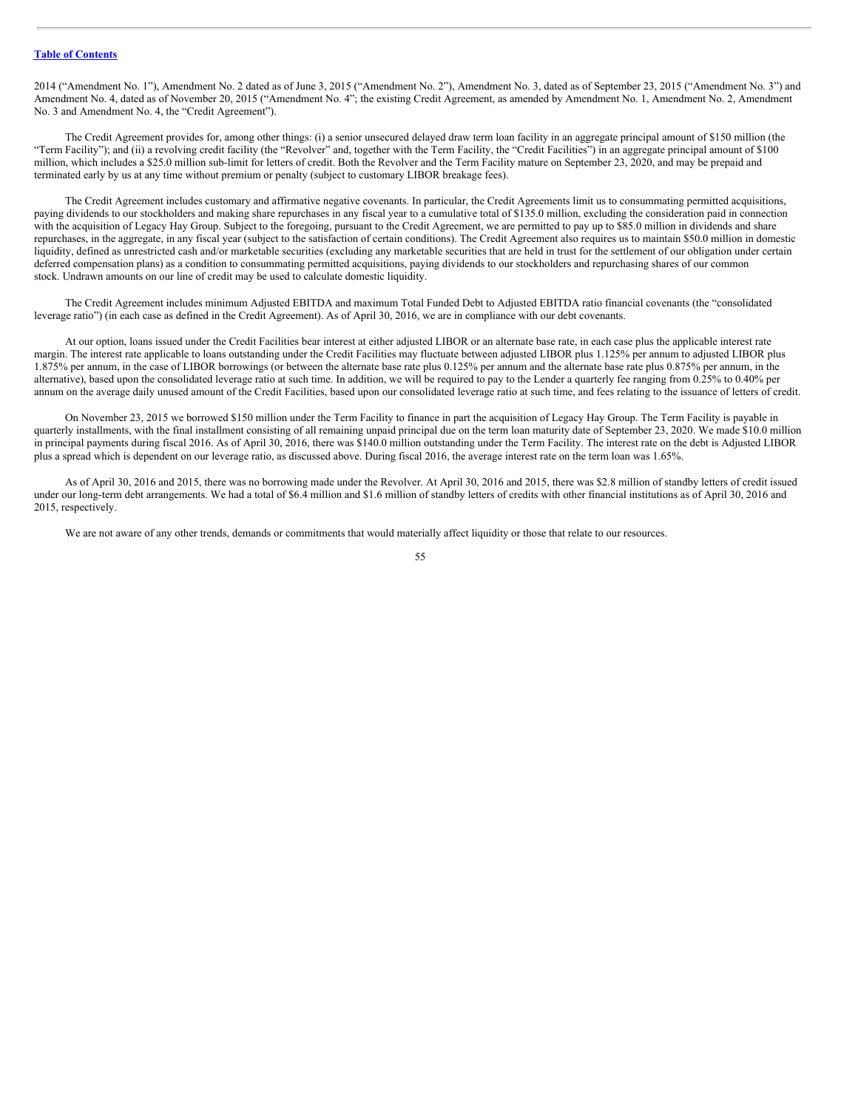2014 ("Amendment No. 1"), Amendment No. 2 dated as of June 3, 2015 ("Amendment No. 2"), Amendment No. 3, dated as of September 23, 2015 ("Amendment No. 3") and Amendment No. 4, dated as of November 20, 2015 ("Amendment No. 4"; the existing Credit Agreement, as amended by Amendment No. 1, Amendment No. 2, Amendment No. 3 and Amendment No. 4, the "Credit Agreement").

The Credit Agreement provides for, among other things: (i) a senior unsecured delayed draw term loan facility in an aggregate principal amount of \$150 million (the "Term Facility"); and (ii) a revolving credit facility (the "Revolver" and, together with the Term Facility, the "Credit Facilities") in an aggregate principal amount of \$100 million, which includes a \$25.0 million sub-limit for letters of credit. Both the Revolver and the Term Facility mature on September 23, 2020, and may be prepaid and terminated early by us at any time without premium or penalty (subject to customary LIBOR breakage fees).

The Credit Agreement includes customary and affirmative negative covenants. In particular, the Credit Agreements limit us to consummating permitted acquisitions, paying dividends to our stockholders and making share repurchases in any fiscal year to a cumulative total of \$135.0 million, excluding the consideration paid in connection with the acquisition of Legacy Hay Group. Subject to the foregoing, pursuant to the Credit Agreement, we are permitted to pay up to \$85.0 million in dividends and share repurchases, in the aggregate, in any fiscal year (subject to the satisfaction of certain conditions). The Credit Agreement also requires us to maintain \$50.0 million in domestic liquidity, defined as unrestricted cash and/or marketable securities (excluding any marketable securities that are held in trust for the settlement of our obligation under certain deferred compensation plans) as a condition to consummating permitted acquisitions, paying dividends to our stockholders and repurchasing shares of our common stock. Undrawn amounts on our line of credit may be used to calculate domestic liquidity.

The Credit Agreement includes minimum Adjusted EBITDA and maximum Total Funded Debt to Adjusted EBITDA ratio financial covenants (the "consolidated leverage ratio") (in each case as defined in the Credit Agreement). As of April 30, 2016, we are in compliance with our debt covenants.

At our option, loans issued under the Credit Facilities bear interest at either adjusted LIBOR or an alternate base rate, in each case plus the applicable interest rate margin. The interest rate applicable to loans outstanding under the Credit Facilities may fluctuate between adjusted LIBOR plus 1.125% per annum to adjusted LIBOR plus 1.875% per annum, in the case of LIBOR borrowings (or between the alternate base rate plus 0.125% per annum and the alternate base rate plus 0.875% per annum, in the alternative), based upon the consolidated leverage ratio at such time. In addition, we will be required to pay to the Lender a quarterly fee ranging from 0.25% to 0.40% per annum on the average daily unused amount of the Credit Facilities, based upon our consolidated leverage ratio at such time, and fees relating to the issuance of letters of credit.

On November 23, 2015 we borrowed \$150 million under the Term Facility to finance in part the acquisition of Legacy Hay Group. The Term Facility is payable in quarterly installments, with the final installment consisting of all remaining unpaid principal due on the term loan maturity date of September 23, 2020. We made \$10.0 million in principal payments during fiscal 2016. As of April 30, 2016, there was \$140.0 million outstanding under the Term Facility. The interest rate on the debt is Adjusted LIBOR plus a spread which is dependent on our leverage ratio, as discussed above. During fiscal 2016, the average interest rate on the term loan was 1.65%.

As of April 30, 2016 and 2015, there was no borrowing made under the Revolver. At April 30, 2016 and 2015, there was \$2.8 million of standby letters of credit issued under our long-term debt arrangements. We had a total of \$6.4 million and \$1.6 million of standby letters of credits with other financial institutions as of April 30, 2016 and 2015, respectively.

We are not aware of any other trends, demands or commitments that would materially affect liquidity or those that relate to our resources.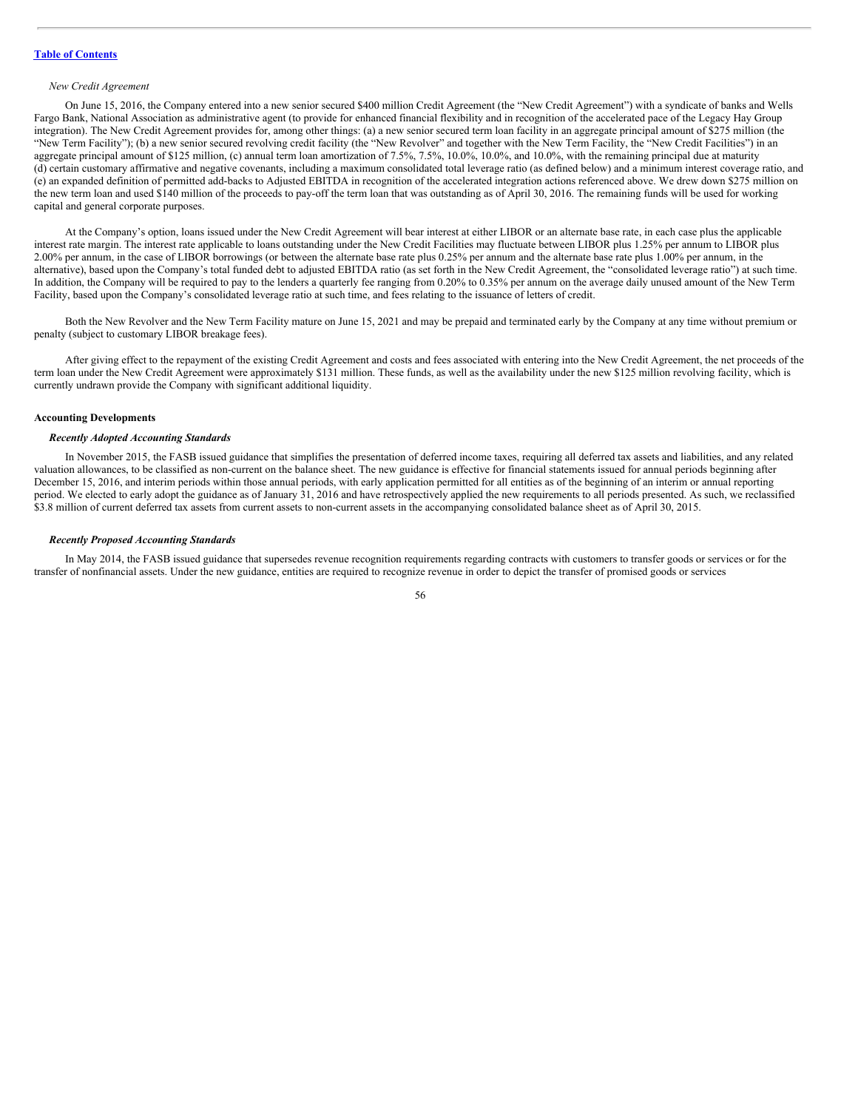### *New Credit Agreement*

On June 15, 2016, the Company entered into a new senior secured \$400 million Credit Agreement (the "New Credit Agreement") with a syndicate of banks and Wells Fargo Bank, National Association as administrative agent (to provide for enhanced financial flexibility and in recognition of the accelerated pace of the Legacy Hay Group integration). The New Credit Agreement provides for, among other things: (a) a new senior secured term loan facility in an aggregate principal amount of \$275 million (the "New Term Facility"); (b) a new senior secured revolving credit facility (the "New Revolver" and together with the New Term Facility, the "New Credit Facilities") in an aggregate principal amount of \$125 million, (c) annual term loan amortization of 7.5%, 7.5%, 10.0%, 10.0%, and 10.0%, with the remaining principal due at maturity (d) certain customary affirmative and negative covenants, including a maximum consolidated total leverage ratio (as defined below) and a minimum interest coverage ratio, and (e) an expanded definition of permitted add-backs to Adjusted EBITDA in recognition of the accelerated integration actions referenced above. We drew down \$275 million on the new term loan and used \$140 million of the proceeds to pay-off the term loan that was outstanding as of April 30, 2016. The remaining funds will be used for working capital and general corporate purposes.

At the Company's option, loans issued under the New Credit Agreement will bear interest at either LIBOR or an alternate base rate, in each case plus the applicable interest rate margin. The interest rate applicable to loans outstanding under the New Credit Facilities may fluctuate between LIBOR plus 1.25% per annum to LIBOR plus 2.00% per annum, in the case of LIBOR borrowings (or between the alternate base rate plus 0.25% per annum and the alternate base rate plus 1.00% per annum, in the alternative), based upon the Company's total funded debt to adjusted EBITDA ratio (as set forth in the New Credit Agreement, the "consolidated leverage ratio") at such time. In addition, the Company will be required to pay to the lenders a quarterly fee ranging from 0.20% to 0.35% per annum on the average daily unused amount of the New Term Facility, based upon the Company's consolidated leverage ratio at such time, and fees relating to the issuance of letters of credit.

Both the New Revolver and the New Term Facility mature on June 15, 2021 and may be prepaid and terminated early by the Company at any time without premium or penalty (subject to customary LIBOR breakage fees).

After giving effect to the repayment of the existing Credit Agreement and costs and fees associated with entering into the New Credit Agreement, the net proceeds of the term loan under the New Credit Agreement were approximately \$131 million. These funds, as well as the availability under the new \$125 million revolving facility, which is currently undrawn provide the Company with significant additional liquidity.

#### **Accounting Developments**

# *Recently Adopted Accounting Standards*

In November 2015, the FASB issued guidance that simplifies the presentation of deferred income taxes, requiring all deferred tax assets and liabilities, and any related valuation allowances, to be classified as non-current on the balance sheet. The new guidance is effective for financial statements issued for annual periods beginning after December 15, 2016, and interim periods within those annual periods, with early application permitted for all entities as of the beginning of an interim or annual reporting period. We elected to early adopt the guidance as of January 31, 2016 and have retrospectively applied the new requirements to all periods presented. As such, we reclassified \$3.8 million of current deferred tax assets from current assets to non-current assets in the accompanying consolidated balance sheet as of April 30, 2015.

### *Recently Proposed Accounting Standards*

In May 2014, the FASB issued guidance that supersedes revenue recognition requirements regarding contracts with customers to transfer goods or services or for the transfer of nonfinancial assets. Under the new guidance, entities are required to recognize revenue in order to depict the transfer of promised goods or services

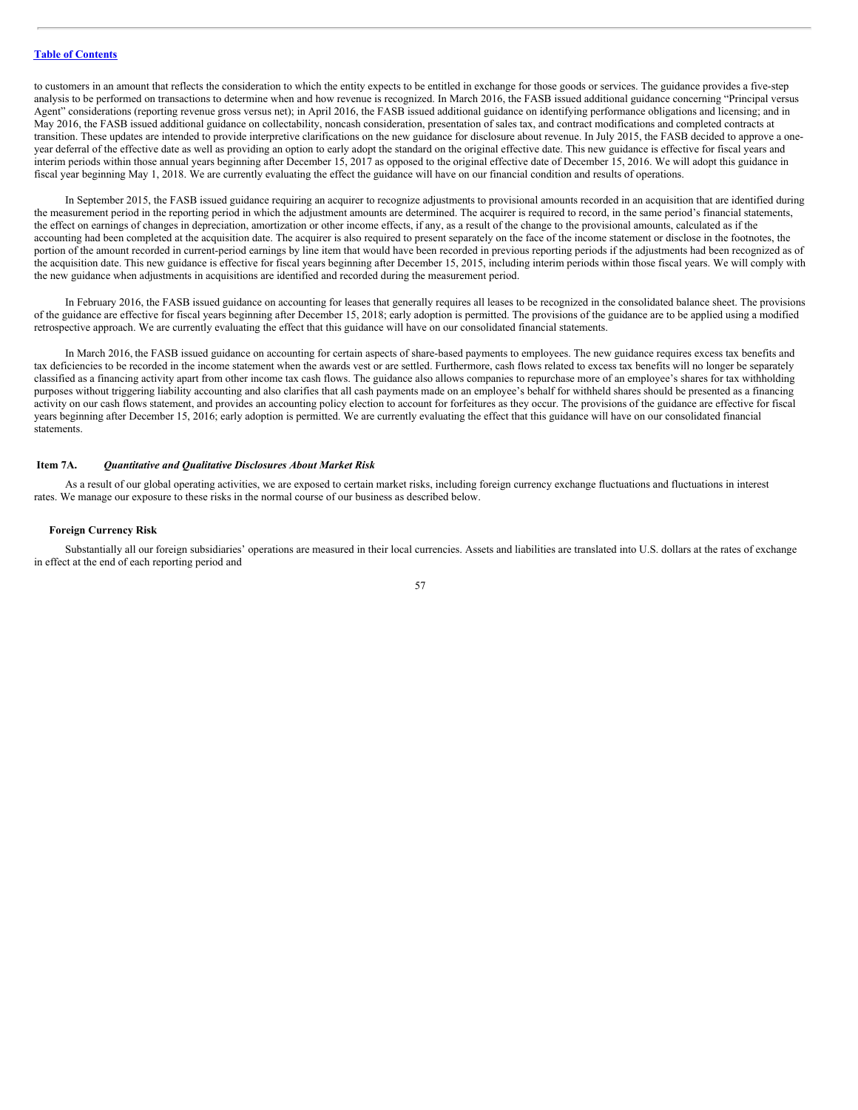to customers in an amount that reflects the consideration to which the entity expects to be entitled in exchange for those goods or services. The guidance provides a five-step analysis to be performed on transactions to determine when and how revenue is recognized. In March 2016, the FASB issued additional guidance concerning "Principal versus Agent" considerations (reporting revenue gross versus net); in April 2016, the FASB issued additional guidance on identifying performance obligations and licensing; and in May 2016, the FASB issued additional guidance on collectability, noncash consideration, presentation of sales tax, and contract modifications and completed contracts at transition. These updates are intended to provide interpretive clarifications on the new guidance for disclosure about revenue. In July 2015, the FASB decided to approve a oneyear deferral of the effective date as well as providing an option to early adopt the standard on the original effective date. This new guidance is effective for fiscal years and interim periods within those annual years beginning after December 15, 2017 as opposed to the original effective date of December 15, 2016. We will adopt this guidance in fiscal year beginning May 1, 2018. We are currently evaluating the effect the guidance will have on our financial condition and results of operations.

In September 2015, the FASB issued guidance requiring an acquirer to recognize adjustments to provisional amounts recorded in an acquisition that are identified during the measurement period in the reporting period in which the adjustment amounts are determined. The acquirer is required to record, in the same period's financial statements, the effect on earnings of changes in depreciation, amortization or other income effects, if any, as a result of the change to the provisional amounts, calculated as if the accounting had been completed at the acquisition date. The acquirer is also required to present separately on the face of the income statement or disclose in the footnotes, the portion of the amount recorded in current-period earnings by line item that would have been recorded in previous reporting periods if the adjustments had been recognized as of the acquisition date. This new guidance is effective for fiscal years beginning after December 15, 2015, including interim periods within those fiscal years. We will comply with the new guidance when adjustments in acquisitions are identified and recorded during the measurement period.

In February 2016, the FASB issued guidance on accounting for leases that generally requires all leases to be recognized in the consolidated balance sheet. The provisions of the guidance are effective for fiscal years beginning after December 15, 2018; early adoption is permitted. The provisions of the guidance are to be applied using a modified retrospective approach. We are currently evaluating the effect that this guidance will have on our consolidated financial statements.

In March 2016, the FASB issued guidance on accounting for certain aspects of share-based payments to employees. The new guidance requires excess tax benefits and tax deficiencies to be recorded in the income statement when the awards vest or are settled. Furthermore, cash flows related to excess tax benefits will no longer be separately classified as a financing activity apart from other income tax cash flows. The guidance also allows companies to repurchase more of an employee's shares for tax withholding purposes without triggering liability accounting and also clarifies that all cash payments made on an employee's behalf for withheld shares should be presented as a financing activity on our cash flows statement, and provides an accounting policy election to account for forfeitures as they occur. The provisions of the guidance are effective for fiscal years beginning after December 15, 2016; early adoption is permitted. We are currently evaluating the effect that this guidance will have on our consolidated financial statements.

#### **Item 7A.** *Quantitative and Qualitative Disclosures About Market Risk*

As a result of our global operating activities, we are exposed to certain market risks, including foreign currency exchange fluctuations and fluctuations in interest rates. We manage our exposure to these risks in the normal course of our business as described below.

### **Foreign Currency Risk**

Substantially all our foreign subsidiaries' operations are measured in their local currencies. Assets and liabilities are translated into U.S. dollars at the rates of exchange in effect at the end of each reporting period and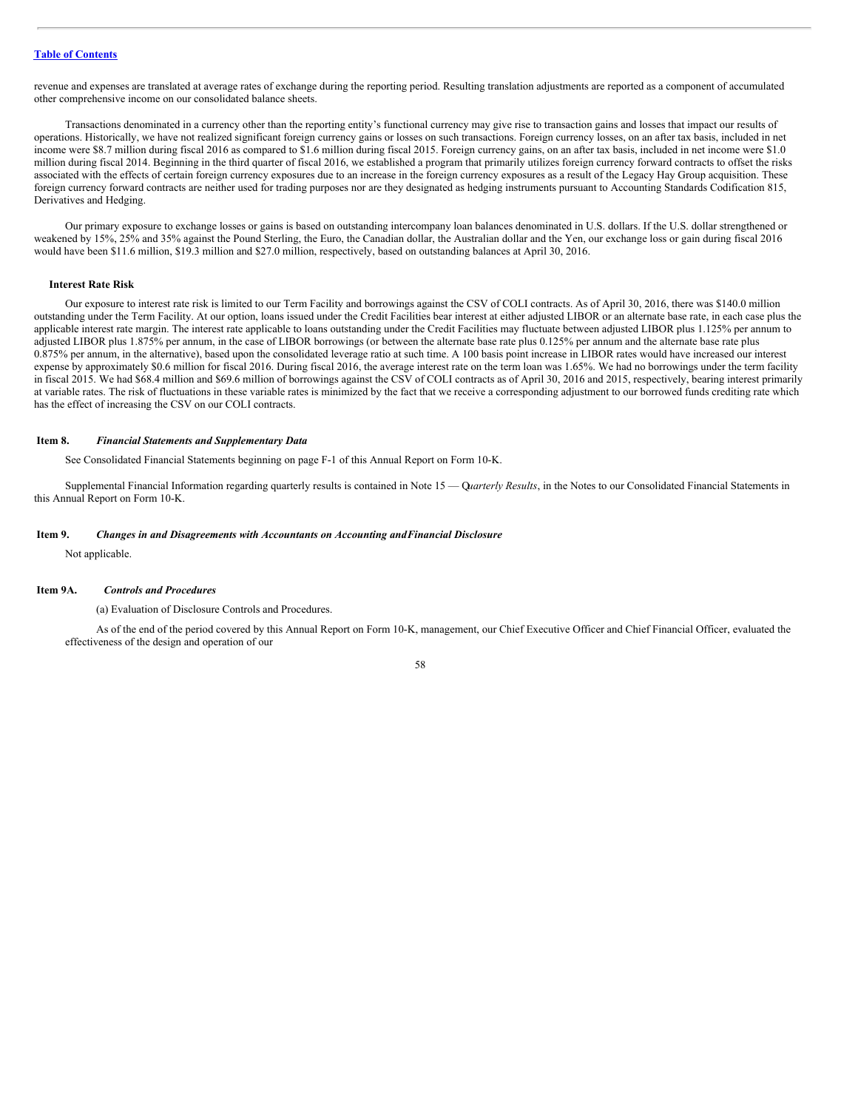revenue and expenses are translated at average rates of exchange during the reporting period. Resulting translation adjustments are reported as a component of accumulated other comprehensive income on our consolidated balance sheets.

Transactions denominated in a currency other than the reporting entity's functional currency may give rise to transaction gains and losses that impact our results of operations. Historically, we have not realized significant foreign currency gains or losses on such transactions. Foreign currency losses, on an after tax basis, included in net income were \$8.7 million during fiscal 2016 as compared to \$1.6 million during fiscal 2015. Foreign currency gains, on an after tax basis, included in net income were \$1.0 million during fiscal 2014. Beginning in the third quarter of fiscal 2016, we established a program that primarily utilizes foreign currency forward contracts to offset the risks associated with the effects of certain foreign currency exposures due to an increase in the foreign currency exposures as a result of the Legacy Hay Group acquisition. These foreign currency forward contracts are neither used for trading purposes nor are they designated as hedging instruments pursuant to Accounting Standards Codification 815, Derivatives and Hedging.

Our primary exposure to exchange losses or gains is based on outstanding intercompany loan balances denominated in U.S. dollars. If the U.S. dollar strengthened or weakened by 15%, 25% and 35% against the Pound Sterling, the Euro, the Canadian dollar, the Australian dollar and the Yen, our exchange loss or gain during fiscal 2016 would have been \$11.6 million, \$19.3 million and \$27.0 million, respectively, based on outstanding balances at April 30, 2016.

#### **Interest Rate Risk**

Our exposure to interest rate risk is limited to our Term Facility and borrowings against the CSV of COLI contracts. As of April 30, 2016, there was \$140.0 million outstanding under the Term Facility. At our option, loans issued under the Credit Facilities bear interest at either adjusted LIBOR or an alternate base rate, in each case plus the applicable interest rate margin. The interest rate applicable to loans outstanding under the Credit Facilities may fluctuate between adjusted LIBOR plus 1.125% per annum to adjusted LIBOR plus 1.875% per annum, in the case of LIBOR borrowings (or between the alternate base rate plus 0.125% per annum and the alternate base rate plus 0.875% per annum, in the alternative), based upon the consolidated leverage ratio at such time. A 100 basis point increase in LIBOR rates would have increased our interest expense by approximately \$0.6 million for fiscal 2016. During fiscal 2016, the average interest rate on the term loan was 1.65%. We had no borrowings under the term facility in fiscal 2015. We had \$68.4 million and \$69.6 million of borrowings against the CSV of COLI contracts as of April 30, 2016 and 2015, respectively, bearing interest primarily at variable rates. The risk of fluctuations in these variable rates is minimized by the fact that we receive a corresponding adjustment to our borrowed funds crediting rate which has the effect of increasing the CSV on our COLI contracts.

#### **Item 8.** *Financial Statements and Supplementary Data*

See Consolidated Financial Statements beginning on page F-1 of this Annual Report on Form 10-K.

Supplemental Financial Information regarding quarterly results is contained in Note 15 — Q*uarterly Results*, in the Notes to our Consolidated Financial Statements in this Annual Report on Form 10-K.

#### **Item 9.** *Changes in and Disagreements with Accountants on Accounting andFinancial Disclosure*

Not applicable.

#### **Item 9A.** *Controls and Procedures*

(a) Evaluation of Disclosure Controls and Procedures.

As of the end of the period covered by this Annual Report on Form 10-K, management, our Chief Executive Officer and Chief Financial Officer, evaluated the effectiveness of the design and operation of our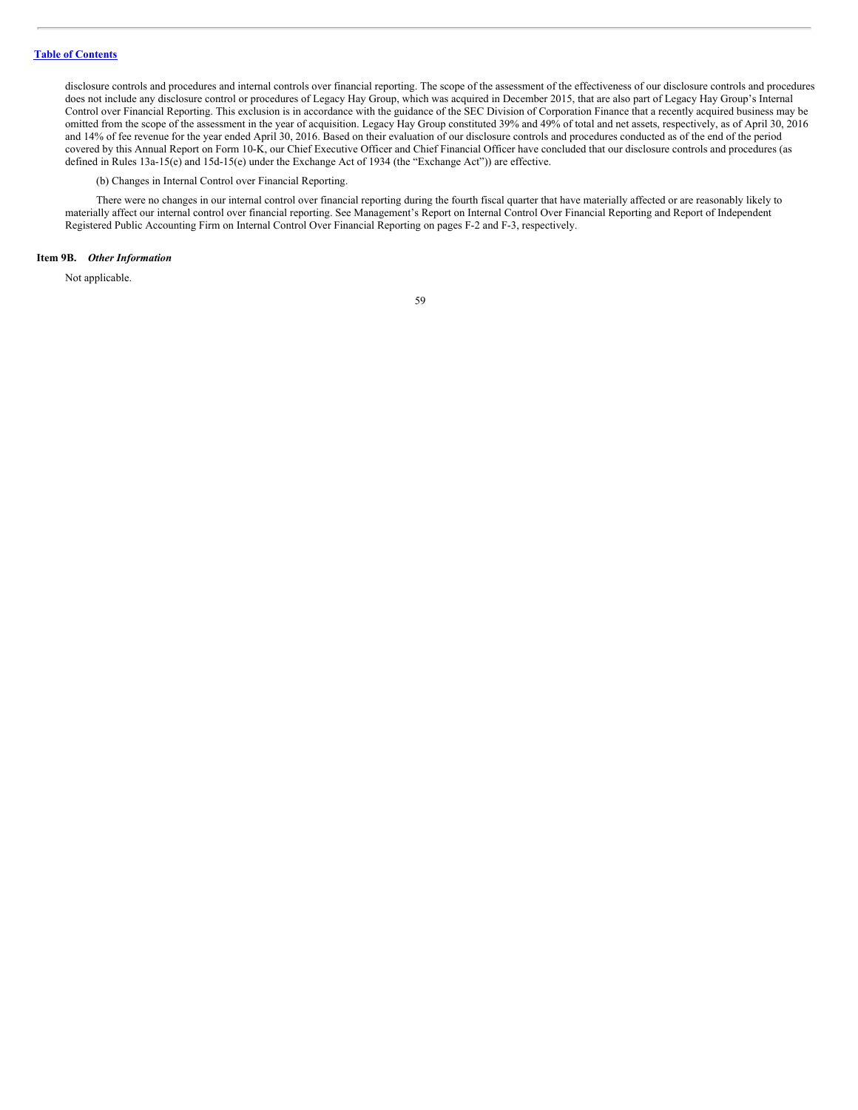disclosure controls and procedures and internal controls over financial reporting. The scope of the assessment of the effectiveness of our disclosure controls and procedures does not include any disclosure control or procedures of Legacy Hay Group, which was acquired in December 2015, that are also part of Legacy Hay Group's Internal Control over Financial Reporting. This exclusion is in accordance with the guidance of the SEC Division of Corporation Finance that a recently acquired business may be omitted from the scope of the assessment in the year of acquisition. Legacy Hay Group constituted 39% and 49% of total and net assets, respectively, as of April 30, 2016 and 14% of fee revenue for the year ended April 30, 2016. Based on their evaluation of our disclosure controls and procedures conducted as of the end of the period covered by this Annual Report on Form 10-K, our Chief Executive Officer and Chief Financial Officer have concluded that our disclosure controls and procedures (as defined in Rules 13a-15(e) and 15d-15(e) under the Exchange Act of 1934 (the "Exchange Act")) are effective.

(b) Changes in Internal Control over Financial Reporting.

There were no changes in our internal control over financial reporting during the fourth fiscal quarter that have materially affected or are reasonably likely to materially affect our internal control over financial reporting. See Management's Report on Internal Control Over Financial Reporting and Report of Independent Registered Public Accounting Firm on Internal Control Over Financial Reporting on pages F-2 and F-3, respectively.

#### **Item 9B.** *Other Information*

Not applicable.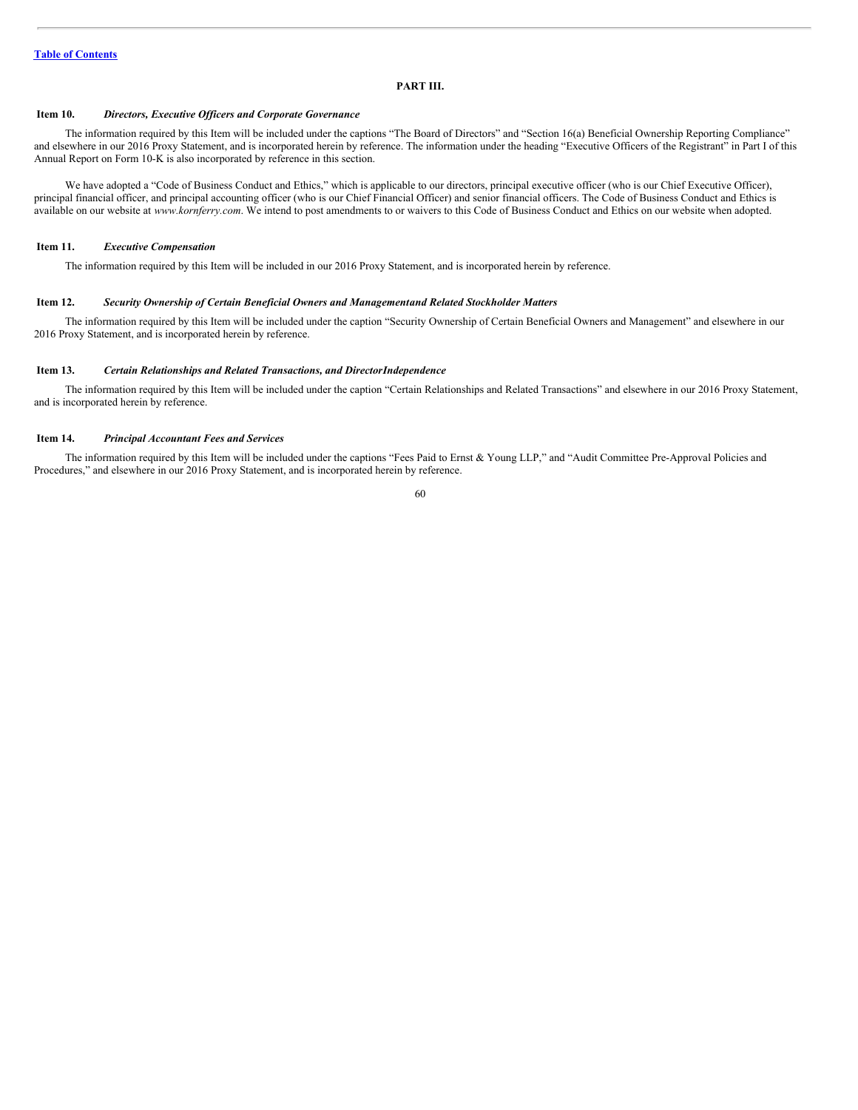# **PART III.**

### **Item 10.** *Directors, Executive Of icers and Corporate Governance*

The information required by this Item will be included under the captions "The Board of Directors" and "Section 16(a) Beneficial Ownership Reporting Compliance" and elsewhere in our 2016 Proxy Statement, and is incorporated herein by reference. The information under the heading "Executive Officers of the Registrant" in Part I of this Annual Report on Form 10-K is also incorporated by reference in this section.

We have adopted a "Code of Business Conduct and Ethics," which is applicable to our directors, principal executive officer (who is our Chief Executive Officer), principal financial officer, and principal accounting officer (who is our Chief Financial Officer) and senior financial officers. The Code of Business Conduct and Ethics is available on our website at *www.kornferry.com*. We intend to post amendments to or waivers to this Code of Business Conduct and Ethics on our website when adopted.

### **Item 11.** *Executive Compensation*

The information required by this Item will be included in our 2016 Proxy Statement, and is incorporated herein by reference.

#### **Item 12.** *Security Ownership of Certain Beneficial Owners and Managementand Related Stockholder Matters*

The information required by this Item will be included under the caption "Security Ownership of Certain Beneficial Owners and Management" and elsewhere in our 2016 Proxy Statement, and is incorporated herein by reference.

### **Item 13.** *Certain Relationships and Related Transactions, and DirectorIndependence*

The information required by this Item will be included under the caption "Certain Relationships and Related Transactions" and elsewhere in our 2016 Proxy Statement, and is incorporated herein by reference.

# **Item 14.** *Principal Accountant Fees and Services*

The information required by this Item will be included under the captions "Fees Paid to Ernst & Young LLP," and "Audit Committee Pre-Approval Policies and Procedures," and elsewhere in our 2016 Proxy Statement, and is incorporated herein by reference.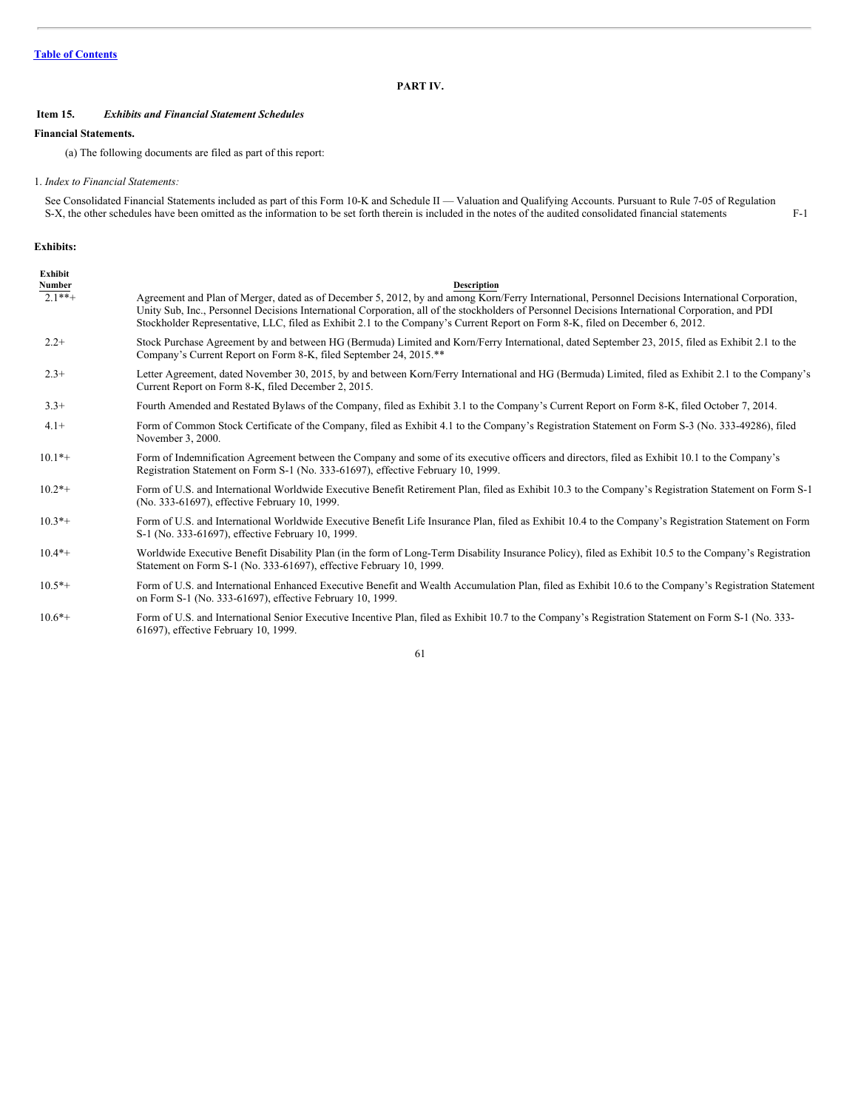# **PART IV.**

# **Item 15.** *Exhibits and Financial Statement Schedules*

# **Financial Statements.**

(a) The following documents are filed as part of this report:

#### 1. *Index to Financial Statements:*

See Consolidated Financial Statements included as part of this Form 10-K and Schedule II — Valuation and Qualifying Accounts. Pursuant to Rule 7-05 of Regulation S-X, the other schedules have been omitted as the information to be set forth therein is included in the notes of the audited consolidated financial statements F-1

# **Exhibits:**

| <b>Exhibit</b><br>Number | <b>Description</b>                                                                                                                                                                                                                                                                                                                                                                                                                      |
|--------------------------|-----------------------------------------------------------------------------------------------------------------------------------------------------------------------------------------------------------------------------------------------------------------------------------------------------------------------------------------------------------------------------------------------------------------------------------------|
| $2.1***$                 | Agreement and Plan of Merger, dated as of December 5, 2012, by and among Korn/Ferry International, Personnel Decisions International Corporation,<br>Unity Sub, Inc., Personnel Decisions International Corporation, all of the stockholders of Personnel Decisions International Corporation, and PDI<br>Stockholder Representative, LLC, filed as Exhibit 2.1 to the Company's Current Report on Form 8-K, filed on December 6, 2012. |
| $2.2+$                   | Stock Purchase Agreement by and between HG (Bermuda) Limited and Korn/Ferry International, dated September 23, 2015, filed as Exhibit 2.1 to the<br>Company's Current Report on Form 8-K, filed September 24, 2015.**                                                                                                                                                                                                                   |
| $2.3+$                   | Letter Agreement, dated November 30, 2015, by and between Korn/Ferry International and HG (Bermuda) Limited, filed as Exhibit 2.1 to the Company's<br>Current Report on Form 8-K, filed December 2, 2015.                                                                                                                                                                                                                               |
| $3.3+$                   | Fourth Amended and Restated Bylaws of the Company, filed as Exhibit 3.1 to the Company's Current Report on Form 8-K, filed October 7, 2014.                                                                                                                                                                                                                                                                                             |
| $4.1+$                   | Form of Common Stock Certificate of the Company, filed as Exhibit 4.1 to the Company's Registration Statement on Form S-3 (No. 333-49286), filed<br>November 3, 2000.                                                                                                                                                                                                                                                                   |
| $10.1*+$                 | Form of Indemnification Agreement between the Company and some of its executive officers and directors, filed as Exhibit 10.1 to the Company's<br>Registration Statement on Form S-1 (No. 333-61697), effective February 10, 1999.                                                                                                                                                                                                      |
| $10.2*+$                 | Form of U.S. and International Worldwide Executive Benefit Retirement Plan, filed as Exhibit 10.3 to the Company's Registration Statement on Form S-1<br>(No. 333-61697), effective February 10, 1999.                                                                                                                                                                                                                                  |
| $10.3*+$                 | Form of U.S. and International Worldwide Executive Benefit Life Insurance Plan, filed as Exhibit 10.4 to the Company's Registration Statement on Form<br>S-1 (No. 333-61697), effective February 10, 1999.                                                                                                                                                                                                                              |
| $10.4*+$                 | Worldwide Executive Benefit Disability Plan (in the form of Long-Term Disability Insurance Policy), filed as Exhibit 10.5 to the Company's Registration<br>Statement on Form S-1 (No. 333-61697), effective February 10, 1999.                                                                                                                                                                                                          |
| $10.5*+$                 | Form of U.S. and International Enhanced Executive Benefit and Wealth Accumulation Plan, filed as Exhibit 10.6 to the Company's Registration Statement<br>on Form S-1 (No. 333-61697), effective February 10, 1999.                                                                                                                                                                                                                      |

10.6\*+ Form of U.S. and International Senior Executive Incentive Plan, filed as Exhibit 10.7 to the Company's Registration Statement on Form S-1 (No. 333- 61697), effective February 10, 1999.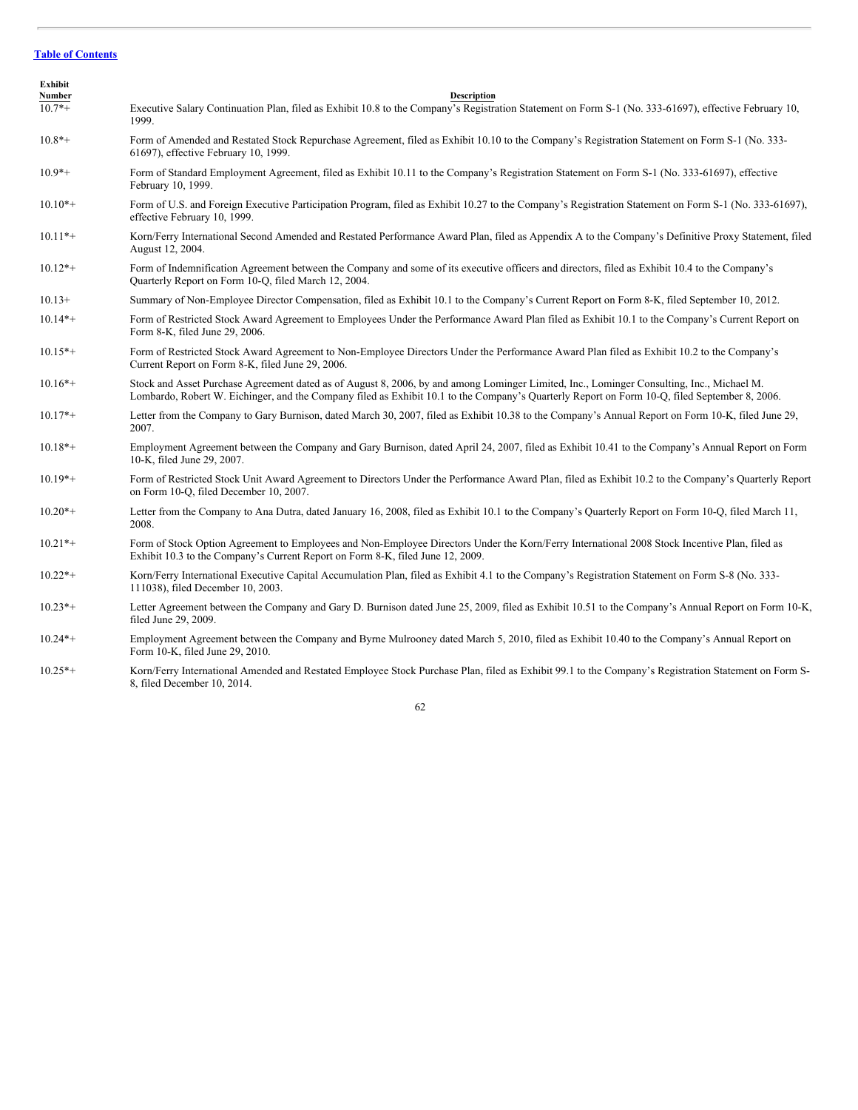| Exhibit<br>Number | <b>Description</b>                                                                                                                                                                                                                                                                         |
|-------------------|--------------------------------------------------------------------------------------------------------------------------------------------------------------------------------------------------------------------------------------------------------------------------------------------|
| $10.7*+$          | Executive Salary Continuation Plan, filed as Exhibit 10.8 to the Company's Registration Statement on Form S-1 (No. 333-61697), effective February 10,<br>1999.                                                                                                                             |
| $10.8*+$          | Form of Amended and Restated Stock Repurchase Agreement, filed as Exhibit 10.10 to the Company's Registration Statement on Form S-1 (No. 333-<br>61697), effective February 10, 1999.                                                                                                      |
| $10.9*+$          | Form of Standard Employment Agreement, filed as Exhibit 10.11 to the Company's Registration Statement on Form S-1 (No. 333-61697), effective<br>February 10, 1999.                                                                                                                         |
| $10.10*+$         | Form of U.S. and Foreign Executive Participation Program, filed as Exhibit 10.27 to the Company's Registration Statement on Form S-1 (No. 333-61697),<br>effective February 10, 1999.                                                                                                      |
| $10.11*+$         | Korn/Ferry International Second Amended and Restated Performance Award Plan, filed as Appendix A to the Company's Definitive Proxy Statement, filed<br>August 12, 2004.                                                                                                                    |
| $10.12*+$         | Form of Indemnification Agreement between the Company and some of its executive officers and directors, filed as Exhibit 10.4 to the Company's<br>Quarterly Report on Form 10-Q, filed March 12, 2004.                                                                                     |
| $10.13+$          | Summary of Non-Employee Director Compensation, filed as Exhibit 10.1 to the Company's Current Report on Form 8-K, filed September 10, 2012.                                                                                                                                                |
| $10.14*+$         | Form of Restricted Stock Award Agreement to Employees Under the Performance Award Plan filed as Exhibit 10.1 to the Company's Current Report on<br>Form 8-K, filed June 29, 2006.                                                                                                          |
| $10.15*+$         | Form of Restricted Stock Award Agreement to Non-Employee Directors Under the Performance Award Plan filed as Exhibit 10.2 to the Company's<br>Current Report on Form 8-K, filed June 29, 2006.                                                                                             |
| $10.16*+$         | Stock and Asset Purchase Agreement dated as of August 8, 2006, by and among Lominger Limited, Inc., Lominger Consulting, Inc., Michael M.<br>Lombardo, Robert W. Eichinger, and the Company filed as Exhibit 10.1 to the Company's Quarterly Report on Form 10-Q, filed September 8, 2006. |
| $10.17*+$         | Letter from the Company to Gary Burnison, dated March 30, 2007, filed as Exhibit 10.38 to the Company's Annual Report on Form 10-K, filed June 29,<br>2007.                                                                                                                                |
| $10.18*+$         | Employment Agreement between the Company and Gary Burnison, dated April 24, 2007, filed as Exhibit 10.41 to the Company's Annual Report on Form<br>10-K, filed June 29, 2007.                                                                                                              |
| $10.19*+$         | Form of Restricted Stock Unit Award Agreement to Directors Under the Performance Award Plan, filed as Exhibit 10.2 to the Company's Quarterly Report<br>on Form 10-O, filed December 10, 2007.                                                                                             |
| $10.20*+$         | Letter from the Company to Ana Dutra, dated January 16, 2008, filed as Exhibit 10.1 to the Company's Quarterly Report on Form 10-Q, filed March 11,<br>2008.                                                                                                                               |
| $10.21*+$         | Form of Stock Option Agreement to Employees and Non-Employee Directors Under the Korn/Ferry International 2008 Stock Incentive Plan, filed as<br>Exhibit 10.3 to the Company's Current Report on Form 8-K, filed June 12, 2009.                                                            |
| $10.22*+$         | Korn/Ferry International Executive Capital Accumulation Plan, filed as Exhibit 4.1 to the Company's Registration Statement on Form S-8 (No. 333-<br>111038), filed December 10, 2003.                                                                                                      |
| $10.23*+$         | Letter Agreement between the Company and Gary D. Burnison dated June 25, 2009, filed as Exhibit 10.51 to the Company's Annual Report on Form 10-K,<br>filed June 29, 2009.                                                                                                                 |
| $10.24*+$         | Employment Agreement between the Company and Byrne Mulrooney dated March 5, 2010, filed as Exhibit 10.40 to the Company's Annual Report on<br>Form 10-K, filed June 29, 2010.                                                                                                              |

10.25\*+ Korn/Ferry International Amended and Restated Employee Stock Purchase Plan, filed as Exhibit 99.1 to the Company's Registration Statement on Form S-8, filed December 10, 2014.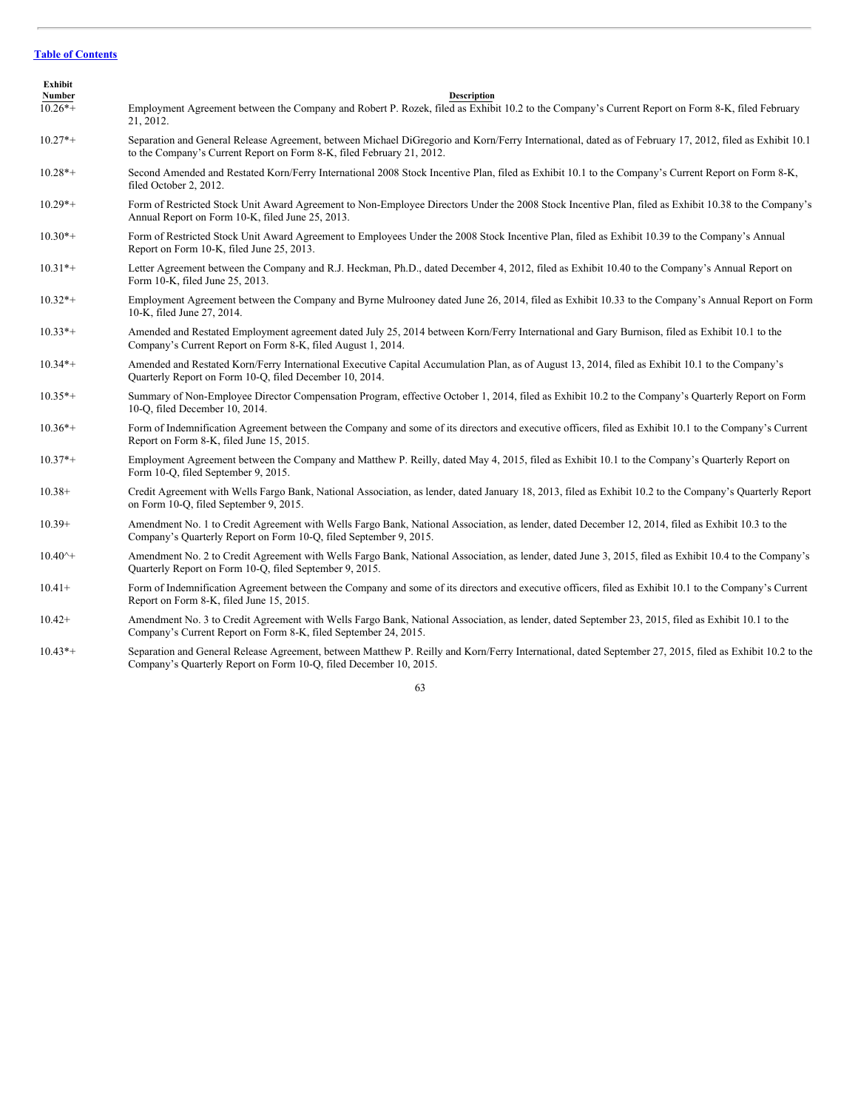| Exhibit<br>Number | <b>Description</b>                                                                                                                                                                                                               |
|-------------------|----------------------------------------------------------------------------------------------------------------------------------------------------------------------------------------------------------------------------------|
| $10.26*+$         | Employment Agreement between the Company and Robert P. Rozek, filed as Exhibit 10.2 to the Company's Current Report on Form 8-K, filed February<br>21, 2012.                                                                     |
| $10.27*+$         | Separation and General Release Agreement, between Michael DiGregorio and Korn/Ferry International, dated as of February 17, 2012, filed as Exhibit 10.1<br>to the Company's Current Report on Form 8-K, filed February 21, 2012. |
| $10.28*+$         | Second Amended and Restated Korn/Ferry International 2008 Stock Incentive Plan, filed as Exhibit 10.1 to the Company's Current Report on Form 8-K,<br>filed October 2, 2012.                                                     |
| $10.29*+$         | Form of Restricted Stock Unit Award Agreement to Non-Employee Directors Under the 2008 Stock Incentive Plan, filed as Exhibit 10.38 to the Company's<br>Annual Report on Form 10-K, filed June 25, 2013.                         |
| $10.30*+$         | Form of Restricted Stock Unit Award Agreement to Employees Under the 2008 Stock Incentive Plan, filed as Exhibit 10.39 to the Company's Annual<br>Report on Form 10-K, filed June 25, 2013.                                      |
| $10.31*+$         | Letter Agreement between the Company and R.J. Heckman, Ph.D., dated December 4, 2012, filed as Exhibit 10.40 to the Company's Annual Report on<br>Form 10-K, filed June 25, 2013.                                                |
| $10.32*+$         | Employment Agreement between the Company and Byrne Mulrooney dated June 26, 2014, filed as Exhibit 10.33 to the Company's Annual Report on Form<br>10-K, filed June 27, 2014.                                                    |
| $10.33*+$         | Amended and Restated Employment agreement dated July 25, 2014 between Korn/Ferry International and Gary Burnison, filed as Exhibit 10.1 to the<br>Company's Current Report on Form 8-K, filed August 1, 2014.                    |
| $10.34*+$         | Amended and Restated Korn/Ferry International Executive Capital Accumulation Plan, as of August 13, 2014, filed as Exhibit 10.1 to the Company's<br>Ouarterly Report on Form 10-O, filed December 10, 2014.                      |
| $10.35*+$         | Summary of Non-Employee Director Compensation Program, effective October 1, 2014, filed as Exhibit 10.2 to the Company's Quarterly Report on Form<br>10-Q, filed December 10, 2014.                                              |
| $10.36*+$         | Form of Indemnification Agreement between the Company and some of its directors and executive officers, filed as Exhibit 10.1 to the Company's Current<br>Report on Form 8-K, filed June 15, 2015.                               |
| $10.37*+$         | Employment Agreement between the Company and Matthew P. Reilly, dated May 4, 2015, filed as Exhibit 10.1 to the Company's Quarterly Report on<br>Form 10-O, filed September 9, 2015.                                             |
| $10.38+$          | Credit Agreement with Wells Fargo Bank, National Association, as lender, dated January 18, 2013, filed as Exhibit 10.2 to the Company's Quarterly Report<br>on Form 10-O, filed September 9, 2015.                               |
| $10.39+$          | Amendment No. 1 to Credit Agreement with Wells Fargo Bank, National Association, as lender, dated December 12, 2014, filed as Exhibit 10.3 to the<br>Company's Quarterly Report on Form 10-Q, filed September 9, 2015.           |
| $10.40^{\wedge}$  | Amendment No. 2 to Credit Agreement with Wells Fargo Bank, National Association, as lender, dated June 3, 2015, filed as Exhibit 10.4 to the Company's<br>Quarterly Report on Form 10-Q, filed September 9, 2015.                |
| $10.41+$          | Form of Indemnification Agreement between the Company and some of its directors and executive officers, filed as Exhibit 10.1 to the Company's Current<br>Report on Form 8-K, filed June 15, 2015.                               |
| $10.42+$          | Amendment No. 3 to Credit Agreement with Wells Fargo Bank, National Association, as lender, dated September 23, 2015, filed as Exhibit 10.1 to the<br>Company's Current Report on Form 8-K, filed September 24, 2015.            |

10.43\*+ Separation and General Release Agreement, between Matthew P. Reilly and Korn/Ferry International, dated September 27, 2015, filed as Exhibit 10.2 to the Company's Quarterly Report on Form 10-Q, filed December 10, 2015.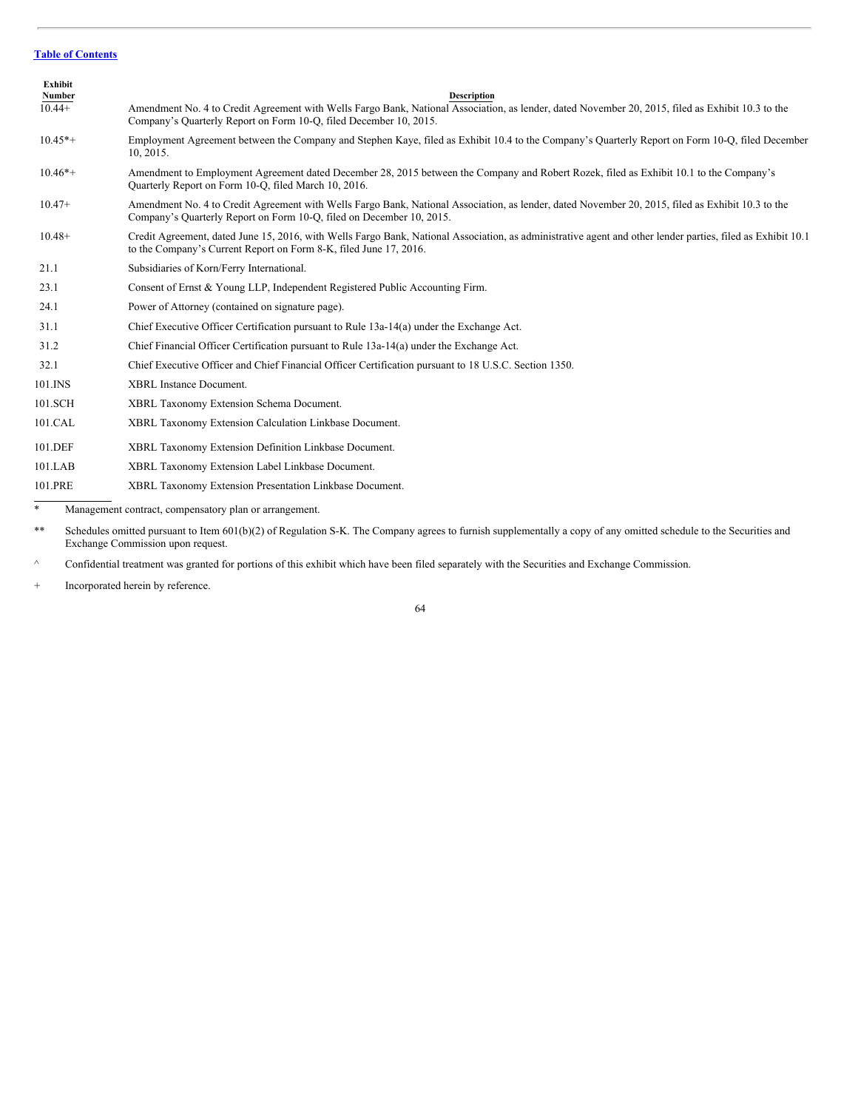| <b>Exhibit</b><br>Number | <b>Description</b>                                                                                                                                                                                                               |
|--------------------------|----------------------------------------------------------------------------------------------------------------------------------------------------------------------------------------------------------------------------------|
| $10.44+$                 | Amendment No. 4 to Credit Agreement with Wells Fargo Bank, National Association, as lender, dated November 20, 2015, filed as Exhibit 10.3 to the<br>Company's Quarterly Report on Form 10-Q, filed December 10, 2015.           |
| $10.45*+$                | Employment Agreement between the Company and Stephen Kaye, filed as Exhibit 10.4 to the Company's Quarterly Report on Form 10-Q, filed December<br>10, 2015.                                                                     |
| $10.46*+$                | Amendment to Employment Agreement dated December 28, 2015 between the Company and Robert Rozek, filed as Exhibit 10.1 to the Company's<br>Ouarterly Report on Form 10-O, filed March 10, 2016.                                   |
| $10.47+$                 | Amendment No. 4 to Credit Agreement with Wells Fargo Bank, National Association, as lender, dated November 20, 2015, filed as Exhibit 10.3 to the<br>Company's Quarterly Report on Form 10-Q, filed on December 10, 2015.        |
| $10.48+$                 | Credit Agreement, dated June 15, 2016, with Wells Fargo Bank, National Association, as administrative agent and other lender parties, filed as Exhibit 10.1<br>to the Company's Current Report on Form 8-K, filed June 17, 2016. |
| 21.1                     | Subsidiaries of Korn/Ferry International.                                                                                                                                                                                        |
| 23.1                     | Consent of Ernst & Young LLP, Independent Registered Public Accounting Firm.                                                                                                                                                     |
| 24.1                     | Power of Attorney (contained on signature page).                                                                                                                                                                                 |
| 31.1                     | Chief Executive Officer Certification pursuant to Rule 13a-14(a) under the Exchange Act.                                                                                                                                         |
| 31.2                     | Chief Financial Officer Certification pursuant to Rule 13a-14(a) under the Exchange Act.                                                                                                                                         |
| 32.1                     | Chief Executive Officer and Chief Financial Officer Certification pursuant to 18 U.S.C. Section 1350.                                                                                                                            |
| 101.INS                  | <b>XBRL</b> Instance Document.                                                                                                                                                                                                   |
| 101.SCH                  | XBRL Taxonomy Extension Schema Document.                                                                                                                                                                                         |
| 101.CAL                  | XBRL Taxonomy Extension Calculation Linkbase Document.                                                                                                                                                                           |
| 101.DEF                  | XBRL Taxonomy Extension Definition Linkbase Document.                                                                                                                                                                            |
| 101.LAB                  | XBRL Taxonomy Extension Label Linkbase Document.                                                                                                                                                                                 |
| 101.PRE                  | XBRL Taxonomy Extension Presentation Linkbase Document.                                                                                                                                                                          |
| *                        | Management contract, compensatory plan or arrangement.                                                                                                                                                                           |

\*\* Schedules omitted pursuant to Item 601(b)(2) of Regulation S-K. The Company agrees to furnish supplementally a copy of any omitted schedule to the Securities and Exchange Commission upon request.

^ Confidential treatment was granted for portions of this exhibit which have been filed separately with the Securities and Exchange Commission.

+ Incorporated herein by reference.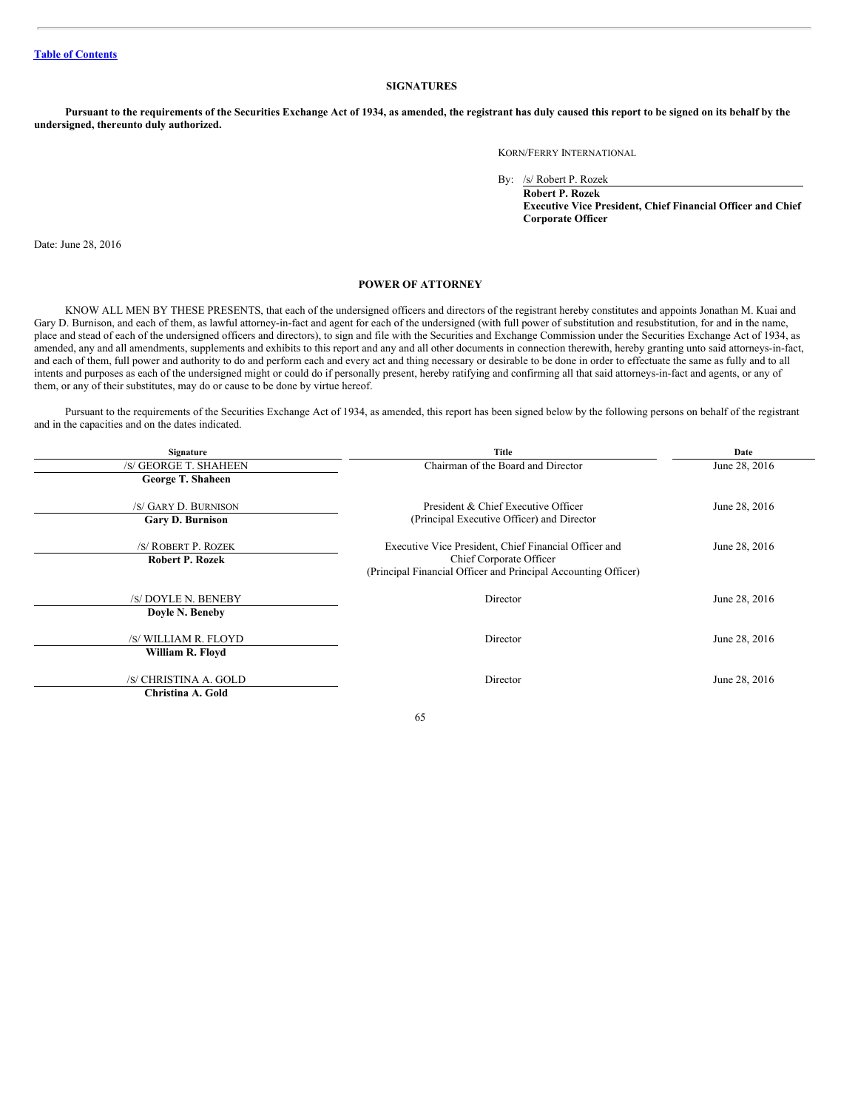# **SIGNATURES**

Pursuant to the requirements of the Securities Exchange Act of 1934, as amended, the registrant has duly caused this report to be signed on its behalf by the **undersigned, thereunto duly authorized.**

KORN/FERRY INTERNATIONAL

By: /s/ Robert P. Rozek

**Robert P. Rozek Executive Vice President, Chief Financial Officer and Chief Corporate Officer**

Date: June 28, 2016

#### **POWER OF ATTORNEY**

KNOW ALL MEN BY THESE PRESENTS, that each of the undersigned officers and directors of the registrant hereby constitutes and appoints Jonathan M. Kuai and Gary D. Burnison, and each of them, as lawful attorney-in-fact and agent for each of the undersigned (with full power of substitution and resubstitution, for and in the name, place and stead of each of the undersigned officers and directors), to sign and file with the Securities and Exchange Commission under the Securities Exchange Act of 1934, as amended, any and all amendments, supplements and exhibits to this report and any and all other documents in connection therewith, hereby granting unto said attorneys-in-fact, and each of them, full power and authority to do and perform each and every act and thing necessary or desirable to be done in order to effectuate the same as fully and to all intents and purposes as each of the undersigned might or could do if personally present, hereby ratifying and confirming all that said attorneys-in-fact and agents, or any of them, or any of their substitutes, may do or cause to be done by virtue hereof.

Pursuant to the requirements of the Securities Exchange Act of 1934, as amended, this report has been signed below by the following persons on behalf of the registrant and in the capacities and on the dates indicated.

| Signature               | Title                                                          | Date          |
|-------------------------|----------------------------------------------------------------|---------------|
| /S/ GEORGE T. SHAHEEN   | Chairman of the Board and Director                             | June 28, 2016 |
| George T. Shaheen       |                                                                |               |
| /S/ GARY D. BURNISON    | President & Chief Executive Officer                            | June 28, 2016 |
| <b>Gary D. Burnison</b> | (Principal Executive Officer) and Director                     |               |
| /S/ ROBERT P. ROZEK     | Executive Vice President, Chief Financial Officer and          | June 28, 2016 |
| Robert P. Rozek         | Chief Corporate Officer                                        |               |
|                         | (Principal Financial Officer and Principal Accounting Officer) |               |
| /S/ DOYLE N. BENEBY     | Director                                                       | June 28, 2016 |
| Doyle N. Beneby         |                                                                |               |
| /S/WILLIAM R. FLOYD     | Director                                                       | June 28, 2016 |
| William R. Floyd        |                                                                |               |
| /S/ CHRISTINA A. GOLD   | Director                                                       | June 28, 2016 |
| Christina A. Gold       |                                                                |               |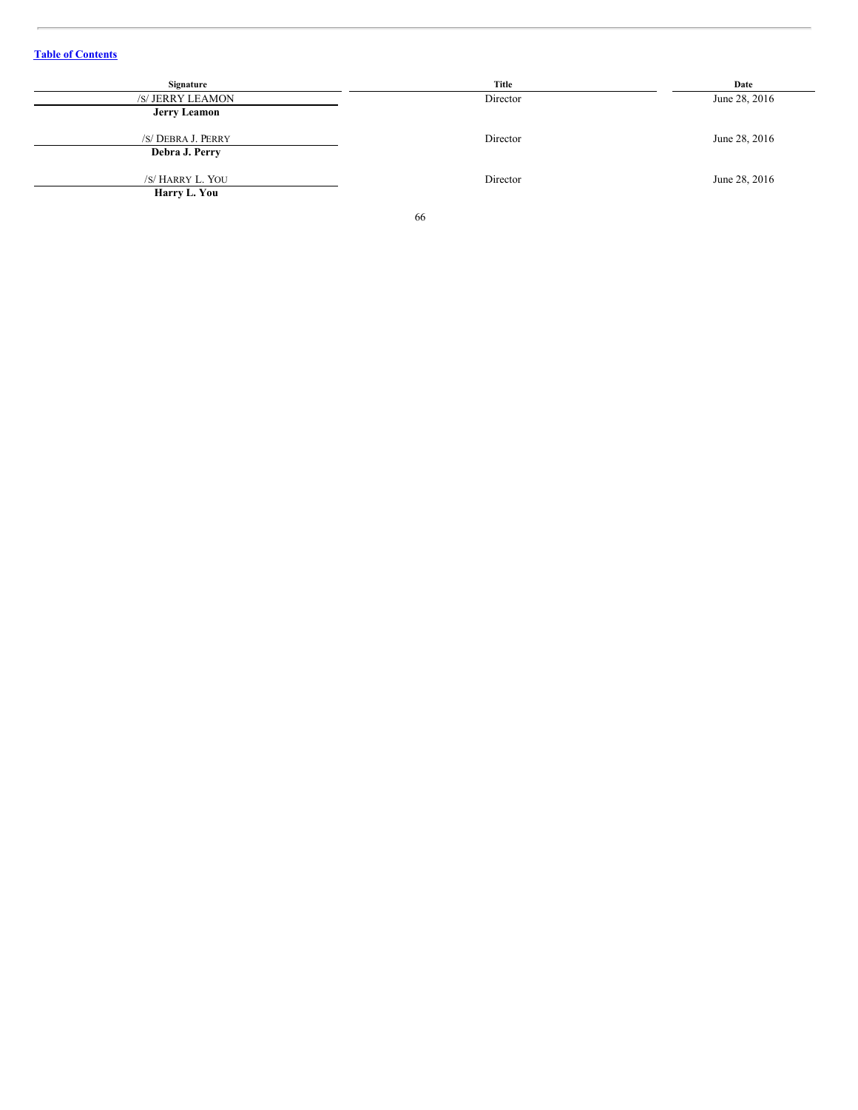| Signature           | Title    | Date          |
|---------------------|----------|---------------|
| /S/ JERRY LEAMON    | Director | June 28, 2016 |
| <b>Jerry Leamon</b> |          |               |
| /S/ DEBRA J. PERRY  | Director | June 28, 2016 |
| Debra J. Perry      |          |               |
| /S/ HARRY L. YOU    | Director | June 28, 2016 |
| Harry L. You        |          |               |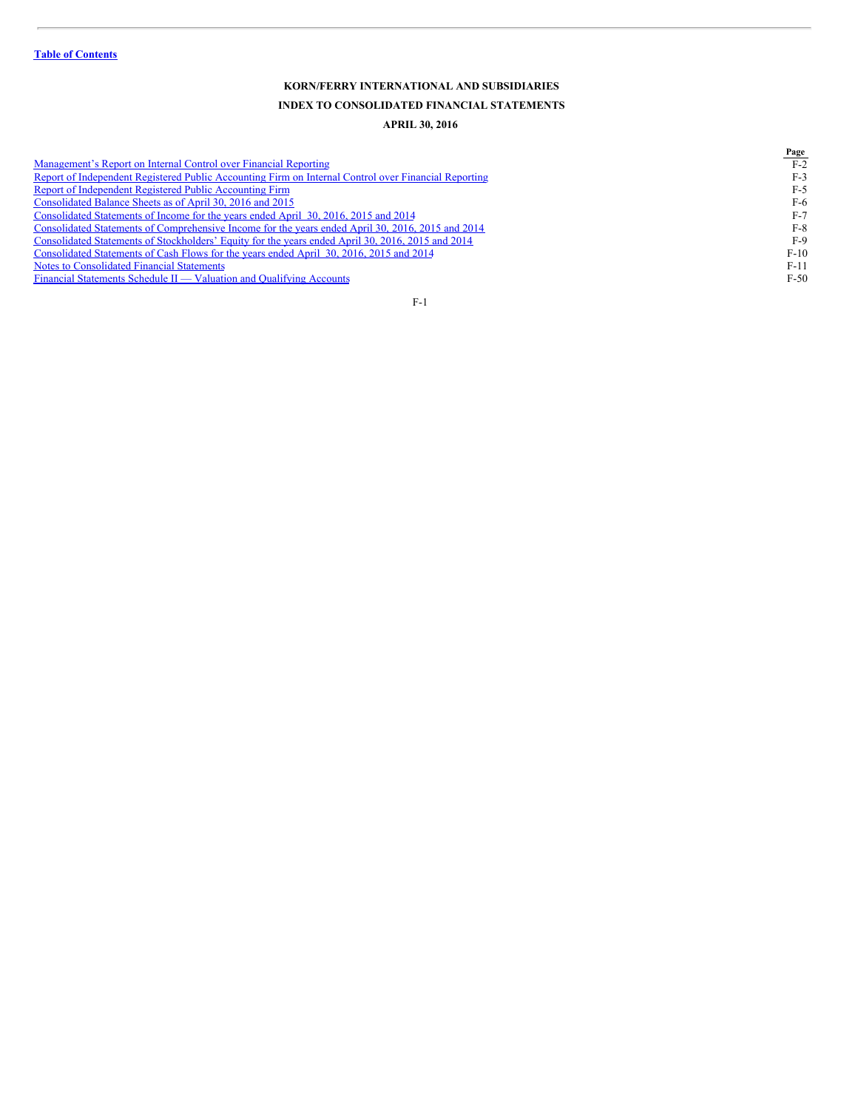# **KORN/FERRY INTERNATIONAL AND SUBSIDIARIES**

# **INDEX TO CONSOLIDATED FINANCIAL STATEMENTS**

# **APRIL 30, 2016**

|                                                                                                      | Page   |
|------------------------------------------------------------------------------------------------------|--------|
| Management's Report on Internal Control over Financial Reporting                                     | $F-2$  |
| Report of Independent Registered Public Accounting Firm on Internal Control over Financial Reporting | $F-3$  |
| Report of Independent Registered Public Accounting Firm                                              | F-5    |
| Consolidated Balance Sheets as of April 30, 2016 and 2015                                            | F-6    |
| Consolidated Statements of Income for the years ended April 30, 2016, 2015 and 2014                  | $F-7$  |
| Consolidated Statements of Comprehensive Income for the years ended April 30, 2016, 2015 and 2014    | $F-8$  |
| Consolidated Statements of Stockholders' Equity for the years ended April 30, 2016, 2015 and 2014    | $F-9$  |
| Consolidated Statements of Cash Flows for the years ended April 30, 2016, 2015 and 2014              | $F-10$ |
| Notes to Consolidated Financial Statements                                                           | $F-11$ |
| Financial Statements Schedule II — Valuation and Qualifying Accounts                                 | $F-50$ |
|                                                                                                      |        |

F-1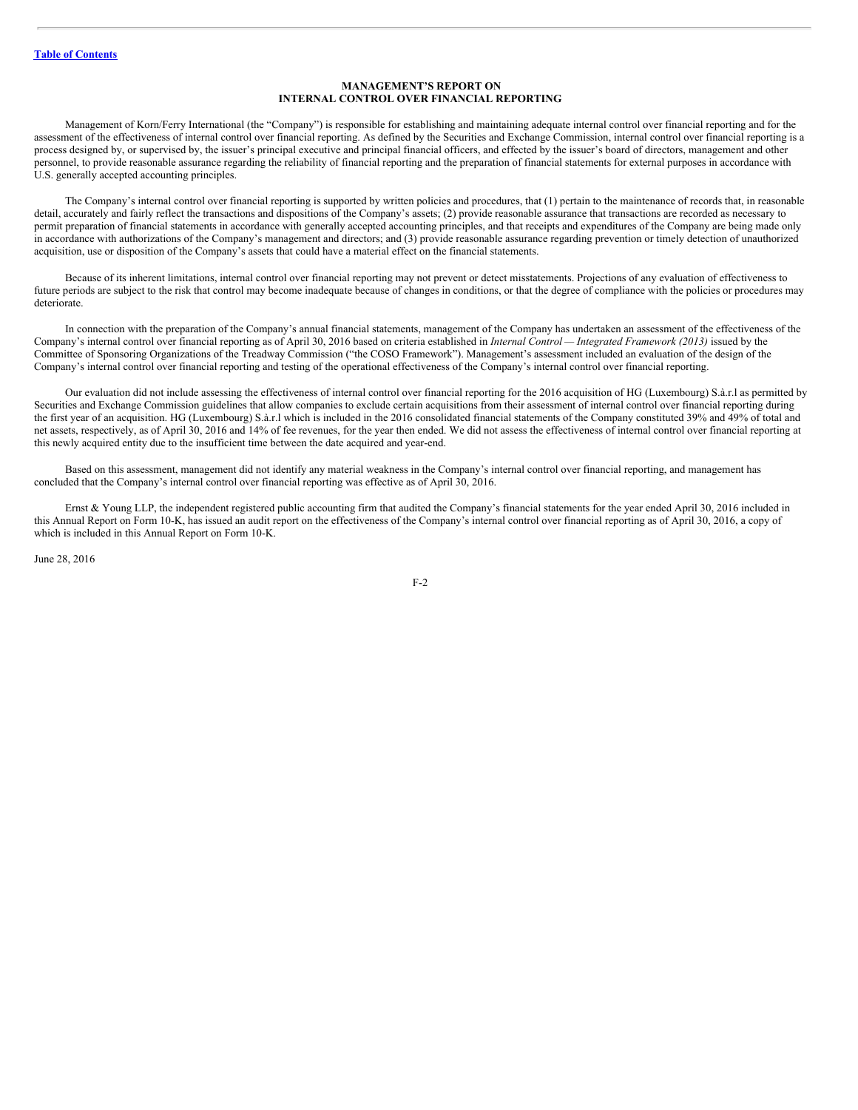### <span id="page-69-0"></span>**MANAGEMENT'S REPORT ON INTERNAL CONTROL OVER FINANCIAL REPORTING**

Management of Korn/Ferry International (the "Company") is responsible for establishing and maintaining adequate internal control over financial reporting and for the assessment of the effectiveness of internal control over financial reporting. As defined by the Securities and Exchange Commission, internal control over financial reporting is a process designed by, or supervised by, the issuer's principal executive and principal financial officers, and effected by the issuer's board of directors, management and other personnel, to provide reasonable assurance regarding the reliability of financial reporting and the preparation of financial statements for external purposes in accordance with U.S. generally accepted accounting principles.

The Company's internal control over financial reporting is supported by written policies and procedures, that (1) pertain to the maintenance of records that, in reasonable detail, accurately and fairly reflect the transactions and dispositions of the Company's assets; (2) provide reasonable assurance that transactions are recorded as necessary to permit preparation of financial statements in accordance with generally accepted accounting principles, and that receipts and expenditures of the Company are being made only in accordance with authorizations of the Company's management and directors; and (3) provide reasonable assurance regarding prevention or timely detection of unauthorized acquisition, use or disposition of the Company's assets that could have a material effect on the financial statements.

Because of its inherent limitations, internal control over financial reporting may not prevent or detect misstatements. Projections of any evaluation of effectiveness to future periods are subject to the risk that control may become inadequate because of changes in conditions, or that the degree of compliance with the policies or procedures may deteriorate.

In connection with the preparation of the Company's annual financial statements, management of the Company has undertaken an assessment of the effectiveness of the Company's internal control over financial reporting as of April 30, 2016 based on criteria established in *Internal Control — Integrated Framework (2013)* issued by the Committee of Sponsoring Organizations of the Treadway Commission ("the COSO Framework"). Management's assessment included an evaluation of the design of the Company's internal control over financial reporting and testing of the operational effectiveness of the Company's internal control over financial reporting.

Our evaluation did not include assessing the effectiveness of internal control over financial reporting for the 2016 acquisition of HG (Luxembourg) S.à.r.l as permitted by Securities and Exchange Commission guidelines that allow companies to exclude certain acquisitions from their assessment of internal control over financial reporting during the first year of an acquisition. HG (Luxembourg) S.à.r.l which is included in the 2016 consolidated financial statements of the Company constituted 39% and 49% of total and net assets, respectively, as of April 30, 2016 and 14% of fee revenues, for the year then ended. We did not assess the effectiveness of internal control over financial reporting at this newly acquired entity due to the insufficient time between the date acquired and year-end.

Based on this assessment, management did not identify any material weakness in the Company's internal control over financial reporting, and management has concluded that the Company's internal control over financial reporting was effective as of April 30, 2016.

Ernst & Young LLP, the independent registered public accounting firm that audited the Company's financial statements for the year ended April 30, 2016 included in this Annual Report on Form 10-K, has issued an audit report on the effectiveness of the Company's internal control over financial reporting as of April 30, 2016, a copy of which is included in this Annual Report on Form 10-K.

June 28, 2016

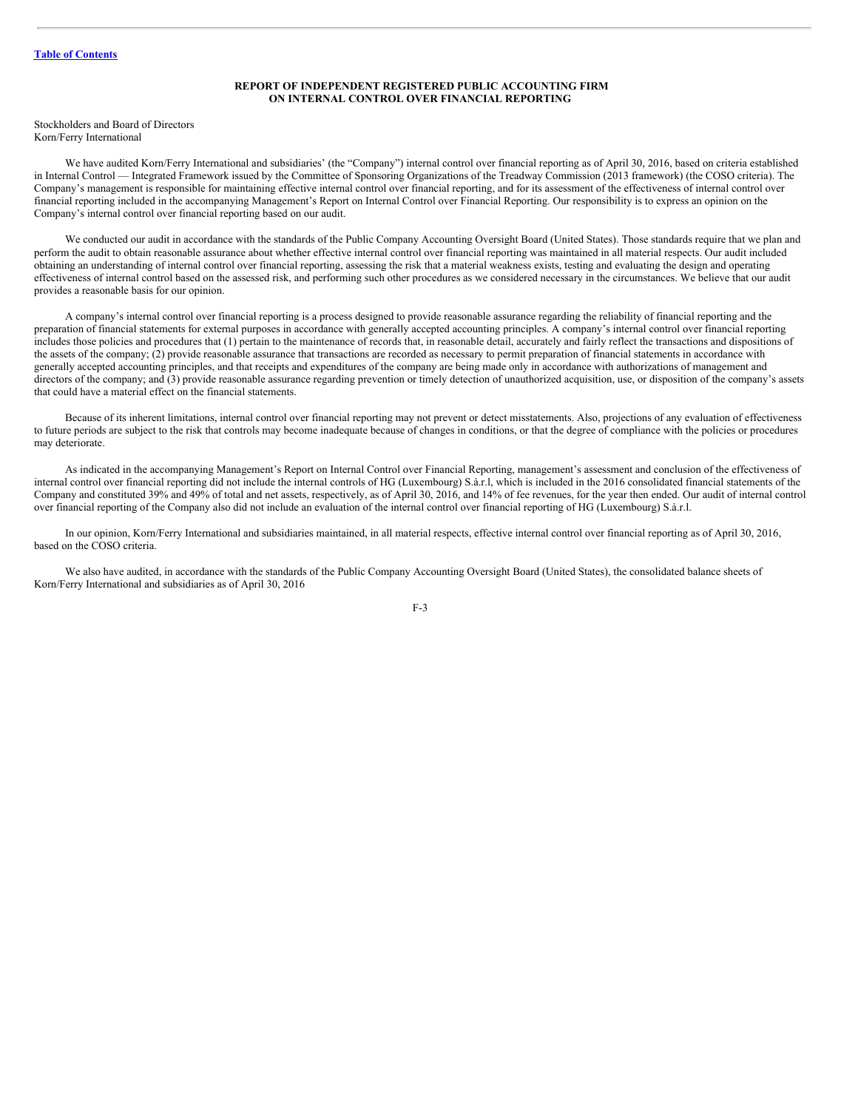# <span id="page-70-0"></span>**REPORT OF INDEPENDENT REGISTERED PUBLIC ACCOUNTING FIRM ON INTERNAL CONTROL OVER FINANCIAL REPORTING**

Stockholders and Board of Directors Korn/Ferry International

We have audited Korn/Ferry International and subsidiaries' (the "Company") internal control over financial reporting as of April 30, 2016, based on criteria established in Internal Control — Integrated Framework issued by the Committee of Sponsoring Organizations of the Treadway Commission (2013 framework) (the COSO criteria). The Company's management is responsible for maintaining effective internal control over financial reporting, and for its assessment of the effectiveness of internal control over financial reporting included in the accompanying Management's Report on Internal Control over Financial Reporting. Our responsibility is to express an opinion on the Company's internal control over financial reporting based on our audit.

We conducted our audit in accordance with the standards of the Public Company Accounting Oversight Board (United States). Those standards require that we plan and perform the audit to obtain reasonable assurance about whether effective internal control over financial reporting was maintained in all material respects. Our audit included obtaining an understanding of internal control over financial reporting, assessing the risk that a material weakness exists, testing and evaluating the design and operating effectiveness of internal control based on the assessed risk, and performing such other procedures as we considered necessary in the circumstances. We believe that our audit provides a reasonable basis for our opinion.

A company's internal control over financial reporting is a process designed to provide reasonable assurance regarding the reliability of financial reporting and the preparation of financial statements for external purposes in accordance with generally accepted accounting principles. A company's internal control over financial reporting includes those policies and procedures that (1) pertain to the maintenance of records that, in reasonable detail, accurately and fairly reflect the transactions and dispositions of the assets of the company; (2) provide reasonable assurance that transactions are recorded as necessary to permit preparation of financial statements in accordance with generally accepted accounting principles, and that receipts and expenditures of the company are being made only in accordance with authorizations of management and directors of the company; and (3) provide reasonable assurance regarding prevention or timely detection of unauthorized acquisition, use, or disposition of the company's assets that could have a material effect on the financial statements.

Because of its inherent limitations, internal control over financial reporting may not prevent or detect misstatements. Also, projections of any evaluation of effectiveness to future periods are subject to the risk that controls may become inadequate because of changes in conditions, or that the degree of compliance with the policies or procedures may deteriorate.

As indicated in the accompanying Management's Report on Internal Control over Financial Reporting, management's assessment and conclusion of the effectiveness of internal control over financial reporting did not include the internal controls of HG (Luxembourg) S.à.r.l, which is included in the 2016 consolidated financial statements of the Company and constituted 39% and 49% of total and net assets, respectively, as of April 30, 2016, and 14% of fee revenues, for the year then ended. Our audit of internal control over financial reporting of the Company also did not include an evaluation of the internal control over financial reporting of HG (Luxembourg) S.à.r.l.

In our opinion, Korn/Ferry International and subsidiaries maintained, in all material respects, effective internal control over financial reporting as of April 30, 2016, based on the COSO criteria.

We also have audited, in accordance with the standards of the Public Company Accounting Oversight Board (United States), the consolidated balance sheets of Korn/Ferry International and subsidiaries as of April 30, 2016

F-3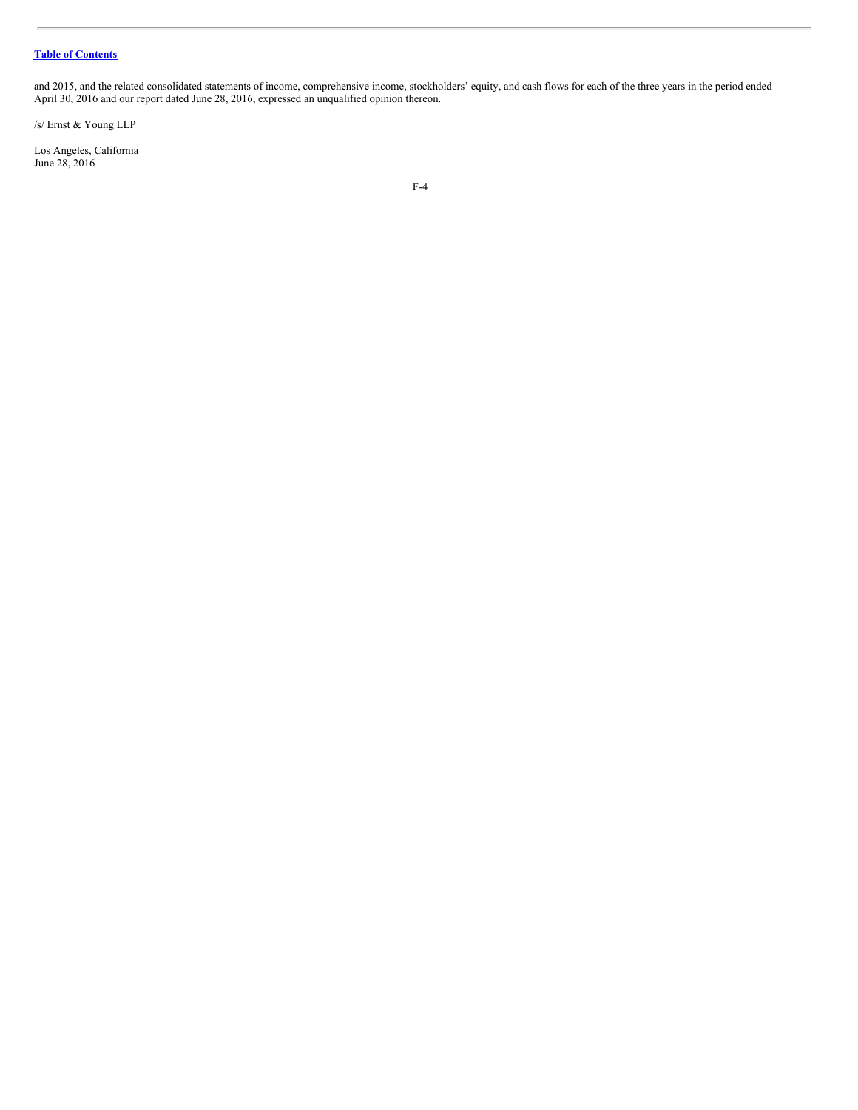and 2015, and the related consolidated statements of income, comprehensive income, stockholders' equity, and cash flows for each of the three years in the period ended April 30, 2016 and our report dated June 28, 2016, expressed an unqualified opinion thereon.

/s/ Ernst & Young LLP

Los Angeles, California June 28, 2016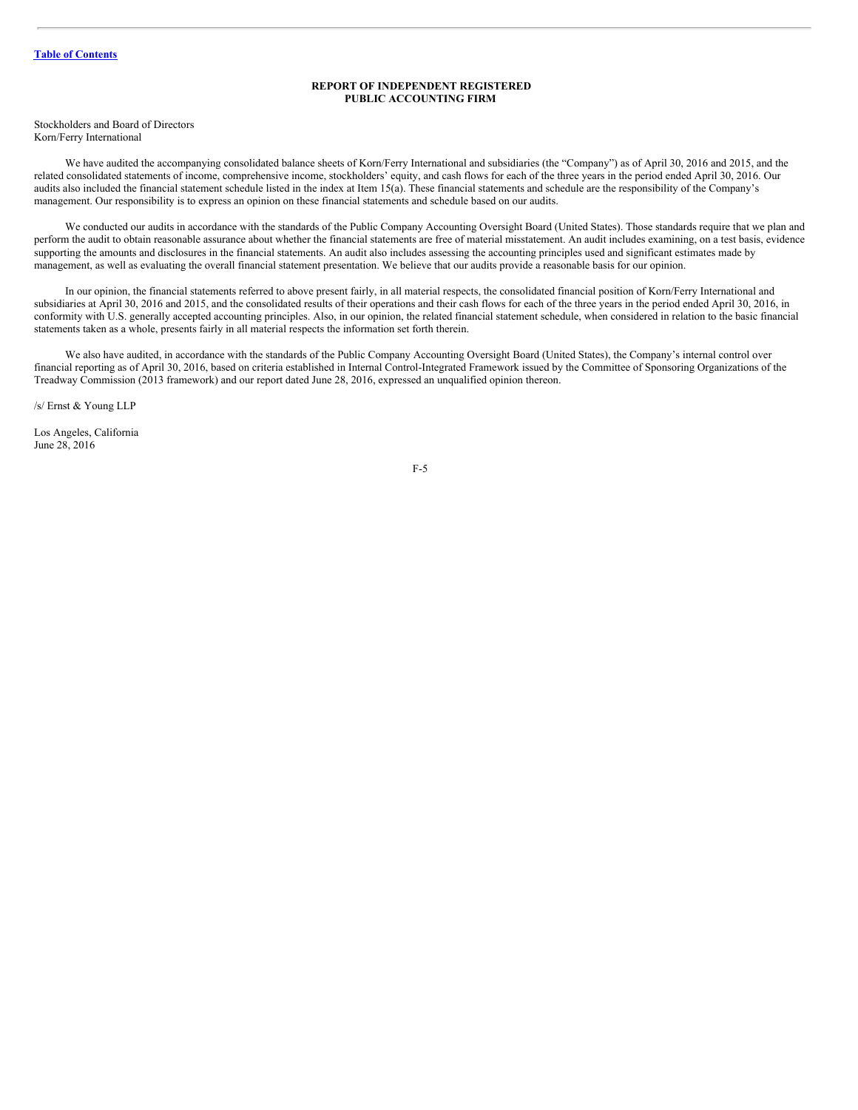# **REPORT OF INDEPENDENT REGISTERED PUBLIC ACCOUNTING FIRM**

Stockholders and Board of Directors Korn/Ferry International

We have audited the accompanying consolidated balance sheets of Korn/Ferry International and subsidiaries (the "Company") as of April 30, 2016 and 2015, and the related consolidated statements of income, comprehensive income, stockholders' equity, and cash flows for each of the three years in the period ended April 30, 2016. Our audits also included the financial statement schedule listed in the index at Item 15(a). These financial statements and schedule are the responsibility of the Company's management. Our responsibility is to express an opinion on these financial statements and schedule based on our audits.

We conducted our audits in accordance with the standards of the Public Company Accounting Oversight Board (United States). Those standards require that we plan and perform the audit to obtain reasonable assurance about whether the financial statements are free of material misstatement. An audit includes examining, on a test basis, evidence supporting the amounts and disclosures in the financial statements. An audit also includes assessing the accounting principles used and significant estimates made by management, as well as evaluating the overall financial statement presentation. We believe that our audits provide a reasonable basis for our opinion.

In our opinion, the financial statements referred to above present fairly, in all material respects, the consolidated financial position of Korn/Ferry International and subsidiaries at April 30, 2016 and 2015, and the consolidated results of their operations and their cash flows for each of the three years in the period ended April 30, 2016, in conformity with U.S. generally accepted accounting principles. Also, in our opinion, the related financial statement schedule, when considered in relation to the basic financial statements taken as a whole, presents fairly in all material respects the information set forth therein.

We also have audited, in accordance with the standards of the Public Company Accounting Oversight Board (United States), the Company's internal control over financial reporting as of April 30, 2016, based on criteria established in Internal Control-Integrated Framework issued by the Committee of Sponsoring Organizations of the Treadway Commission (2013 framework) and our report dated June 28, 2016, expressed an unqualified opinion thereon.

/s/ Ernst & Young LLP

Los Angeles, California June 28, 2016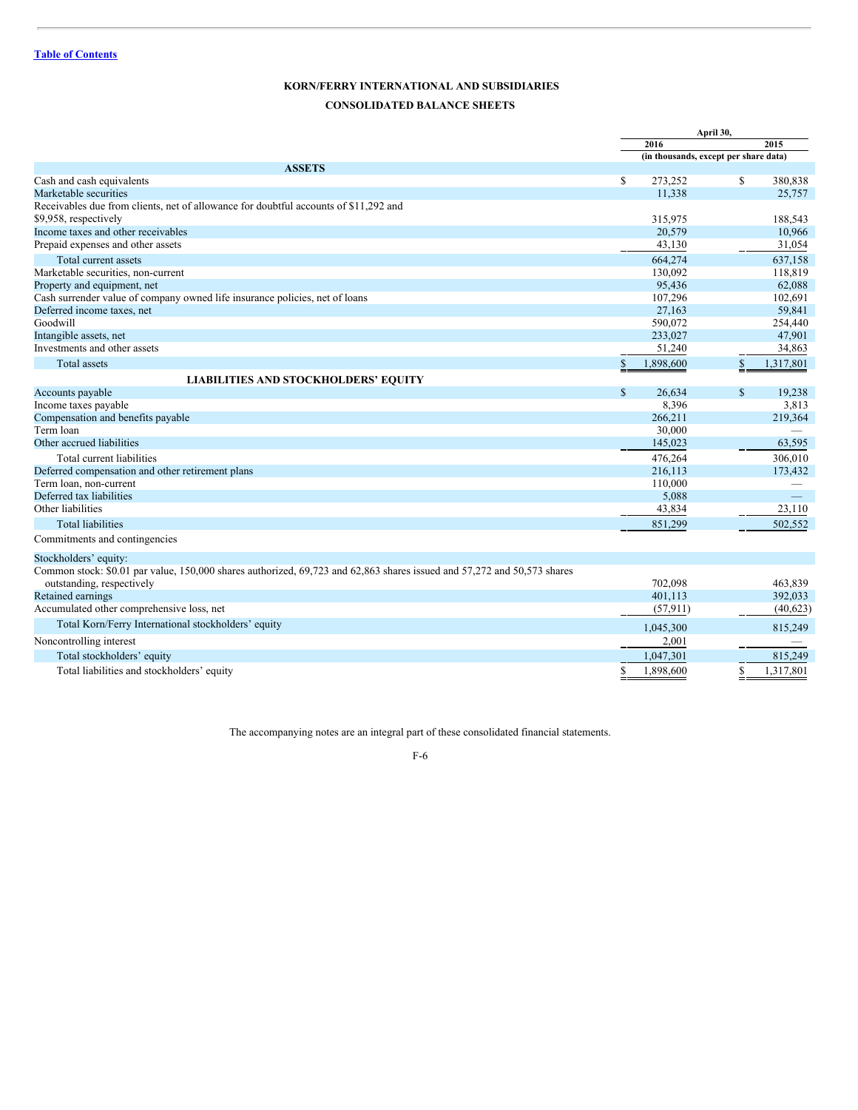# **KORN/FERRY INTERNATIONAL AND SUBSIDIARIES**

# **CONSOLIDATED BALANCE SHEETS**

|                                                                                                                         | April 30,   |           |                                       |           |
|-------------------------------------------------------------------------------------------------------------------------|-------------|-----------|---------------------------------------|-----------|
|                                                                                                                         |             | 2016      |                                       | 2015      |
|                                                                                                                         |             |           | (in thousands, except per share data) |           |
| <b>ASSETS</b>                                                                                                           |             |           |                                       |           |
| Cash and cash equivalents                                                                                               | \$          | 273,252   | \$                                    | 380,838   |
| Marketable securities                                                                                                   |             | 11,338    |                                       | 25,757    |
| Receivables due from clients, net of allowance for doubtful accounts of \$11,292 and                                    |             |           |                                       |           |
| \$9,958, respectively                                                                                                   |             | 315.975   |                                       | 188,543   |
| Income taxes and other receivables                                                                                      |             | 20,579    |                                       | 10,966    |
| Prepaid expenses and other assets                                                                                       |             | 43,130    |                                       | 31,054    |
| Total current assets                                                                                                    |             | 664,274   |                                       | 637,158   |
| Marketable securities, non-current                                                                                      |             | 130,092   |                                       | 118,819   |
| Property and equipment, net                                                                                             |             | 95,436    |                                       | 62,088    |
| Cash surrender value of company owned life insurance policies, net of loans                                             |             | 107,296   |                                       | 102,691   |
| Deferred income taxes, net                                                                                              |             | 27,163    |                                       | 59,841    |
| Goodwill                                                                                                                |             | 590,072   |                                       | 254,440   |
| Intangible assets, net                                                                                                  |             | 233,027   |                                       | 47,901    |
| Investments and other assets                                                                                            |             | 51,240    |                                       | 34,863    |
| <b>Total assets</b>                                                                                                     | \$          | 1,898,600 | S.                                    | 1,317,801 |
| <b>LIABILITIES AND STOCKHOLDERS' EQUITY</b>                                                                             |             |           |                                       |           |
| Accounts payable                                                                                                        | $\mathbf S$ | 26,634    | $\mathbb{S}$                          | 19,238    |
| Income taxes payable                                                                                                    |             | 8,396     |                                       | 3,813     |
| Compensation and benefits payable                                                                                       |             | 266,211   |                                       | 219,364   |
| Term loan                                                                                                               |             | 30,000    |                                       |           |
| Other accrued liabilities                                                                                               |             | 145,023   |                                       | 63,595    |
| Total current liabilities                                                                                               |             | 476,264   |                                       | 306,010   |
| Deferred compensation and other retirement plans                                                                        |             | 216,113   |                                       | 173,432   |
| Term loan, non-current                                                                                                  |             | 110,000   |                                       |           |
| Deferred tax liabilities                                                                                                |             | 5,088     |                                       |           |
| Other liabilities                                                                                                       |             | 43,834    |                                       | 23,110    |
| <b>Total liabilities</b>                                                                                                |             | 851,299   |                                       | 502,552   |
| Commitments and contingencies                                                                                           |             |           |                                       |           |
| Stockholders' equity:                                                                                                   |             |           |                                       |           |
| Common stock: \$0.01 par value, 150,000 shares authorized, 69,723 and 62,863 shares issued and 57,272 and 50,573 shares |             |           |                                       |           |
| outstanding, respectively                                                                                               |             | 702,098   |                                       | 463.839   |
| Retained earnings                                                                                                       |             | 401,113   |                                       | 392,033   |
| Accumulated other comprehensive loss, net                                                                               |             | (57, 911) |                                       | (40,623)  |
| Total Korn/Ferry International stockholders' equity                                                                     |             | 1,045,300 |                                       | 815,249   |
| Noncontrolling interest                                                                                                 |             | 2,001     |                                       |           |
| Total stockholders' equity                                                                                              |             | 1,047,301 |                                       | 815,249   |
| Total liabilities and stockholders' equity                                                                              | \$          | 1,898,600 | \$                                    | 1,317,801 |

The accompanying notes are an integral part of these consolidated financial statements.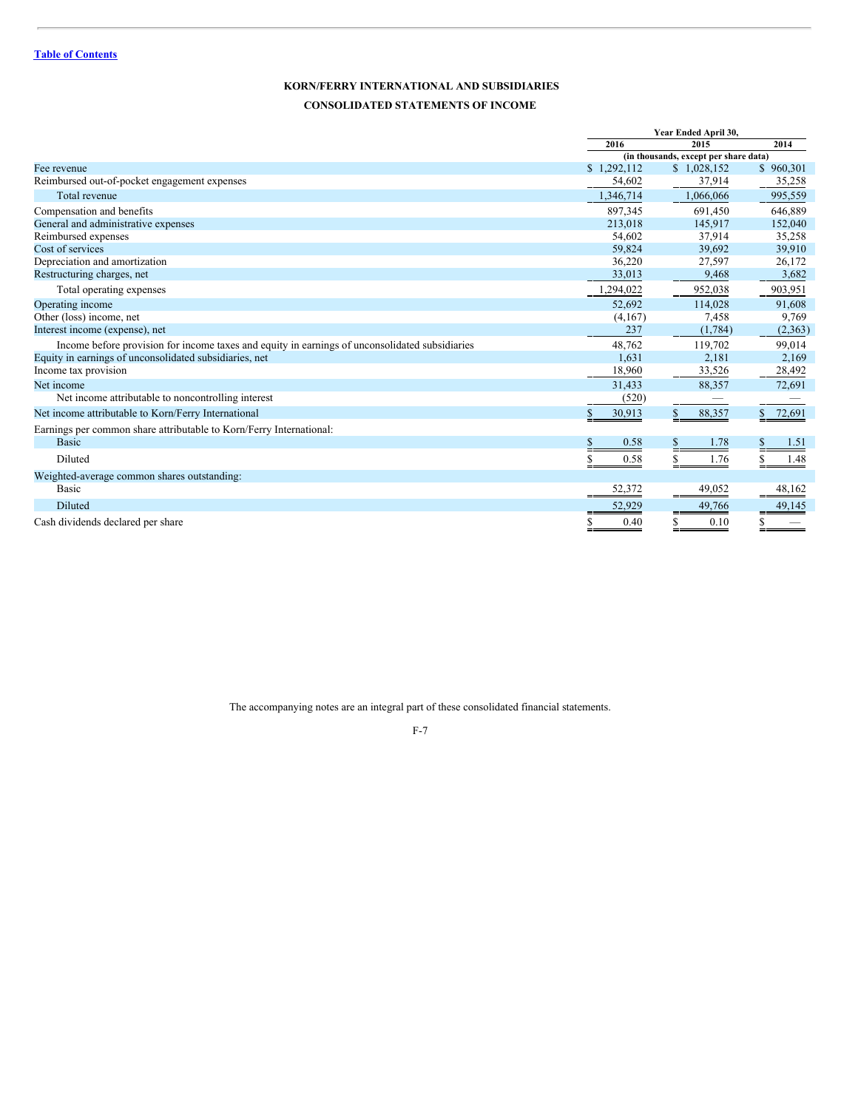# **KORN/FERRY INTERNATIONAL AND SUBSIDIARIES CONSOLIDATED STATEMENTS OF INCOME**

|                                                                                                |             | Year Ended April 30,                  |              |  |  |
|------------------------------------------------------------------------------------------------|-------------|---------------------------------------|--------------|--|--|
|                                                                                                | 2016        | 2015                                  | 2014         |  |  |
|                                                                                                |             | (in thousands, except per share data) |              |  |  |
| Fee revenue                                                                                    | \$1,292,112 | \$1,028,152                           | \$960,301    |  |  |
| Reimbursed out-of-pocket engagement expenses                                                   | 54,602      | 37,914                                | 35,258       |  |  |
| Total revenue                                                                                  | 1,346,714   | 1,066,066                             | 995,559      |  |  |
| Compensation and benefits                                                                      | 897,345     | 691.450                               | 646,889      |  |  |
| General and administrative expenses                                                            | 213,018     | 145,917                               | 152,040      |  |  |
| Reimbursed expenses                                                                            | 54,602      | 37,914                                | 35,258       |  |  |
| Cost of services                                                                               | 59,824      | 39,692                                | 39,910       |  |  |
| Depreciation and amortization                                                                  | 36,220      | 27,597                                | 26,172       |  |  |
| Restructuring charges, net                                                                     | 33,013      | 9,468                                 | 3,682        |  |  |
| Total operating expenses                                                                       | 1,294,022   | 952,038                               | 903,951      |  |  |
| Operating income                                                                               | 52,692      | 114,028                               | 91,608       |  |  |
| Other (loss) income, net                                                                       | (4,167)     | 7,458                                 | 9,769        |  |  |
| Interest income (expense), net                                                                 | 237         | (1, 784)                              | (2,363)      |  |  |
| Income before provision for income taxes and equity in earnings of unconsolidated subsidiaries | 48,762      | 119,702                               | 99,014       |  |  |
| Equity in earnings of unconsolidated subsidiaries, net                                         | 1,631       | 2,181                                 | 2,169        |  |  |
| Income tax provision                                                                           | 18,960      | 33,526                                | 28,492       |  |  |
| Net income                                                                                     | 31,433      | 88,357                                | 72,691       |  |  |
| Net income attributable to noncontrolling interest                                             | (520)       |                                       |              |  |  |
| Net income attributable to Korn/Ferry International                                            | 30,913      | 88,357                                | 72,691<br>S. |  |  |
| Earnings per common share attributable to Korn/Ferry International:                            |             |                                       |              |  |  |
| <b>Basic</b>                                                                                   | 0.58        | 1.78                                  | 1.51         |  |  |
| Diluted                                                                                        | 0.58        | 1.76                                  | 1.48         |  |  |
| Weighted-average common shares outstanding:                                                    |             |                                       |              |  |  |
| Basic                                                                                          | 52,372      | 49,052                                | 48,162       |  |  |
| Diluted                                                                                        | 52,929      | 49,766                                | 49,145       |  |  |
| Cash dividends declared per share                                                              | \$<br>0.40  | \$<br>0.10                            | S            |  |  |

The accompanying notes are an integral part of these consolidated financial statements.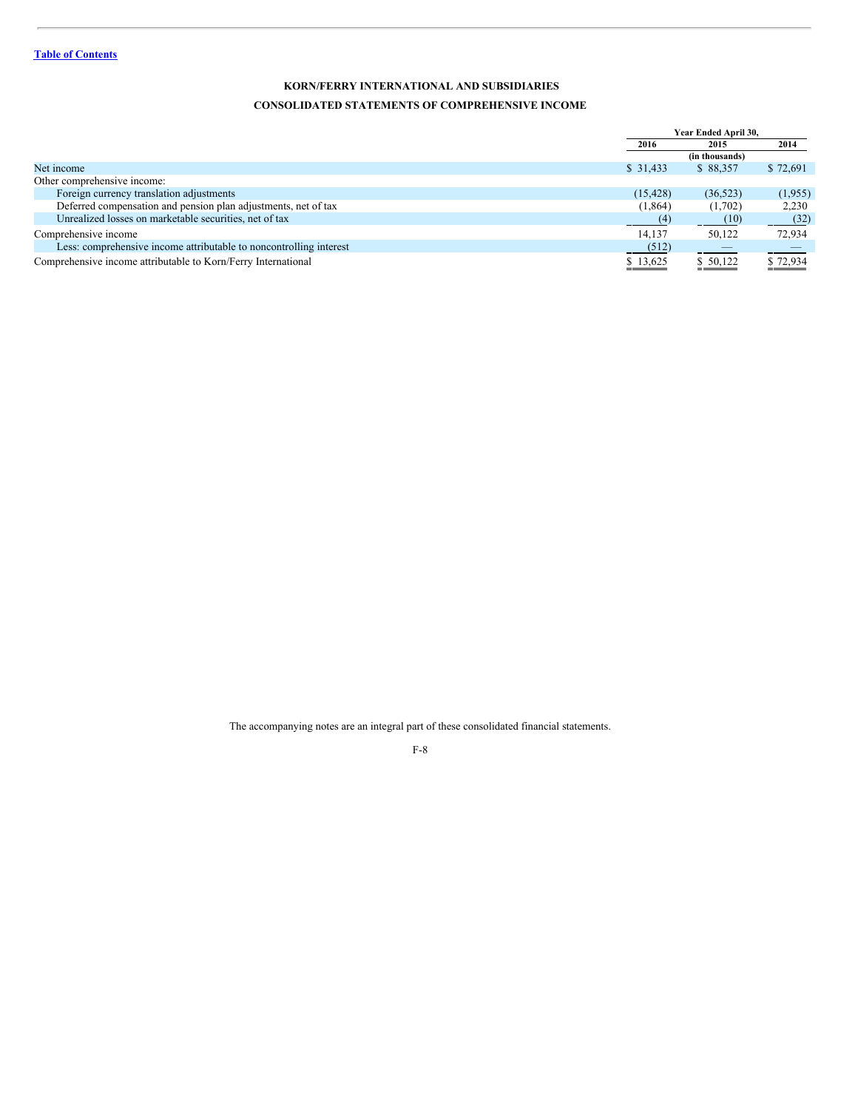# **KORN/FERRY INTERNATIONAL AND SUBSIDIARIES**

# **CONSOLIDATED STATEMENTS OF COMPREHENSIVE INCOME**

|                                                                    | Year Ended April 30, |                |           |  |  |
|--------------------------------------------------------------------|----------------------|----------------|-----------|--|--|
|                                                                    | 2016                 | 2015           | 2014      |  |  |
|                                                                    |                      | (in thousands) |           |  |  |
| Net income                                                         | \$31,433             | \$ 88,357      | \$72,691  |  |  |
| Other comprehensive income:                                        |                      |                |           |  |  |
| Foreign currency translation adjustments                           | (15, 428)            | (36, 523)      | (1,955)   |  |  |
| Deferred compensation and pension plan adjustments, net of tax     | (1,864)              | (1,702)        | 2,230     |  |  |
| Unrealized losses on marketable securities, net of tax             | (4)                  | (10)           | (32)      |  |  |
| Comprehensive income                                               | 14.137               | 50.122         | 72,934    |  |  |
| Less: comprehensive income attributable to noncontrolling interest | (512)                |                |           |  |  |
| Comprehensive income attributable to Korn/Ferry International      | \$13,625             | \$50,122       | \$ 72,934 |  |  |

The accompanying notes are an integral part of these consolidated financial statements.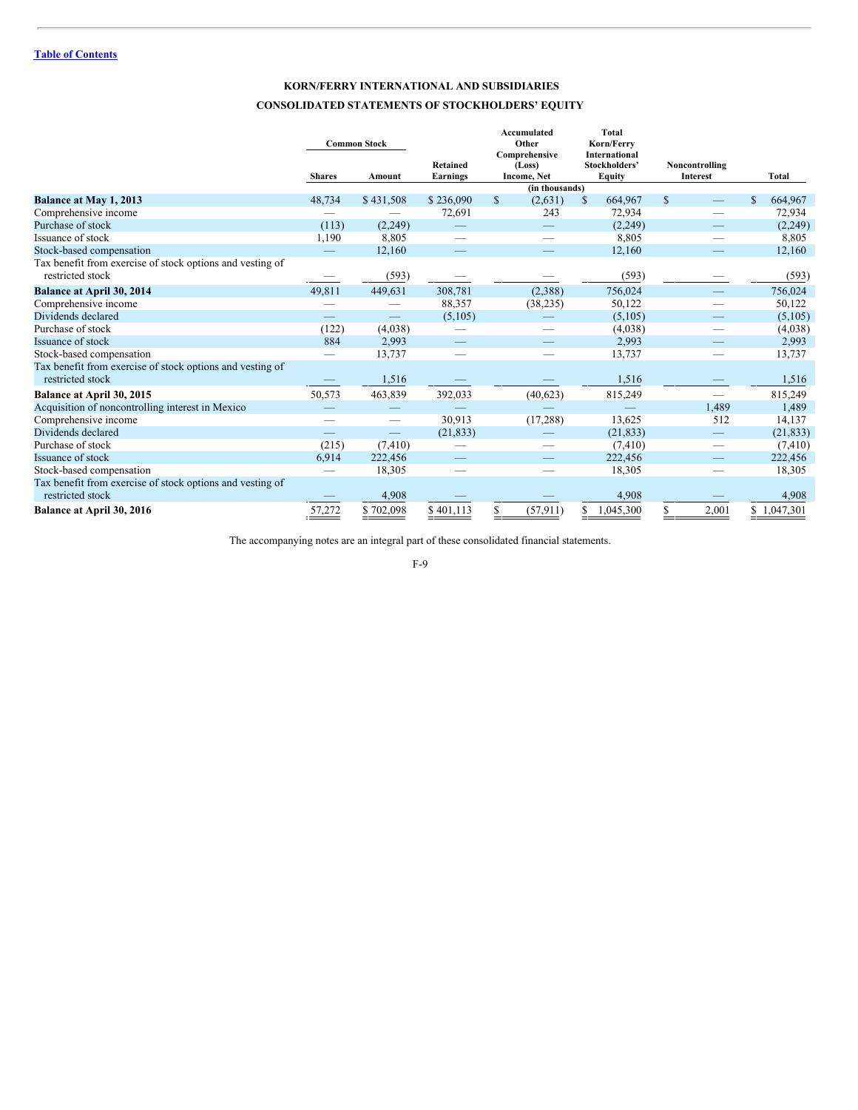# **KORN/FERRY INTERNATIONAL AND SUBSIDIARIES**

# **CONSOLIDATED STATEMENTS OF STOCKHOLDERS' EQUITY**

|                                                           |               | <b>Common Stock</b> |                                    |              | Accumulated<br>Other                          |    | Total<br>Korn/Ferry                             |             |                                 |             |
|-----------------------------------------------------------|---------------|---------------------|------------------------------------|--------------|-----------------------------------------------|----|-------------------------------------------------|-------------|---------------------------------|-------------|
|                                                           | <b>Shares</b> | Amount              | <b>Retained</b><br><b>Earnings</b> |              | Comprehensive<br>(Loss)<br><b>Income, Net</b> |    | International<br>Stockholders'<br><b>Equity</b> |             | Noncontrolling<br>Interest      | Total       |
|                                                           |               |                     |                                    |              | (in thousands)                                |    |                                                 |             |                                 |             |
| Balance at May 1, 2013                                    | 48,734        | \$431,508           | \$236,090                          | $\mathbb{S}$ | (2,631)                                       | \$ | 664,967                                         | $\mathbf S$ |                                 | 664,967     |
| Comprehensive income                                      |               |                     | 72,691                             |              | 243                                           |    | 72,934                                          |             |                                 | 72,934      |
| Purchase of stock                                         | (113)         | (2,249)             |                                    |              |                                               |    | (2,249)                                         |             |                                 | (2,249)     |
| Issuance of stock                                         | 1,190         | 8,805               |                                    |              |                                               |    | 8,805                                           |             |                                 | 8,805       |
| Stock-based compensation                                  |               | 12,160              |                                    |              |                                               |    | 12,160                                          |             |                                 | 12,160      |
| Tax benefit from exercise of stock options and vesting of |               |                     |                                    |              |                                               |    |                                                 |             |                                 |             |
| restricted stock                                          |               | (593)               |                                    |              |                                               |    | (593)                                           |             |                                 | (593)       |
| Balance at April 30, 2014                                 | 49,811        | 449,631             | 308,781                            |              | (2,388)                                       |    | 756,024                                         |             |                                 | 756,024     |
| Comprehensive income                                      |               |                     | 88,357                             |              | (38, 235)                                     |    | 50,122                                          |             |                                 | 50,122      |
| Dividends declared                                        |               |                     | (5,105)                            |              |                                               |    | (5,105)                                         |             |                                 | (5,105)     |
| Purchase of stock                                         | (122)         | (4,038)             |                                    |              |                                               |    | (4,038)                                         |             |                                 | (4,038)     |
| Issuance of stock                                         | 884           | 2,993               |                                    |              |                                               |    | 2,993                                           |             |                                 | 2,993       |
| Stock-based compensation                                  |               | 13,737              |                                    |              |                                               |    | 13,737                                          |             |                                 | 13,737      |
| Tax benefit from exercise of stock options and vesting of |               |                     |                                    |              |                                               |    |                                                 |             |                                 |             |
| restricted stock                                          |               | 1,516               |                                    |              |                                               |    | 1,516                                           |             |                                 | 1,516       |
| Balance at April 30, 2015                                 | 50,573        | 463,839             | 392,033                            |              | (40, 623)                                     |    | 815,249                                         |             |                                 | 815,249     |
| Acquisition of noncontrolling interest in Mexico          |               |                     |                                    |              |                                               |    |                                                 |             | 1,489                           | 1,489       |
| Comprehensive income                                      |               |                     | 30,913                             |              | (17, 288)                                     |    | 13,625                                          |             | 512                             | 14,137      |
| Dividends declared                                        |               |                     | (21, 833)                          |              |                                               |    | (21, 833)                                       |             | $\qquad \qquad \longleftarrow$  | (21, 833)   |
| Purchase of stock                                         | (215)         | (7, 410)            |                                    |              |                                               |    | (7, 410)                                        |             |                                 | (7, 410)    |
| Issuance of stock                                         | 6,914         | 222,456             |                                    |              |                                               |    | 222,456                                         |             | $\hspace{0.1mm}-\hspace{0.1mm}$ | 222,456     |
| Stock-based compensation                                  |               | 18,305              |                                    |              |                                               |    | 18,305                                          |             |                                 | 18,305      |
| Tax benefit from exercise of stock options and vesting of |               |                     |                                    |              |                                               |    |                                                 |             |                                 |             |
| restricted stock                                          |               | 4,908               |                                    |              |                                               |    | 4,908                                           |             |                                 | 4,908       |
| Balance at April 30, 2016                                 | 57,272        | \$702,098           | \$401,113                          | S            | (57, 911)                                     | S  | 1,045,300                                       | S           | 2,001                           | \$1,047,301 |

The accompanying notes are an integral part of these consolidated financial statements.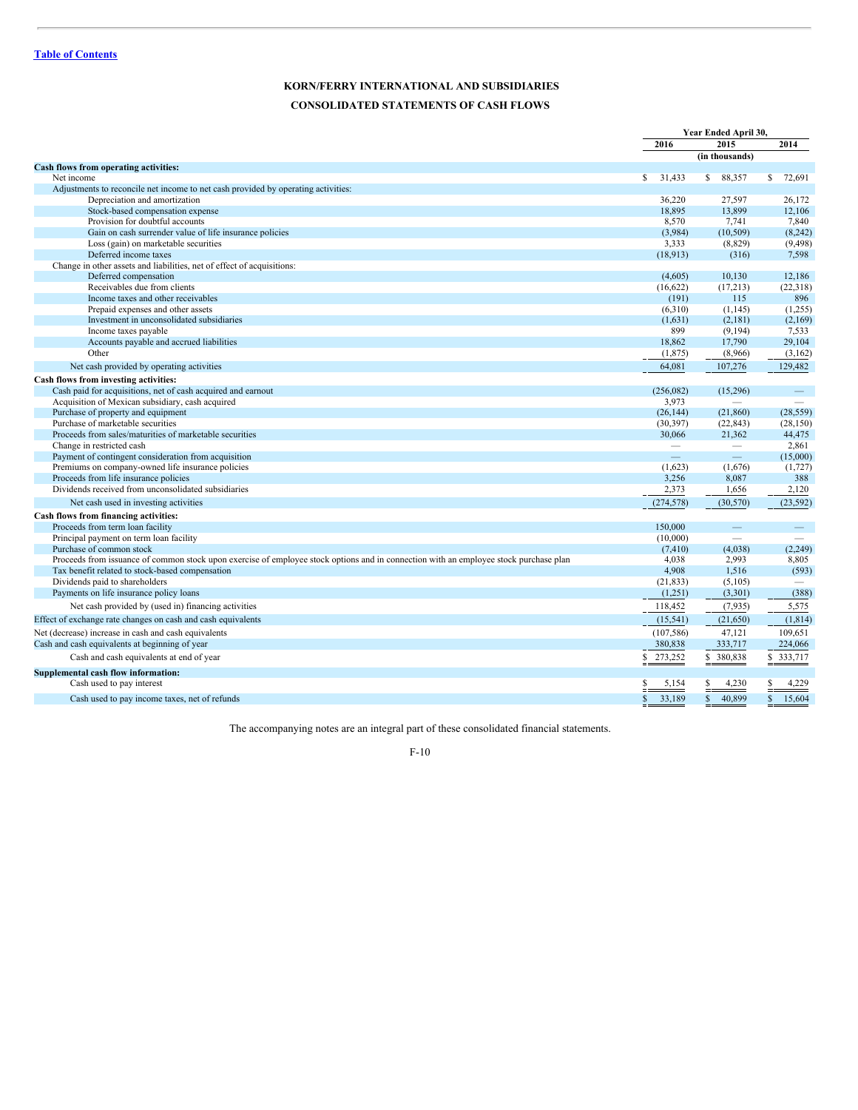# **KORN/FERRY INTERNATIONAL AND SUBSIDIARIES CONSOLIDATED STATEMENTS OF CASH FLOWS**

|                                                                                                                                                                                          |                          | Year Ended April 30,     |                                   |
|------------------------------------------------------------------------------------------------------------------------------------------------------------------------------------------|--------------------------|--------------------------|-----------------------------------|
|                                                                                                                                                                                          | 2016                     | 2015                     | 2014                              |
|                                                                                                                                                                                          |                          | (in thousands)           |                                   |
| Cash flows from operating activities:                                                                                                                                                    |                          |                          |                                   |
| Net income                                                                                                                                                                               | 31,433<br>S              | S.<br>88,357             | \$<br>72,691                      |
| Adjustments to reconcile net income to net cash provided by operating activities:                                                                                                        |                          |                          |                                   |
| Depreciation and amortization                                                                                                                                                            | 36,220                   | 27,597                   | 26,172                            |
| Stock-based compensation expense                                                                                                                                                         | 18,895                   | 13,899                   | 12,106                            |
| Provision for doubtful accounts                                                                                                                                                          | 8,570                    | 7,741                    | 7,840                             |
| Gain on cash surrender value of life insurance policies                                                                                                                                  | (3,984)                  | (10, 509)                | (8, 242)                          |
| Loss (gain) on marketable securities                                                                                                                                                     | 3,333                    | (8, 829)                 | (9, 498)                          |
| Deferred income taxes                                                                                                                                                                    | (18,913)                 | (316)                    | 7,598                             |
| Change in other assets and liabilities, net of effect of acquisitions:                                                                                                                   |                          |                          |                                   |
| Deferred compensation                                                                                                                                                                    | (4,605)                  | 10,130                   | 12,186                            |
| Receivables due from clients                                                                                                                                                             | (16,622)                 | (17,213)<br>115          | (22, 318)                         |
| Income taxes and other receivables<br>Prepaid expenses and other assets                                                                                                                  | (191)<br>(6,310)         | (1, 145)                 | 896<br>(1,255)                    |
| Investment in unconsolidated subsidiaries                                                                                                                                                |                          |                          |                                   |
| Income taxes payable                                                                                                                                                                     | (1,631)<br>899           | (2,181)<br>(9, 194)      | (2,169)<br>7,533                  |
| Accounts payable and accrued liabilities                                                                                                                                                 | 18,862                   | 17,790                   | 29,104                            |
| Other                                                                                                                                                                                    | (1, 875)                 | (8,966)                  | (3,162)                           |
|                                                                                                                                                                                          |                          |                          |                                   |
| Net cash provided by operating activities                                                                                                                                                | 64,081                   | 107,276                  | 129,482                           |
| Cash flows from investing activities:                                                                                                                                                    |                          |                          |                                   |
| Cash paid for acquisitions, net of cash acquired and earnout                                                                                                                             | (256, 082)               | (15,296)                 | $\qquad \qquad -$                 |
| Acquisition of Mexican subsidiary, cash acquired                                                                                                                                         | 3,973                    |                          | $\overline{\phantom{a}}$          |
| Purchase of property and equipment                                                                                                                                                       | (26, 144)                | (21, 860)                | (28, 559)                         |
| Purchase of marketable securities                                                                                                                                                        | (30, 397)                | (22, 843)                | (28, 150)                         |
| Proceeds from sales/maturities of marketable securities                                                                                                                                  | 30,066                   | 21,362                   | 44,475                            |
| Change in restricted cash                                                                                                                                                                | $\overline{\phantom{m}}$ | $\overline{\phantom{a}}$ | 2,861                             |
| Payment of contingent consideration from acquisition                                                                                                                                     |                          |                          | (15,000)                          |
| Premiums on company-owned life insurance policies                                                                                                                                        | (1,623)                  | (1,676)                  | (1,727)                           |
| Proceeds from life insurance policies                                                                                                                                                    | 3,256                    | 8,087                    | 388                               |
| Dividends received from unconsolidated subsidiaries                                                                                                                                      | 2,373                    | 1,656                    | 2,120                             |
| Net cash used in investing activities                                                                                                                                                    | (274, 578)               | (30, 570)                | (23, 592)                         |
| Cash flows from financing activities:                                                                                                                                                    |                          |                          |                                   |
| Proceeds from term loan facility                                                                                                                                                         | 150,000                  |                          |                                   |
| Principal payment on term loan facility                                                                                                                                                  | (10,000)                 |                          |                                   |
| Purchase of common stock                                                                                                                                                                 | (7, 410)                 | (4,038)                  | (2, 249)                          |
| Proceeds from issuance of common stock upon exercise of employee stock options and in connection with an employee stock purchase plan<br>Tax benefit related to stock-based compensation | 4,038<br>4,908           | 2,993                    | 8,805                             |
| Dividends paid to shareholders                                                                                                                                                           | (21, 833)                | 1,516<br>(5,105)         | (593)                             |
| Payments on life insurance policy loans                                                                                                                                                  | (1,251)                  | (3,301)                  | (388)                             |
|                                                                                                                                                                                          |                          |                          |                                   |
| Net cash provided by (used in) financing activities                                                                                                                                      | 118,452                  | (7,935)                  | 5,575                             |
| Effect of exchange rate changes on cash and cash equivalents                                                                                                                             | (15, 541)                | (21, 650)                | (1,814)                           |
| Net (decrease) increase in cash and cash equivalents                                                                                                                                     | (107, 586)               | 47,121                   | 109,651                           |
| Cash and cash equivalents at beginning of year                                                                                                                                           | 380,838                  | 333,717                  | 224,066                           |
| Cash and cash equivalents at end of year                                                                                                                                                 | \$<br>273,252            | 380,838<br>\$            | $\frac{\mathbb{S}}{2}$<br>333,717 |
| Supplemental cash flow information:                                                                                                                                                      |                          |                          |                                   |
| Cash used to pay interest                                                                                                                                                                | S<br>5,154               | 4,230                    | 4,229<br>S                        |
|                                                                                                                                                                                          |                          |                          |                                   |
| Cash used to pay income taxes, net of refunds                                                                                                                                            | $\mathcal{S}$<br>33.189  | $\mathbb{S}$<br>40.899   | $\mathbb{S}$<br>15.604            |

The accompanying notes are an integral part of these consolidated financial statements.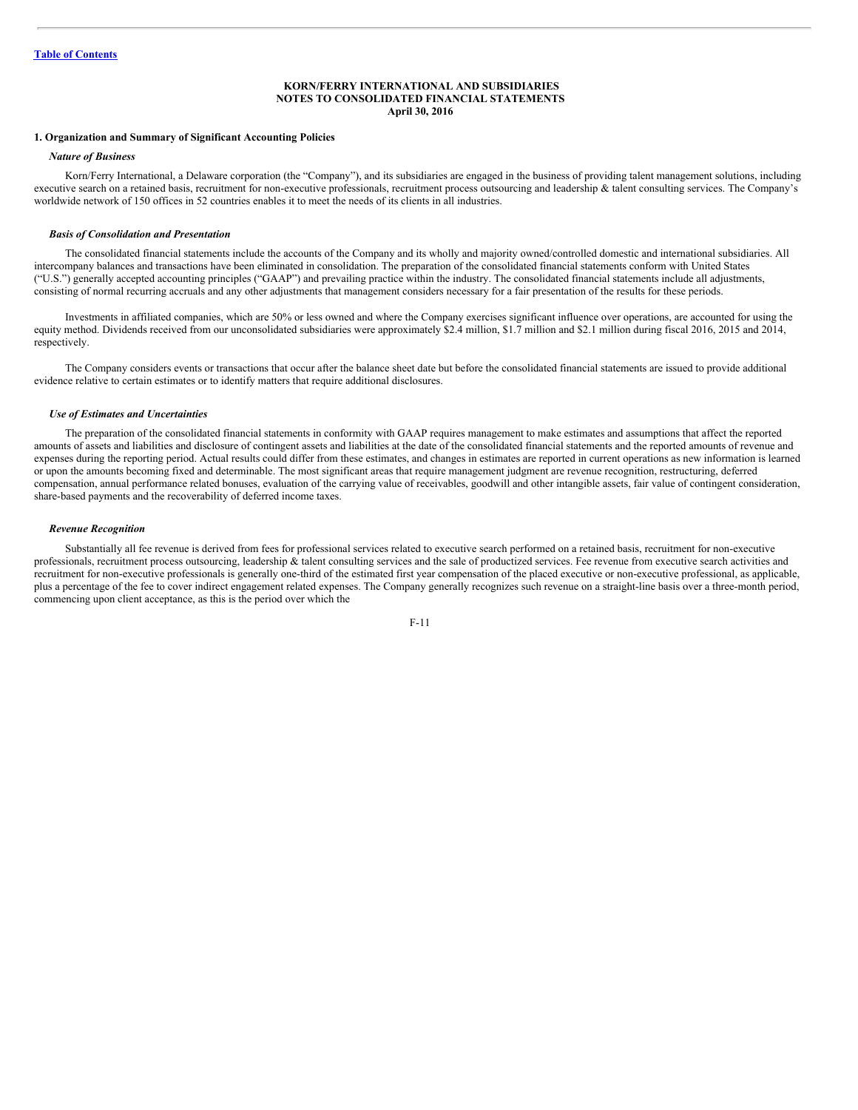#### **1. Organization and Summary of Significant Accounting Policies**

#### *Nature of Business*

Korn/Ferry International, a Delaware corporation (the "Company"), and its subsidiaries are engaged in the business of providing talent management solutions, including executive search on a retained basis, recruitment for non-executive professionals, recruitment process outsourcing and leadership & talent consulting services. The Company's worldwide network of 150 offices in 52 countries enables it to meet the needs of its clients in all industries.

#### *Basis of Consolidation and Presentation*

The consolidated financial statements include the accounts of the Company and its wholly and majority owned/controlled domestic and international subsidiaries. All intercompany balances and transactions have been eliminated in consolidation. The preparation of the consolidated financial statements conform with United States ("U.S.") generally accepted accounting principles ("GAAP") and prevailing practice within the industry. The consolidated financial statements include all adjustments, consisting of normal recurring accruals and any other adjustments that management considers necessary for a fair presentation of the results for these periods.

Investments in affiliated companies, which are 50% or less owned and where the Company exercises significant influence over operations, are accounted for using the equity method. Dividends received from our unconsolidated subsidiaries were approximately \$2.4 million, \$1.7 million and \$2.1 million during fiscal 2016, 2015 and 2014, respectively.

The Company considers events or transactions that occur after the balance sheet date but before the consolidated financial statements are issued to provide additional evidence relative to certain estimates or to identify matters that require additional disclosures.

# *Use of Estimates and Uncertainties*

The preparation of the consolidated financial statements in conformity with GAAP requires management to make estimates and assumptions that affect the reported amounts of assets and liabilities and disclosure of contingent assets and liabilities at the date of the consolidated financial statements and the reported amounts of revenue and expenses during the reporting period. Actual results could differ from these estimates, and changes in estimates are reported in current operations as new information is learned or upon the amounts becoming fixed and determinable. The most significant areas that require management judgment are revenue recognition, restructuring, deferred compensation, annual performance related bonuses, evaluation of the carrying value of receivables, goodwill and other intangible assets, fair value of contingent consideration, share-based payments and the recoverability of deferred income taxes.

#### *Revenue Recognition*

Substantially all fee revenue is derived from fees for professional services related to executive search performed on a retained basis, recruitment for non-executive professionals, recruitment process outsourcing, leadership & talent consulting services and the sale of productized services. Fee revenue from executive search activities and recruitment for non-executive professionals is generally one-third of the estimated first year compensation of the placed executive or non-executive professional, as applicable, plus a percentage of the fee to cover indirect engagement related expenses. The Company generally recognizes such revenue on a straight-line basis over a three-month period, commencing upon client acceptance, as this is the period over which the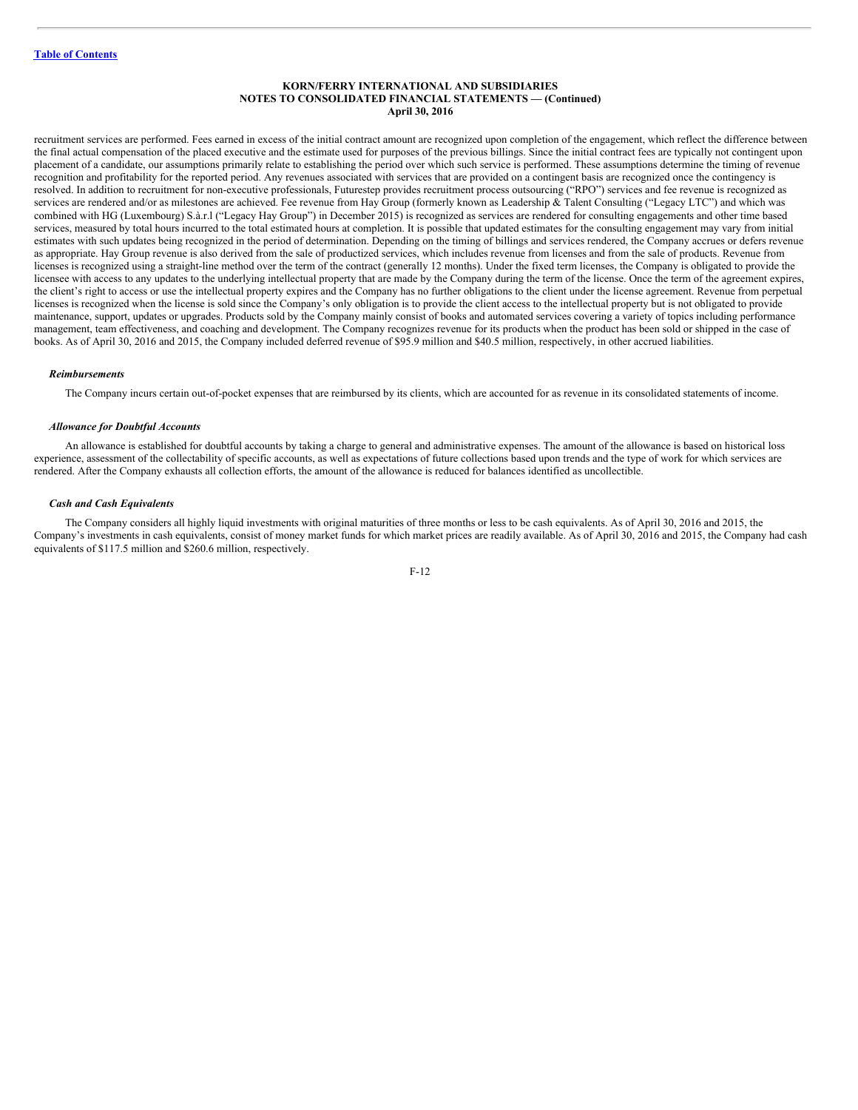recruitment services are performed. Fees earned in excess of the initial contract amount are recognized upon completion of the engagement, which reflect the difference between the final actual compensation of the placed executive and the estimate used for purposes of the previous billings. Since the initial contract fees are typically not contingent upon placement of a candidate, our assumptions primarily relate to establishing the period over which such service is performed. These assumptions determine the timing of revenue recognition and profitability for the reported period. Any revenues associated with services that are provided on a contingent basis are recognized once the contingency is resolved. In addition to recruitment for non-executive professionals, Futurestep provides recruitment process outsourcing ("RPO") services and fee revenue is recognized as services are rendered and/or as milestones are achieved. Fee revenue from Hay Group (formerly known as Leadership & Talent Consulting ("Legacy LTC") and which was combined with HG (Luxembourg) S.à.r.l ("Legacy Hay Group") in December 2015) is recognized as services are rendered for consulting engagements and other time based services, measured by total hours incurred to the total estimated hours at completion. It is possible that updated estimates for the consulting engagement may vary from initial estimates with such updates being recognized in the period of determination. Depending on the timing of billings and services rendered, the Company accrues or defers revenue as appropriate. Hay Group revenue is also derived from the sale of productized services, which includes revenue from licenses and from the sale of products. Revenue from licenses is recognized using a straight-line method over the term of the contract (generally 12 months). Under the fixed term licenses, the Company is obligated to provide the licensee with access to any updates to the underlying intellectual property that are made by the Company during the term of the license. Once the term of the agreement expires, the client's right to access or use the intellectual property expires and the Company has no further obligations to the client under the license agreement. Revenue from perpetual licenses is recognized when the license is sold since the Company's only obligation is to provide the client access to the intellectual property but is not obligated to provide maintenance, support, updates or upgrades. Products sold by the Company mainly consist of books and automated services covering a variety of topics including performance management, team effectiveness, and coaching and development. The Company recognizes revenue for its products when the product has been sold or shipped in the case of books. As of April 30, 2016 and 2015, the Company included deferred revenue of \$95.9 million and \$40.5 million, respectively, in other accrued liabilities.

#### *Reimbursements*

The Company incurs certain out-of-pocket expenses that are reimbursed by its clients, which are accounted for as revenue in its consolidated statements of income.

### *Allowance for Doubtful Accounts*

An allowance is established for doubtful accounts by taking a charge to general and administrative expenses. The amount of the allowance is based on historical loss experience, assessment of the collectability of specific accounts, as well as expectations of future collections based upon trends and the type of work for which services are rendered. After the Company exhausts all collection efforts, the amount of the allowance is reduced for balances identified as uncollectible.

#### *Cash and Cash Equivalents*

The Company considers all highly liquid investments with original maturities of three months or less to be cash equivalents. As of April 30, 2016 and 2015, the Company's investments in cash equivalents, consist of money market funds for which market prices are readily available. As of April 30, 2016 and 2015, the Company had cash equivalents of \$117.5 million and \$260.6 million, respectively.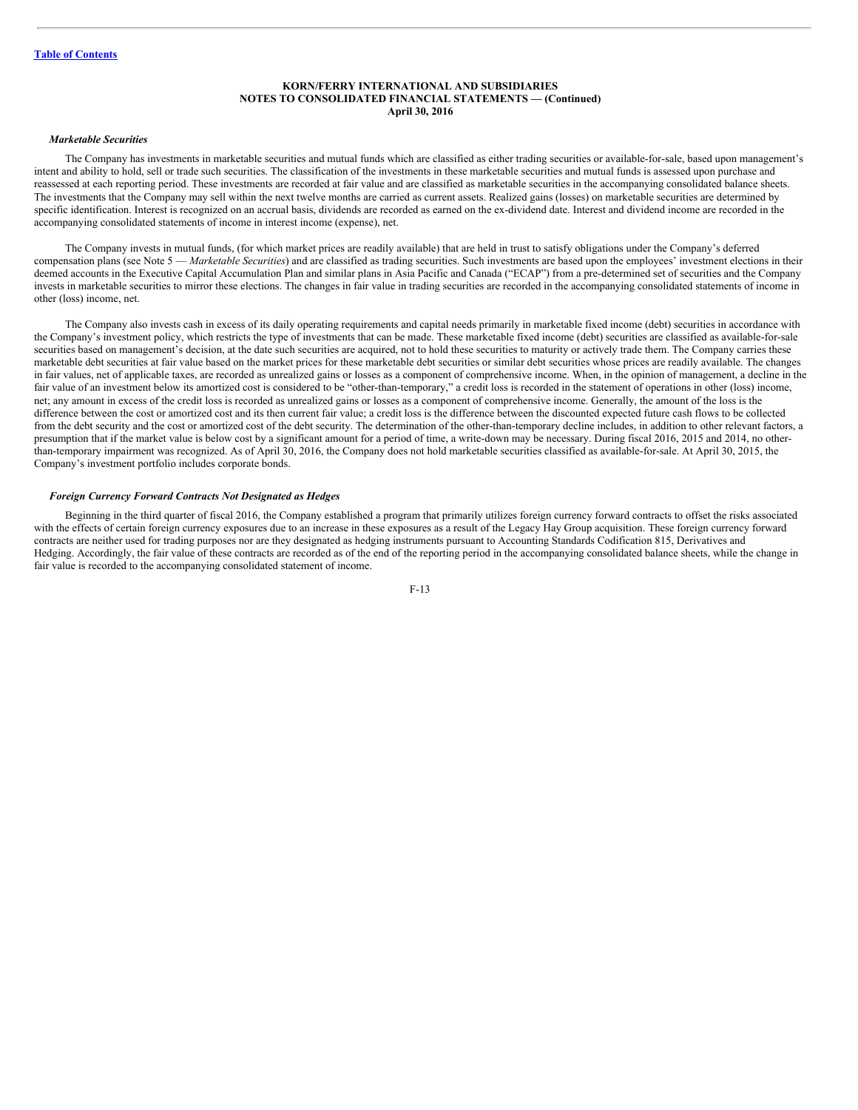#### *Marketable Securities*

The Company has investments in marketable securities and mutual funds which are classified as either trading securities or available-for-sale, based upon management's intent and ability to hold, sell or trade such securities. The classification of the investments in these marketable securities and mutual funds is assessed upon purchase and reassessed at each reporting period. These investments are recorded at fair value and are classified as marketable securities in the accompanying consolidated balance sheets. The investments that the Company may sell within the next twelve months are carried as current assets. Realized gains (losses) on marketable securities are determined by specific identification. Interest is recognized on an accrual basis, dividends are recorded as earned on the ex-dividend date. Interest and dividend income are recorded in the accompanying consolidated statements of income in interest income (expense), net.

The Company invests in mutual funds, (for which market prices are readily available) that are held in trust to satisfy obligations under the Company's deferred compensation plans (see Note 5 — *Marketable Securities*) and are classified as trading securities. Such investments are based upon the employees' investment elections in their deemed accounts in the Executive Capital Accumulation Plan and similar plans in Asia Pacific and Canada ("ECAP") from a pre-determined set of securities and the Company invests in marketable securities to mirror these elections. The changes in fair value in trading securities are recorded in the accompanying consolidated statements of income in other (loss) income, net.

The Company also invests cash in excess of its daily operating requirements and capital needs primarily in marketable fixed income (debt) securities in accordance with the Company's investment policy, which restricts the type of investments that can be made. These marketable fixed income (debt) securities are classified as available-for-sale securities based on management's decision, at the date such securities are acquired, not to hold these securities to maturity or actively trade them. The Company carries these marketable debt securities at fair value based on the market prices for these marketable debt securities or similar debt securities whose prices are readily available. The changes in fair values, net of applicable taxes, are recorded as unrealized gains or losses as a component of comprehensive income. When, in the opinion of management, a decline in the fair value of an investment below its amortized cost is considered to be "other-than-temporary," a credit loss is recorded in the statement of operations in other (loss) income, net; any amount in excess of the credit loss is recorded as unrealized gains or losses as a component of comprehensive income. Generally, the amount of the loss is the difference between the cost or amortized cost and its then current fair value; a credit loss is the difference between the discounted expected future cash flows to be collected from the debt security and the cost or amortized cost of the debt security. The determination of the other-than-temporary decline includes, in addition to other relevant factors, a presumption that if the market value is below cost by a significant amount for a period of time, a write-down may be necessary. During fiscal 2016, 2015 and 2014, no otherthan-temporary impairment was recognized. As of April 30, 2016, the Company does not hold marketable securities classified as available-for-sale. At April 30, 2015, the Company's investment portfolio includes corporate bonds.

# *Foreign Currency Forward Contracts Not Designated as Hedges*

Beginning in the third quarter of fiscal 2016, the Company established a program that primarily utilizes foreign currency forward contracts to offset the risks associated with the effects of certain foreign currency exposures due to an increase in these exposures as a result of the Legacy Hay Group acquisition. These foreign currency forward contracts are neither used for trading purposes nor are they designated as hedging instruments pursuant to Accounting Standards Codification 815, Derivatives and Hedging. Accordingly, the fair value of these contracts are recorded as of the end of the reporting period in the accompanying consolidated balance sheets, while the change in fair value is recorded to the accompanying consolidated statement of income.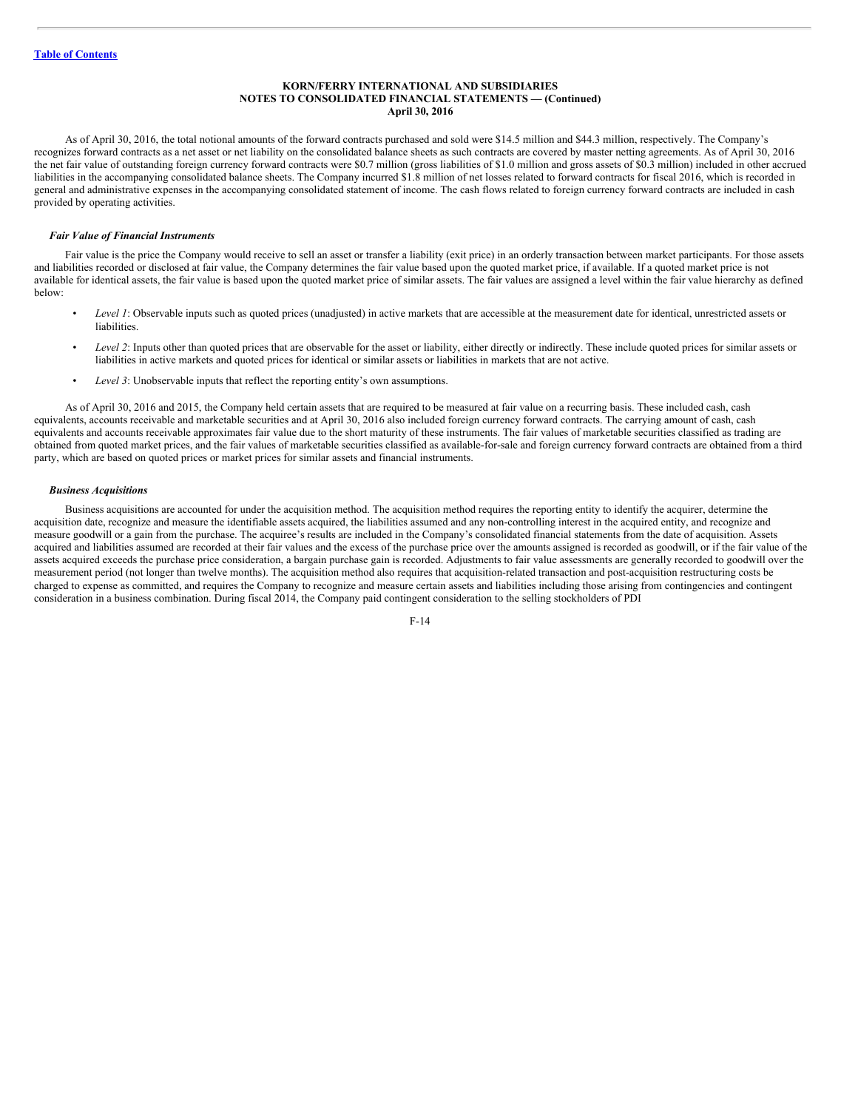As of April 30, 2016, the total notional amounts of the forward contracts purchased and sold were \$14.5 million and \$44.3 million, respectively. The Company's recognizes forward contracts as a net asset or net liability on the consolidated balance sheets as such contracts are covered by master netting agreements. As of April 30, 2016 the net fair value of outstanding foreign currency forward contracts were \$0.7 million (gross liabilities of \$1.0 million and gross assets of \$0.3 million) included in other accrued liabilities in the accompanying consolidated balance sheets. The Company incurred \$1.8 million of net losses related to forward contracts for fiscal 2016, which is recorded in general and administrative expenses in the accompanying consolidated statement of income. The cash flows related to foreign currency forward contracts are included in cash provided by operating activities.

#### *Fair Value of Financial Instruments*

Fair value is the price the Company would receive to sell an asset or transfer a liability (exit price) in an orderly transaction between market participants. For those assets and liabilities recorded or disclosed at fair value, the Company determines the fair value based upon the quoted market price, if available. If a quoted market price is not available for identical assets, the fair value is based upon the quoted market price of similar assets. The fair values are assigned a level within the fair value hierarchy as defined below:

- *Level 1*: Observable inputs such as quoted prices (unadjusted) in active markets that are accessible at the measurement date for identical, unrestricted assets or liabilities.
- Level 2: Inputs other than quoted prices that are observable for the asset or liability, either directly or indirectly. These include quoted prices for similar assets or liabilities in active markets and quoted prices for identical or similar assets or liabilities in markets that are not active.
- *Level* 3: Unobservable inputs that reflect the reporting entity's own assumptions.

As of April 30, 2016 and 2015, the Company held certain assets that are required to be measured at fair value on a recurring basis. These included cash, cash equivalents, accounts receivable and marketable securities and at April 30, 2016 also included foreign currency forward contracts. The carrying amount of cash, cash equivalents and accounts receivable approximates fair value due to the short maturity of these instruments. The fair values of marketable securities classified as trading are obtained from quoted market prices, and the fair values of marketable securities classified as available-for-sale and foreign currency forward contracts are obtained from a third party, which are based on quoted prices or market prices for similar assets and financial instruments.

#### *Business Acquisitions*

Business acquisitions are accounted for under the acquisition method. The acquisition method requires the reporting entity to identify the acquirer, determine the acquisition date, recognize and measure the identifiable assets acquired, the liabilities assumed and any non-controlling interest in the acquired entity, and recognize and measure goodwill or a gain from the purchase. The acquiree's results are included in the Company's consolidated financial statements from the date of acquisition. Assets acquired and liabilities assumed are recorded at their fair values and the excess of the purchase price over the amounts assigned is recorded as goodwill, or if the fair value of the assets acquired exceeds the purchase price consideration, a bargain purchase gain is recorded. Adjustments to fair value assessments are generally recorded to goodwill over the measurement period (not longer than twelve months). The acquisition method also requires that acquisition-related transaction and post-acquisition restructuring costs be charged to expense as committed, and requires the Company to recognize and measure certain assets and liabilities including those arising from contingencies and contingent consideration in a business combination. During fiscal 2014, the Company paid contingent consideration to the selling stockholders of PDI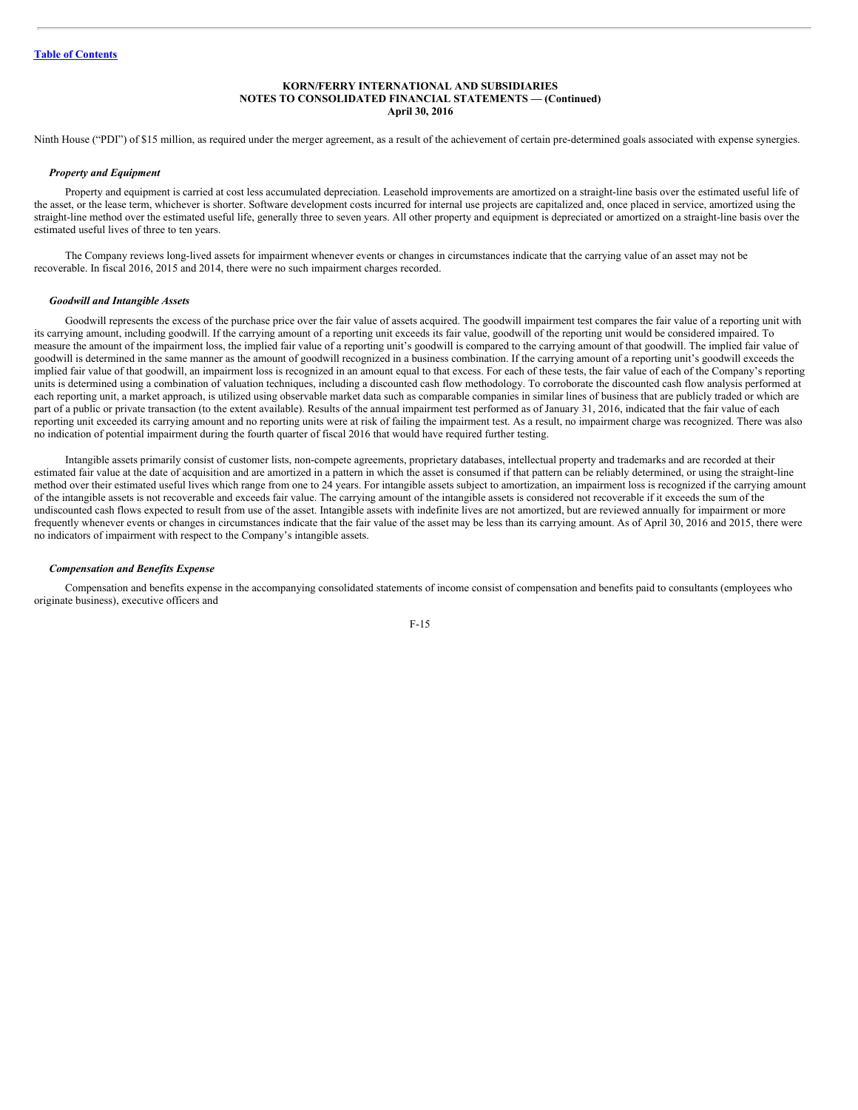Ninth House ("PDI") of \$15 million, as required under the merger agreement, as a result of the achievement of certain pre-determined goals associated with expense synergies.

#### *Property and Equipment*

Property and equipment is carried at cost less accumulated depreciation. Leasehold improvements are amortized on a straight-line basis over the estimated useful life of the asset, or the lease term, whichever is shorter. Software development costs incurred for internal use projects are capitalized and, once placed in service, amortized using the straight-line method over the estimated useful life, generally three to seven years. All other property and equipment is depreciated or amortized on a straight-line basis over the estimated useful lives of three to ten years.

The Company reviews long-lived assets for impairment whenever events or changes in circumstances indicate that the carrying value of an asset may not be recoverable. In fiscal 2016, 2015 and 2014, there were no such impairment charges recorded.

#### *Goodwill and Intangible Assets*

Goodwill represents the excess of the purchase price over the fair value of assets acquired. The goodwill impairment test compares the fair value of a reporting unit with its carrying amount, including goodwill. If the carrying amount of a reporting unit exceeds its fair value, goodwill of the reporting unit would be considered impaired. To measure the amount of the impairment loss, the implied fair value of a reporting unit's goodwill is compared to the carrying amount of that goodwill. The implied fair value of goodwill is determined in the same manner as the amount of goodwill recognized in a business combination. If the carrying amount of a reporting unit's goodwill exceeds the implied fair value of that goodwill, an impairment loss is recognized in an amount equal to that excess. For each of these tests, the fair value of each of the Company's reporting units is determined using a combination of valuation techniques, including a discounted cash flow methodology. To corroborate the discounted cash flow analysis performed at each reporting unit, a market approach, is utilized using observable market data such as comparable companies in similar lines of business that are publicly traded or which are part of a public or private transaction (to the extent available). Results of the annual impairment test performed as of January 31, 2016, indicated that the fair value of each reporting unit exceeded its carrying amount and no reporting units were at risk of failing the impairment test. As a result, no impairment charge was recognized. There was also no indication of potential impairment during the fourth quarter of fiscal 2016 that would have required further testing.

Intangible assets primarily consist of customer lists, non-compete agreements, proprietary databases, intellectual property and trademarks and are recorded at their estimated fair value at the date of acquisition and are amortized in a pattern in which the asset is consumed if that pattern can be reliably determined, or using the straight-line method over their estimated useful lives which range from one to 24 years. For intangible assets subject to amortization, an impairment loss is recognized if the carrying amount of the intangible assets is not recoverable and exceeds fair value. The carrying amount of the intangible assets is considered not recoverable if it exceeds the sum of the undiscounted cash flows expected to result from use of the asset. Intangible assets with indefinite lives are not amortized, but are reviewed annually for impairment or more frequently whenever events or changes in circumstances indicate that the fair value of the asset may be less than its carrying amount. As of April 30, 2016 and 2015, there were no indicators of impairment with respect to the Company's intangible assets.

#### *Compensation and Benefits Expense*

Compensation and benefits expense in the accompanying consolidated statements of income consist of compensation and benefits paid to consultants (employees who originate business), executive officers and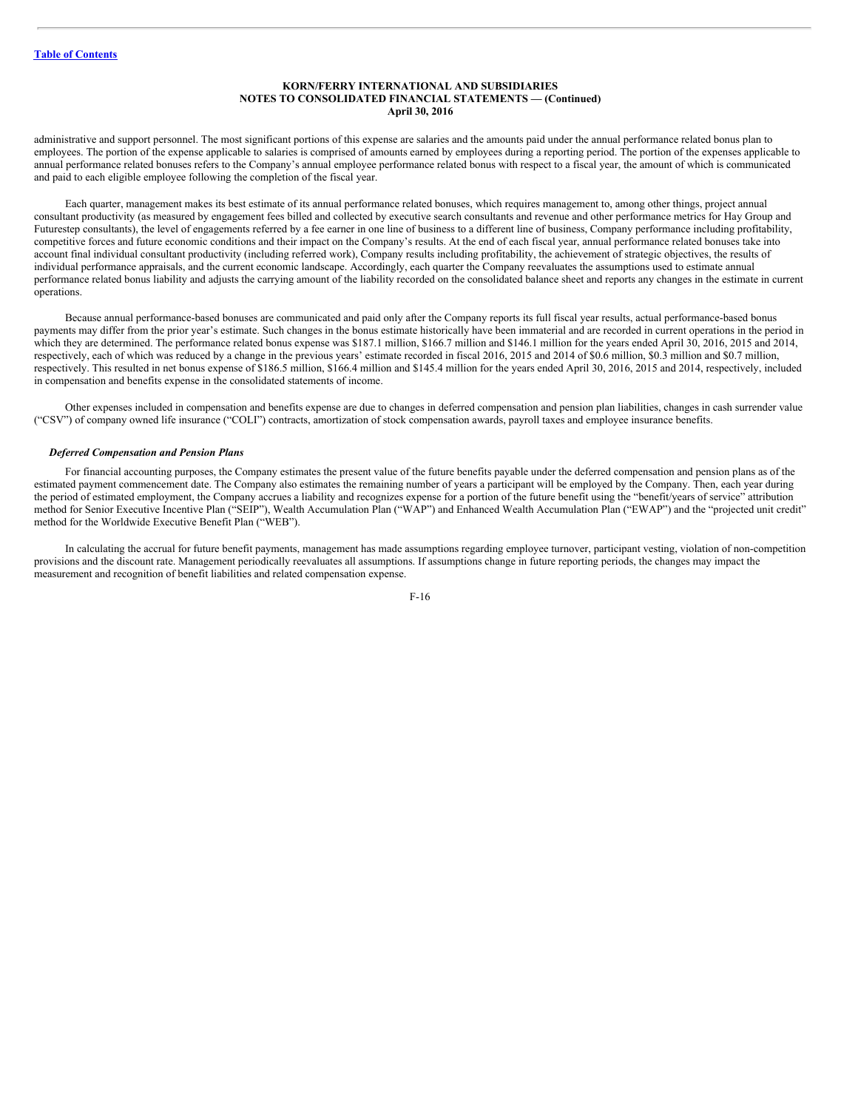administrative and support personnel. The most significant portions of this expense are salaries and the amounts paid under the annual performance related bonus plan to employees. The portion of the expense applicable to salaries is comprised of amounts earned by employees during a reporting period. The portion of the expenses applicable to annual performance related bonuses refers to the Company's annual employee performance related bonus with respect to a fiscal year, the amount of which is communicated and paid to each eligible employee following the completion of the fiscal year.

Each quarter, management makes its best estimate of its annual performance related bonuses, which requires management to, among other things, project annual consultant productivity (as measured by engagement fees billed and collected by executive search consultants and revenue and other performance metrics for Hay Group and Futurestep consultants), the level of engagements referred by a fee earner in one line of business to a different line of business, Company performance including profitability, competitive forces and future economic conditions and their impact on the Company's results. At the end of each fiscal year, annual performance related bonuses take into account final individual consultant productivity (including referred work), Company results including profitability, the achievement of strategic objectives, the results of individual performance appraisals, and the current economic landscape. Accordingly, each quarter the Company reevaluates the assumptions used to estimate annual performance related bonus liability and adjusts the carrying amount of the liability recorded on the consolidated balance sheet and reports any changes in the estimate in current operations.

Because annual performance-based bonuses are communicated and paid only after the Company reports its full fiscal year results, actual performance-based bonus payments may differ from the prior year's estimate. Such changes in the bonus estimate historically have been immaterial and are recorded in current operations in the period in which they are determined. The performance related bonus expense was \$187.1 million, \$166.7 million and \$146.1 million for the years ended April 30, 2016, 2015 and 2014, respectively, each of which was reduced by a change in the previous years' estimate recorded in fiscal 2016, 2015 and 2014 of \$0.6 million, \$0.3 million and \$0.7 million, respectively. This resulted in net bonus expense of \$186.5 million, \$166.4 million and \$145.4 million for the years ended April 30, 2016, 2015 and 2014, respectively, included in compensation and benefits expense in the consolidated statements of income.

Other expenses included in compensation and benefits expense are due to changes in deferred compensation and pension plan liabilities, changes in cash surrender value ("CSV") of company owned life insurance ("COLI") contracts, amortization of stock compensation awards, payroll taxes and employee insurance benefits.

# *Deferred Compensation and Pension Plans*

For financial accounting purposes, the Company estimates the present value of the future benefits payable under the deferred compensation and pension plans as of the estimated payment commencement date. The Company also estimates the remaining number of years a participant will be employed by the Company. Then, each year during the period of estimated employment, the Company accrues a liability and recognizes expense for a portion of the future benefit using the "benefit/years of service" attribution method for Senior Executive Incentive Plan ("SEIP"), Wealth Accumulation Plan ("WAP") and Enhanced Wealth Accumulation Plan ("EWAP") and the "projected unit credit" method for the Worldwide Executive Benefit Plan ("WEB").

In calculating the accrual for future benefit payments, management has made assumptions regarding employee turnover, participant vesting, violation of non-competition provisions and the discount rate. Management periodically reevaluates all assumptions. If assumptions change in future reporting periods, the changes may impact the measurement and recognition of benefit liabilities and related compensation expense.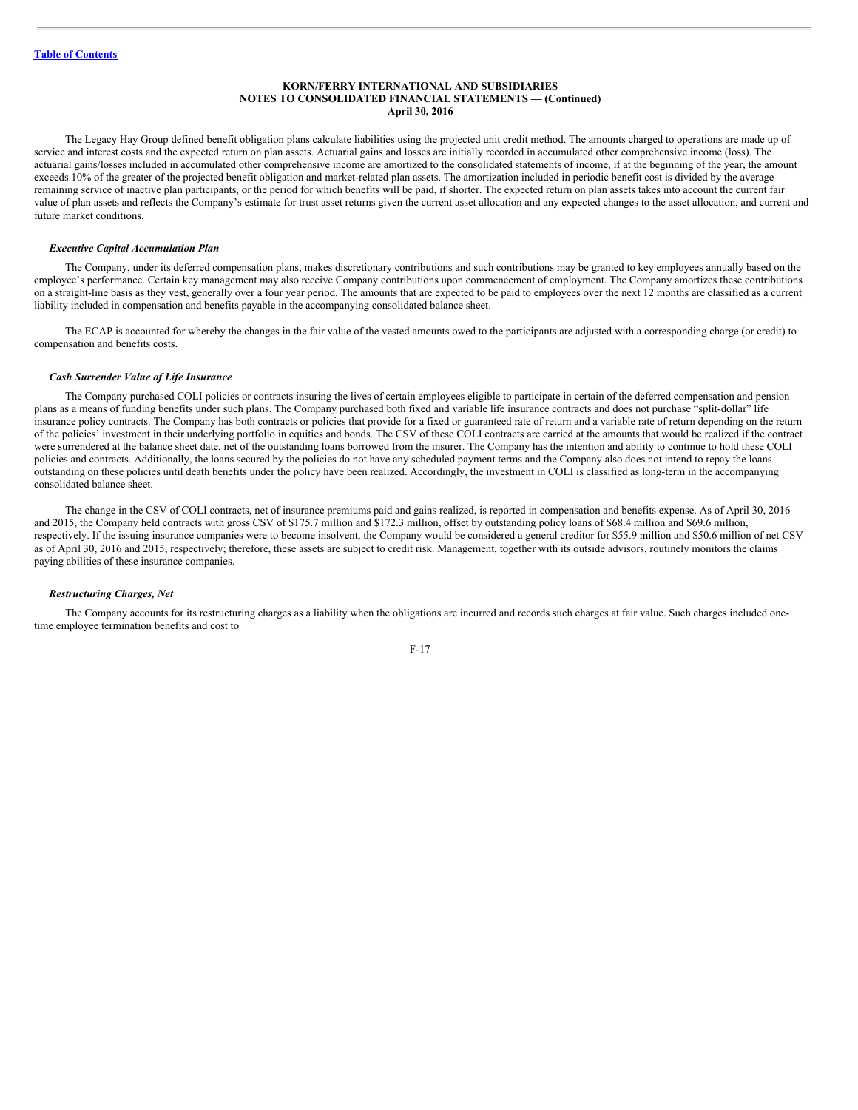The Legacy Hay Group defined benefit obligation plans calculate liabilities using the projected unit credit method. The amounts charged to operations are made up of service and interest costs and the expected return on plan assets. Actuarial gains and losses are initially recorded in accumulated other comprehensive income (loss). The actuarial gains/losses included in accumulated other comprehensive income are amortized to the consolidated statements of income, if at the beginning of the year, the amount exceeds 10% of the greater of the projected benefit obligation and market-related plan assets. The amortization included in periodic benefit cost is divided by the average remaining service of inactive plan participants, or the period for which benefits will be paid, if shorter. The expected return on plan assets takes into account the current fair value of plan assets and reflects the Company's estimate for trust asset returns given the current asset allocation and any expected changes to the asset allocation, and current and future market conditions.

#### *Executive Capital Accumulation Plan*

The Company, under its deferred compensation plans, makes discretionary contributions and such contributions may be granted to key employees annually based on the employee's performance. Certain key management may also receive Company contributions upon commencement of employment. The Company amortizes these contributions on a straight-line basis as they vest, generally over a four year period. The amounts that are expected to be paid to employees over the next 12 months are classified as a current liability included in compensation and benefits payable in the accompanying consolidated balance sheet.

The ECAP is accounted for whereby the changes in the fair value of the vested amounts owed to the participants are adjusted with a corresponding charge (or credit) to compensation and benefits costs.

#### *Cash Surrender Value of Life Insurance*

The Company purchased COLI policies or contracts insuring the lives of certain employees eligible to participate in certain of the deferred compensation and pension plans as a means of funding benefits under such plans. The Company purchased both fixed and variable life insurance contracts and does not purchase "split-dollar" life insurance policy contracts. The Company has both contracts or policies that provide for a fixed or guaranteed rate of return and a variable rate of return depending on the return of the policies' investment in their underlying portfolio in equities and bonds. The CSV of these COLI contracts are carried at the amounts that would be realized if the contract were surrendered at the balance sheet date, net of the outstanding loans borrowed from the insurer. The Company has the intention and ability to continue to hold these COLI policies and contracts. Additionally, the loans secured by the policies do not have any scheduled payment terms and the Company also does not intend to repay the loans outstanding on these policies until death benefits under the policy have been realized. Accordingly, the investment in COLI is classified as long-term in the accompanying consolidated balance sheet.

The change in the CSV of COLI contracts, net of insurance premiums paid and gains realized, is reported in compensation and benefits expense. As of April 30, 2016 and 2015, the Company held contracts with gross CSV of \$175.7 million and \$172.3 million, offset by outstanding policy loans of \$68.4 million and \$69.6 million, respectively. If the issuing insurance companies were to become insolvent, the Company would be considered a general creditor for \$55.9 million and \$50.6 million of net CSV as of April 30, 2016 and 2015, respectively; therefore, these assets are subject to credit risk. Management, together with its outside advisors, routinely monitors the claims paying abilities of these insurance companies.

#### *Restructuring Charges, Net*

The Company accounts for its restructuring charges as a liability when the obligations are incurred and records such charges at fair value. Such charges included onetime employee termination benefits and cost to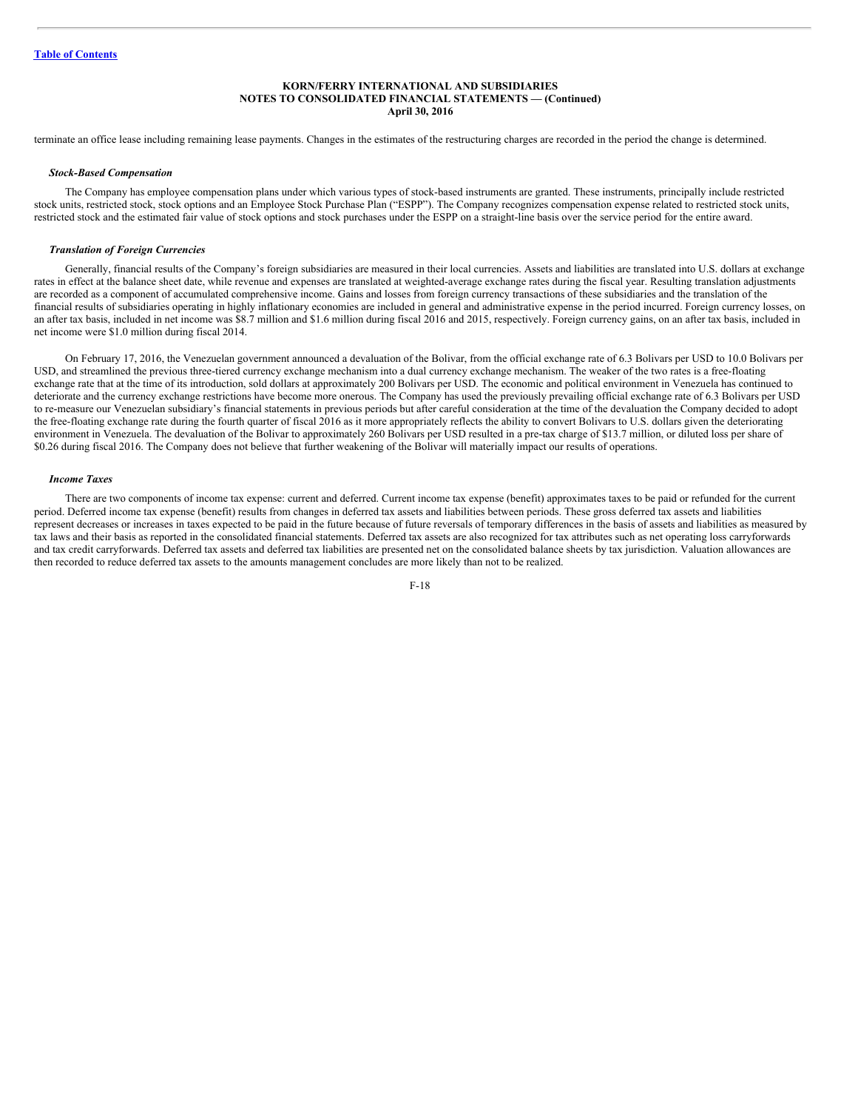terminate an office lease including remaining lease payments. Changes in the estimates of the restructuring charges are recorded in the period the change is determined.

#### *Stock-Based Compensation*

The Company has employee compensation plans under which various types of stock-based instruments are granted. These instruments, principally include restricted stock units, restricted stock, stock options and an Employee Stock Purchase Plan ("ESPP"). The Company recognizes compensation expense related to restricted stock units, restricted stock and the estimated fair value of stock options and stock purchases under the ESPP on a straight-line basis over the service period for the entire award.

#### *Translation of Foreign Currencies*

Generally, financial results of the Company's foreign subsidiaries are measured in their local currencies. Assets and liabilities are translated into U.S. dollars at exchange rates in effect at the balance sheet date, while revenue and expenses are translated at weighted-average exchange rates during the fiscal year. Resulting translation adjustments are recorded as a component of accumulated comprehensive income. Gains and losses from foreign currency transactions of these subsidiaries and the translation of the financial results of subsidiaries operating in highly inflationary economies are included in general and administrative expense in the period incurred. Foreign currency losses, on an after tax basis, included in net income was \$8.7 million and \$1.6 million during fiscal 2016 and 2015, respectively. Foreign currency gains, on an after tax basis, included in net income were \$1.0 million during fiscal 2014.

On February 17, 2016, the Venezuelan government announced a devaluation of the Bolivar, from the official exchange rate of 6.3 Bolivars per USD to 10.0 Bolivars per USD, and streamlined the previous three-tiered currency exchange mechanism into a dual currency exchange mechanism. The weaker of the two rates is a free-floating exchange rate that at the time of its introduction, sold dollars at approximately 200 Bolivars per USD. The economic and political environment in Venezuela has continued to deteriorate and the currency exchange restrictions have become more onerous. The Company has used the previously prevailing official exchange rate of 6.3 Bolivars per USD to re-measure our Venezuelan subsidiary's financial statements in previous periods but after careful consideration at the time of the devaluation the Company decided to adopt the free-floating exchange rate during the fourth quarter of fiscal 2016 as it more appropriately reflects the ability to convert Bolivars to U.S. dollars given the deteriorating environment in Venezuela. The devaluation of the Bolivar to approximately 260 Bolivars per USD resulted in a pre-tax charge of \$13.7 million, or diluted loss per share of \$0.26 during fiscal 2016. The Company does not believe that further weakening of the Bolivar will materially impact our results of operations.

#### *Income Taxes*

There are two components of income tax expense: current and deferred. Current income tax expense (benefit) approximates taxes to be paid or refunded for the current period. Deferred income tax expense (benefit) results from changes in deferred tax assets and liabilities between periods. These gross deferred tax assets and liabilities represent decreases or increases in taxes expected to be paid in the future because of future reversals of temporary differences in the basis of assets and liabilities as measured by tax laws and their basis as reported in the consolidated financial statements. Deferred tax assets are also recognized for tax attributes such as net operating loss carryforwards and tax credit carryforwards. Deferred tax assets and deferred tax liabilities are presented net on the consolidated balance sheets by tax jurisdiction. Valuation allowances are then recorded to reduce deferred tax assets to the amounts management concludes are more likely than not to be realized.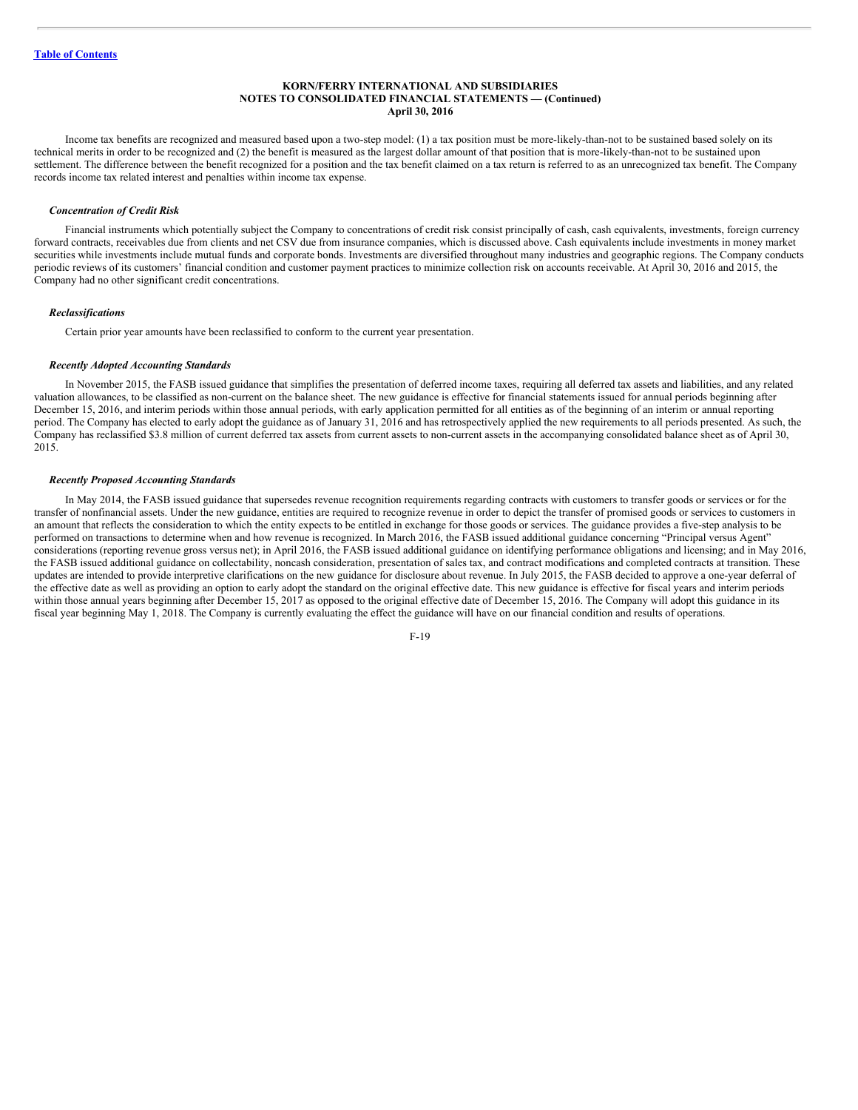Income tax benefits are recognized and measured based upon a two-step model: (1) a tax position must be more-likely-than-not to be sustained based solely on its technical merits in order to be recognized and (2) the benefit is measured as the largest dollar amount of that position that is more-likely-than-not to be sustained upon settlement. The difference between the benefit recognized for a position and the tax benefit claimed on a tax return is referred to as an unrecognized tax benefit. The Company records income tax related interest and penalties within income tax expense.

#### *Concentration of Credit Risk*

Financial instruments which potentially subject the Company to concentrations of credit risk consist principally of cash, cash equivalents, investments, foreign currency forward contracts, receivables due from clients and net CSV due from insurance companies, which is discussed above. Cash equivalents include investments in money market securities while investments include mutual funds and corporate bonds. Investments are diversified throughout many industries and geographic regions. The Company conducts periodic reviews of its customers' financial condition and customer payment practices to minimize collection risk on accounts receivable. At April 30, 2016 and 2015, the Company had no other significant credit concentrations.

#### *Reclassifications*

Certain prior year amounts have been reclassified to conform to the current year presentation.

#### *Recently Adopted Accounting Standards*

In November 2015, the FASB issued guidance that simplifies the presentation of deferred income taxes, requiring all deferred tax assets and liabilities, and any related valuation allowances, to be classified as non-current on the balance sheet. The new guidance is effective for financial statements issued for annual periods beginning after December 15, 2016, and interim periods within those annual periods, with early application permitted for all entities as of the beginning of an interim or annual reporting period. The Company has elected to early adopt the guidance as of January 31, 2016 and has retrospectively applied the new requirements to all periods presented. As such, the Company has reclassified \$3.8 million of current deferred tax assets from current assets to non-current assets in the accompanying consolidated balance sheet as of April 30, 2015.

#### *Recently Proposed Accounting Standards*

In May 2014, the FASB issued guidance that supersedes revenue recognition requirements regarding contracts with customers to transfer goods or services or for the transfer of nonfinancial assets. Under the new guidance, entities are required to recognize revenue in order to depict the transfer of promised goods or services to customers in an amount that reflects the consideration to which the entity expects to be entitled in exchange for those goods or services. The guidance provides a five-step analysis to be performed on transactions to determine when and how revenue is recognized. In March 2016, the FASB issued additional guidance concerning "Principal versus Agent" considerations (reporting revenue gross versus net); in April 2016, the FASB issued additional guidance on identifying performance obligations and licensing; and in May 2016, the FASB issued additional guidance on collectability, noncash consideration, presentation of sales tax, and contract modifications and completed contracts at transition. These updates are intended to provide interpretive clarifications on the new guidance for disclosure about revenue. In July 2015, the FASB decided to approve a one-year deferral of the effective date as well as providing an option to early adopt the standard on the original effective date. This new guidance is effective for fiscal years and interim periods within those annual years beginning after December 15, 2017 as opposed to the original effective date of December 15, 2016. The Company will adopt this guidance in its fiscal year beginning May 1, 2018. The Company is currently evaluating the effect the guidance will have on our financial condition and results of operations.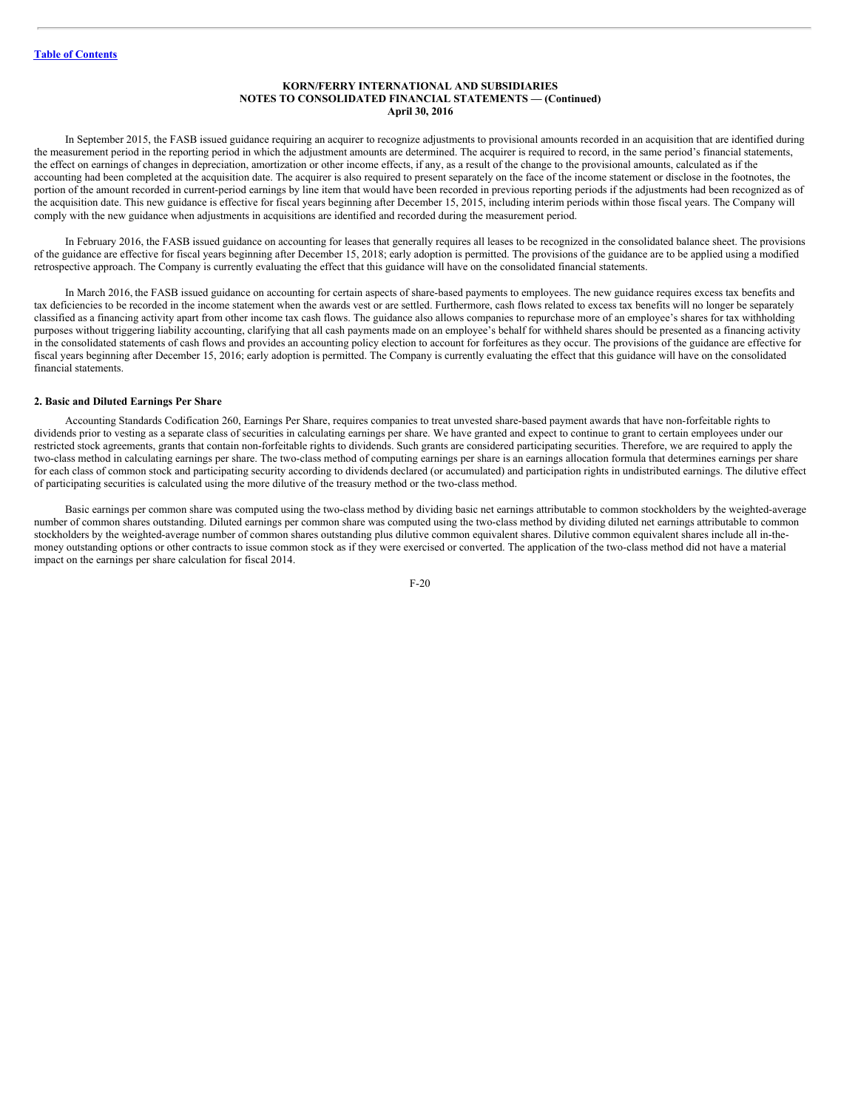In September 2015, the FASB issued guidance requiring an acquirer to recognize adjustments to provisional amounts recorded in an acquisition that are identified during the measurement period in the reporting period in which the adjustment amounts are determined. The acquirer is required to record, in the same period's financial statements, the effect on earnings of changes in depreciation, amortization or other income effects, if any, as a result of the change to the provisional amounts, calculated as if the accounting had been completed at the acquisition date. The acquirer is also required to present separately on the face of the income statement or disclose in the footnotes, the portion of the amount recorded in current-period earnings by line item that would have been recorded in previous reporting periods if the adjustments had been recognized as of the acquisition date. This new guidance is effective for fiscal years beginning after December 15, 2015, including interim periods within those fiscal years. The Company will comply with the new guidance when adjustments in acquisitions are identified and recorded during the measurement period.

In February 2016, the FASB issued guidance on accounting for leases that generally requires all leases to be recognized in the consolidated balance sheet. The provisions of the guidance are effective for fiscal years beginning after December 15, 2018; early adoption is permitted. The provisions of the guidance are to be applied using a modified retrospective approach. The Company is currently evaluating the effect that this guidance will have on the consolidated financial statements.

In March 2016, the FASB issued guidance on accounting for certain aspects of share-based payments to employees. The new guidance requires excess tax benefits and tax deficiencies to be recorded in the income statement when the awards vest or are settled. Furthermore, cash flows related to excess tax benefits will no longer be separately classified as a financing activity apart from other income tax cash flows. The guidance also allows companies to repurchase more of an employee's shares for tax withholding purposes without triggering liability accounting, clarifying that all cash payments made on an employee's behalf for withheld shares should be presented as a financing activity in the consolidated statements of cash flows and provides an accounting policy election to account for forfeitures as they occur. The provisions of the guidance are effective for fiscal years beginning after December 15, 2016; early adoption is permitted. The Company is currently evaluating the effect that this guidance will have on the consolidated financial statements.

# **2. Basic and Diluted Earnings Per Share**

Accounting Standards Codification 260, Earnings Per Share, requires companies to treat unvested share-based payment awards that have non-forfeitable rights to dividends prior to vesting as a separate class of securities in calculating earnings per share. We have granted and expect to continue to grant to certain employees under our restricted stock agreements, grants that contain non-forfeitable rights to dividends. Such grants are considered participating securities. Therefore, we are required to apply the two-class method in calculating earnings per share. The two-class method of computing earnings per share is an earnings allocation formula that determines earnings per share for each class of common stock and participating security according to dividends declared (or accumulated) and participation rights in undistributed earnings. The dilutive effect of participating securities is calculated using the more dilutive of the treasury method or the two-class method.

Basic earnings per common share was computed using the two-class method by dividing basic net earnings attributable to common stockholders by the weighted-average number of common shares outstanding. Diluted earnings per common share was computed using the two-class method by dividing diluted net earnings attributable to common stockholders by the weighted-average number of common shares outstanding plus dilutive common equivalent shares. Dilutive common equivalent shares include all in-themoney outstanding options or other contracts to issue common stock as if they were exercised or converted. The application of the two-class method did not have a material impact on the earnings per share calculation for fiscal 2014.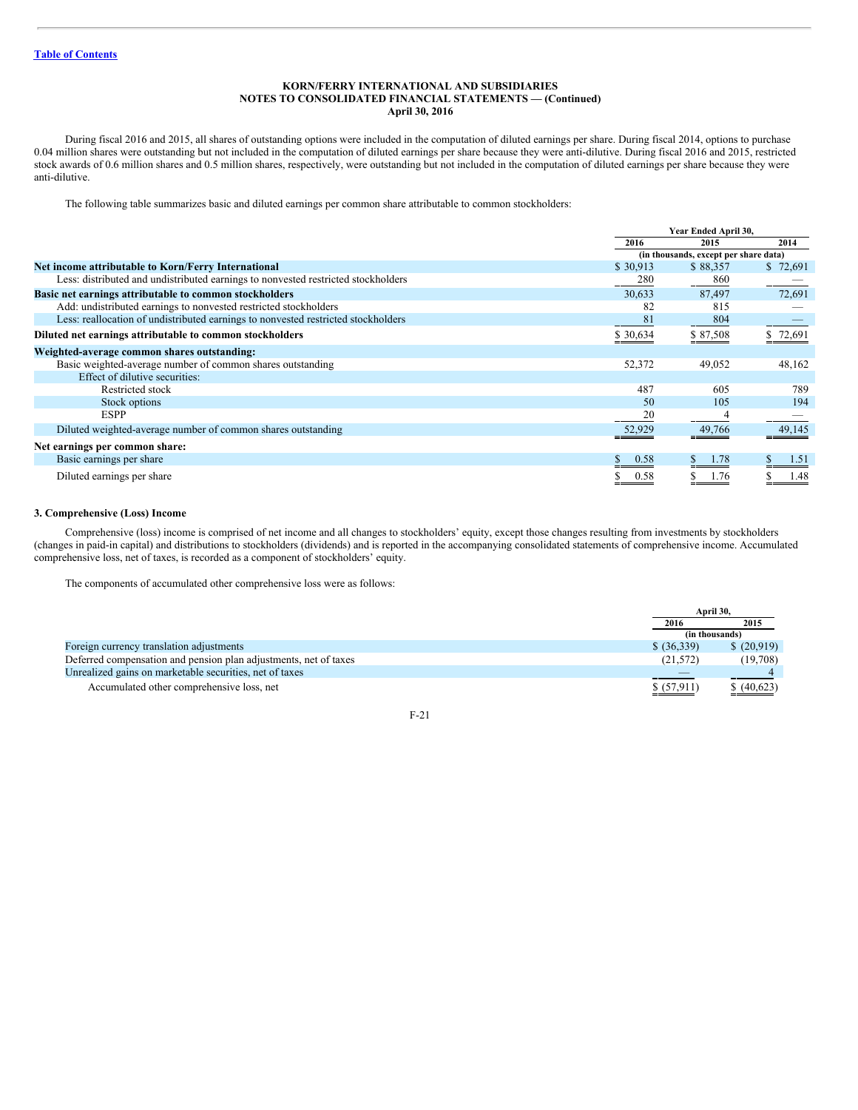During fiscal 2016 and 2015, all shares of outstanding options were included in the computation of diluted earnings per share. During fiscal 2014, options to purchase 0.04 million shares were outstanding but not included in the computation of diluted earnings per share because they were anti-dilutive. During fiscal 2016 and 2015, restricted stock awards of 0.6 million shares and 0.5 million shares, respectively, were outstanding but not included in the computation of diluted earnings per share because they were anti-dilutive.

The following table summarizes basic and diluted earnings per common share attributable to common stockholders:

|                                                                                   |          | Year Ended April 30,                  |          |  |  |
|-----------------------------------------------------------------------------------|----------|---------------------------------------|----------|--|--|
|                                                                                   | 2016     | 2015                                  | 2014     |  |  |
|                                                                                   |          | (in thousands, except per share data) |          |  |  |
| Net income attributable to Korn/Ferry International                               | \$30,913 | \$88,357                              | \$72,691 |  |  |
| Less: distributed and undistributed earnings to nonvested restricted stockholders | 280      | 860                                   |          |  |  |
| Basic net earnings attributable to common stockholders                            | 30.633   | 87,497                                | 72,691   |  |  |
| Add: undistributed earnings to nonvested restricted stockholders                  | 82       | 815                                   |          |  |  |
| Less: reallocation of undistributed earnings to nonvested restricted stockholders | 81       | 804                                   |          |  |  |
| Diluted net earnings attributable to common stockholders                          | \$30,634 | \$87,508                              | 72,691   |  |  |
| Weighted-average common shares outstanding:                                       |          |                                       |          |  |  |
| Basic weighted-average number of common shares outstanding                        | 52,372   | 49,052                                | 48,162   |  |  |
| Effect of dilutive securities:                                                    |          |                                       |          |  |  |
| Restricted stock                                                                  | 487      | 605                                   | 789      |  |  |
| Stock options                                                                     | 50       | 105                                   | 194      |  |  |
| <b>ESPP</b>                                                                       | 20       | 4                                     |          |  |  |
| Diluted weighted-average number of common shares outstanding                      | 52,929   | 49,766                                | 49,145   |  |  |
| Net earnings per common share:                                                    |          |                                       |          |  |  |
| Basic earnings per share                                                          | 0.58     | 1.78                                  | 1.51     |  |  |
| Diluted earnings per share                                                        | 0.58     | 1.76                                  | 1.48     |  |  |

#### **3. Comprehensive (Loss) Income**

Comprehensive (loss) income is comprised of net income and all changes to stockholders' equity, except those changes resulting from investments by stockholders (changes in paid-in capital) and distributions to stockholders (dividends) and is reported in the accompanying consolidated statements of comprehensive income. Accumulated comprehensive loss, net of taxes, is recorded as a component of stockholders' equity.

The components of accumulated other comprehensive loss were as follows:

|                                                                  |                       | April 30.            |
|------------------------------------------------------------------|-----------------------|----------------------|
|                                                                  | 2016                  | 2015                 |
|                                                                  |                       | (in thousands)       |
| Foreign currency translation adjustments                         | \$ (36,339)           | \$(20,919)           |
| Deferred compensation and pension plan adjustments, net of taxes | (21, 572)             | (19,708)             |
| Unrealized gains on marketable securities, net of taxes          |                       |                      |
| Accumulated other comprehensive loss, net                        | $\frac{\$(57,911)}{}$ | $\frac{(40,623)}{2}$ |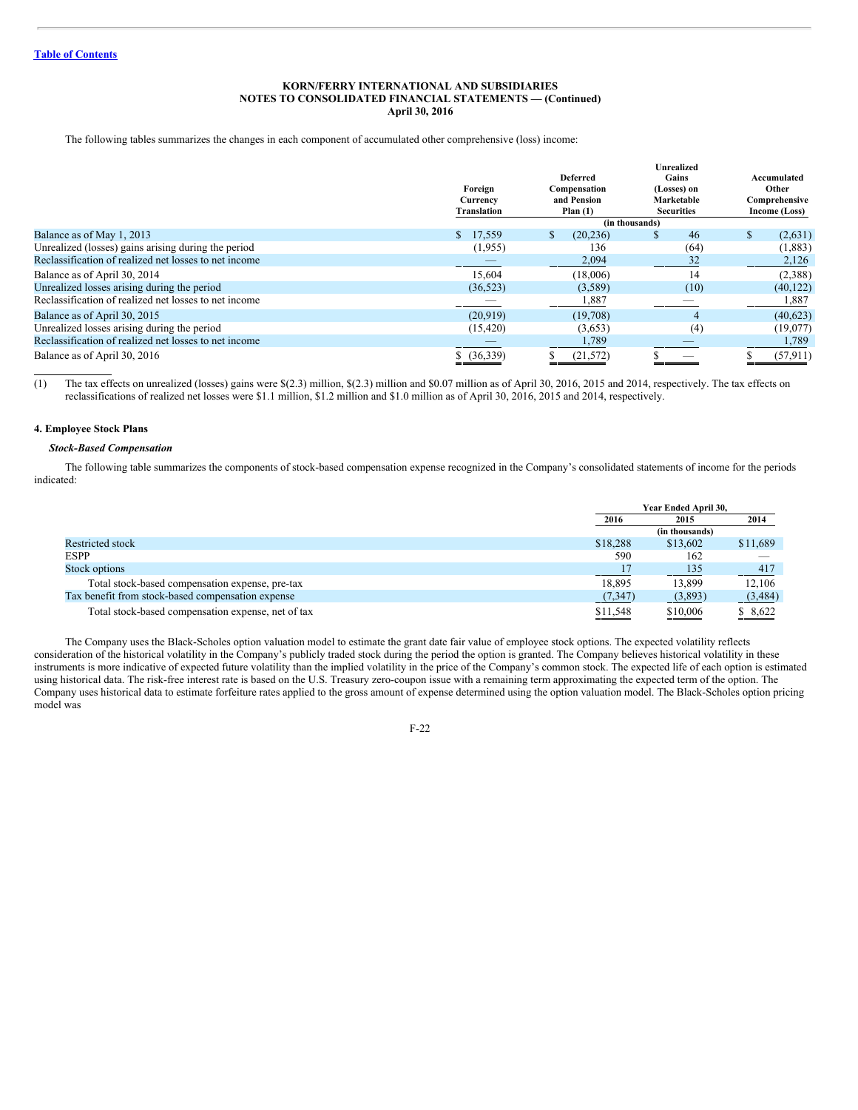The following tables summarizes the changes in each component of accumulated other comprehensive (loss) income:

|                                                       |                                |                           | <b>Unrealized</b>               |                                |
|-------------------------------------------------------|--------------------------------|---------------------------|---------------------------------|--------------------------------|
|                                                       |                                | <b>Deferred</b>           | Gains                           | Accumulated                    |
|                                                       | Foreign                        | Compensation              | (Losses) on                     | Other                          |
|                                                       | Currency<br><b>Translation</b> | and Pension<br>Plan $(1)$ | Marketable<br><b>Securities</b> | Comprehensive<br>Income (Loss) |
|                                                       |                                |                           | (in thousands)                  |                                |
| Balance as of May 1, 2013                             | \$17,559                       | (20, 236)                 | 46                              | \$<br>(2,631)                  |
| Unrealized (losses) gains arising during the period   | (1,955)                        | 136                       | (64)                            | (1, 883)                       |
| Reclassification of realized net losses to net income |                                | 2,094                     | 32                              | 2,126                          |
| Balance as of April 30, 2014                          | 15,604                         | (18,006)                  | 14                              | (2,388)                        |
| Unrealized losses arising during the period           | (36, 523)                      | (3,589)                   | (10)                            | (40, 122)                      |
| Reclassification of realized net losses to net income |                                | 1,887                     |                                 | 1,887                          |
| Balance as of April 30, 2015                          | (20, 919)                      | (19,708)                  | 4                               | (40,623)                       |
| Unrealized losses arising during the period           | (15, 420)                      | (3,653)                   | (4)                             | (19,077)                       |
| Reclassification of realized net losses to net income |                                | 1,789                     |                                 | 1,789                          |
| Balance as of April 30, 2016                          | \$ (36,339)                    | (21, 572)                 |                                 | (57, 911)                      |

(1) The tax effects on unrealized (losses) gains were \$(2.3) million, \$(2.3) million and \$0.07 million as of April 30, 2016, 2015 and 2014, respectively. The tax effects on reclassifications of realized net losses were \$1.1 million, \$1.2 million and \$1.0 million as of April 30, 2016, 2015 and 2014, respectively.

# **4. Employee Stock Plans**

#### *Stock-Based Compensation*

The following table summarizes the components of stock-based compensation expense recognized in the Company's consolidated statements of income for the periods indicated:

|                                                    |          | Year Ended April 30, |                   |  |  |
|----------------------------------------------------|----------|----------------------|-------------------|--|--|
|                                                    | 2016     | 2015                 | 2014              |  |  |
|                                                    |          | (in thousands)       |                   |  |  |
| Restricted stock                                   | \$18,288 | \$13,602             | \$11,689          |  |  |
| <b>ESPP</b>                                        | 590      | 162                  |                   |  |  |
| Stock options                                      |          | 135                  | 417               |  |  |
| Total stock-based compensation expense, pre-tax    | 18.895   | 13.899               | 12.106            |  |  |
| Tax benefit from stock-based compensation expense  | (7, 347) | (3,893)              | (3,484)           |  |  |
| Total stock-based compensation expense, net of tax | \$11,548 | \$10,006             | $\frac{$8,622}{}$ |  |  |

The Company uses the Black-Scholes option valuation model to estimate the grant date fair value of employee stock options. The expected volatility reflects consideration of the historical volatility in the Company's publicly traded stock during the period the option is granted. The Company believes historical volatility in these instruments is more indicative of expected future volatility than the implied volatility in the price of the Company's common stock. The expected life of each option is estimated using historical data. The risk-free interest rate is based on the U.S. Treasury zero-coupon issue with a remaining term approximating the expected term of the option. The Company uses historical data to estimate forfeiture rates applied to the gross amount of expense determined using the option valuation model. The Black-Scholes option pricing model was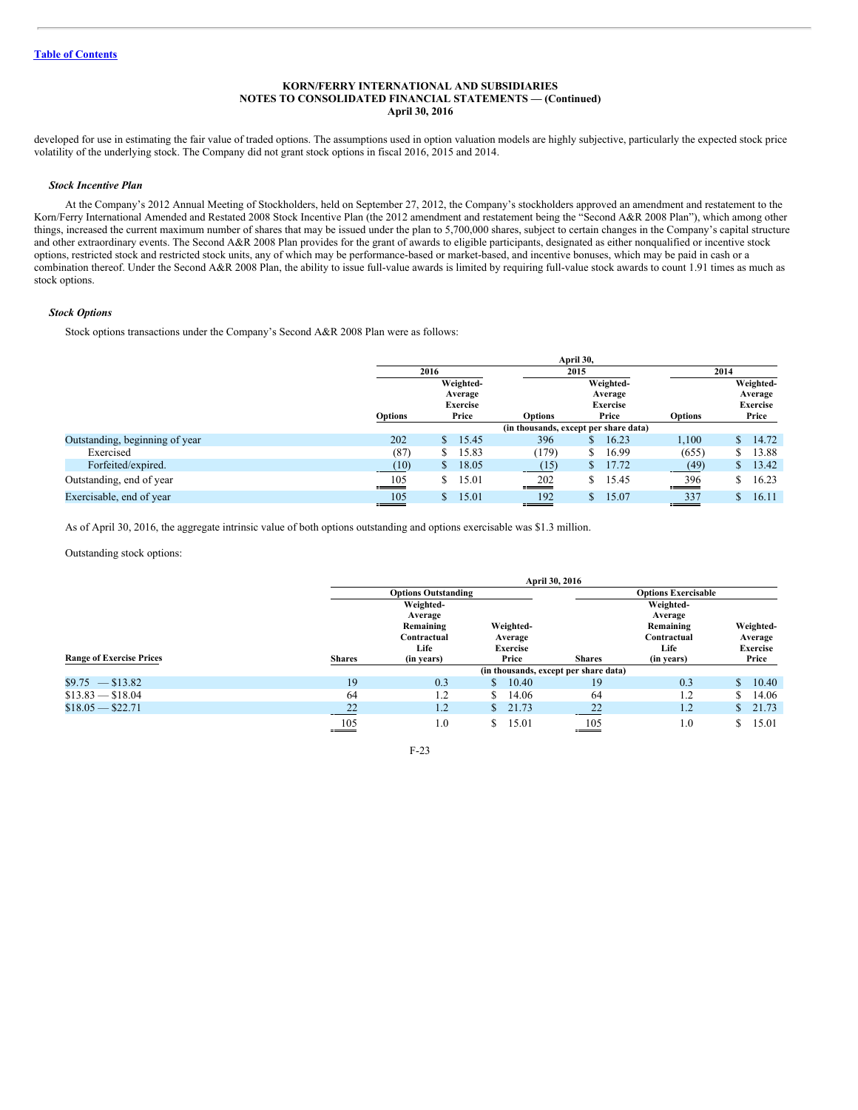developed for use in estimating the fair value of traded options. The assumptions used in option valuation models are highly subjective, particularly the expected stock price volatility of the underlying stock. The Company did not grant stock options in fiscal 2016, 2015 and 2014.

#### *Stock Incentive Plan*

At the Company's 2012 Annual Meeting of Stockholders, held on September 27, 2012, the Company's stockholders approved an amendment and restatement to the Korn/Ferry International Amended and Restated 2008 Stock Incentive Plan (the 2012 amendment and restatement being the "Second A&R 2008 Plan"), which among other things, increased the current maximum number of shares that may be issued under the plan to 5,700,000 shares, subject to certain changes in the Company's capital structure and other extraordinary events. The Second A&R 2008 Plan provides for the grant of awards to eligible participants, designated as either nonqualified or incentive stock options, restricted stock and restricted stock units, any of which may be performance-based or market-based, and incentive bonuses, which may be paid in cash or a combination thereof. Under the Second A&R 2008 Plan, the ability to issue full-value awards is limited by requiring full-value stock awards to count 1.91 times as much as stock options.

#### *Stock Options*

Stock options transactions under the Company's Second A&R 2008 Plan were as follows:

|                                |                 |                                         |       |                                       | April 30, |                                         |                                    |      |                                         |  |
|--------------------------------|-----------------|-----------------------------------------|-------|---------------------------------------|-----------|-----------------------------------------|------------------------------------|------|-----------------------------------------|--|
|                                |                 | 2016                                    |       |                                       | 2015      |                                         |                                    | 2014 |                                         |  |
|                                |                 | Weighted-<br>Average<br><b>Exercise</b> |       |                                       |           | Weighted-<br>Average<br><b>Exercise</b> |                                    |      | Weighted-<br>Average<br><b>Exercise</b> |  |
|                                | <b>Options</b>  | Price                                   |       | <b>Options</b>                        | Price     |                                         | <b>Options</b>                     |      | Price                                   |  |
|                                |                 |                                         |       | (in thousands, except per share data) |           |                                         |                                    |      |                                         |  |
| Outstanding, beginning of year | 202             | \$15.45                                 |       | 396                                   | S.        | 16.23                                   | 1,100                              | S.   | 14.72                                   |  |
| Exercised                      | (87)            | \$                                      | 15.83 | (179)                                 | S.        | 16.99                                   | (655)                              | \$   | 13.88                                   |  |
| Forfeited/expired.             | (10)            | \$                                      | 18.05 | (15)                                  | \$        | 17.72                                   | (49)                               | \$   | 13.42                                   |  |
| Outstanding, end of year       | $\frac{105}{2}$ | \$                                      | 15.01 | $\frac{202}{2}$                       | S.        | 15.45                                   | 396<br>$\sim$ $\sim$ $\sim$ $\sim$ | \$   | 16.23                                   |  |
| Exercisable, end of year       | 105             |                                         | 15.01 | 192                                   | S.        | 15.07                                   | 337                                | \$.  | 16.11                                   |  |

As of April 30, 2016, the aggregate intrinsic value of both options outstanding and options exercisable was \$1.3 million.

Outstanding stock options:

|                                 | April 30, 2016 |                            |    |                 |                                       |                            |     |                 |  |
|---------------------------------|----------------|----------------------------|----|-----------------|---------------------------------------|----------------------------|-----|-----------------|--|
|                                 |                | <b>Options Outstanding</b> |    |                 |                                       | <b>Options Exercisable</b> |     |                 |  |
|                                 |                | Weighted-                  |    |                 |                                       | Weighted-                  |     |                 |  |
|                                 |                | Average                    |    |                 |                                       | Average                    |     |                 |  |
|                                 |                | Remaining                  |    | Weighted-       |                                       | Remaining                  |     | Weighted-       |  |
|                                 |                | Contractual                |    | Average         |                                       | Contractual                |     | Average         |  |
|                                 |                | Life                       |    | <b>Exercise</b> |                                       | Life                       |     | <b>Exercise</b> |  |
| <b>Range of Exercise Prices</b> | <b>Shares</b>  | (in years)                 |    | Price           | <b>Shares</b>                         | (in years)                 |     | Price           |  |
|                                 |                |                            |    |                 | (in thousands, except per share data) |                            |     |                 |  |
| $$9.75 - $13.82$                | 19             | 0.3                        | S. | 10.40           | 19                                    | 0.3                        | \$. | 10.40           |  |
| $$13.83 - $18.04$               | 64             | 1.2                        | S. | 14.06           | 64                                    | 1.2                        | \$  | 14.06           |  |
| $$18.05 \rightarrow $22.71$     | 22             | 1.2                        |    | \$21.73         | 22                                    | 1.2                        | S.  | 21.73           |  |
|                                 | 105            | 1.0                        | S. | 15.01           | 105                                   | 1.0                        | S   | 15.01           |  |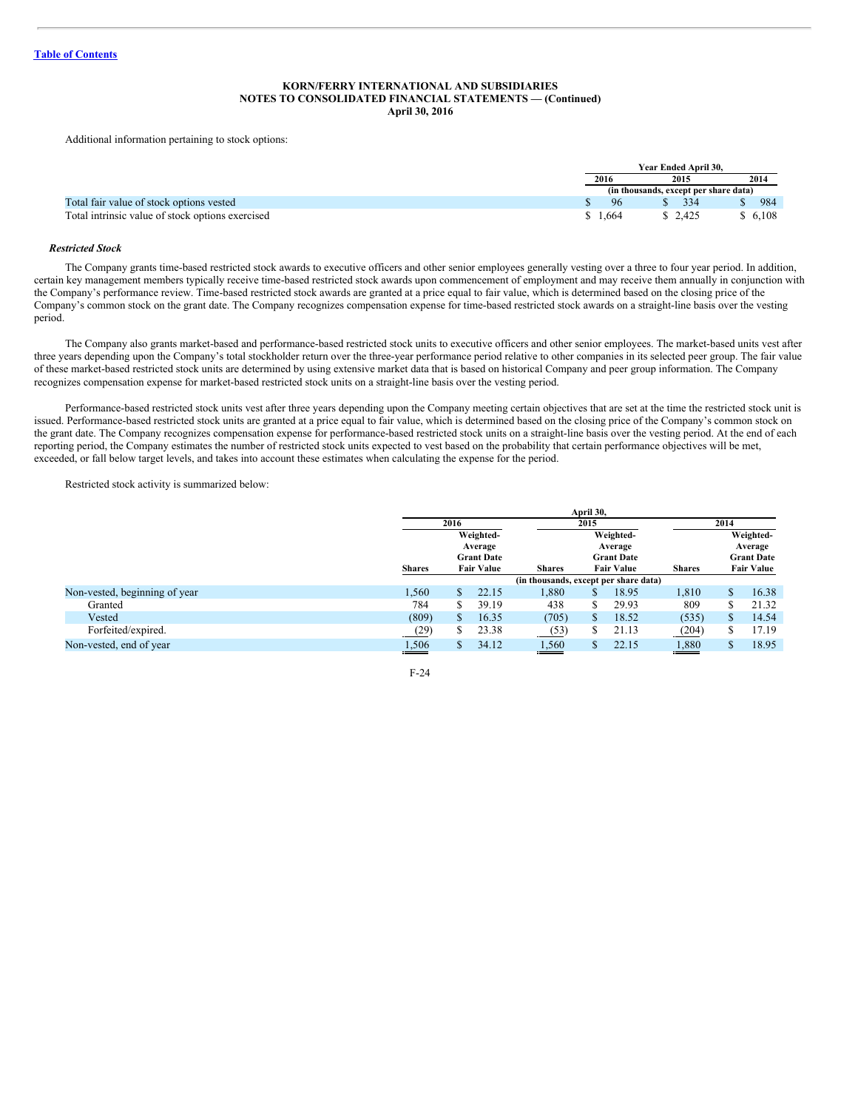Additional information pertaining to stock options:

|                                                  | Year Ended April 30, |                                       |          |  |
|--------------------------------------------------|----------------------|---------------------------------------|----------|--|
|                                                  | 2016                 | 2015                                  | 2014     |  |
|                                                  |                      | (in thousands, except per share data) |          |  |
| Total fair value of stock options vested         | 96                   | 334                                   | 984      |  |
| Total intrinsic value of stock options exercised | \$1.664              | \$ 2.425                              | \$ 6.108 |  |

#### *Restricted Stock*

The Company grants time-based restricted stock awards to executive officers and other senior employees generally vesting over a three to four year period. In addition, certain key management members typically receive time-based restricted stock awards upon commencement of employment and may receive them annually in conjunction with the Company's performance review. Time-based restricted stock awards are granted at a price equal to fair value, which is determined based on the closing price of the Company's common stock on the grant date. The Company recognizes compensation expense for time-based restricted stock awards on a straight-line basis over the vesting period.

The Company also grants market-based and performance-based restricted stock units to executive officers and other senior employees. The market-based units vest after three years depending upon the Company's total stockholder return over the three-year performance period relative to other companies in its selected peer group. The fair value of these market-based restricted stock units are determined by using extensive market data that is based on historical Company and peer group information. The Company recognizes compensation expense for market-based restricted stock units on a straight-line basis over the vesting period.

Performance-based restricted stock units vest after three years depending upon the Company meeting certain objectives that are set at the time the restricted stock unit is issued. Performance-based restricted stock units are granted at a price equal to fair value, which is determined based on the closing price of the Company's common stock on the grant date. The Company recognizes compensation expense for performance-based restricted stock units on a straight-line basis over the vesting period. At the end of each reporting period, the Company estimates the number of restricted stock units expected to vest based on the probability that certain performance objectives will be met, exceeded, or fall below target levels, and takes into account these estimates when calculating the expense for the period.

Restricted stock activity is summarized below:

|                               |               |      |                                                                |                                       | April 30, |                                                                |               |      |                                                                |
|-------------------------------|---------------|------|----------------------------------------------------------------|---------------------------------------|-----------|----------------------------------------------------------------|---------------|------|----------------------------------------------------------------|
|                               |               | 2016 |                                                                |                                       | 2015      |                                                                |               | 2014 |                                                                |
|                               | <b>Shares</b> |      | Weighted-<br>Average<br><b>Grant Date</b><br><b>Fair Value</b> | <b>Shares</b>                         |           | Weighted-<br>Average<br><b>Grant Date</b><br><b>Fair Value</b> | <b>Shares</b> |      | Weighted-<br>Average<br><b>Grant Date</b><br><b>Fair Value</b> |
|                               |               |      |                                                                | (in thousands, except per share data) |           |                                                                |               |      |                                                                |
| Non-vested, beginning of year | 1,560         | S    | 22.15                                                          | 1,880                                 |           | 18.95                                                          | 1,810         |      | 16.38                                                          |
| Granted                       | 784           |      | 39.19                                                          | 438                                   |           | 29.93                                                          | 809           |      | 21.32                                                          |
| Vested                        | (809)         |      | 16.35                                                          | (705)                                 |           | 18.52                                                          | (535)         | S    | 14.54                                                          |
| Forfeited/expired.            | (29)          | \$   | 23.38                                                          | (53)                                  | S         | 21.13                                                          | (204)         | \$   | 17.19                                                          |
| Non-vested, end of year       | 1,506         |      | 34.12                                                          | 1,560                                 |           | 22.15                                                          | 1,880         | \$.  | 18.95                                                          |

$$
F-24
$$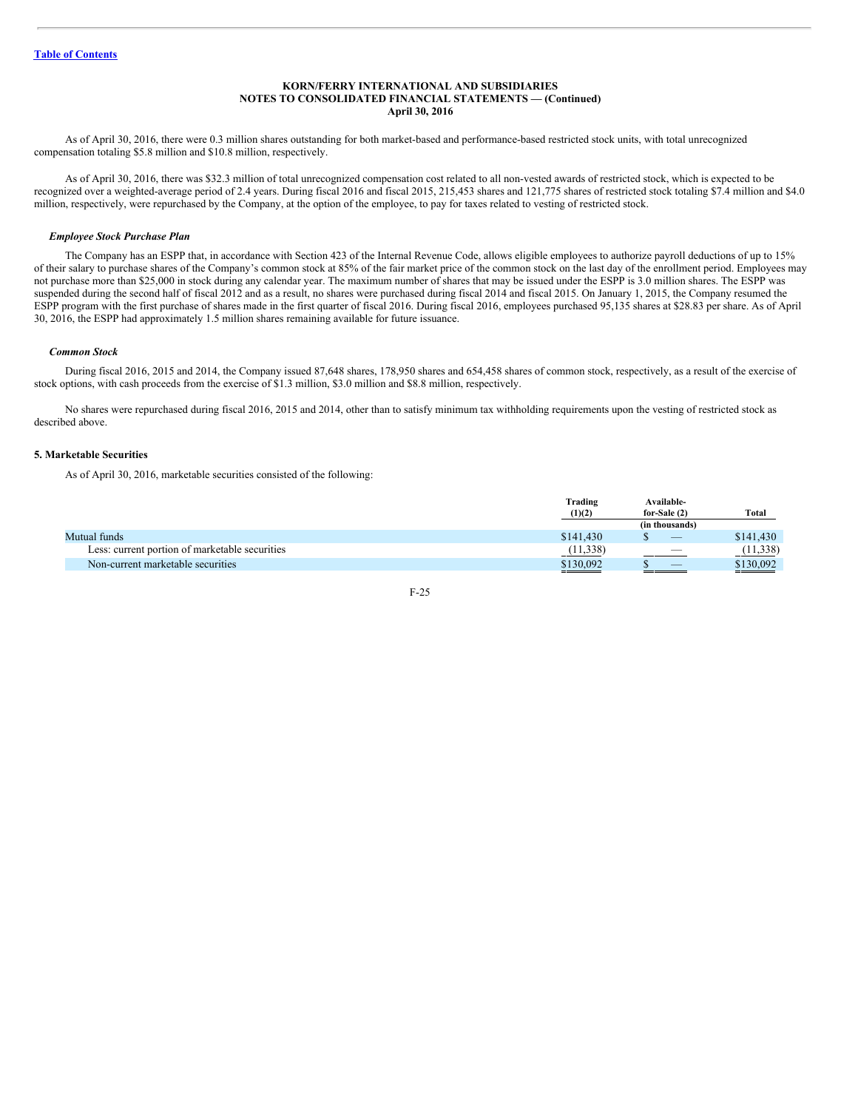As of April 30, 2016, there were 0.3 million shares outstanding for both market-based and performance-based restricted stock units, with total unrecognized compensation totaling \$5.8 million and \$10.8 million, respectively.

As of April 30, 2016, there was \$32.3 million of total unrecognized compensation cost related to all non-vested awards of restricted stock, which is expected to be recognized over a weighted-average period of 2.4 years. During fiscal 2016 and fiscal 2015, 215,453 shares and 121,775 shares of restricted stock totaling \$7.4 million and \$4.0 million, respectively, were repurchased by the Company, at the option of the employee, to pay for taxes related to vesting of restricted stock.

#### *Employee Stock Purchase Plan*

The Company has an ESPP that, in accordance with Section 423 of the Internal Revenue Code, allows eligible employees to authorize payroll deductions of up to 15% of their salary to purchase shares of the Company's common stock at 85% of the fair market price of the common stock on the last day of the enrollment period. Employees may not purchase more than \$25,000 in stock during any calendar year. The maximum number of shares that may be issued under the ESPP is 3.0 million shares. The ESPP was suspended during the second half of fiscal 2012 and as a result, no shares were purchased during fiscal 2014 and fiscal 2015. On January 1, 2015, the Company resumed the ESPP program with the first purchase of shares made in the first quarter of fiscal 2016. During fiscal 2016, employees purchased 95,135 shares at \$28.83 per share. As of April 30, 2016, the ESPP had approximately 1.5 million shares remaining available for future issuance.

#### *Common Stock*

During fiscal 2016, 2015 and 2014, the Company issued 87,648 shares, 178,950 shares and 654,458 shares of common stock, respectively, as a result of the exercise of stock options, with cash proceeds from the exercise of \$1.3 million, \$3.0 million and \$8.8 million, respectively.

No shares were repurchased during fiscal 2016, 2015 and 2014, other than to satisfy minimum tax withholding requirements upon the vesting of restricted stock as described above.

#### **5. Marketable Securities**

As of April 30, 2016, marketable securities consisted of the following:

|                                                | Trading   | Available-     |           |
|------------------------------------------------|-----------|----------------|-----------|
|                                                | (1)(2)    | for-Sale $(2)$ | Total     |
|                                                |           | (in thousands) |           |
| Mutual funds                                   | \$141,430 |                | \$141,430 |
| Less: current portion of marketable securities | (11, 338) |                | (11, 338) |
| Non-current marketable securities              | \$130,092 |                | \$130,092 |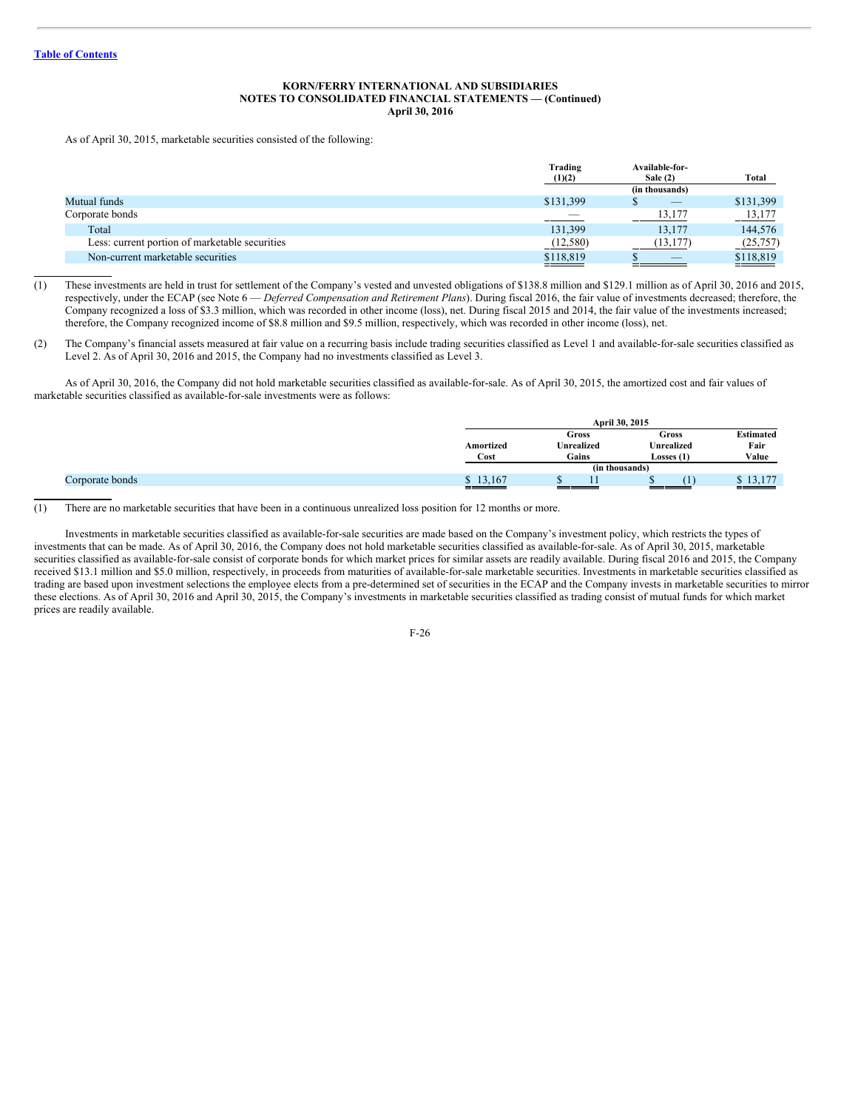As of April 30, 2015, marketable securities consisted of the following:

|                                                | Trading<br>(1)(2) | Available-for-<br>Sale $(2)$ | Total     |
|------------------------------------------------|-------------------|------------------------------|-----------|
|                                                |                   | (in thousands)               |           |
| Mutual funds                                   | \$131,399         | $\overline{\phantom{a}}$     | \$131,399 |
| Corporate bonds                                | $\sim$            | 13,177                       | 13,177    |
| Total                                          | 131,399           | 13.177                       | 144,576   |
| Less: current portion of marketable securities | (12,580)          | (13, 177)                    | (25, 757) |
| Non-current marketable securities              | \$118,819         |                              | \$118,819 |

(1) These investments are held in trust for settlement of the Company's vested and unvested obligations of \$138.8 million and \$129.1 million as of April 30, 2016 and 2015, respectively, under the ECAP (see Note 6 — *Deferred Compensation and Retirement Plans*). During fiscal 2016, the fair value of investments decreased; therefore, the Company recognized a loss of \$3.3 million, which was recorded in other income (loss), net. During fiscal 2015 and 2014, the fair value of the investments increased; therefore, the Company recognized income of \$8.8 million and \$9.5 million, respectively, which was recorded in other income (loss), net.

(2) The Company's financial assets measured at fair value on a recurring basis include trading securities classified as Level 1 and available-for-sale securities classified as Level 2. As of April 30, 2016 and 2015, the Company had no investments classified as Level 3.

As of April 30, 2016, the Company did not hold marketable securities classified as available-for-sale. As of April 30, 2015, the amortized cost and fair values of marketable securities classified as available-for-sale investments were as follows:

|           | April 30, 2015 |              |          |  |  |
|-----------|----------------|--------------|----------|--|--|
|           | Gross<br>Gross |              |          |  |  |
| Amortized | Unrealized     | Unrealized   | Fair     |  |  |
| Cost      | Gains          | Losses $(1)$ | Value    |  |  |
|           | (in thousands) |              |          |  |  |
| \$13,167  |                |              | \$13,177 |  |  |
|           |                |              |          |  |  |

(1) There are no marketable securities that have been in a continuous unrealized loss position for 12 months or more.

Investments in marketable securities classified as available-for-sale securities are made based on the Company's investment policy, which restricts the types of investments that can be made. As of April 30, 2016, the Company does not hold marketable securities classified as available-for-sale. As of April 30, 2015, marketable securities classified as available-for-sale consist of corporate bonds for which market prices for similar assets are readily available. During fiscal 2016 and 2015, the Company received \$13.1 million and \$5.0 million, respectively, in proceeds from maturities of available-for-sale marketable securities. Investments in marketable securities classified as trading are based upon investment selections the employee elects from a pre-determined set of securities in the ECAP and the Company invests in marketable securities to mirror these elections. As of April 30, 2016 and April 30, 2015, the Company's investments in marketable securities classified as trading consist of mutual funds for which market prices are readily available.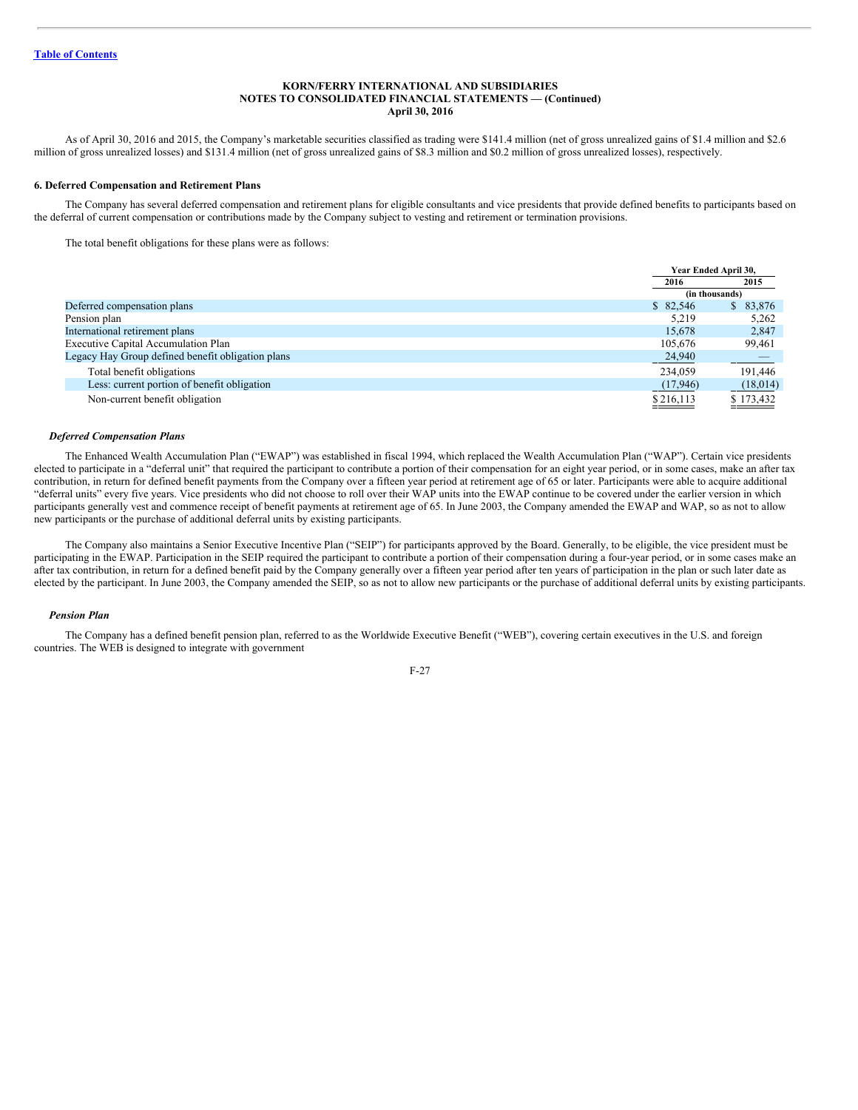As of April 30, 2016 and 2015, the Company's marketable securities classified as trading were \$141.4 million (net of gross unrealized gains of \$1.4 million and \$2.6 million of gross unrealized losses) and \$131.4 million (net of gross unrealized gains of \$8.3 million and \$0.2 million of gross unrealized losses), respectively.

#### **6. Deferred Compensation and Retirement Plans**

The Company has several deferred compensation and retirement plans for eligible consultants and vice presidents that provide defined benefits to participants based on the deferral of current compensation or contributions made by the Company subject to vesting and retirement or termination provisions.

The total benefit obligations for these plans were as follows:

|                                                   |           | Year Ended April 30, |
|---------------------------------------------------|-----------|----------------------|
|                                                   | 2016      | 2015                 |
|                                                   |           | (in thousands)       |
| Deferred compensation plans                       | \$82,546  | \$ 83,876            |
| Pension plan                                      | 5.219     | 5,262                |
| International retirement plans                    | 15.678    | 2.847                |
| <b>Executive Capital Accumulation Plan</b>        | 105,676   | 99,461               |
| Legacy Hay Group defined benefit obligation plans | 24,940    |                      |
| Total benefit obligations                         | 234,059   | 191.446              |
| Less: current portion of benefit obligation       | (17, 946) | (18,014)             |
| Non-current benefit obligation                    | \$216,113 | \$173,432            |

# *Deferred Compensation Plans*

The Enhanced Wealth Accumulation Plan ("EWAP") was established in fiscal 1994, which replaced the Wealth Accumulation Plan ("WAP"). Certain vice presidents elected to participate in a "deferral unit" that required the participant to contribute a portion of their compensation for an eight year period, or in some cases, make an after tax contribution, in return for defined benefit payments from the Company over a fifteen year period at retirement age of 65 or later. Participants were able to acquire additional "deferral units" every five years. Vice presidents who did not choose to roll over their WAP units into the EWAP continue to be covered under the earlier version in which participants generally vest and commence receipt of benefit payments at retirement age of 65. In June 2003, the Company amended the EWAP and WAP, so as not to allow new participants or the purchase of additional deferral units by existing participants.

The Company also maintains a Senior Executive Incentive Plan ("SEIP") for participants approved by the Board. Generally, to be eligible, the vice president must be participating in the EWAP. Participation in the SEIP required the participant to contribute a portion of their compensation during a four-year period, or in some cases make an after tax contribution, in return for a defined benefit paid by the Company generally over a fifteen year period after ten years of participation in the plan or such later date as elected by the participant. In June 2003, the Company amended the SEIP, so as not to allow new participants or the purchase of additional deferral units by existing participants.

# *Pension Plan*

The Company has a defined benefit pension plan, referred to as the Worldwide Executive Benefit ("WEB"), covering certain executives in the U.S. and foreign countries. The WEB is designed to integrate with government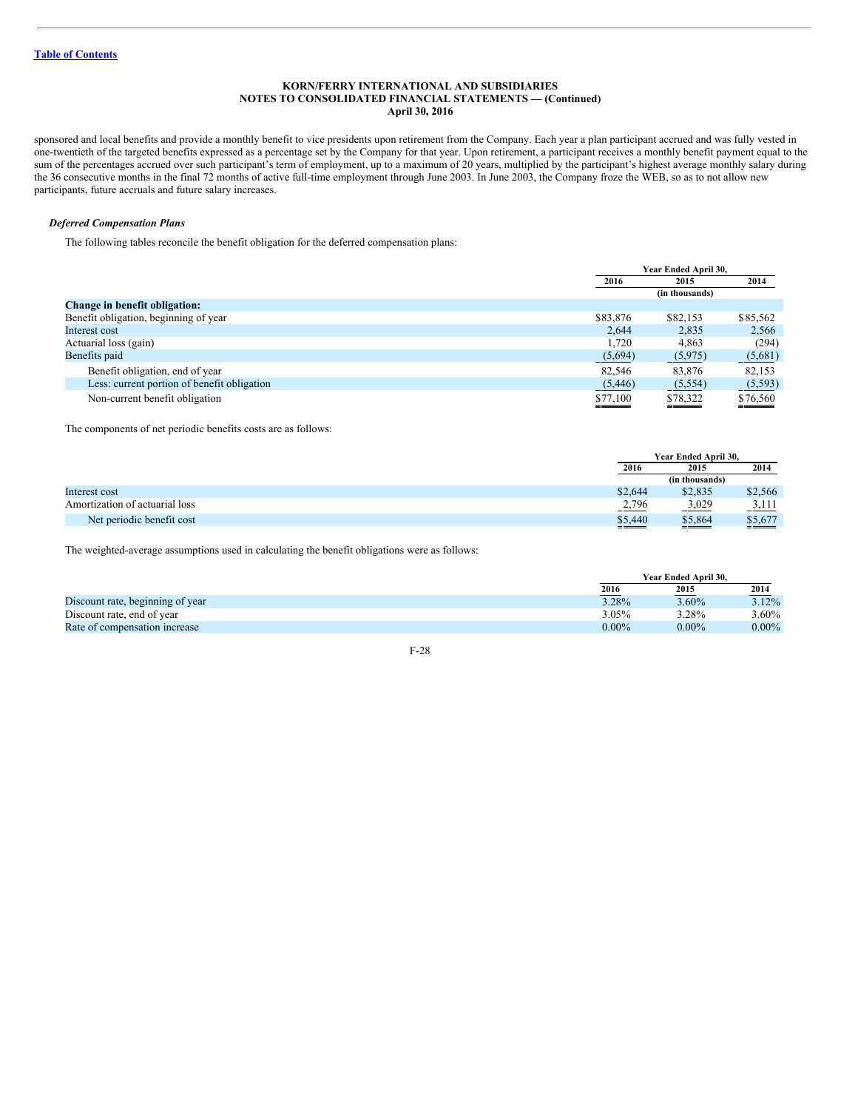sponsored and local benefits and provide a monthly benefit to vice presidents upon retirement from the Company. Each year a plan participant accrued and was fully vested in one-twentieth of the targeted benefits expressed as a percentage set by the Company for that year. Upon retirement, a participant receives a monthly benefit payment equal to the sum of the percentages accrued over such participant's term of employment, up to a maximum of 20 years, multiplied by the participant's highest average monthly salary during the 36 consecutive months in the final 72 months of active full-time employment through June 2003. In June 2003, the Company froze the WEB, so as to not allow new participants, future accruals and future salary increases.

# *Deferred Compensation Plans*

The following tables reconcile the benefit obligation for the deferred compensation plans:

|                                             |          | Year Ended April 30, |          |  |
|---------------------------------------------|----------|----------------------|----------|--|
|                                             | 2016     | 2015                 | 2014     |  |
|                                             |          | (in thousands)       |          |  |
| <b>Change in benefit obligation:</b>        |          |                      |          |  |
| Benefit obligation, beginning of year       | \$83,876 | \$82,153             | \$85,562 |  |
| Interest cost                               | 2.644    | 2,835                | 2,566    |  |
| Actuarial loss (gain)                       | 1.720    | 4,863                | (294)    |  |
| Benefits paid                               | (5,694)  | (5,975)              | (5,681)  |  |
| Benefit obligation, end of year             | 82,546   | 83,876               | 82.153   |  |
| Less: current portion of benefit obligation | (5, 446) | (5,554)              | (5,593)  |  |
| Non-current benefit obligation              | \$77,100 | \$78,322             | \$76,560 |  |

The components of net periodic benefits costs are as follows:

|                                |         | Year Ended April 30,     |         |  |
|--------------------------------|---------|--------------------------|---------|--|
|                                | 2016    | 2015                     | 2014    |  |
|                                |         | (in thousands)           |         |  |
| Interest cost                  | \$2,644 | \$2,835                  | \$2,566 |  |
| Amortization of actuarial loss | 2,796   | 3,029                    | 3,111   |  |
| Net periodic benefit cost      | \$5,440 | \$5,864<br>$\sim$ $\sim$ | \$5,677 |  |

The weighted-average assumptions used in calculating the benefit obligations were as follows:

|                                  |          | Year Ended April 30. |          |  |
|----------------------------------|----------|----------------------|----------|--|
|                                  | 2016     | 2015                 | 2014     |  |
| Discount rate, beginning of year | 3.28%    | $3.60\%$             | $3.12\%$ |  |
| Discount rate, end of year       | 3.05%    | 3.28%                | 3.60%    |  |
| Rate of compensation increase    | $0.00\%$ | $0.00\%$             | $0.00\%$ |  |

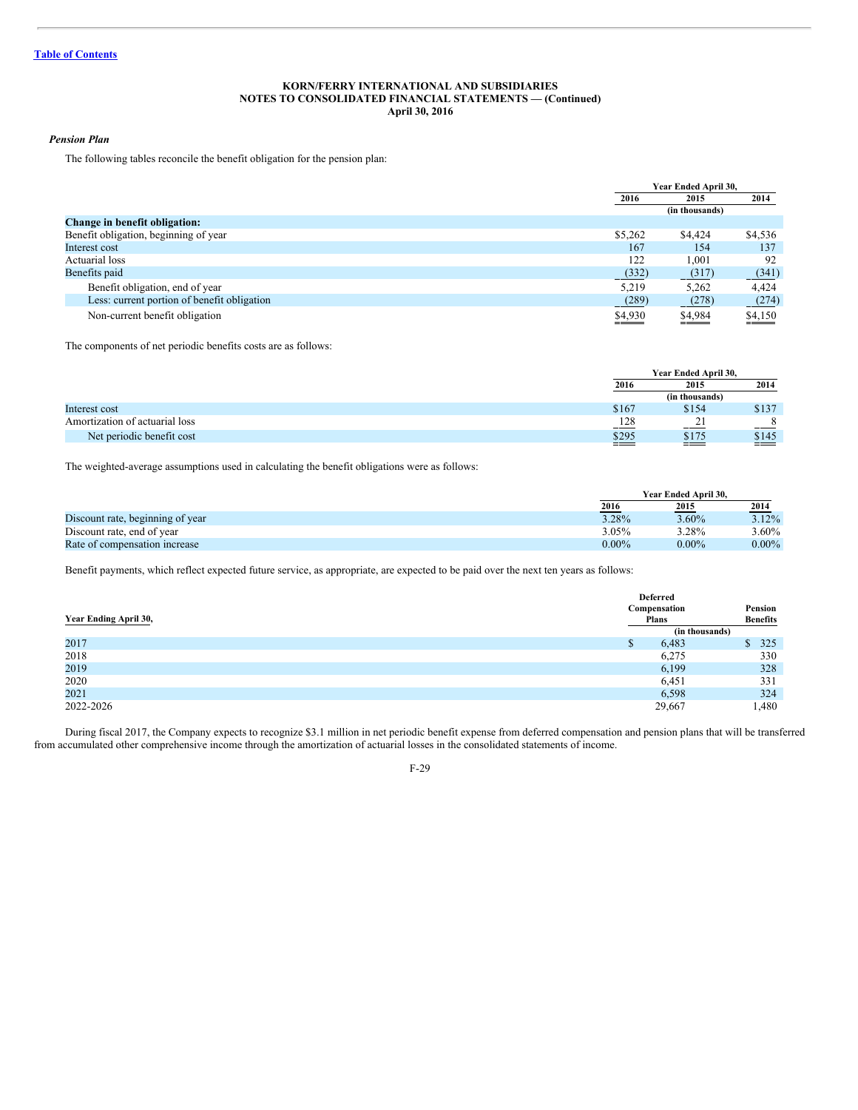# *Pension Plan*

The following tables reconcile the benefit obligation for the pension plan:

|                                             |                | Year Ended April 30, |         |  |
|---------------------------------------------|----------------|----------------------|---------|--|
|                                             | 2016           | 2015                 | 2014    |  |
|                                             |                | (in thousands)       |         |  |
| <b>Change in benefit obligation:</b>        |                |                      |         |  |
| Benefit obligation, beginning of year       | \$5,262        | \$4,424              | \$4,536 |  |
| Interest cost                               | 167            | 154                  | 137     |  |
| Actuarial loss                              | 122            | 1.001                | 92      |  |
| Benefits paid                               | (332)          | (317)                | (341)   |  |
| Benefit obligation, end of year             | 5.219          | 5.262                | 4.424   |  |
| Less: current portion of benefit obligation | (289)          | (278)                | (274)   |  |
| Non-current benefit obligation              | \$4,930<br>___ | \$4,984              | \$4,150 |  |

The components of net periodic benefits costs are as follows:

|                                |             | Year Ended April 30. |       |  |
|--------------------------------|-------------|----------------------|-------|--|
|                                | 2016        | 2015                 | 2014  |  |
|                                |             | (in thousands)       |       |  |
| Interest cost                  | \$167       | \$154                | \$137 |  |
| Amortization of actuarial loss | 128<br>$ -$ |                      | 8     |  |
| Net periodic benefit cost      | \$295       | \$175                | \$145 |  |

The weighted-average assumptions used in calculating the benefit obligations were as follows:

|                                  |          | Year Ended April 30. |          |  |
|----------------------------------|----------|----------------------|----------|--|
|                                  | 2016     | 2015                 | 2014     |  |
| Discount rate, beginning of year | 3.28%    | 3.60%                | $3.12\%$ |  |
| Discount rate, end of year       | 3.05%    | 3.28%                | 3.60%    |  |
| Rate of compensation increase    | $0.00\%$ | $0.00\%$             | $0.00\%$ |  |

Benefit payments, which reflect expected future service, as appropriate, are expected to be paid over the next ten years as follows:

|                       | <b>Deferred</b> |                 |
|-----------------------|-----------------|-----------------|
|                       | Compensation    | Pension         |
| Year Ending April 30, | Plans           | <b>Benefits</b> |
|                       | (in thousands)  |                 |
| 2017                  | 6,483           | 325<br>S.       |
| 2018                  | 6,275           | 330             |
| 2019                  | 6,199           | 328             |
| 2020                  | 6,451           | 331             |
| 2021                  | 6,598           | 324             |
| 2022-2026             | 29,667          | 1,480           |

During fiscal 2017, the Company expects to recognize \$3.1 million in net periodic benefit expense from deferred compensation and pension plans that will be transferred from accumulated other comprehensive income through the amortization of actuarial losses in the consolidated statements of income.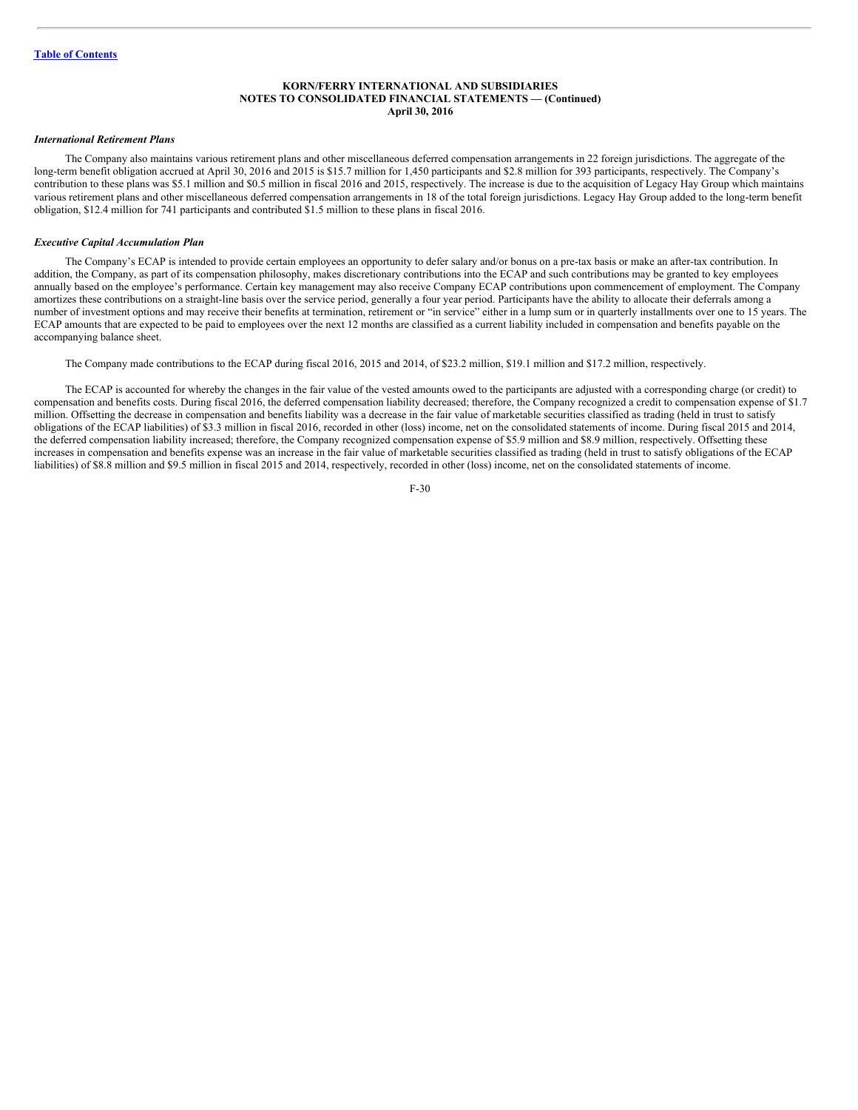#### *International Retirement Plans*

The Company also maintains various retirement plans and other miscellaneous deferred compensation arrangements in 22 foreign jurisdictions. The aggregate of the long-term benefit obligation accrued at April 30, 2016 and 2015 is \$15.7 million for 1,450 participants and \$2.8 million for 393 participants, respectively. The Company's contribution to these plans was \$5.1 million and \$0.5 million in fiscal 2016 and 2015, respectively. The increase is due to the acquisition of Legacy Hay Group which maintains various retirement plans and other miscellaneous deferred compensation arrangements in 18 of the total foreign jurisdictions. Legacy Hay Group added to the long-term benefit obligation, \$12.4 million for 741 participants and contributed \$1.5 million to these plans in fiscal 2016.

#### *Executive Capital Accumulation Plan*

The Company's ECAP is intended to provide certain employees an opportunity to defer salary and/or bonus on a pre-tax basis or make an after-tax contribution. In addition, the Company, as part of its compensation philosophy, makes discretionary contributions into the ECAP and such contributions may be granted to key employees annually based on the employee's performance. Certain key management may also receive Company ECAP contributions upon commencement of employment. The Company amortizes these contributions on a straight-line basis over the service period, generally a four year period. Participants have the ability to allocate their deferrals among a number of investment options and may receive their benefits at termination, retirement or "in service" either in a lump sum or in quarterly installments over one to 15 years. The ECAP amounts that are expected to be paid to employees over the next 12 months are classified as a current liability included in compensation and benefits payable on the accompanying balance sheet.

The Company made contributions to the ECAP during fiscal 2016, 2015 and 2014, of \$23.2 million, \$19.1 million and \$17.2 million, respectively.

The ECAP is accounted for whereby the changes in the fair value of the vested amounts owed to the participants are adjusted with a corresponding charge (or credit) to compensation and benefits costs. During fiscal 2016, the deferred compensation liability decreased; therefore, the Company recognized a credit to compensation expense of \$1.7 million. Offsetting the decrease in compensation and benefits liability was a decrease in the fair value of marketable securities classified as trading (held in trust to satisfy obligations of the ECAP liabilities) of \$3.3 million in fiscal 2016, recorded in other (loss) income, net on the consolidated statements of income. During fiscal 2015 and 2014, the deferred compensation liability increased; therefore, the Company recognized compensation expense of \$5.9 million and \$8.9 million, respectively. Offsetting these increases in compensation and benefits expense was an increase in the fair value of marketable securities classified as trading (held in trust to satisfy obligations of the ECAP liabilities) of \$8.8 million and \$9.5 million in fiscal 2015 and 2014, respectively, recorded in other (loss) income, net on the consolidated statements of income.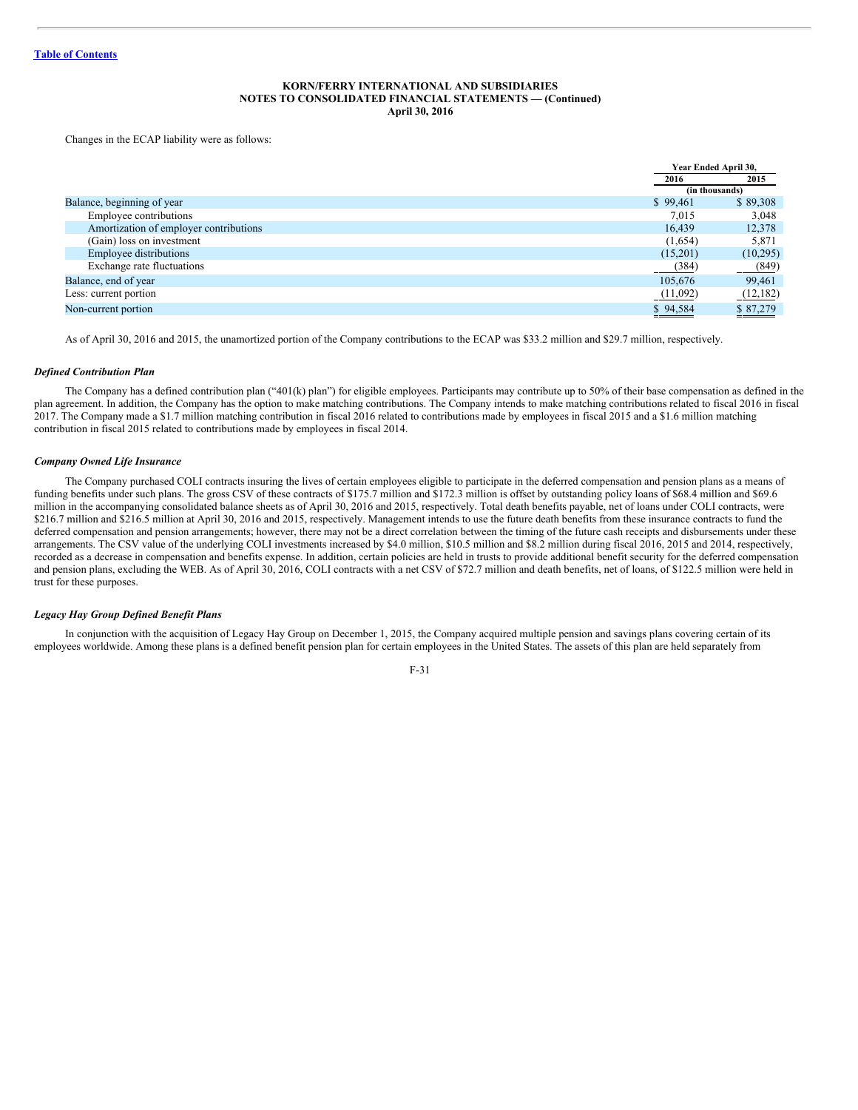Changes in the ECAP liability were as follows:

|                                        |          | Year Ended April 30, |
|----------------------------------------|----------|----------------------|
|                                        | 2016     | 2015                 |
|                                        |          | (in thousands)       |
| Balance, beginning of year             | \$99,461 | \$89,308             |
| Employee contributions                 | 7.015    | 3,048                |
| Amortization of employer contributions | 16,439   | 12,378               |
| (Gain) loss on investment              | (1,654)  | 5,871                |
| <b>Employee distributions</b>          | (15,201) | (10,295)             |
| Exchange rate fluctuations             | (384)    | $-$ (849)            |
| Balance, end of year                   | 105,676  | 99,461               |
| Less: current portion                  | (11,092) | (12,182)             |
| Non-current portion                    | \$94,584 | \$87,279             |

As of April 30, 2016 and 2015, the unamortized portion of the Company contributions to the ECAP was \$33.2 million and \$29.7 million, respectively.

#### *Defined Contribution Plan*

The Company has a defined contribution plan ("401(k) plan") for eligible employees. Participants may contribute up to 50% of their base compensation as defined in the plan agreement. In addition, the Company has the option to make matching contributions. The Company intends to make matching contributions related to fiscal 2016 in fiscal 2017. The Company made a \$1.7 million matching contribution in fiscal 2016 related to contributions made by employees in fiscal 2015 and a \$1.6 million matching contribution in fiscal 2015 related to contributions made by employees in fiscal 2014.

### *Company Owned Life Insurance*

The Company purchased COLI contracts insuring the lives of certain employees eligible to participate in the deferred compensation and pension plans as a means of funding benefits under such plans. The gross CSV of these contracts of \$175.7 million and \$172.3 million is offset by outstanding policy loans of \$68.4 million and \$69.6 million in the accompanying consolidated balance sheets as of April 30, 2016 and 2015, respectively. Total death benefits payable, net of loans under COLI contracts, were \$216.7 million and \$216.5 million at April 30, 2016 and 2015, respectively. Management intends to use the future death benefits from these insurance contracts to fund the deferred compensation and pension arrangements; however, there may not be a direct correlation between the timing of the future cash receipts and disbursements under these arrangements. The CSV value of the underlying COLI investments increased by \$4.0 million, \$10.5 million and \$8.2 million during fiscal 2016, 2015 and 2014, respectively, recorded as a decrease in compensation and benefits expense. In addition, certain policies are held in trusts to provide additional benefit security for the deferred compensation and pension plans, excluding the WEB. As of April 30, 2016, COLI contracts with a net CSV of \$72.7 million and death benefits, net of loans, of \$122.5 million were held in trust for these purposes.

# *Legacy Hay Group Defined Benefit Plans*

In conjunction with the acquisition of Legacy Hay Group on December 1, 2015, the Company acquired multiple pension and savings plans covering certain of its employees worldwide. Among these plans is a defined benefit pension plan for certain employees in the United States. The assets of this plan are held separately from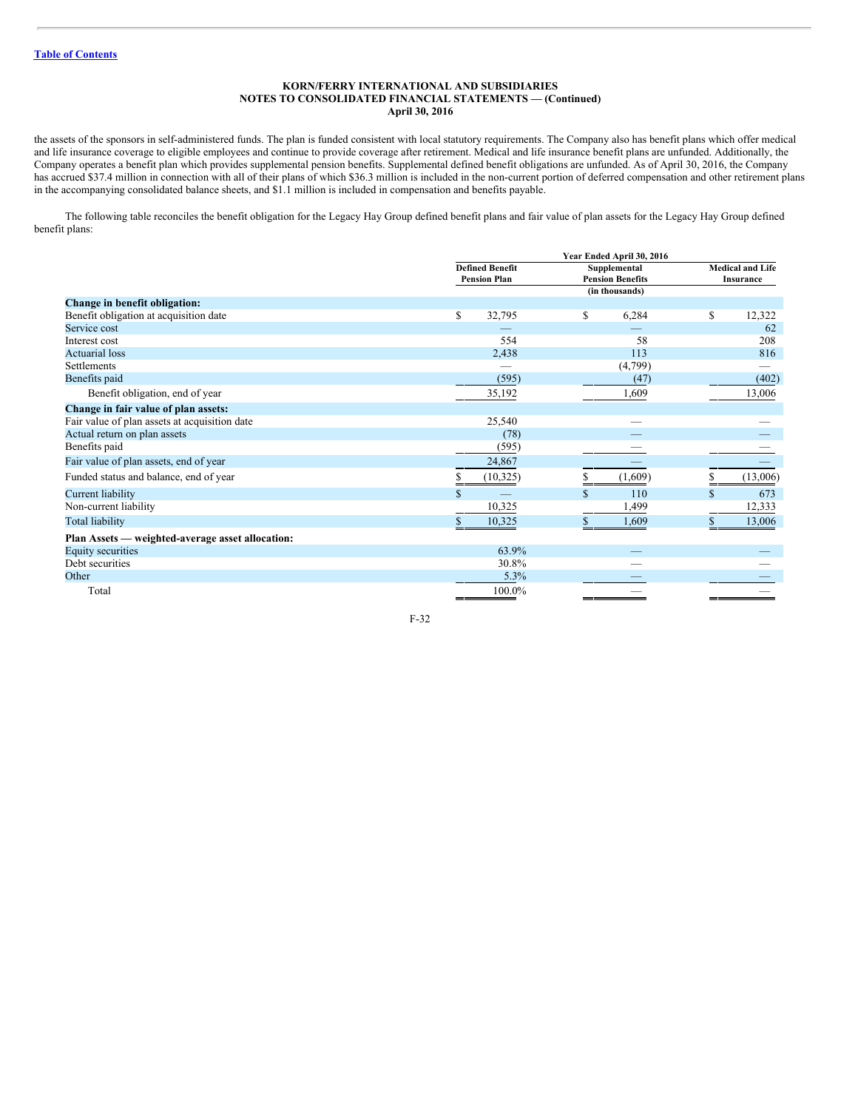the assets of the sponsors in self-administered funds. The plan is funded consistent with local statutory requirements. The Company also has benefit plans which offer medical and life insurance coverage to eligible employees and continue to provide coverage after retirement. Medical and life insurance benefit plans are unfunded. Additionally, the Company operates a benefit plan which provides supplemental pension benefits. Supplemental defined benefit obligations are unfunded. As of April 30, 2016, the Company has accrued \$37.4 million in connection with all of their plans of which \$36.3 million is included in the non-current portion of deferred compensation and other retirement plans in the accompanying consolidated balance sheets, and \$1.1 million is included in compensation and benefits payable.

The following table reconciles the benefit obligation for the Legacy Hay Group defined benefit plans and fair value of plan assets for the Legacy Hay Group defined benefit plans:

|                                                  |                        | Year Ended April 30, 2016                 |                         |  |
|--------------------------------------------------|------------------------|-------------------------------------------|-------------------------|--|
|                                                  | <b>Defined Benefit</b> | Supplemental                              | <b>Medical and Life</b> |  |
|                                                  | <b>Pension Plan</b>    | <b>Pension Benefits</b><br>(in thousands) | Insurance               |  |
| Change in benefit obligation:                    |                        |                                           |                         |  |
| Benefit obligation at acquisition date           | \$<br>32,795           | \$<br>6,284                               | \$<br>12,322            |  |
| Service cost                                     |                        |                                           | 62                      |  |
| Interest cost                                    | 554                    | 58                                        | 208                     |  |
| <b>Actuarial</b> loss                            | 2,438                  | 113                                       | 816                     |  |
| <b>Settlements</b>                               |                        | (4,799)                                   |                         |  |
| Benefits paid                                    | (595)                  | (47)                                      | (402)                   |  |
| Benefit obligation, end of year                  | 35,192                 | 1,609                                     | 13,006                  |  |
| Change in fair value of plan assets:             |                        |                                           |                         |  |
| Fair value of plan assets at acquisition date    | 25,540                 |                                           |                         |  |
| Actual return on plan assets                     | (78)                   |                                           |                         |  |
| Benefits paid                                    | (595)                  |                                           |                         |  |
| Fair value of plan assets, end of year           | 24,867                 |                                           |                         |  |
| Funded status and balance, end of year           | (10, 325)              | (1,609)                                   | (13,006)                |  |
| Current liability                                | \$.                    | \$<br>110                                 | \$<br>673               |  |
| Non-current liability                            | 10,325                 | 1,499                                     | 12,333                  |  |
| Total liability                                  | 10,325                 | 1,609<br>S                                | 13,006                  |  |
| Plan Assets - weighted-average asset allocation: |                        |                                           |                         |  |
| <b>Equity securities</b>                         | 63.9%                  |                                           |                         |  |
| Debt securities                                  | 30.8%                  |                                           |                         |  |
| Other                                            | 5.3%                   |                                           |                         |  |
| Total                                            | 100.0%                 |                                           |                         |  |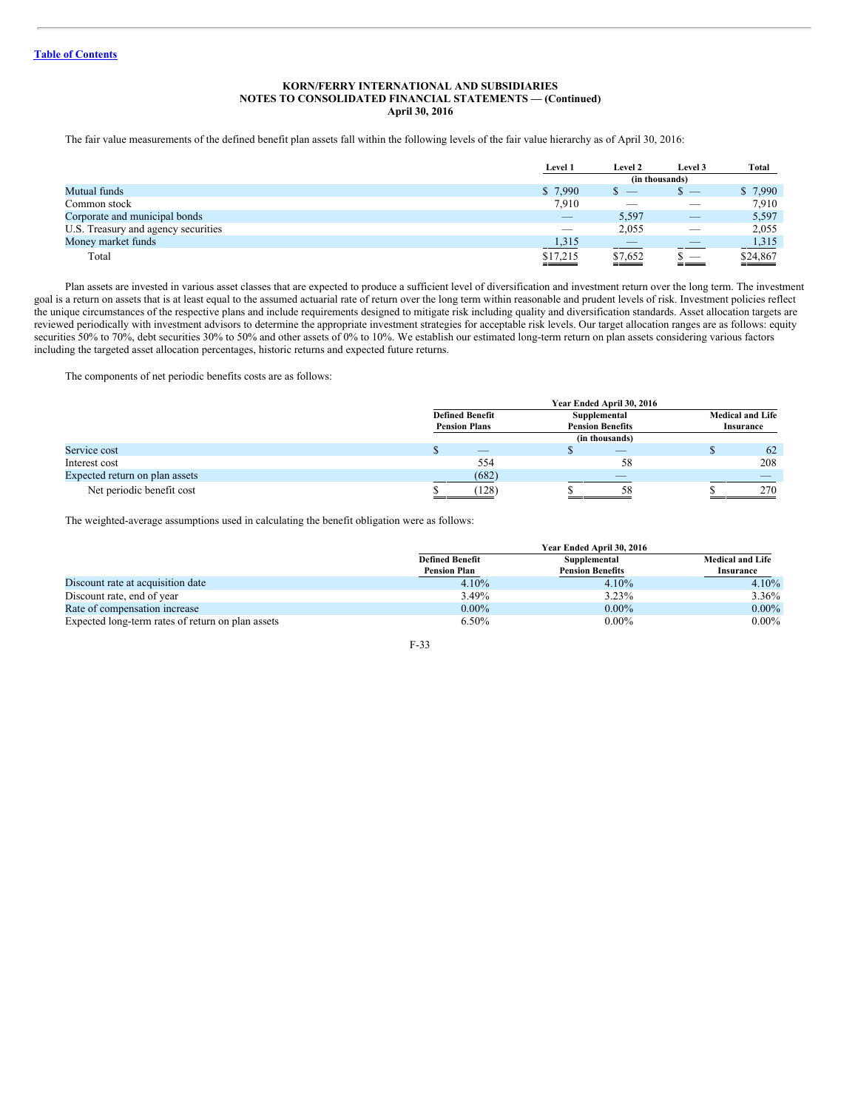The fair value measurements of the defined benefit plan assets fall within the following levels of the fair value hierarchy as of April 30, 2016:

|                                     | Level 1  | Level 2 | Level 3        | Total    |
|-------------------------------------|----------|---------|----------------|----------|
|                                     |          |         | (in thousands) |          |
| Mutual funds                        | \$7,990  |         | $s =$          | \$7,990  |
| Common stock                        | 7,910    |         | $-$            | 7,910    |
| Corporate and municipal bonds       |          | 5,597   |                | 5,597    |
| U.S. Treasury and agency securities |          | 2,055   |                | 2,055    |
| Money market funds                  | 1,315    |         |                | 1,315    |
| Total                               | \$17,215 | \$7,652 | $s -$          | \$24,867 |

Plan assets are invested in various asset classes that are expected to produce a sufficient level of diversification and investment return over the long term. The investment goal is a return on assets that is at least equal to the assumed actuarial rate of return over the long term within reasonable and prudent levels of risk. Investment policies reflect the unique circumstances of the respective plans and include requirements designed to mitigate risk including quality and diversification standards. Asset allocation targets are reviewed periodically with investment advisors to determine the appropriate investment strategies for acceptable risk levels. Our target allocation ranges are as follows: equity securities 50% to 70%, debt securities 30% to 50% and other assets of 0% to 10%. We establish our estimated long-term return on plan assets considering various factors including the targeted asset allocation percentages, historic returns and expected future returns.

The components of net periodic benefits costs are as follows:

|                                |                        |                          |                         | Year Ended April 30, 2016 |                         |
|--------------------------------|------------------------|--------------------------|-------------------------|---------------------------|-------------------------|
|                                | <b>Defined Benefit</b> |                          | Supplemental            |                           | <b>Medical and Life</b> |
|                                | <b>Pension Plans</b>   |                          | <b>Pension Benefits</b> |                           | Insurance               |
|                                |                        |                          |                         | (in thousands)            |                         |
| Service cost                   |                        | $\overline{\phantom{a}}$ |                         | $\qquad \qquad - \qquad$  | 62                      |
| Interest cost                  |                        | 554                      |                         | 58                        | 208                     |
| Expected return on plan assets |                        | (682)                    |                         | $\overline{\phantom{a}}$  |                         |
| Net periodic benefit cost      |                        | (128)                    |                         | 58                        | 270                     |

The weighted-average assumptions used in calculating the benefit obligation were as follows:

|                                                   |                                               | Year Ended April 30, 2016               |                               |  |
|---------------------------------------------------|-----------------------------------------------|-----------------------------------------|-------------------------------|--|
|                                                   | <b>Defined Benefit</b><br><b>Pension Plan</b> | Supplemental<br><b>Pension Benefits</b> | Medical and Life<br>Insurance |  |
| Discount rate at acquisition date                 | 4.10%                                         | $4.10\%$                                | $4.10\%$                      |  |
| Discount rate, end of year                        | 3.49%                                         | $3.23\%$                                | 3.36%                         |  |
| Rate of compensation increase                     | $0.00\%$                                      | $0.00\%$                                | $0.00\%$                      |  |
| Expected long-term rates of return on plan assets | 6.50%                                         | $0.00\%$                                | $0.00\%$                      |  |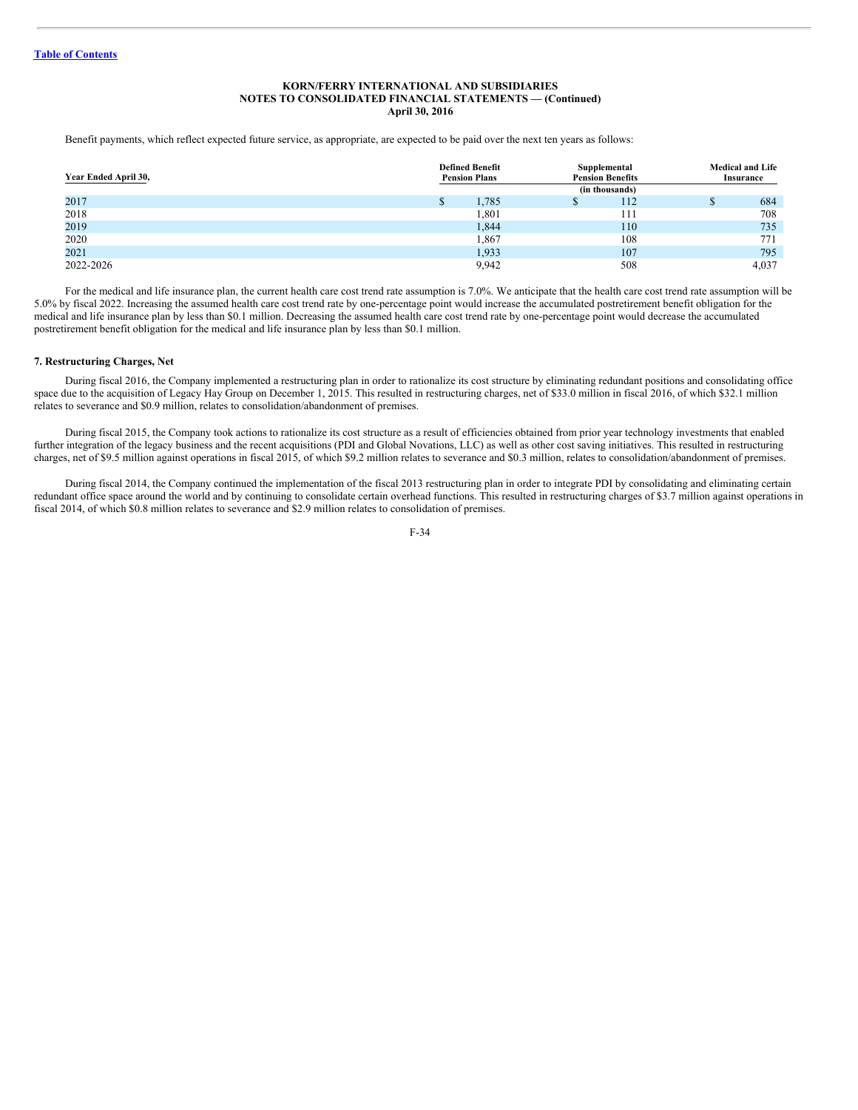Benefit payments, which reflect expected future service, as appropriate, are expected to be paid over the next ten years as follows:

| Year Ended April 30, | <b>Defined Benefit</b><br><b>Pension Plans</b> |       |    |                |   | Supplemental<br><b>Pension Benefits</b> |  | <b>Medical and Life</b><br><b>Insurance</b> |
|----------------------|------------------------------------------------|-------|----|----------------|---|-----------------------------------------|--|---------------------------------------------|
|                      |                                                |       |    | (in thousands) |   |                                         |  |                                             |
| 2017                 | мF                                             | 1,785 | ωD | 112            | D | 684                                     |  |                                             |
| 2018                 |                                                | 1,801 |    | 111            |   | 708                                     |  |                                             |
| 2019                 |                                                | 1,844 |    | 110            |   | 735                                     |  |                                             |
| 2020                 |                                                | 1,867 |    | 108            |   | 771                                     |  |                                             |
| 2021                 |                                                | 1,933 |    | 107            |   | 795                                     |  |                                             |
| 2022-2026            |                                                | 9,942 |    | 508            |   | 4,037                                   |  |                                             |

For the medical and life insurance plan, the current health care cost trend rate assumption is 7.0%. We anticipate that the health care cost trend rate assumption will be 5.0% by fiscal 2022. Increasing the assumed health care cost trend rate by one-percentage point would increase the accumulated postretirement benefit obligation for the medical and life insurance plan by less than \$0.1 million. Decreasing the assumed health care cost trend rate by one-percentage point would decrease the accumulated postretirement benefit obligation for the medical and life insurance plan by less than \$0.1 million.

#### **7. Restructuring Charges, Net**

During fiscal 2016, the Company implemented a restructuring plan in order to rationalize its cost structure by eliminating redundant positions and consolidating office space due to the acquisition of Legacy Hay Group on December 1, 2015. This resulted in restructuring charges, net of \$33.0 million in fiscal 2016, of which \$32.1 million relates to severance and \$0.9 million, relates to consolidation/abandonment of premises.

During fiscal 2015, the Company took actions to rationalize its cost structure as a result of efficiencies obtained from prior year technology investments that enabled further integration of the legacy business and the recent acquisitions (PDI and Global Novations, LLC) as well as other cost saving initiatives. This resulted in restructuring charges, net of \$9.5 million against operations in fiscal 2015, of which \$9.2 million relates to severance and \$0.3 million, relates to consolidation/abandonment of premises.

During fiscal 2014, the Company continued the implementation of the fiscal 2013 restructuring plan in order to integrate PDI by consolidating and eliminating certain redundant office space around the world and by continuing to consolidate certain overhead functions. This resulted in restructuring charges of \$3.7 million against operations in fiscal 2014, of which \$0.8 million relates to severance and \$2.9 million relates to consolidation of premises.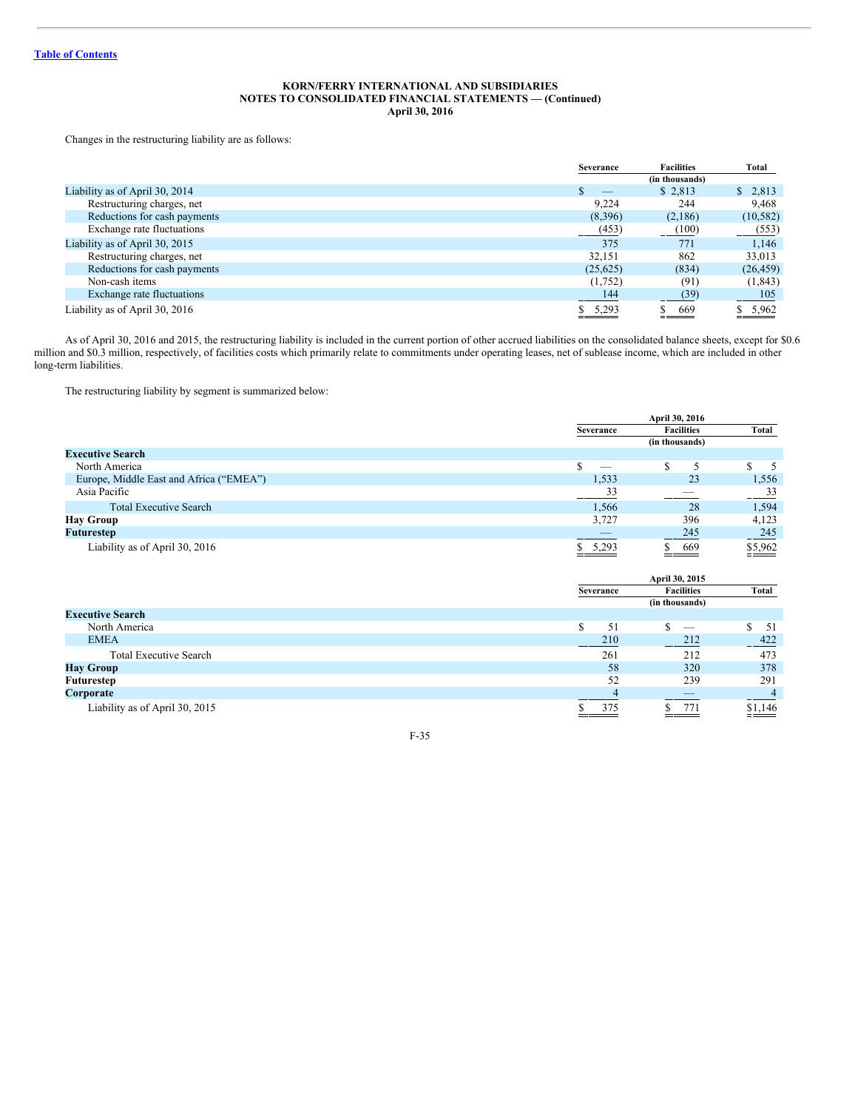Changes in the restructuring liability are as follows:

|                                | Severance | <b>Facilities</b> | Total     |
|--------------------------------|-----------|-------------------|-----------|
|                                |           | (in thousands)    |           |
| Liability as of April 30, 2014 |           | \$2,813           | \$2,813   |
| Restructuring charges, net     | 9.224     | 244               | 9,468     |
| Reductions for cash payments   | (8,396)   | (2,186)           | (10, 582) |
| Exchange rate fluctuations     | (453)     | (100)             | (553)     |
| Liability as of April 30, 2015 | 375       | 771               | 1,146     |
| Restructuring charges, net     | 32,151    | 862               | 33,013    |
| Reductions for cash payments   | (25,625)  | (834)             | (26, 459) |
| Non-cash items                 | (1,752)   | (91)              | (1, 843)  |
| Exchange rate fluctuations     | 144       | (39)              | 105       |
| Liability as of April 30, 2016 | 5,293     | 669               | 5,962     |

As of April 30, 2016 and 2015, the restructuring liability is included in the current portion of other accrued liabilities on the consolidated balance sheets, except for \$0.6 million and \$0.3 million, respectively, of facilities costs which primarily relate to commitments under operating leases, net of sublease income, which are included in other long-term liabilities.

The restructuring liability by segment is summarized below:

|                                         |                          | April 30, 2016    |            |  |
|-----------------------------------------|--------------------------|-------------------|------------|--|
|                                         | Severance                | <b>Facilities</b> |            |  |
|                                         |                          | (in thousands)    |            |  |
| <b>Executive Search</b>                 |                          |                   |            |  |
| North America                           | ¢                        | ∼                 | $\sqrt{5}$ |  |
| Europe, Middle East and Africa ("EMEA") | 1,533                    | 23                | 1,556      |  |
| Asia Pacific                            | 33                       |                   | 33         |  |
| <b>Total Executive Search</b>           | 1,566                    | 28                | 1,594      |  |
| <b>Hay Group</b>                        | 3,727                    | 396               | 4,123      |  |
| <b>Futurestep</b>                       | $\overline{\phantom{a}}$ | 245               | 245        |  |
| Liability as of April 30, 2016          | \$5,293                  | 669               | \$5,962    |  |

|                                |     | April 30, 2015                 |         |  |
|--------------------------------|-----|--------------------------------|---------|--|
|                                |     | <b>Facilities</b><br>Severance |         |  |
|                                |     | (in thousands)                 |         |  |
| <b>Executive Search</b>        |     |                                |         |  |
| North America                  | 51  | __                             | -51     |  |
| <b>EMEA</b>                    | 210 | 212                            | 422     |  |
| <b>Total Executive Search</b>  | 261 | 212                            | 473     |  |
| <b>Hay Group</b>               | 58  | 320                            | 378     |  |
| <b>Futurestep</b>              | 52  | 239                            | 291     |  |
| Corporate                      |     | _                              | 4       |  |
| Liability as of April 30, 2015 | 375 | 771                            | \$1,146 |  |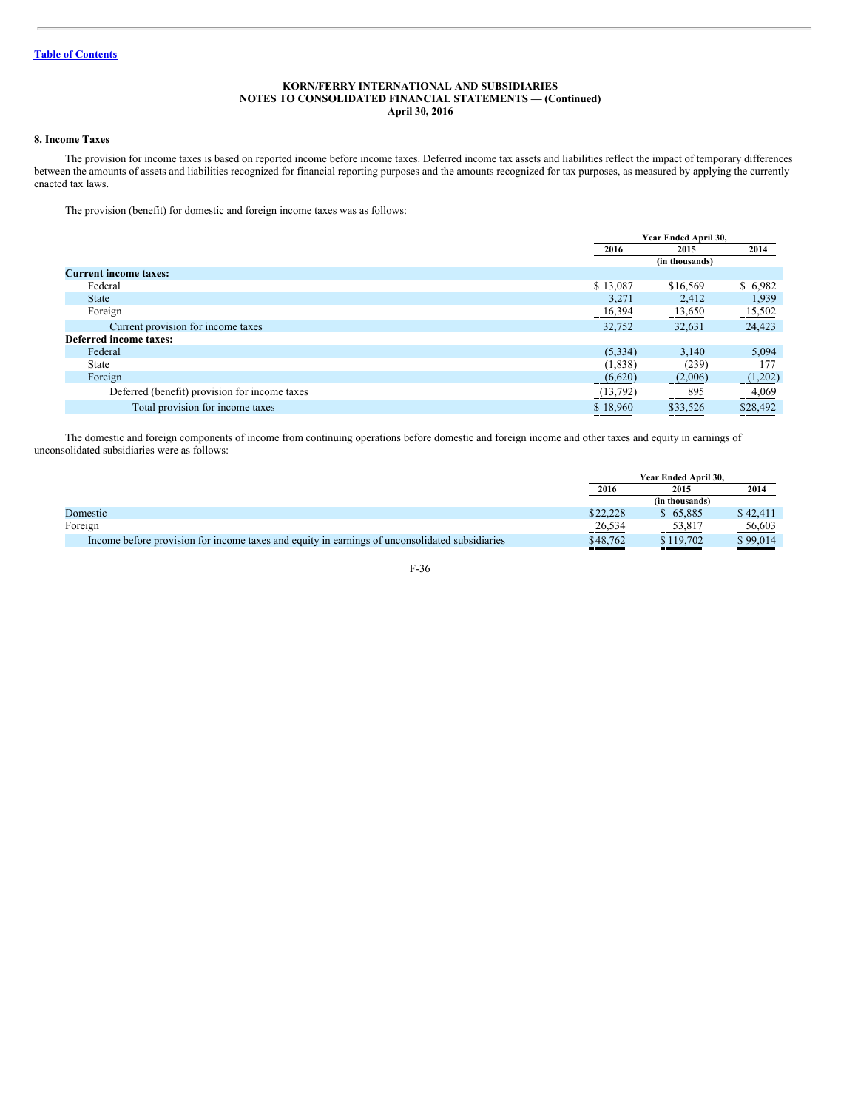# **8. Income Taxes**

The provision for income taxes is based on reported income before income taxes. Deferred income tax assets and liabilities reflect the impact of temporary differences between the amounts of assets and liabilities recognized for financial reporting purposes and the amounts recognized for tax purposes, as measured by applying the currently enacted tax laws.

The provision (benefit) for domestic and foreign income taxes was as follows:

|                                               | Year Ended April 30, |                |          |
|-----------------------------------------------|----------------------|----------------|----------|
|                                               | 2016                 | 2015           | 2014     |
|                                               |                      | (in thousands) |          |
| <b>Current income taxes:</b>                  |                      |                |          |
| Federal                                       | \$13,087             | \$16,569       | \$6,982  |
| <b>State</b>                                  | 3,271                | 2.412          | 1,939    |
| Foreign                                       | 16,394               | 13,650         | 15,502   |
| Current provision for income taxes            | 32,752               | 32,631         | 24,423   |
| <b>Deferred income taxes:</b>                 |                      |                |          |
| Federal                                       | (5,334)              | 3,140          | 5,094    |
| <b>State</b>                                  | (1,838)              | (239)          | 177      |
| Foreign                                       | (6,620)              | (2,006)        | (1,202)  |
| Deferred (benefit) provision for income taxes | (13,792)             | 895            | 4,069    |
| Total provision for income taxes              | \$18,960             | \$33,526       | \$28,492 |

The domestic and foreign components of income from continuing operations before domestic and foreign income and other taxes and equity in earnings of unconsolidated subsidiaries were as follows:

|                                                                                                | Year Ended April 30. |                |          |
|------------------------------------------------------------------------------------------------|----------------------|----------------|----------|
|                                                                                                | 2016<br>2015         |                | 2014     |
|                                                                                                |                      | (in thousands) |          |
| Domestic                                                                                       | \$22,228             | \$65,885       | \$42,411 |
| Foreign                                                                                        | 26,534               | 53,817         | 56,603   |
| Income before provision for income taxes and equity in earnings of unconsolidated subsidiaries | \$48,762             | \$119,702      | \$99,014 |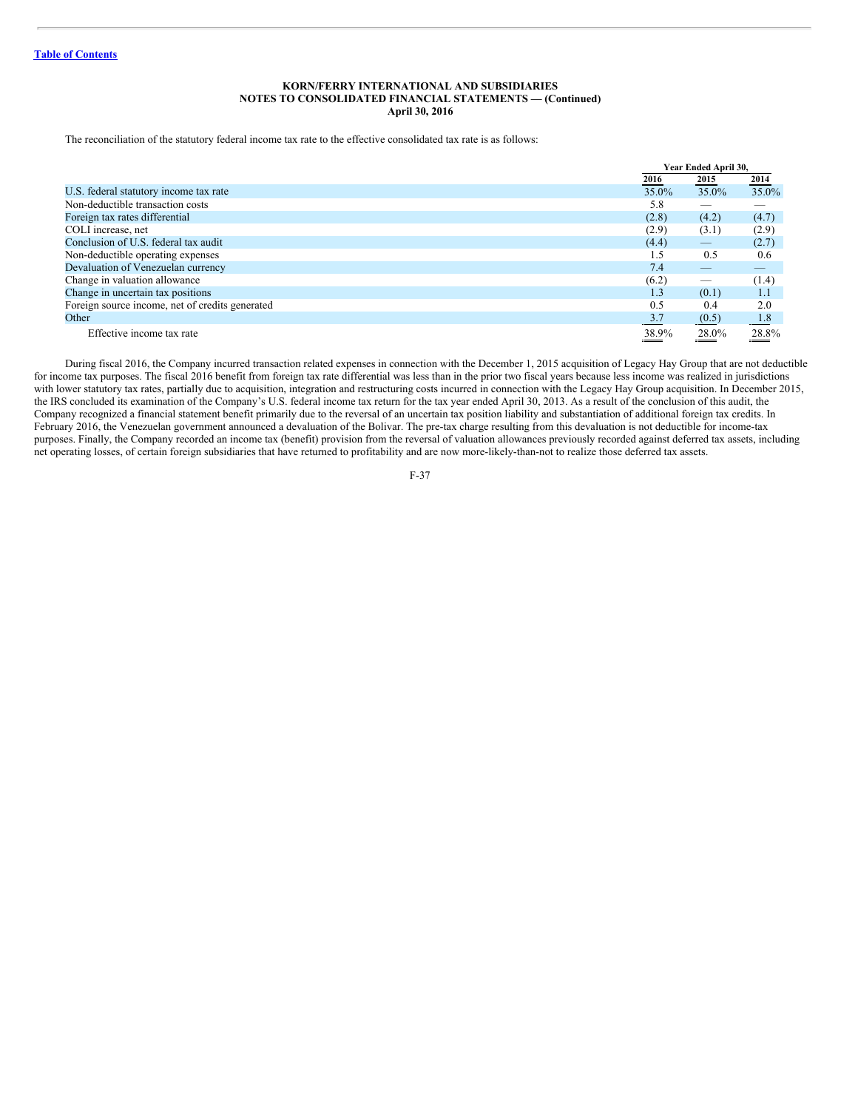The reconciliation of the statutory federal income tax rate to the effective consolidated tax rate is as follows:

|                                                 |       | Year Ended April 30, |       |
|-------------------------------------------------|-------|----------------------|-------|
|                                                 | 2016  | 2015                 | 2014  |
| U.S. federal statutory income tax rate          | 35.0% | 35.0%                | 35.0% |
| Non-deductible transaction costs                | 5.8   | _                    |       |
| Foreign tax rates differential                  | (2.8) | (4.2)                | (4.7) |
| COLI increase, net                              | (2.9) | (3.1)                | (2.9) |
| Conclusion of U.S. federal tax audit            | (4.4) |                      | (2.7) |
| Non-deductible operating expenses               | 1.5   | 0.5                  | 0.6   |
| Devaluation of Venezuelan currency              | 7.4   | _                    |       |
| Change in valuation allowance                   | (6.2) |                      | (1.4) |
| Change in uncertain tax positions               | 1.3   | (0.1)                | 1.1   |
| Foreign source income, net of credits generated | 0.5   | 0.4                  | 2.0   |
| Other                                           | 3.7   | (0.5)                | 1.8   |
| Effective income tax rate                       | 38.9% | 28.0%                | 28.8% |

During fiscal 2016, the Company incurred transaction related expenses in connection with the December 1, 2015 acquisition of Legacy Hay Group that are not deductible for income tax purposes. The fiscal 2016 benefit from foreign tax rate differential was less than in the prior two fiscal years because less income was realized in jurisdictions with lower statutory tax rates, partially due to acquisition, integration and restructuring costs incurred in connection with the Legacy Hay Group acquisition. In December 2015, the IRS concluded its examination of the Company's U.S. federal income tax return for the tax year ended April 30, 2013. As a result of the conclusion of this audit, the Company recognized a financial statement benefit primarily due to the reversal of an uncertain tax position liability and substantiation of additional foreign tax credits. In February 2016, the Venezuelan government announced a devaluation of the Bolivar. The pre-tax charge resulting from this devaluation is not deductible for income-tax purposes. Finally, the Company recorded an income tax (benefit) provision from the reversal of valuation allowances previously recorded against deferred tax assets, including net operating losses, of certain foreign subsidiaries that have returned to profitability and are now more-likely-than-not to realize those deferred tax assets.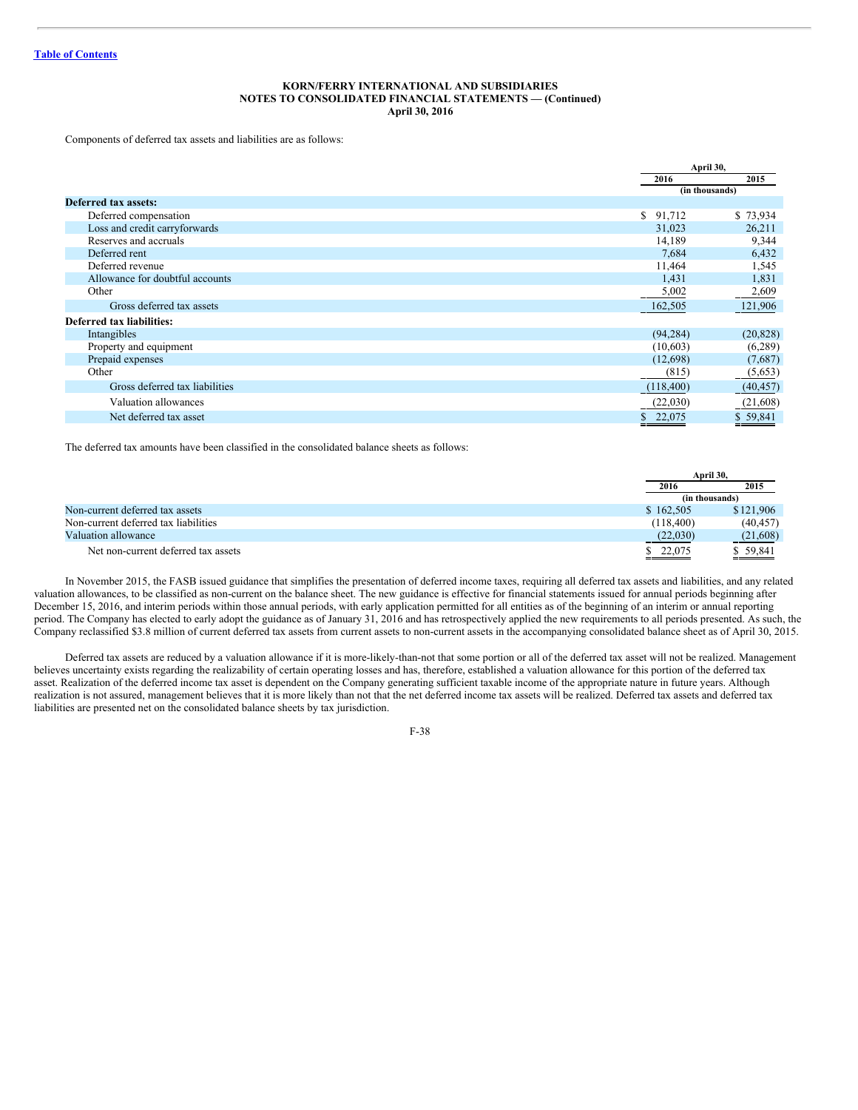Components of deferred tax assets and liabilities are as follows:

|                                  |              | April 30,      |  |
|----------------------------------|--------------|----------------|--|
|                                  | 2016         | 2015           |  |
|                                  |              | (in thousands) |  |
| Deferred tax assets:             |              |                |  |
| Deferred compensation            | \$91,712     | \$73,934       |  |
| Loss and credit carryforwards    | 31,023       | 26,211         |  |
| Reserves and accruals            | 14,189       | 9,344          |  |
| Deferred rent                    | 7,684        | 6,432          |  |
| Deferred revenue                 | 11,464       | 1,545          |  |
| Allowance for doubtful accounts  | 1,431        | 1,831          |  |
| Other                            | 5,002        | 2,609          |  |
| Gross deferred tax assets        | 162,505      | 121,906        |  |
| <b>Deferred tax liabilities:</b> |              |                |  |
| Intangibles                      | (94, 284)    | (20, 828)      |  |
| Property and equipment           | (10,603)     | (6,289)        |  |
| Prepaid expenses                 | (12,698)     | (7,687)        |  |
| Other                            | (815)        | (5,653)        |  |
| Gross deferred tax liabilities   | (118,400)    | (40, 457)      |  |
| Valuation allowances             | (22,030)     | (21,608)       |  |
| Net deferred tax asset           | 22,075<br>\$ | \$59,841       |  |

The deferred tax amounts have been classified in the consolidated balance sheets as follows:

|                                      |                    | April 30.      |  |
|--------------------------------------|--------------------|----------------|--|
|                                      | 2016               | 2015           |  |
|                                      |                    | (in thousands) |  |
| Non-current deferred tax assets      | \$162,505          | \$121,906      |  |
| Non-current deferred tax liabilities | (118.400)          | (40, 457)      |  |
| Valuation allowance                  | (22,030)           | (21,608)       |  |
| Net non-current deferred tax assets  | 22,075<br>________ | \$59,841       |  |

In November 2015, the FASB issued guidance that simplifies the presentation of deferred income taxes, requiring all deferred tax assets and liabilities, and any related valuation allowances, to be classified as non-current on the balance sheet. The new guidance is effective for financial statements issued for annual periods beginning after December 15, 2016, and interim periods within those annual periods, with early application permitted for all entities as of the beginning of an interim or annual reporting period. The Company has elected to early adopt the guidance as of January 31, 2016 and has retrospectively applied the new requirements to all periods presented. As such, the Company reclassified \$3.8 million of current deferred tax assets from current assets to non-current assets in the accompanying consolidated balance sheet as of April 30, 2015.

Deferred tax assets are reduced by a valuation allowance if it is more-likely-than-not that some portion or all of the deferred tax asset will not be realized. Management believes uncertainty exists regarding the realizability of certain operating losses and has, therefore, established a valuation allowance for this portion of the deferred tax asset. Realization of the deferred income tax asset is dependent on the Company generating sufficient taxable income of the appropriate nature in future years. Although realization is not assured, management believes that it is more likely than not that the net deferred income tax assets will be realized. Deferred tax assets and deferred tax liabilities are presented net on the consolidated balance sheets by tax jurisdiction.

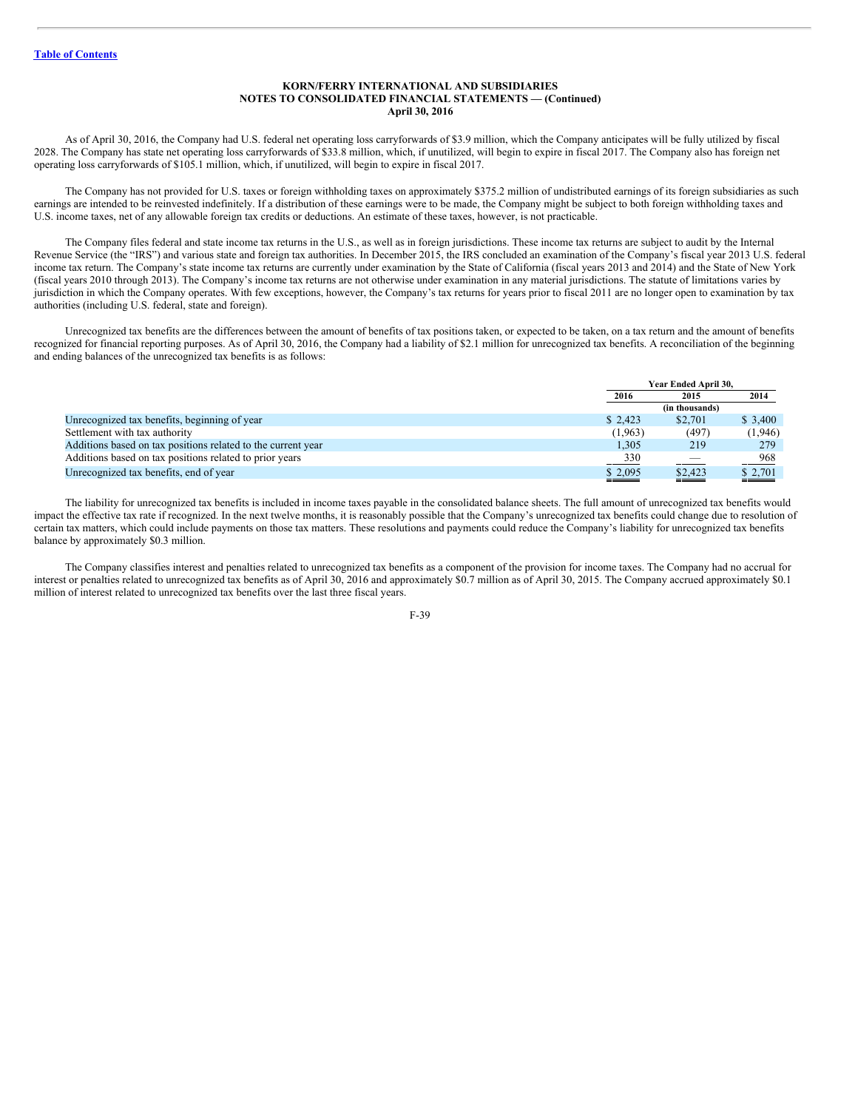As of April 30, 2016, the Company had U.S. federal net operating loss carryforwards of \$3.9 million, which the Company anticipates will be fully utilized by fiscal 2028. The Company has state net operating loss carryforwards of \$33.8 million, which, if unutilized, will begin to expire in fiscal 2017. The Company also has foreign net operating loss carryforwards of \$105.1 million, which, if unutilized, will begin to expire in fiscal 2017.

The Company has not provided for U.S. taxes or foreign withholding taxes on approximately \$375.2 million of undistributed earnings of its foreign subsidiaries as such earnings are intended to be reinvested indefinitely. If a distribution of these earnings were to be made, the Company might be subject to both foreign withholding taxes and U.S. income taxes, net of any allowable foreign tax credits or deductions. An estimate of these taxes, however, is not practicable.

The Company files federal and state income tax returns in the U.S., as well as in foreign jurisdictions. These income tax returns are subject to audit by the Internal Revenue Service (the "IRS") and various state and foreign tax authorities. In December 2015, the IRS concluded an examination of the Company's fiscal year 2013 U.S. federal income tax return. The Company's state income tax returns are currently under examination by the State of California (fiscal years 2013 and 2014) and the State of New York (fiscal years 2010 through 2013). The Company's income tax returns are not otherwise under examination in any material jurisdictions. The statute of limitations varies by jurisdiction in which the Company operates. With few exceptions, however, the Company's tax returns for years prior to fiscal 2011 are no longer open to examination by tax authorities (including U.S. federal, state and foreign).

Unrecognized tax benefits are the differences between the amount of benefits of tax positions taken, or expected to be taken, on a tax return and the amount of benefits recognized for financial reporting purposes. As of April 30, 2016, the Company had a liability of \$2.1 million for unrecognized tax benefits. A reconciliation of the beginning and ending balances of the unrecognized tax benefits is as follows:

|                                                              |          | Year Ended April 30. |          |  |
|--------------------------------------------------------------|----------|----------------------|----------|--|
|                                                              | 2016     | 2015                 | 2014     |  |
|                                                              |          | (in thousands)       |          |  |
| Unrecognized tax benefits, beginning of year                 | \$ 2.423 | \$2,701              | \$ 3,400 |  |
| Settlement with tax authority                                | (1,963)  | (497)                | (1,946)  |  |
| Additions based on tax positions related to the current year | 1.305    | 219                  | 279      |  |
| Additions based on tax positions related to prior years      | 330      |                      | $-968$   |  |
| Unrecognized tax benefits, end of year                       | \$2,095  | \$2,423              | \$2,701  |  |
|                                                              |          |                      |          |  |

The liability for unrecognized tax benefits is included in income taxes payable in the consolidated balance sheets. The full amount of unrecognized tax benefits would impact the effective tax rate if recognized. In the next twelve months, it is reasonably possible that the Company's unrecognized tax benefits could change due to resolution of certain tax matters, which could include payments on those tax matters. These resolutions and payments could reduce the Company's liability for unrecognized tax benefits balance by approximately \$0.3 million.

The Company classifies interest and penalties related to unrecognized tax benefits as a component of the provision for income taxes. The Company had no accrual for interest or penalties related to unrecognized tax benefits as of April 30, 2016 and approximately \$0.7 million as of April 30, 2015. The Company accrued approximately \$0.1 million of interest related to unrecognized tax benefits over the last three fiscal years.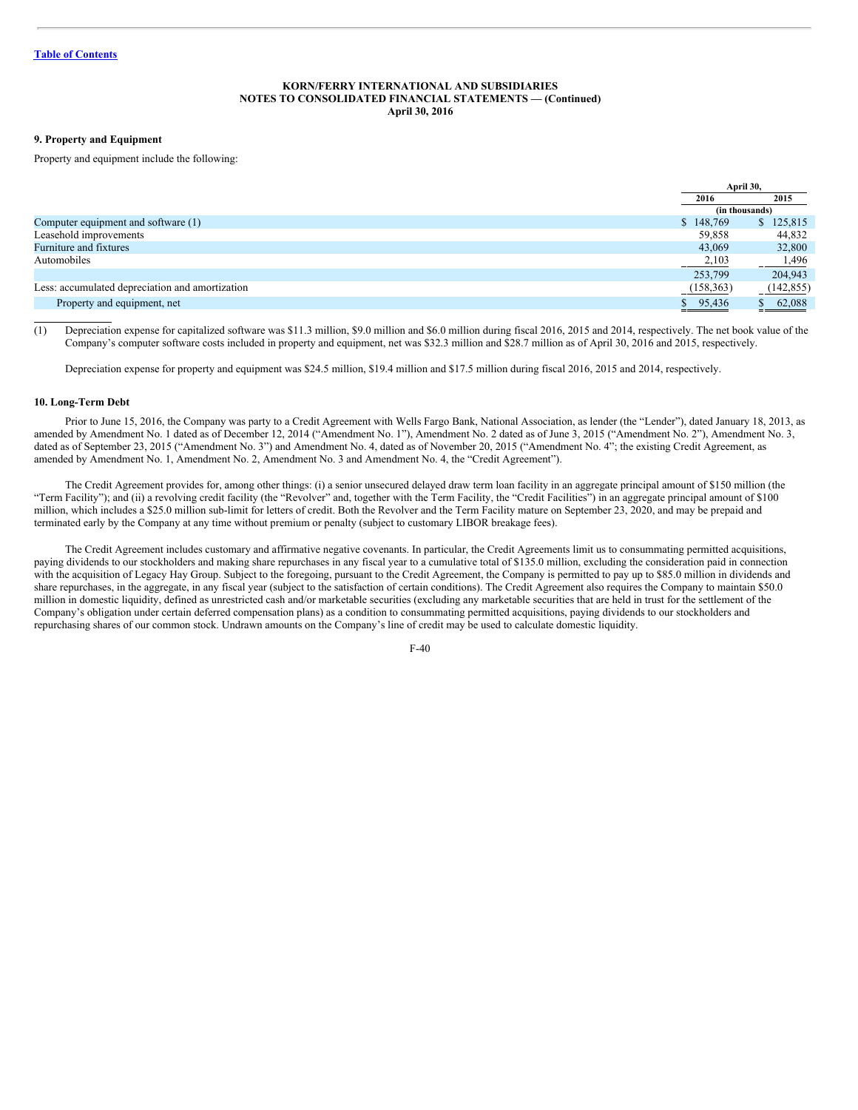#### **9. Property and Equipment**

Property and equipment include the following:

|                                                 |            | April 30,      |  |
|-------------------------------------------------|------------|----------------|--|
|                                                 | 2016       | 2015           |  |
|                                                 |            | (in thousands) |  |
| Computer equipment and software (1)             | \$148,769  | \$125,815      |  |
| Leasehold improvements                          | 59,858     | 44,832         |  |
| Furniture and fixtures                          | 43,069     | 32,800         |  |
| Automobiles                                     | 2,103      | 1,496          |  |
|                                                 | 253,799    | 204,943        |  |
| Less: accumulated depreciation and amortization | (158, 363) | (142, 855)     |  |
| Property and equipment, net                     | 95,436     | 62,088         |  |

(1) Depreciation expense for capitalized software was \$11.3 million, \$9.0 million and \$6.0 million during fiscal 2016, 2015 and 2014, respectively. The net book value of the Company's computer software costs included in property and equipment, net was \$32.3 million and \$28.7 million as of April 30, 2016 and 2015, respectively.

Depreciation expense for property and equipment was \$24.5 million, \$19.4 million and \$17.5 million during fiscal 2016, 2015 and 2014, respectively.

#### **10. Long-Term Debt**

Prior to June 15, 2016, the Company was party to a Credit Agreement with Wells Fargo Bank, National Association, as lender (the "Lender"), dated January 18, 2013, as amended by Amendment No. 1 dated as of December 12, 2014 ("Amendment No. 1"), Amendment No. 2 dated as of June 3, 2015 ("Amendment No. 2"), Amendment No. 3, dated as of September 23, 2015 ("Amendment No. 3") and Amendment No. 4, dated as of November 20, 2015 ("Amendment No. 4"; the existing Credit Agreement, as amended by Amendment No. 1, Amendment No. 2, Amendment No. 3 and Amendment No. 4, the "Credit Agreement").

The Credit Agreement provides for, among other things: (i) a senior unsecured delayed draw term loan facility in an aggregate principal amount of \$150 million (the "Term Facility"); and (ii) a revolving credit facility (the "Revolver" and, together with the Term Facility, the "Credit Facilities") in an aggregate principal amount of \$100 million, which includes a \$25.0 million sub-limit for letters of credit. Both the Revolver and the Term Facility mature on September 23, 2020, and may be prepaid and terminated early by the Company at any time without premium or penalty (subject to customary LIBOR breakage fees).

The Credit Agreement includes customary and affirmative negative covenants. In particular, the Credit Agreements limit us to consummating permitted acquisitions, paying dividends to our stockholders and making share repurchases in any fiscal year to a cumulative total of \$135.0 million, excluding the consideration paid in connection with the acquisition of Legacy Hay Group. Subject to the foregoing, pursuant to the Credit Agreement, the Company is permitted to pay up to \$85.0 million in dividends and share repurchases, in the aggregate, in any fiscal year (subject to the satisfaction of certain conditions). The Credit Agreement also requires the Company to maintain \$50.0 million in domestic liquidity, defined as unrestricted cash and/or marketable securities (excluding any marketable securities that are held in trust for the settlement of the Company's obligation under certain deferred compensation plans) as a condition to consummating permitted acquisitions, paying dividends to our stockholders and repurchasing shares of our common stock. Undrawn amounts on the Company's line of credit may be used to calculate domestic liquidity.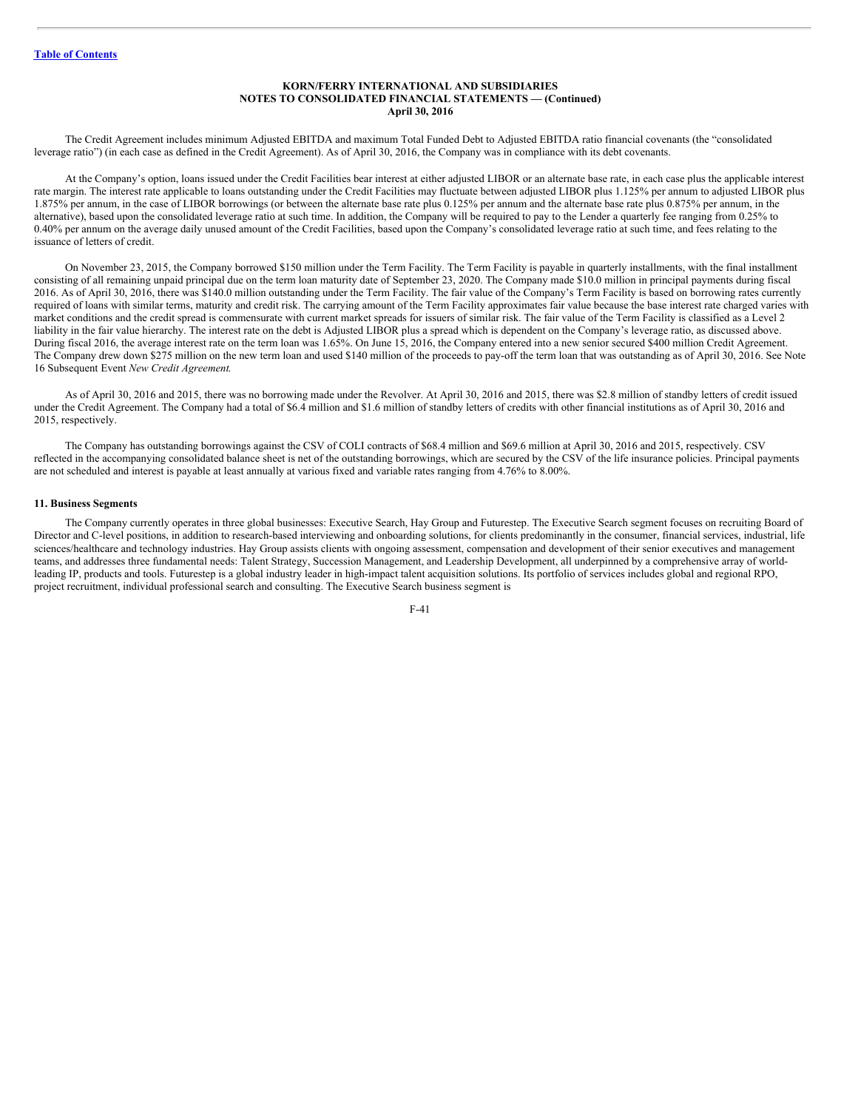The Credit Agreement includes minimum Adjusted EBITDA and maximum Total Funded Debt to Adjusted EBITDA ratio financial covenants (the "consolidated leverage ratio") (in each case as defined in the Credit Agreement). As of April 30, 2016, the Company was in compliance with its debt covenants.

At the Company's option, loans issued under the Credit Facilities bear interest at either adjusted LIBOR or an alternate base rate, in each case plus the applicable interest rate margin. The interest rate applicable to loans outstanding under the Credit Facilities may fluctuate between adjusted LIBOR plus 1.125% per annum to adjusted LIBOR plus 1.875% per annum, in the case of LIBOR borrowings (or between the alternate base rate plus 0.125% per annum and the alternate base rate plus 0.875% per annum, in the alternative), based upon the consolidated leverage ratio at such time. In addition, the Company will be required to pay to the Lender a quarterly fee ranging from 0.25% to 0.40% per annum on the average daily unused amount of the Credit Facilities, based upon the Company's consolidated leverage ratio at such time, and fees relating to the issuance of letters of credit.

On November 23, 2015, the Company borrowed \$150 million under the Term Facility. The Term Facility is payable in quarterly installments, with the final installment consisting of all remaining unpaid principal due on the term loan maturity date of September 23, 2020. The Company made \$10.0 million in principal payments during fiscal 2016. As of April 30, 2016, there was \$140.0 million outstanding under the Term Facility. The fair value of the Company's Term Facility is based on borrowing rates currently required of loans with similar terms, maturity and credit risk. The carrying amount of the Term Facility approximates fair value because the base interest rate charged varies with market conditions and the credit spread is commensurate with current market spreads for issuers of similar risk. The fair value of the Term Facility is classified as a Level 2 liability in the fair value hierarchy. The interest rate on the debt is Adjusted LIBOR plus a spread which is dependent on the Company's leverage ratio, as discussed above. During fiscal 2016, the average interest rate on the term loan was 1.65%. On June 15, 2016, the Company entered into a new senior secured \$400 million Credit Agreement. The Company drew down \$275 million on the new term loan and used \$140 million of the proceeds to pay-off the term loan that was outstanding as of April 30, 2016. See Note 16 Subsequent Event *New Credit Agreement*.

As of April 30, 2016 and 2015, there was no borrowing made under the Revolver. At April 30, 2016 and 2015, there was \$2.8 million of standby letters of credit issued under the Credit Agreement. The Company had a total of \$6.4 million and \$1.6 million of standby letters of credits with other financial institutions as of April 30, 2016 and 2015, respectively.

The Company has outstanding borrowings against the CSV of COLI contracts of \$68.4 million and \$69.6 million at April 30, 2016 and 2015, respectively. CSV reflected in the accompanying consolidated balance sheet is net of the outstanding borrowings, which are secured by the CSV of the life insurance policies. Principal payments are not scheduled and interest is payable at least annually at various fixed and variable rates ranging from 4.76% to 8.00%.

#### **11. Business Segments**

The Company currently operates in three global businesses: Executive Search, Hay Group and Futurestep. The Executive Search segment focuses on recruiting Board of Director and C-level positions, in addition to research-based interviewing and onboarding solutions, for clients predominantly in the consumer, financial services, industrial, life sciences/healthcare and technology industries. Hay Group assists clients with ongoing assessment, compensation and development of their senior executives and management teams, and addresses three fundamental needs: Talent Strategy, Succession Management, and Leadership Development, all underpinned by a comprehensive array of worldleading IP, products and tools. Futurestep is a global industry leader in high-impact talent acquisition solutions. Its portfolio of services includes global and regional RPO, project recruitment, individual professional search and consulting. The Executive Search business segment is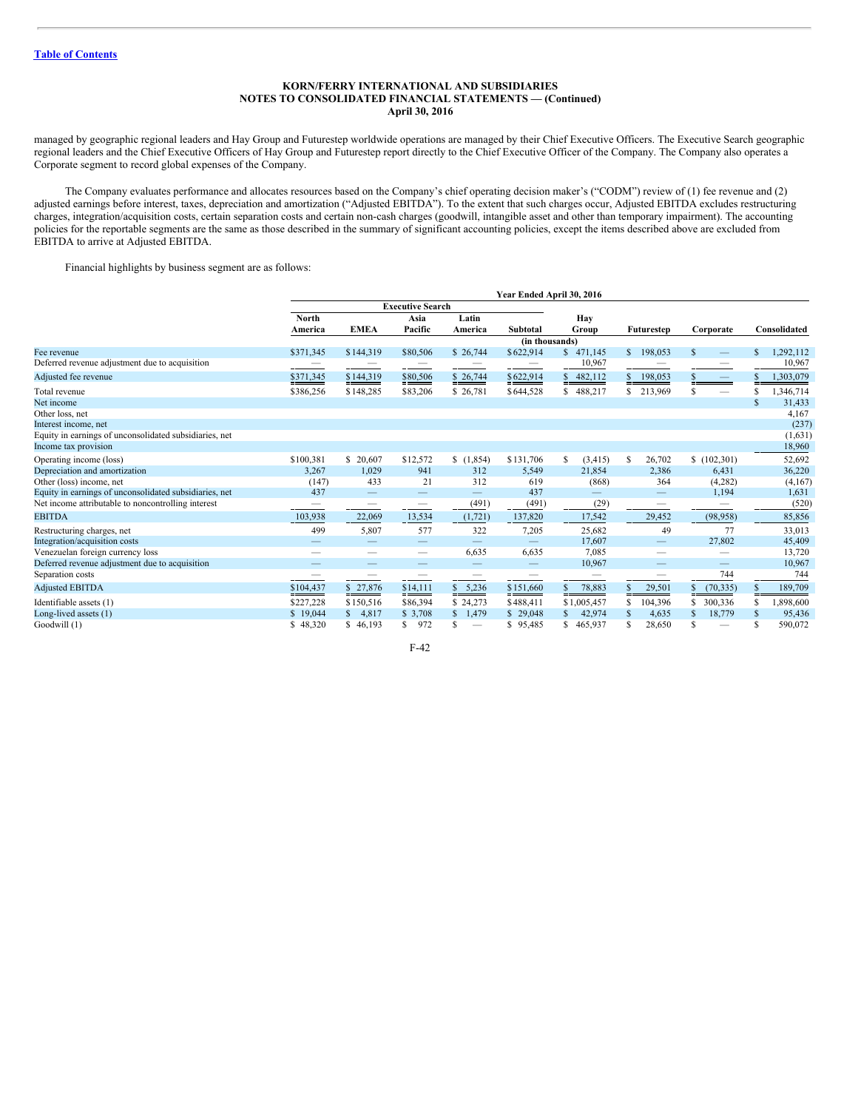managed by geographic regional leaders and Hay Group and Futurestep worldwide operations are managed by their Chief Executive Officers. The Executive Search geographic regional leaders and the Chief Executive Officers of Hay Group and Futurestep report directly to the Chief Executive Officer of the Company. The Company also operates a Corporate segment to record global expenses of the Company.

The Company evaluates performance and allocates resources based on the Company's chief operating decision maker's ("CODM") review of (1) fee revenue and (2) adjusted earnings before interest, taxes, depreciation and amortization ("Adjusted EBITDA"). To the extent that such charges occur, Adjusted EBITDA excludes restructuring charges, integration/acquisition costs, certain separation costs and certain non-cash charges (goodwill, intangible asset and other than temporary impairment). The accounting policies for the reportable segments are the same as those described in the summary of significant accounting policies, except the items described above are excluded from EBITDA to arrive at Adjusted EBITDA.

Financial highlights by business segment are as follows:

|                                                        | Year Ended April 30, 2016 |                                 |                                 |                                      |                |               |                                 |                                     |                |
|--------------------------------------------------------|---------------------------|---------------------------------|---------------------------------|--------------------------------------|----------------|---------------|---------------------------------|-------------------------------------|----------------|
|                                                        |                           |                                 | <b>Executive Search</b>         |                                      |                |               |                                 |                                     |                |
|                                                        | <b>North</b>              |                                 | Asia                            | Latin                                |                | Hay           |                                 |                                     |                |
|                                                        | America                   | <b>EMEA</b>                     | Pacific                         | America                              | Subtotal       | Group         | Futurestep                      | Corporate                           | Consolidated   |
|                                                        |                           |                                 |                                 |                                      | (in thousands) |               |                                 |                                     |                |
| Fee revenue                                            | \$371,345                 | \$144,319                       | \$80,506                        | \$26,744                             | \$622,914      | \$471,145     | 198,053<br>S.                   | S<br>$\qquad \qquad \longleftarrow$ | 1,292,112<br>S |
| Deferred revenue adjustment due to acquisition         |                           |                                 |                                 |                                      |                | 10,967        |                                 |                                     | 10,967         |
| Adjusted fee revenue                                   | \$371,345                 | \$144,319                       | \$80,506                        | \$26,744                             | \$622,914      | 482,112<br>S. | 198,053<br>S.                   | $\qquad \qquad -$                   | 1,303,079      |
| Total revenue                                          | \$386,256                 | \$148,285                       | \$83,206                        | \$26,781                             | \$644,528      | \$488,217     | 213,969<br>S.                   | $\overline{\phantom{m}}$            | 1,346,714<br>S |
| Net income                                             |                           |                                 |                                 |                                      |                |               |                                 |                                     | 31,433<br>\$.  |
| Other loss, net                                        |                           |                                 |                                 |                                      |                |               |                                 |                                     | 4,167          |
| Interest income, net                                   |                           |                                 |                                 |                                      |                |               |                                 |                                     | (237)          |
| Equity in earnings of unconsolidated subsidiaries, net |                           |                                 |                                 |                                      |                |               |                                 |                                     | (1,631)        |
| Income tax provision                                   |                           |                                 |                                 |                                      |                |               |                                 |                                     | 18,960         |
| Operating income (loss)                                | \$100,381                 | \$20,607                        | \$12,572                        | \$(1,854)                            | \$131,706      | S<br>(3, 415) | S<br>26,702                     | \$(102,301)                         | 52,692         |
| Depreciation and amortization                          | 3,267                     | 1,029                           | 941                             | 312                                  | 5,549          | 21,854        | 2,386                           | 6,431                               | 36,220         |
| Other (loss) income, net                               | (147)                     | 433                             | 21                              | 312                                  | 619            | (868)         | 364                             | (4,282)                             | (4,167)        |
| Equity in earnings of unconsolidated subsidiaries, net | 437                       | $\qquad \qquad -$               | $\qquad \qquad -$               | $\overline{\phantom{m}}$             | 437            |               | $\hspace{0.1mm}-\hspace{0.1mm}$ | 1,194                               | 1,631          |
| Net income attributable to noncontrolling interest     |                           | $\qquad \qquad$                 | $\overline{\phantom{0}}$        | (491)                                | (491)          | (29)          |                                 |                                     | (520)          |
| <b>EBITDA</b>                                          | 103,938                   | 22,069                          | 13,534                          | (1,721)                              | 137,820        | 17,542        | 29,452                          | (98, 958)                           | 85,856         |
| Restructuring charges, net                             | 499                       | 5,807                           | 577                             | 322                                  | 7,205          | 25,682        | 49                              | 77                                  | 33,013         |
| Integration/acquisition costs                          |                           |                                 |                                 |                                      |                | 17,607        |                                 | 27,802                              | 45,409         |
| Venezuelan foreign currency loss                       |                           |                                 | $\hspace{0.1mm}-\hspace{0.1mm}$ | 6,635                                | 6,635          | 7,085         |                                 |                                     | 13,720         |
| Deferred revenue adjustment due to acquisition         |                           |                                 |                                 |                                      |                | 10,967        |                                 | $\hspace{0.05cm}$                   | 10,967         |
| Separation costs                                       |                           | $\overbrace{\qquad \qquad }^{}$ | $\qquad \qquad$                 | $\qquad \qquad$                      |                |               | $\qquad \qquad$                 | 744                                 | 744            |
| <b>Adjusted EBITDA</b>                                 | \$104,437                 | \$27,876                        | \$14,111                        | \$5,236                              | \$151,660      | 78,883<br>S.  | 29,501<br>S                     | (70, 335)<br>\$                     | 189,709        |
| Identifiable assets (1)                                | \$227,228                 | \$150,516                       | \$86,394                        | \$24,273                             | \$488,411      | \$1,005,457   | S<br>104,396                    | 300,336<br>S                        | 1,898,600<br>S |
| Long-lived assets (1)                                  | \$19,044                  | 4,817<br>S.                     | \$3,708                         | \$1,479                              | 29,048<br>\$   | 42,974        | 4,635                           | 18,779<br>S                         | 95,436         |
| Goodwill (1)                                           | \$48,320                  | \$46,193                        | S<br>972                        | S<br>$\hspace{0.1mm}-\hspace{0.1mm}$ | \$95,485       | S.<br>465,937 | S<br>28,650                     | S<br>$\overline{\phantom{0}}$       | S<br>590,072   |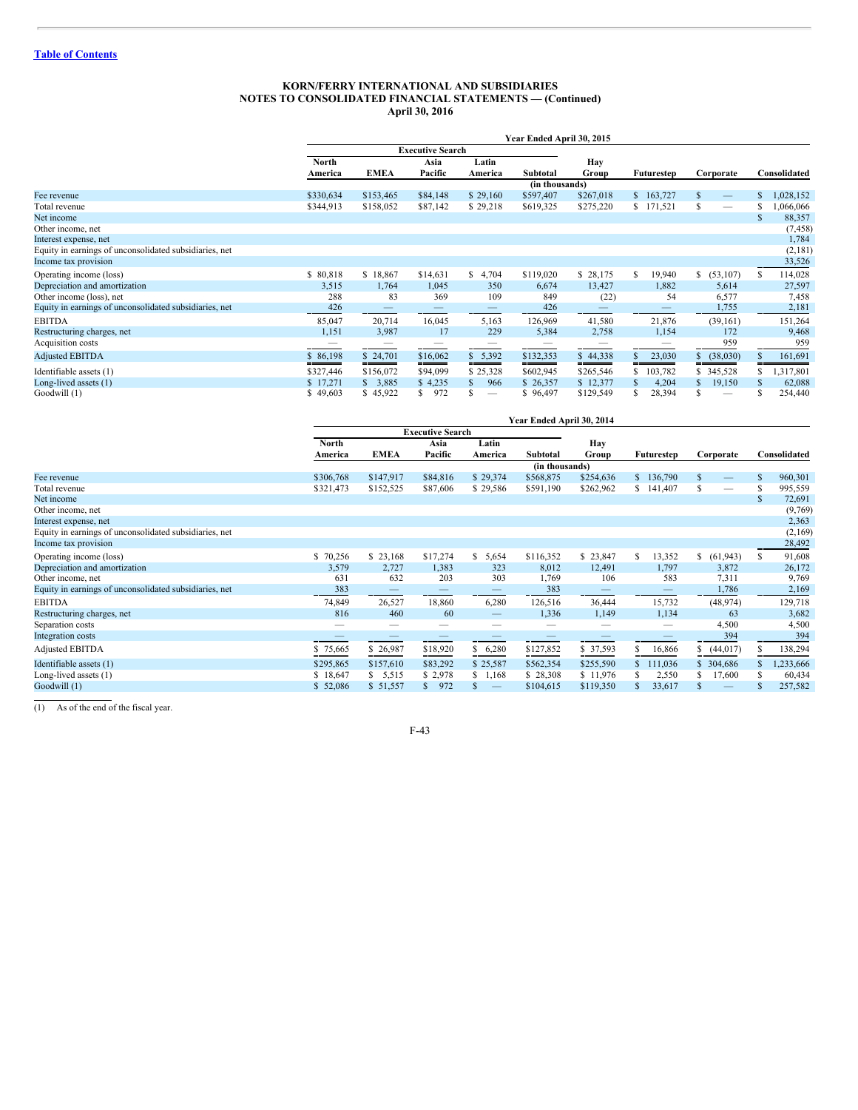|                                                        | Year Ended April 30, 2015 |              |                         |                   |                |           |                         |                                           |               |              |
|--------------------------------------------------------|---------------------------|--------------|-------------------------|-------------------|----------------|-----------|-------------------------|-------------------------------------------|---------------|--------------|
|                                                        |                           |              | <b>Executive Search</b> |                   |                |           |                         |                                           |               |              |
|                                                        | North                     |              | Asia                    | Latin             |                | Hay       |                         |                                           |               |              |
|                                                        | America                   | <b>EMEA</b>  | Pacific                 | America           | Subtotal       | Group     | Futurestep              | Corporate                                 |               | Consolidated |
|                                                        |                           |              |                         |                   | (in thousands) |           |                         |                                           |               |              |
| Fee revenue                                            | \$330,634                 | \$153,465    | \$84,148                | \$29,160          | \$597,407      | \$267,018 | $\mathbb{S}$<br>163,727 | $\mathcal{S}$<br>$\overline{\phantom{0}}$ | <sup>\$</sup> | 1,028,152    |
| Total revenue                                          | \$344,913                 | \$158,052    | \$87,142                | \$29,218          | \$619,325      | \$275,220 | \$171,521               | S                                         | S             | ,066,066     |
| Net income                                             |                           |              |                         |                   |                |           |                         |                                           | S             | 88,357       |
| Other income, net                                      |                           |              |                         |                   |                |           |                         |                                           |               | (7, 458)     |
| Interest expense, net                                  |                           |              |                         |                   |                |           |                         |                                           |               | 1,784        |
| Equity in earnings of unconsolidated subsidiaries, net |                           |              |                         |                   |                |           |                         |                                           |               | (2,181)      |
| Income tax provision                                   |                           |              |                         |                   |                |           |                         |                                           |               | 33,526       |
| Operating income (loss)                                | \$80,818                  | \$18,867     | \$14,631                | \$4,704           | \$119,020      | \$28,175  | S<br>19,940             | \$ (53,107)                               | S             | 114,028      |
| Depreciation and amortization                          | 3,515                     | 1,764        | 1,045                   | 350               | 6,674          | 13,427    | 1,882                   | 5,614                                     |               | 27,597       |
| Other income (loss), net                               | 288                       | 83           | 369                     | 109               | 849            | (22)      | 54                      | 6,577                                     |               | 7,458        |
| Equity in earnings of unconsolidated subsidiaries, net | 426                       |              |                         |                   | 426            |           |                         | 1,755                                     |               | 2,181        |
| <b>EBITDA</b>                                          | 85,047                    | 20,714       | 16,045                  | 5,163             | 126,969        | 41,580    | 21,876                  | (39,161)                                  |               | 151,264      |
| Restructuring charges, net                             | 1,151                     | 3,987        | 17                      | 229               | 5,384          | 2,758     | 1,154                   | 172                                       |               | 9,468        |
| Acquisition costs                                      |                           |              |                         |                   |                |           |                         | 959                                       |               | 959          |
| <b>Adjusted EBITDA</b>                                 | \$86,198                  | \$ 24,701    | \$16,062                | \$ 5,392          | \$132,353      | \$44,338  | 23,030                  | (38,030)                                  |               | 161,691      |
| Identifiable assets (1)                                | \$327,446                 | \$156,072    | \$94,099                | \$25,328          | \$602,945      | \$265,546 | S<br>103,782            | \$ 345,528                                | S             | 1,317,801    |
| Long-lived assets (1)                                  | \$17,271                  | \$3,885      | \$4,235                 | 966               | \$26,357       | \$12,377  | 4,204                   | <sup>\$</sup><br>19,150                   |               | 62,088       |
| Goodwill (1)                                           | \$49,603                  | S.<br>45,922 | 972<br>S.               | $\hspace{0.05cm}$ | \$96,497       | \$129,549 | 28,394                  | _                                         |               | 254,440      |

|                                                        | Year Ended April 30, 2014 |             |                         |                        |                 |           |                   |                 |                     |
|--------------------------------------------------------|---------------------------|-------------|-------------------------|------------------------|-----------------|-----------|-------------------|-----------------|---------------------|
|                                                        |                           |             | <b>Executive Search</b> |                        |                 |           |                   |                 |                     |
|                                                        | North                     |             | Asia                    | Latin                  |                 | Hay       |                   |                 |                     |
|                                                        | America                   | <b>EMEA</b> | Pacific                 | America                | <b>Subtotal</b> | Group     | <b>Futurestep</b> | Corporate       | Consolidated        |
|                                                        |                           |             |                         |                        | (in thousands)  |           |                   |                 |                     |
| Fee revenue                                            | \$306,768                 | \$147,917   | \$84,816                | \$29,374               | \$568,875       | \$254,636 | \$136,790         | <sup>S</sup>    | S<br>960,301        |
| Total revenue                                          | \$321,473                 | \$152,525   | \$87,606                | \$29,586               | \$591,190       | \$262,962 | \$141,407         | S               | 995,559<br>S        |
| Net income                                             |                           |             |                         |                        |                 |           |                   |                 | \$.<br>72,691       |
| Other income, net                                      |                           |             |                         |                        |                 |           |                   |                 | (9,769)             |
| Interest expense, net                                  |                           |             |                         |                        |                 |           |                   |                 | 2,363               |
| Equity in earnings of unconsolidated subsidiaries, net |                           |             |                         |                        |                 |           |                   |                 | (2,169)             |
| Income tax provision                                   |                           |             |                         |                        |                 |           |                   |                 | 28,492              |
| Operating income (loss)                                | \$70,256                  | \$23,168    | \$17,274                | <sup>S</sup><br>5,654  | \$116,352       | \$23,847  | S<br>13,352       | \$ (61,943)     | 91,608<br>S         |
| Depreciation and amortization                          | 3,579                     | 2,727       | 1,383                   | 323                    | 8,012           | 12,491    | 1,797             | 3,872           | 26,172              |
| Other income, net                                      | 631                       | 632         | 203                     | 303                    | 1,769           | 106       | 583               | 7,311           | 9,769               |
| Equity in earnings of unconsolidated subsidiaries, net | 383                       |             |                         |                        | 383             |           |                   | 1,786           | 2,169               |
| <b>EBITDA</b>                                          | 74,849                    | 26,527      | 18,860                  | 6,280                  | 126,516         | 36,444    | 15,732            | (48,974)        | 129,718             |
| Restructuring charges, net                             | 816                       | 460         | 60                      |                        | 1,336           | 1,149     | 1,134             | 63              | 3,682               |
| Separation costs                                       | —                         |             |                         | _                      |                 |           |                   | 4,500           | 4,500               |
| Integration costs                                      |                           |             |                         |                        |                 |           |                   | 394             | 394                 |
| <b>Adjusted EBITDA</b>                                 | \$75,665                  | \$26,987    | \$18,920                | $\underline{\$ 6,280}$ | \$127,852       | \$ 37,593 | 16,866            | (44, 017)<br>S. | 138,294             |
| Identifiable assets (1)                                | \$295,865                 | \$157,610   | \$83,292                | \$25,587               | \$562,354       | \$255,590 | \$111,036         | \$ 304,686      | 1,233,666           |
| Long-lived assets (1)                                  | \$18,647                  | \$5,515     | \$2,978                 | \$1,168                | \$28,308        | \$11,976  | 2,550             | 17,600          | 60,434              |
| Goodwill (1)                                           | \$52,086                  | \$51,557    | 972<br>\$               | S                      | \$104,615       | \$119,350 | 33,617            |                 | 257,582<br><b>S</b> |
|                                                        |                           |             |                         |                        |                 |           |                   |                 |                     |

(1) As of the end of the fiscal year.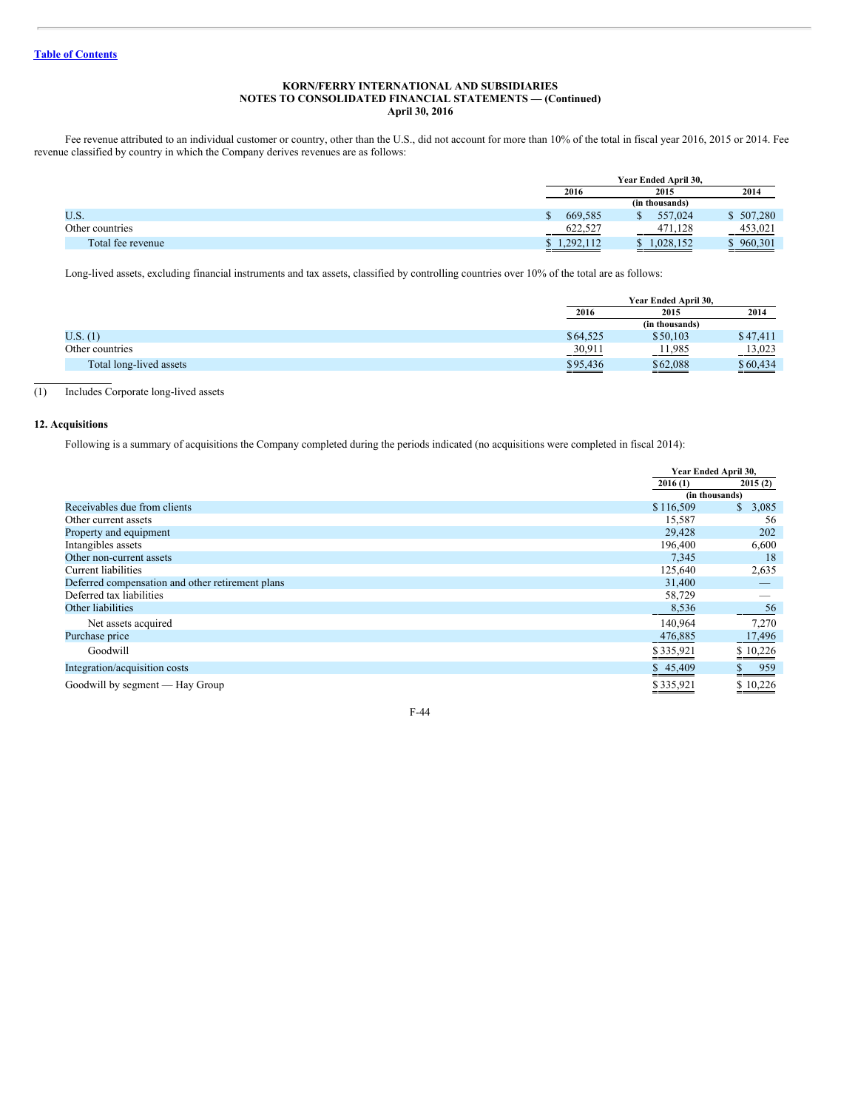Fee revenue attributed to an individual customer or country, other than the U.S., did not account for more than 10% of the total in fiscal year 2016, 2015 or 2014. Fee revenue classified by country in which the Company derives revenues are as follows:

|                   |           | Year Ended April 30, |                                       |  |  |  |
|-------------------|-----------|----------------------|---------------------------------------|--|--|--|
|                   | 2016      | 2015                 |                                       |  |  |  |
|                   |           | (in thousands)       |                                       |  |  |  |
| U.S.              | 669.585   | 557,024              | \$507,280                             |  |  |  |
| Other countries   | 622,527   | 471.128              | 453,021                               |  |  |  |
| Total fee revenue | 1.292.112 | 1.028.152            | \$960,301<br>$\overline{\phantom{a}}$ |  |  |  |

Long-lived assets, excluding financial instruments and tax assets, classified by controlling countries over 10% of the total are as follows:

|                         |                   | Year Ended April 30, |          |
|-------------------------|-------------------|----------------------|----------|
|                         | 2016              | 2015                 | 2014     |
|                         |                   | (in thousands)       |          |
| U.S. (1)                | \$64,525          | \$50,103             | \$47,411 |
| Other countries         | 30,911            | 11,985               | 13,023   |
| Total long-lived assets | \$95,436<br>_____ | \$62,088<br>____     | \$60,434 |

# (1) Includes Corporate long-lived assets

### **12. Acquisitions**

Following is a summary of acquisitions the Company completed during the periods indicated (no acquisitions were completed in fiscal 2014):

|                                                  |           | Year Ended April 30, |
|--------------------------------------------------|-----------|----------------------|
|                                                  | 2016(1)   | 2015(2)              |
|                                                  |           | (in thousands)       |
| Receivables due from clients                     | \$116,509 | 3,085<br>\$          |
| Other current assets                             | 15,587    | 56                   |
| Property and equipment                           | 29,428    | 202                  |
| Intangibles assets                               | 196,400   | 6,600                |
| Other non-current assets                         | 7,345     | 18                   |
| Current liabilities                              | 125,640   | 2,635                |
| Deferred compensation and other retirement plans | 31,400    |                      |
| Deferred tax liabilities                         | 58,729    |                      |
| Other liabilities                                | 8,536     | 56                   |
| Net assets acquired                              | 140,964   | 7,270                |
| Purchase price                                   | 476,885   | 17,496               |
| Goodwill                                         | \$335,921 | \$10,226             |
| Integration/acquisition costs                    | \$45,409  | $\frac{\$}{\$}$ 959  |
| Goodwill by segment — Hay Group                  | \$335,921 | \$10,226             |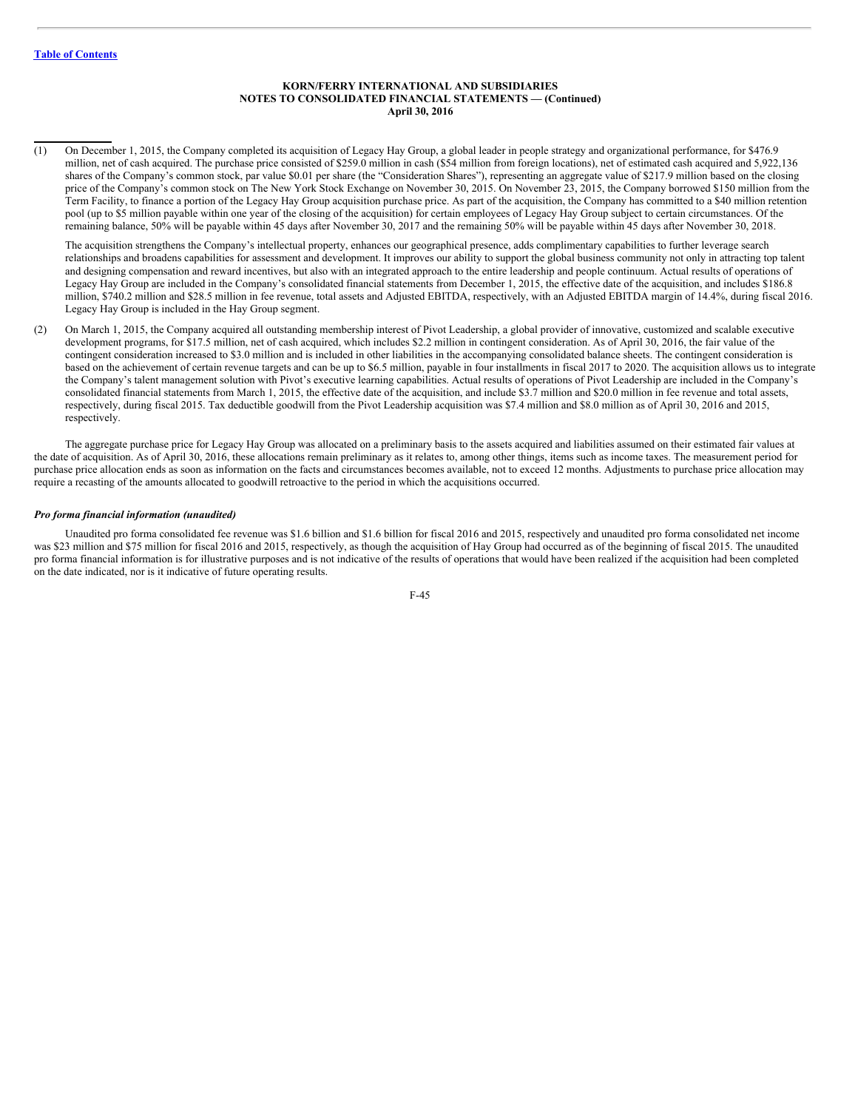(1) On December 1, 2015, the Company completed its acquisition of Legacy Hay Group, a global leader in people strategy and organizational performance, for \$476.9 million, net of cash acquired. The purchase price consisted of \$259.0 million in cash (\$54 million from foreign locations), net of estimated cash acquired and 5,922,136 shares of the Company's common stock, par value \$0.01 per share (the "Consideration Shares"), representing an aggregate value of \$217.9 million based on the closing price of the Company's common stock on The New York Stock Exchange on November 30, 2015. On November 23, 2015, the Company borrowed \$150 million from the Term Facility, to finance a portion of the Legacy Hay Group acquisition purchase price. As part of the acquisition, the Company has committed to a \$40 million retention pool (up to \$5 million payable within one year of the closing of the acquisition) for certain employees of Legacy Hay Group subject to certain circumstances. Of the remaining balance, 50% will be payable within 45 days after November 30, 2017 and the remaining 50% will be payable within 45 days after November 30, 2018.

The acquisition strengthens the Company's intellectual property, enhances our geographical presence, adds complimentary capabilities to further leverage search relationships and broadens capabilities for assessment and development. It improves our ability to support the global business community not only in attracting top talent and designing compensation and reward incentives, but also with an integrated approach to the entire leadership and people continuum. Actual results of operations of Legacy Hay Group are included in the Company's consolidated financial statements from December 1, 2015, the effective date of the acquisition, and includes \$186.8 million, \$740.2 million and \$28.5 million in fee revenue, total assets and Adjusted EBITDA, respectively, with an Adjusted EBITDA margin of 14.4%, during fiscal 2016. Legacy Hay Group is included in the Hay Group segment.

(2) On March 1, 2015, the Company acquired all outstanding membership interest of Pivot Leadership, a global provider of innovative, customized and scalable executive development programs, for \$17.5 million, net of cash acquired, which includes \$2.2 million in contingent consideration. As of April 30, 2016, the fair value of the contingent consideration increased to \$3.0 million and is included in other liabilities in the accompanying consolidated balance sheets. The contingent consideration is based on the achievement of certain revenue targets and can be up to \$6.5 million, payable in four installments in fiscal 2017 to 2020. The acquisition allows us to integrate the Company's talent management solution with Pivot's executive learning capabilities. Actual results of operations of Pivot Leadership are included in the Company's consolidated financial statements from March 1, 2015, the effective date of the acquisition, and include \$3.7 million and \$20.0 million in fee revenue and total assets, respectively, during fiscal 2015. Tax deductible goodwill from the Pivot Leadership acquisition was \$7.4 million and \$8.0 million as of April 30, 2016 and 2015, respectively.

The aggregate purchase price for Legacy Hay Group was allocated on a preliminary basis to the assets acquired and liabilities assumed on their estimated fair values at the date of acquisition. As of April 30, 2016, these allocations remain preliminary as it relates to, among other things, items such as income taxes. The measurement period for purchase price allocation ends as soon as information on the facts and circumstances becomes available, not to exceed 12 months. Adjustments to purchase price allocation may require a recasting of the amounts allocated to goodwill retroactive to the period in which the acquisitions occurred.

#### *Pro forma financial information (unaudited)*

Unaudited pro forma consolidated fee revenue was \$1.6 billion and \$1.6 billion for fiscal 2016 and 2015, respectively and unaudited pro forma consolidated net income was \$23 million and \$75 million for fiscal 2016 and 2015, respectively, as though the acquisition of Hay Group had occurred as of the beginning of fiscal 2015. The unaudited pro forma financial information is for illustrative purposes and is not indicative of the results of operations that would have been realized if the acquisition had been completed on the date indicated, nor is it indicative of future operating results.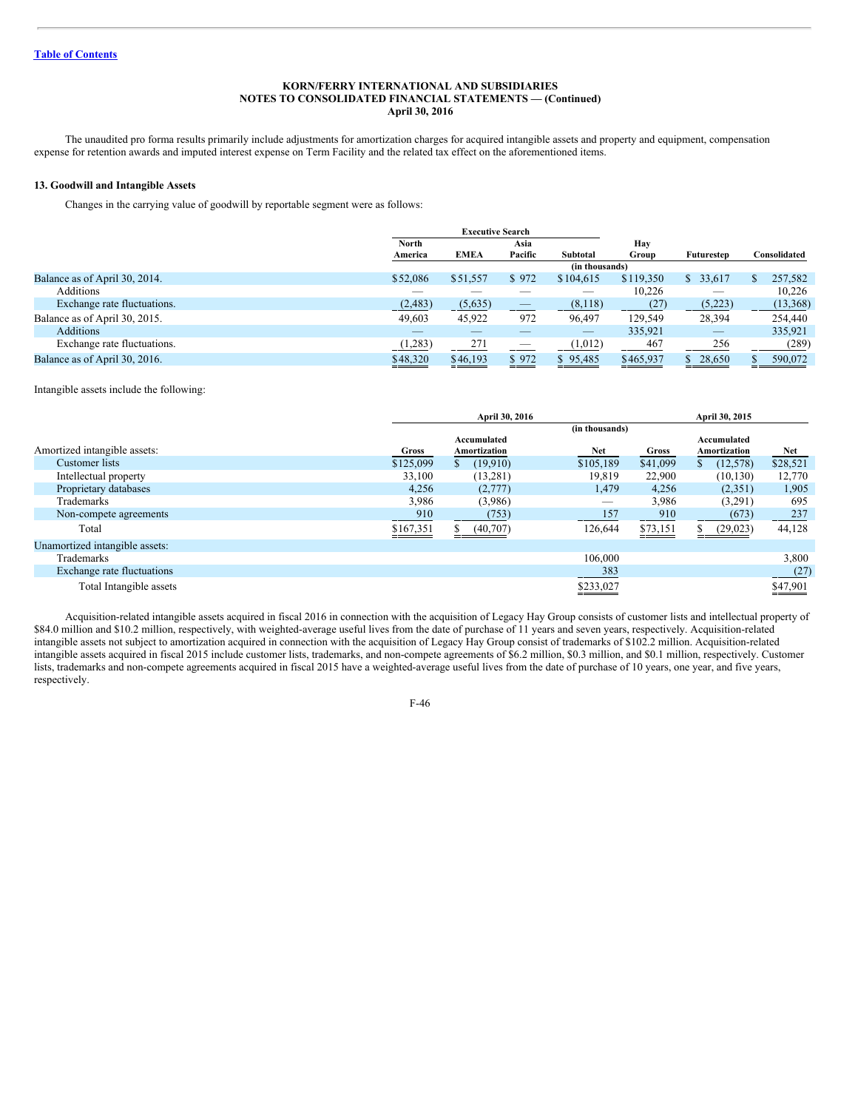The unaudited pro forma results primarily include adjustments for amortization charges for acquired intangible assets and property and equipment, compensation expense for retention awards and imputed interest expense on Term Facility and the related tax effect on the aforementioned items.

### **13. Goodwill and Intangible Assets**

Changes in the carrying value of goodwill by reportable segment were as follows:

|                               |          | <b>Executive Search</b> |         |                          |           |                                 |              |
|-------------------------------|----------|-------------------------|---------|--------------------------|-----------|---------------------------------|--------------|
|                               | North    |                         | Asia    |                          | Hav       |                                 |              |
|                               | America  | <b>EMEA</b>             | Pacific | Subtotal                 | Group     | Futurestep                      | Consolidated |
|                               |          |                         |         | (in thousands)           |           |                                 |              |
| Balance as of April 30, 2014. | \$52,086 | \$51,557                | \$972   | \$104,615                | \$119,350 | \$ 33,617                       | 257,582      |
| Additions                     |          |                         |         | __                       | 10.226    | _                               | 10.226       |
| Exchange rate fluctuations.   | (2, 483) | (5,635)                 | _       | (8,118)                  | (27)      | (5,223)                         | (13,368)     |
| Balance as of April 30, 2015. | 49.603   | 45.922                  | 972     | 96.497                   | 129,549   | 28,394                          | 254,440      |
| <b>Additions</b>              |          | $-$                     |         | $\overline{\phantom{a}}$ | 335,921   | $\hspace{0.1mm}-\hspace{0.1mm}$ | 335,921      |
| Exchange rate fluctuations.   | (1,283)  | 271                     |         | (1,012)                  | 467       | 256                             | (289)        |
| Balance as of April 30, 2016. | \$48,320 | \$46,193                | \$972   | \$95,485                 | \$465,937 | \$28,650                        | 590,072      |

Intangible assets include the following:

|                                |           | April 30, 2016 | April 30, 2015 |          |              |                  |  |
|--------------------------------|-----------|----------------|----------------|----------|--------------|------------------|--|
|                                |           |                |                |          |              |                  |  |
|                                |           | Accumulated    |                |          | Accumulated  |                  |  |
| Amortized intangible assets:   | Gross     | Amortization   | Net            | Gross    | Amortization | Net              |  |
| Customer lists                 | \$125,099 | (19,910)       | \$105,189      | \$41,099 | (12, 578)    | \$28,521         |  |
| Intellectual property          | 33,100    | (13, 281)      | 19,819         | 22,900   | (10, 130)    | 12,770           |  |
| Proprietary databases          | 4,256     | (2,777)        | 1.479          | 4,256    | (2,351)      | 1,905            |  |
| Trademarks                     | 3,986     | (3,986)        | _              | 3,986    | (3,291)      | 695              |  |
| Non-compete agreements         | 910       | (753)          | 157            | 910      | (673)        | 237              |  |
| Total                          | \$167,351 | (40,707)       | 126.644        | \$73,151 | (29, 023)    | 44,128           |  |
| Unamortized intangible assets: |           |                |                |          |              |                  |  |
| Trademarks                     |           |                | 106,000        |          |              | 3,800            |  |
| Exchange rate fluctuations     |           |                | 383            |          |              | (27)             |  |
| Total Intangible assets        |           |                | \$233,027      |          |              | \$47,901<br>____ |  |

Acquisition-related intangible assets acquired in fiscal 2016 in connection with the acquisition of Legacy Hay Group consists of customer lists and intellectual property of \$84.0 million and \$10.2 million, respectively, with weighted-average useful lives from the date of purchase of 11 years and seven years, respectively. Acquisition-related intangible assets not subject to amortization acquired in connection with the acquisition of Legacy Hay Group consist of trademarks of \$102.2 million. Acquisition-related intangible assets acquired in fiscal 2015 include customer lists, trademarks, and non-compete agreements of \$6.2 million, \$0.3 million, and \$0.1 million, respectively. Customer lists, trademarks and non-compete agreements acquired in fiscal 2015 have a weighted-average useful lives from the date of purchase of 10 years, one year, and five years, respectively.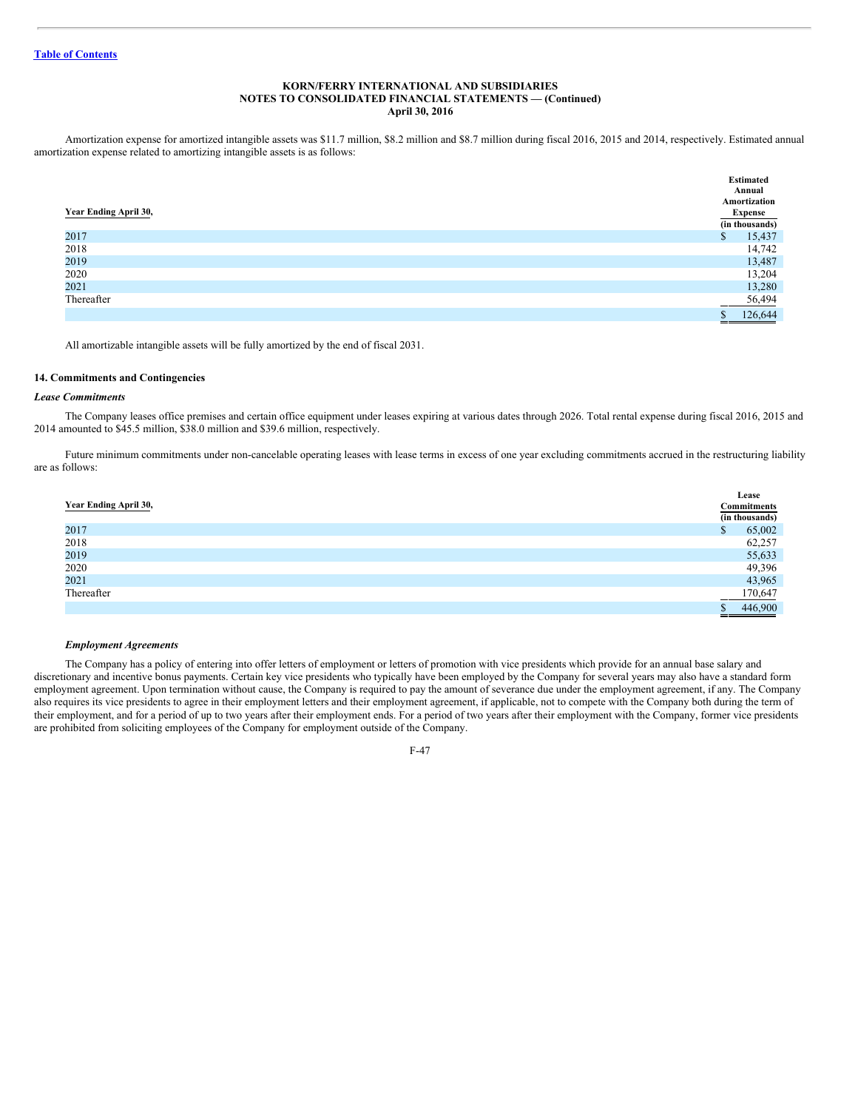Amortization expense for amortized intangible assets was \$11.7 million, \$8.2 million and \$8.7 million during fiscal 2016, 2015 and 2014, respectively. Estimated annual amortization expense related to amortizing intangible assets is as follows:

|                       | <b>Estimated</b> |
|-----------------------|------------------|
|                       | Annual           |
|                       | Amortization     |
| Year Ending April 30, | <b>Expense</b>   |
|                       | (in thousands)   |
| 2017                  | 15,437<br>\$     |
| 2018                  | 14,742           |
| 2019                  | 13,487           |
| 2020                  | 13,204           |
| 2021                  | 13,280           |
| Thereafter            | 56,494           |
|                       | 126,644          |

All amortizable intangible assets will be fully amortized by the end of fiscal 2031.

### **14. Commitments and Contingencies**

#### *Lease Commitments*

The Company leases office premises and certain office equipment under leases expiring at various dates through 2026. Total rental expense during fiscal 2016, 2015 and 2014 amounted to \$45.5 million, \$38.0 million and \$39.6 million, respectively.

Future minimum commitments under non-cancelable operating leases with lease terms in excess of one year excluding commitments accrued in the restructuring liability are as follows:

|                       | Lease          |
|-----------------------|----------------|
| Year Ending April 30, | Commitments    |
|                       | (in thousands) |
| 2017                  | 65,002<br>\$   |
| 2018                  | 62,257         |
| 2019                  | 55,633         |
| 2020                  | 49,396         |
| 2021                  | 43,965         |
| Thereafter            | 170,647        |
|                       | 446,900<br>P   |

#### *Employment Agreements*

The Company has a policy of entering into offer letters of employment or letters of promotion with vice presidents which provide for an annual base salary and discretionary and incentive bonus payments. Certain key vice presidents who typically have been employed by the Company for several years may also have a standard form employment agreement. Upon termination without cause, the Company is required to pay the amount of severance due under the employment agreement, if any. The Company also requires its vice presidents to agree in their employment letters and their employment agreement, if applicable, not to compete with the Company both during the term of their employment, and for a period of up to two years after their employment ends. For a period of two years after their employment with the Company, former vice presidents are prohibited from soliciting employees of the Company for employment outside of the Company.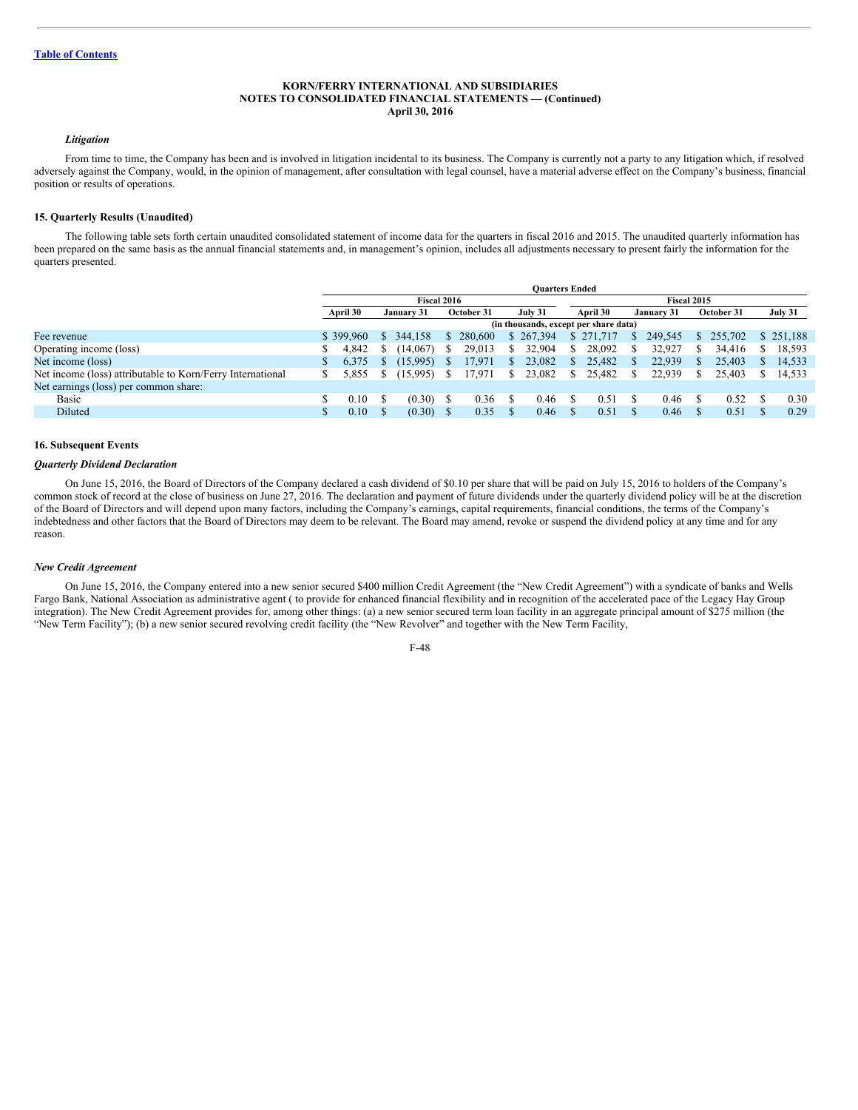#### *Litigation*

From time to time, the Company has been and is involved in litigation incidental to its business. The Company is currently not a party to any litigation which, if resolved adversely against the Company, would, in the opinion of management, after consultation with legal counsel, have a material adverse effect on the Company's business, financial position or results of operations.

### **15. Quarterly Results (Unaudited)**

The following table sets forth certain unaudited consolidated statement of income data for the quarters in fiscal 2016 and 2015. The unaudited quarterly information has been prepared on the same basis as the annual financial statements and, in management's opinion, includes all adjustments necessary to present fairly the information for the quarters presented.

|                                                            | <b>Quarters Ended</b> |           |  |             |            |            |              |                                       |              |               |    |          |              |         |    |            |  |         |
|------------------------------------------------------------|-----------------------|-----------|--|-------------|------------|------------|--------------|---------------------------------------|--------------|---------------|----|----------|--------------|---------|----|------------|--|---------|
|                                                            |                       |           |  | Fiscal 2016 |            |            |              |                                       |              | Fiscal 2015   |    |          |              |         |    |            |  |         |
|                                                            | April 30              |           |  |             | January 31 |            | October 31   |                                       |              | July 31       |    | April 30 | January 31   |         |    | October 31 |  | July 31 |
|                                                            |                       |           |  |             |            |            |              | (in thousands, except per share data) |              |               |    |          |              |         |    |            |  |         |
| Fee revenue                                                |                       | \$399.960 |  | 344.158     |            | \$ 280,600 |              | \$267,394                             |              | \$271<br>.717 | ъ. | 249,545  | $\mathbf{v}$ | 255,702 |    | \$251,188  |  |         |
| Operating income (loss)                                    |                       | 4.842     |  | (14,067)    |            | 29.013     |              | 32,904                                |              | 28.092        |    | 32,927   |              | 34.416  | S. | 18.593     |  |         |
| Net income (loss)                                          |                       | 6.375     |  | (15,995)    |            | 17.971     | $\mathbf{v}$ | 23,082                                | $\mathbf{L}$ | 25.482        |    | 22,939   |              | 25,403  | S. | 14.533     |  |         |
| Net income (loss) attributable to Korn/Ferry International |                       | 5,855     |  | (15,995)    |            | 17.971     |              | 23,082                                |              | 25,482        |    | 22,939   |              | 25,403  | S. | 14,533     |  |         |
| Net earnings (loss) per common share:                      |                       |           |  |             |            |            |              |                                       |              |               |    |          |              |         |    |            |  |         |
| Basic                                                      |                       | 0.10      |  | (0.30)      |            | 0.36       |              | 0.46                                  |              | 0.51          |    | 0.46     |              | 0.52    |    | 0.30       |  |         |
| Diluted                                                    |                       | 0.10      |  | (0.30)      |            | 0.35       |              | 0.46                                  |              | 0.51          |    | 0.46     |              | 0.51    |    | 0.29       |  |         |

### **16. Subsequent Events**

#### *Quarterly Dividend Declaration*

On June 15, 2016, the Board of Directors of the Company declared a cash dividend of \$0.10 per share that will be paid on July 15, 2016 to holders of the Company's common stock of record at the close of business on June 27, 2016. The declaration and payment of future dividends under the quarterly dividend policy will be at the discretion of the Board of Directors and will depend upon many factors, including the Company's earnings, capital requirements, financial conditions, the terms of the Company's indebtedness and other factors that the Board of Directors may deem to be relevant. The Board may amend, revoke or suspend the dividend policy at any time and for any reason.

#### *New Credit Agreement*

On June 15, 2016, the Company entered into a new senior secured \$400 million Credit Agreement (the "New Credit Agreement") with a syndicate of banks and Wells Fargo Bank, National Association as administrative agent ( to provide for enhanced financial flexibility and in recognition of the accelerated pace of the Legacy Hay Group integration). The New Credit Agreement provides for, among other things: (a) a new senior secured term loan facility in an aggregate principal amount of \$275 million (the "New Term Facility"); (b) a new senior secured revolving credit facility (the "New Revolver" and together with the New Term Facility,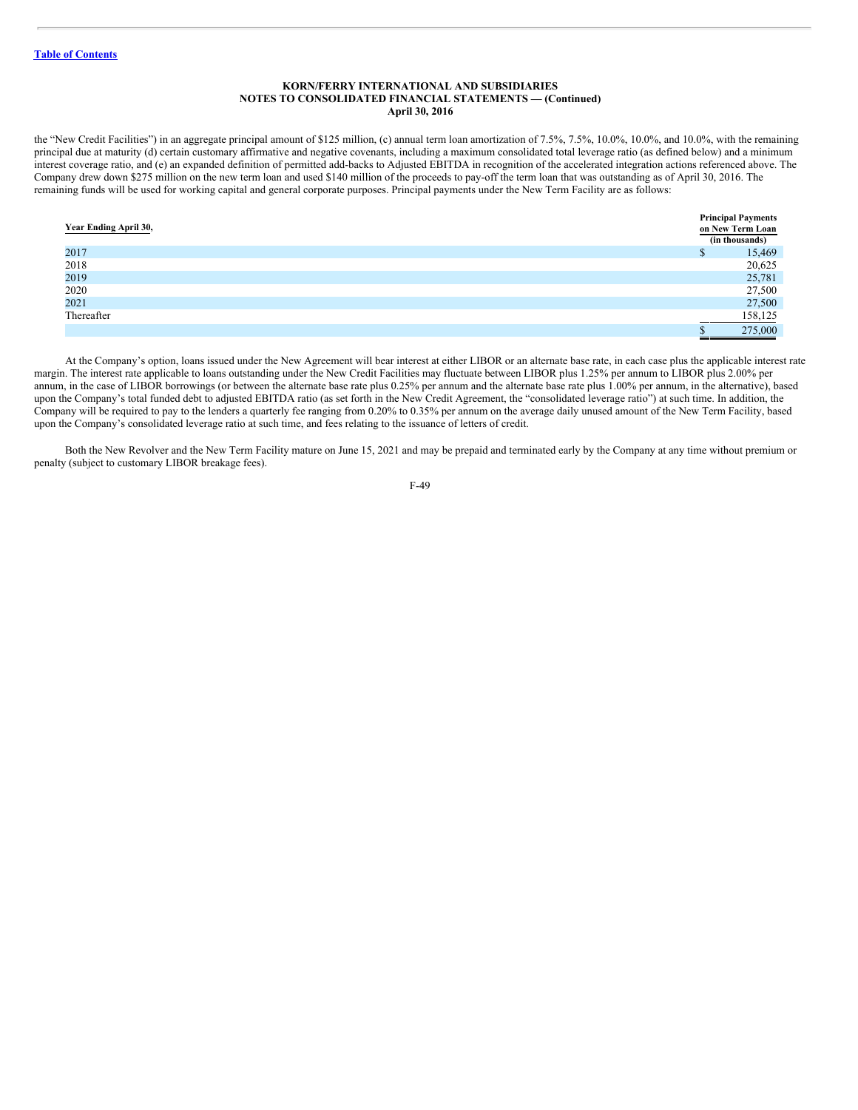the "New Credit Facilities") in an aggregate principal amount of \$125 million, (c) annual term loan amortization of 7.5%, 7.5%, 10.0%, 10.0%, and 10.0%, with the remaining principal due at maturity (d) certain customary affirmative and negative covenants, including a maximum consolidated total leverage ratio (as defined below) and a minimum interest coverage ratio, and (e) an expanded definition of permitted add-backs to Adjusted EBITDA in recognition of the accelerated integration actions referenced above. The Company drew down \$275 million on the new term loan and used \$140 million of the proceeds to pay-off the term loan that was outstanding as of April 30, 2016. The remaining funds will be used for working capital and general corporate purposes. Principal payments under the New Term Facility are as follows:

|                       | <b>Principal Payments</b> |
|-----------------------|---------------------------|
| Year Ending April 30, | on New Term Loan          |
|                       | (in thousands)            |
| 2017                  | 15,469<br>P               |
| 2018                  | 20,625                    |
| 2019                  | 25,781                    |
| 2020                  | 27,500                    |
| 2021                  | 27,500                    |
| Thereafter            | 158,125                   |
|                       | 275,000                   |

At the Company's option, loans issued under the New Agreement will bear interest at either LIBOR or an alternate base rate, in each case plus the applicable interest rate margin. The interest rate applicable to loans outstanding under the New Credit Facilities may fluctuate between LIBOR plus 1.25% per annum to LIBOR plus 2.00% per annum, in the case of LIBOR borrowings (or between the alternate base rate plus 0.25% per annum and the alternate base rate plus 1.00% per annum, in the alternative), based upon the Company's total funded debt to adjusted EBITDA ratio (as set forth in the New Credit Agreement, the "consolidated leverage ratio") at such time. In addition, the Company will be required to pay to the lenders a quarterly fee ranging from 0.20% to 0.35% per annum on the average daily unused amount of the New Term Facility, based upon the Company's consolidated leverage ratio at such time, and fees relating to the issuance of letters of credit.

Both the New Revolver and the New Term Facility mature on June 15, 2021 and may be prepaid and terminated early by the Company at any time without premium or penalty (subject to customary LIBOR breakage fees).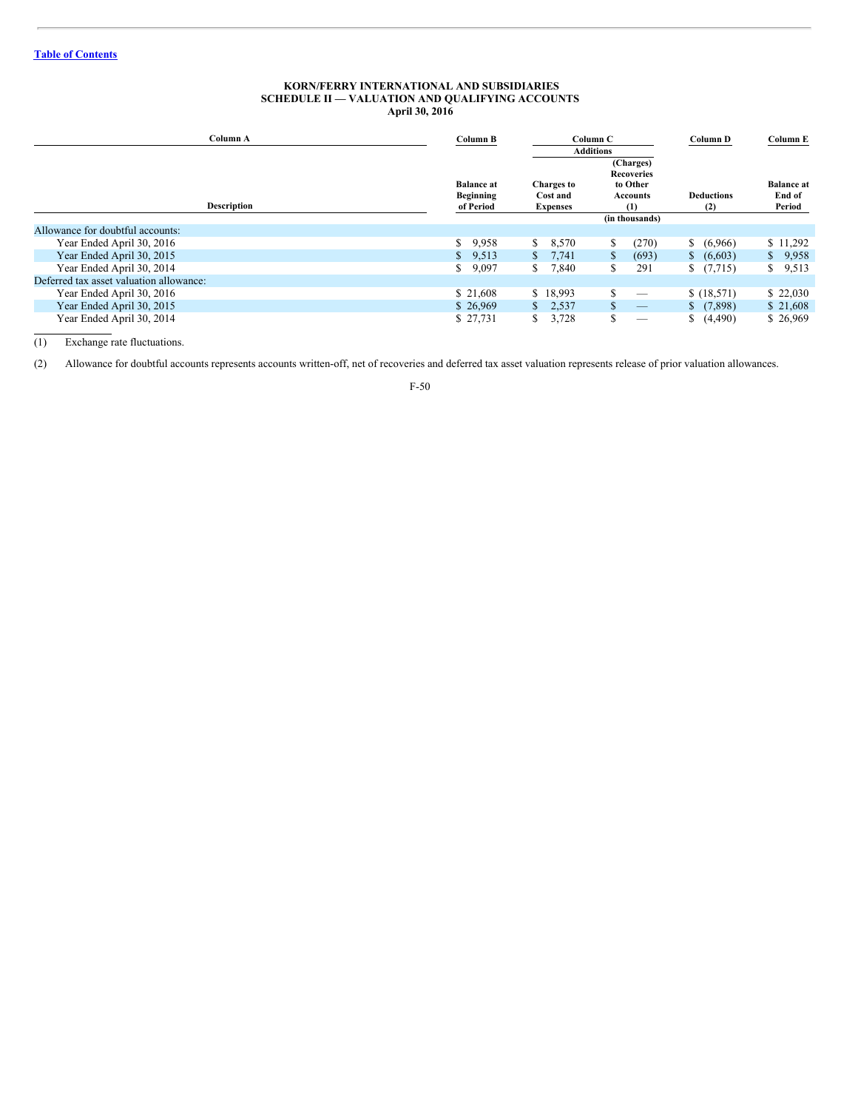#### **KORN/FERRY INTERNATIONAL AND SUBSIDIARIES SCHEDULE II — VALUATION AND QUALIFYING ACCOUNTS April 30, 2016**

| Column A                                | Column B<br><b>Balance at</b><br>Beginning | <b>Additions</b><br><b>Charges to</b><br>Cost and | Column C<br>(Charges)<br><b>Recoveries</b><br>to Other<br><b>Accounts</b> | Column D<br><b>Deductions</b> | Column E<br><b>Balance</b> at<br>End of |
|-----------------------------------------|--------------------------------------------|---------------------------------------------------|---------------------------------------------------------------------------|-------------------------------|-----------------------------------------|
| <b>Description</b>                      | of Period                                  | <b>Expenses</b>                                   | (1)                                                                       | (2)                           | Period                                  |
|                                         |                                            |                                                   | (in thousands)                                                            |                               |                                         |
| Allowance for doubtful accounts:        |                                            |                                                   |                                                                           |                               |                                         |
| Year Ended April 30, 2016               | 9,958<br>S.                                | S.<br>8,570                                       | S<br>(270)                                                                | S.<br>(6,966)                 | \$11,292                                |
| Year Ended April 30, 2015               | \$9,513                                    | 7,741<br><sup>\$</sup>                            | \$<br>(693)                                                               | (6,603)<br>S.                 | \$9,958                                 |
| Year Ended April 30, 2014               | 9,097<br>S.                                | 7,840<br>S.                                       | 291<br>S                                                                  | (7, 715)<br>S.                | \$9,513                                 |
| Deferred tax asset valuation allowance: |                                            |                                                   |                                                                           |                               |                                         |
| Year Ended April 30, 2016               | \$21,608                                   | \$18,993                                          |                                                                           | \$(18,571)                    | \$22,030                                |
| Year Ended April 30, 2015               | \$26,969                                   | 2,537<br><sup>S</sup>                             | $\overline{\phantom{m}}$                                                  | (7,898)<br>S.                 | \$21,608                                |
| Year Ended April 30, 2014               | \$27,731                                   | 3,728<br>\$                                       | э<br>_                                                                    | (4,490)                       | \$26,969                                |

(1) Exchange rate fluctuations.

(2) Allowance for doubtful accounts represents accounts written-off, net of recoveries and deferred tax asset valuation represents release of prior valuation allowances.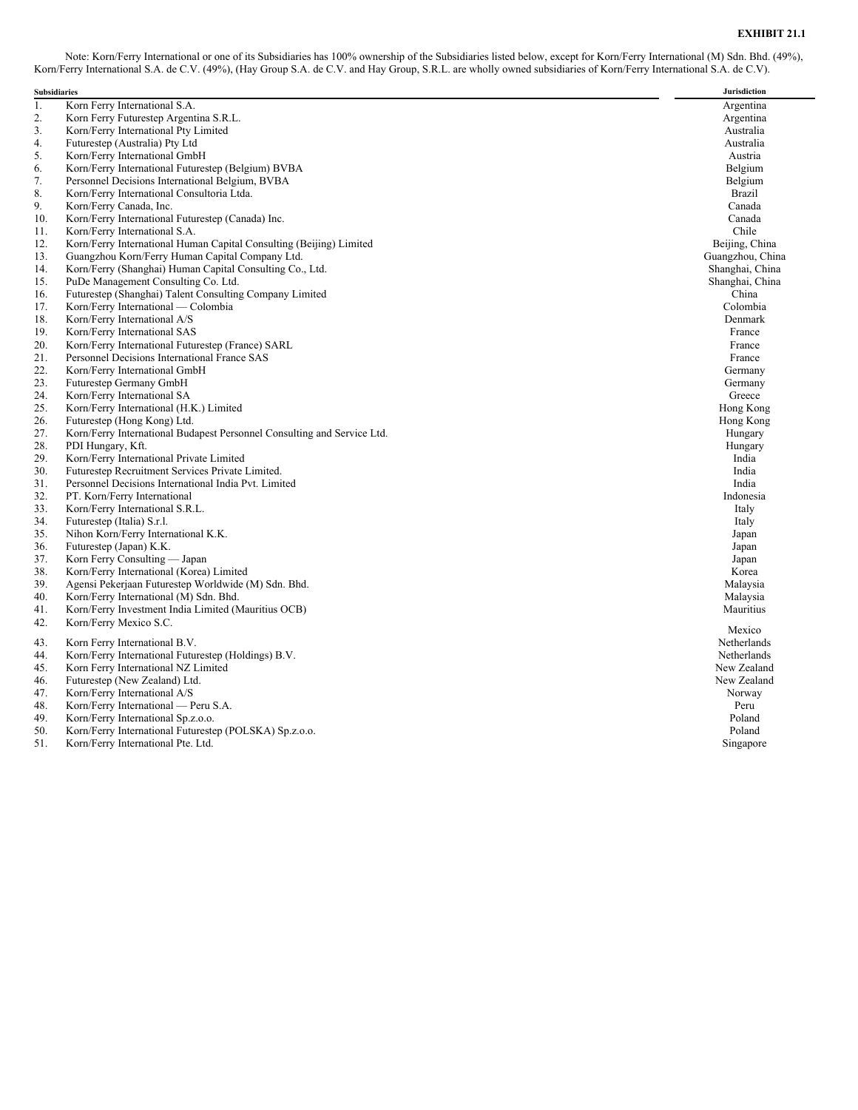### **EXHIBIT 21.1**

Note: Korn/Ferry International or one of its Subsidiaries has 100% ownership of the Subsidiaries listed below, except for Korn/Ferry International (M) Sdn. Bhd. (49%), Korn/Ferry International S.A. de C.V. (49%), (Hay Group S.A. de C.V. and Hay Group, S.R.L. are wholly owned subsidiaries of Korn/Ferry International S.A. de C.V).

| <b>Subsidiaries</b> |                                                                         | Jurisdiction     |
|---------------------|-------------------------------------------------------------------------|------------------|
| 1.                  | Korn Ferry International S.A.                                           | Argentina        |
| 2.                  | Korn Ferry Futurestep Argentina S.R.L.                                  | Argentina        |
| 3.                  | Korn/Ferry International Pty Limited                                    | Australia        |
| 4.                  | Futurestep (Australia) Pty Ltd                                          | Australia        |
| 5.                  | Korn/Ferry International GmbH                                           | Austria          |
| 6.                  | Korn/Ferry International Futurestep (Belgium) BVBA                      | Belgium          |
| 7.                  | Personnel Decisions International Belgium, BVBA                         | Belgium          |
| 8.                  | Korn/Ferry International Consultoria Ltda.                              | <b>Brazil</b>    |
| 9.                  | Korn/Ferry Canada, Inc.                                                 | Canada           |
| 10.                 | Korn/Ferry International Futurestep (Canada) Inc.                       | Canada           |
| 11.                 | Korn/Ferry International S.A.                                           | Chile            |
| 12.                 | Korn/Ferry International Human Capital Consulting (Beijing) Limited     | Beijing, China   |
| 13.                 | Guangzhou Korn/Ferry Human Capital Company Ltd.                         | Guangzhou, China |
| 14.                 | Korn/Ferry (Shanghai) Human Capital Consulting Co., Ltd.                | Shanghai, China  |
| 15.                 | PuDe Management Consulting Co. Ltd.                                     | Shanghai, China  |
| 16.                 | Futurestep (Shanghai) Talent Consulting Company Limited                 | China            |
| 17.                 | Korn/Ferry International — Colombia                                     | Colombia         |
| 18.                 | Korn/Ferry International A/S                                            | Denmark          |
| 19.                 | Korn/Ferry International SAS                                            | France           |
| 20.                 | Korn/Ferry International Futurestep (France) SARL                       | France           |
| 21.                 | Personnel Decisions International France SAS                            | France           |
| 22.                 | Korn/Ferry International GmbH                                           | Germany          |
| 23.                 | Futurestep Germany GmbH                                                 | Germany          |
| 24.                 | Korn/Ferry International SA                                             | Greece           |
| 25.                 | Korn/Ferry International (H.K.) Limited                                 | Hong Kong        |
| 26.                 | Futurestep (Hong Kong) Ltd.                                             | Hong Kong        |
| 27.                 | Korn/Ferry International Budapest Personnel Consulting and Service Ltd. | Hungary          |
| 28.                 | PDI Hungary, Kft.                                                       | Hungary          |
| 29.                 | Korn/Ferry International Private Limited                                | India            |
| 30.                 | Futurestep Recruitment Services Private Limited.                        | India            |
| 31.                 | Personnel Decisions International India Pvt. Limited                    | India            |
| 32.                 | PT. Korn/Ferry International                                            | Indonesia        |
| 33.                 | Korn/Ferry International S.R.L.                                         | Italy            |
| 34.                 | Futurestep (Italia) S.r.l.                                              | Italy            |
| 35.                 | Nihon Korn/Ferry International K.K.                                     | Japan            |
| 36.                 | Futurestep (Japan) K.K.                                                 | Japan            |
| 37.                 | Korn Ferry Consulting — Japan                                           | Japan            |
| 38.                 | Korn/Ferry International (Korea) Limited                                | Korea            |
| 39.                 | Agensi Pekerjaan Futurestep Worldwide (M) Sdn. Bhd.                     | Malaysia         |
| 40.                 | Korn/Ferry International (M) Sdn. Bhd.                                  | Malaysia         |
| 41.                 | Korn/Ferry Investment India Limited (Mauritius OCB)                     | Mauritius        |
| 42.                 | Korn/Ferry Mexico S.C.                                                  |                  |
|                     |                                                                         | Mexico           |
| 43.                 | Korn Ferry International B.V.                                           | Netherlands      |
| 44.                 | Korn/Ferry International Futurestep (Holdings) B.V.                     | Netherlands      |
| 45.                 | Korn Ferry International NZ Limited                                     | New Zealand      |
| 46.                 | Futurestep (New Zealand) Ltd.                                           | New Zealand      |
| 47.                 | Korn/Ferry International A/S                                            | Norway           |
| 48.                 | Korn/Ferry International — Peru S.A.                                    | Peru             |
| 49.                 | Korn/Ferry International Sp.z.o.o.                                      | Poland           |
| 50.                 | Korn/Ferry International Futurestep (POLSKA) Sp.z.o.o.                  | Poland           |
| 51.                 | Korn/Ferry International Pte. Ltd.                                      | Singapore        |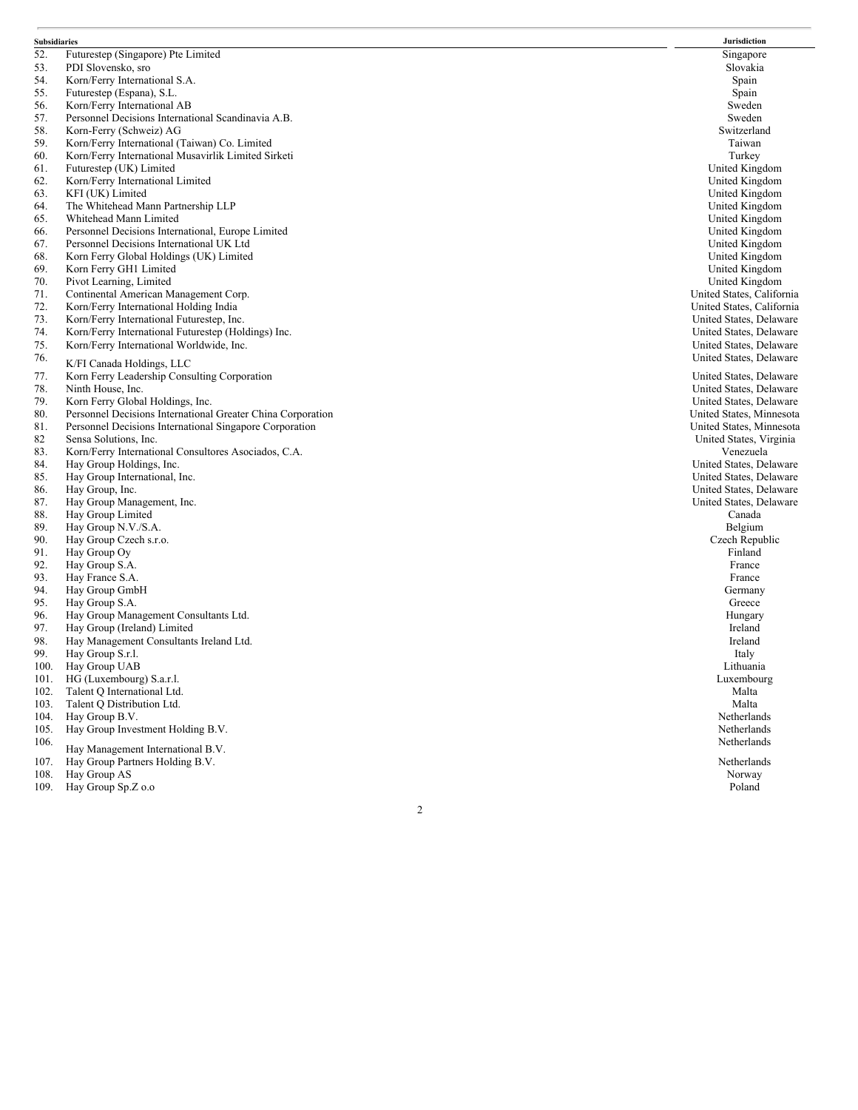#### **Subsidiaries**

52. 2. Futurestep (Singapore) Pte Limited

- 53. 3. PDI Slovensko, sro
- 54. 4. Korn/Ferry International
- 55. 5. Futurestep (Espana)
- 56.
- 6. Korn/Ferry International AB
- 57. 7. Personnel Decisions International Scandinavia
- 58. 8. Korn-Ferry (Schweiz) AG
- 59. 9. Korn/Ferry International (Taiwan) Co. Limited
- 60. 0. Korn/Ferry International Musavirlik Limited Sirketi
- 61. 1. Futurestep (UK) Limited
- 62. 2. Korn/Ferry International Limited
- 63. 3. KFI (UK) Limited
- 64. 4. The Whitehead Mann Partnership LLP
- 65. 5. Whitehead Mann Limited
- 66. 6. Personnel Decisions International, Europe Limited
- 67. 7. Personnel Decisions International UK Ltd
- 68. 8. Korn Ferry Global Holdings (UK) Limited
- 69. 9. Korn Ferry GH1 Limited
- 70. 0. Pivot Learning, Limited
- 71. 1. Continental American Management Cor
- 72. 2. Korn/Ferry International Holding India
- 73. 3. Korn/Ferry International Futurestep, Inc
- 74. 4. Korn/Ferry International Futurestep (Holdings) Inc
- 75. 5. Korn/Ferry International Worldwide, Inc
- 76. 6. K/FI Canada Holdings, LLC
- 77. 7. Korn Ferry Leadership Consulting Corporation
- 78. 8. Ninth House, Inc.
- 79 9. Korn Ferry Global Holdings, Inc
- 80. 0. Personnel Decisions International Greater China Corporation
- 81. 1. Personnel Decisions International Singapore Corporation
- 8 2 Sensa Solutions, Inc
- 83 3. Korn/Ferry International Consultores Asociados
- 84 4. Hay Group Holdings, Inc
- 85. 5. Hay Group International, Inc
- 86. 6. Hay Group, Inc
- 87. 7. Hay Group Management, Inc
- 88. 8. Hay Group Limited
- 89 9. Hay Group N.V./
- 90. 0. Hay Group Czech
- 91. 1. Hay Group Oy
- 92. 2. Hay Group
- 93. 3. Hay France
- 94 4. Hay Group GmbH
- 95. 5. Hay Group
- 96. 6. Hay Group Management Consultants Ltd
- 97. 7. Hay Group (Ireland) Limited
- 98. 8. Hay Management Consultants Ireland Ltd
- 99 9. Hay Group
- 1 0 0. Hay Group UAB
- 1 0 1. HG (Luxembourg)
- 1 0 2. Talent Q International Ltd
- 1 0 3. Talent Q Distribution Ltd
- 1 0 4. Hay Group
- 1 0 5. Hay Group Investment Holding
- 1 0 6. Hay Management International
- 
- 1 0 7. Hay Group Partners Holding
- 1 0 8. Hay Group AS
- 1 0 9. Hay Group Sp.Z o.o

**J u r i s d ic t i o n** Singapore Slovakia S.A. S.A. p a i n  $\mathcal{S}_{\text{F}}$ , S.L. Space  $\mathcal{S}_{\text{F}}$ p a i n Sweden A.B. Sv w e d e n Switzerland Taiwan Turkey United Kingdom United Kingdom United Kingdom United Kingdom United Kingdom United Kingdom United Kingdom United Kingdom United Kingdom United Kingdom rp. Un nited States, California United States, California c. Under the contract of the contract of the contract of the contract of the contract of the contract of the contract of the contract of the contract of the contract of the contract of the contract of the contract of the c nited States, Delaware c. C. nited States, Delaware c. C. nited States, Delaware United States, Delaware United States, Delaware c. C. nited States, Delaware c. C. nited States, Delaware United States, Minnesota United States, Minnesota c. C. nited States, Virginia s, C.A. Ve enezuela c. C. nited States, Delaware c. C. nited States, Delaware c. C. nited States, Delaware c. C. nited States, Delaware Canada S.A. Became the contract of the contract of the contract of the contract of the contract of the contract of the contract of the contract of the contract of the contract of the contract of the contract of the contract of th elgium s.r.o. Cz zech Republic Finland S.A. Fr rance S.A. Francisco established and the set of the set of the set of the set of the set of the set of the set of the set of the set of the set of the set of the set of the set of the set of the set of the set of the set of the rance Germany S.A. Green contracts and the contracts of the contracts of the contracts of the contracts of the contracts of the contracts of the contracts of the contracts of the contracts of the contracts of the contracts of the contra reece d. H ungary I r e l a n d d. The contract of the contract of the contract of the contract of the contract of the contract of the contract of the contract of the contract of the contract of the contract of the contract of the contract of the contrac r e l a n d S.r.l. I t a l y Lithuania S.a.r.l. L uxembourg d. The contract of the contract of the contract of the contract of the contract of the contract of the contract of the contract of the contract of the contract of the contract of the contract of the contract of the contrac a l t a d. The contract of the contract of the contract of the contract of the contract of the contract of the contract of the contract of the contract of the contract of the contract of the contract of the contract of the contrac a l t a B.V. Ne etherlands B.V. Ne etherlands B.V. etherlands B.V. Ne etherlands Norway

Poland

2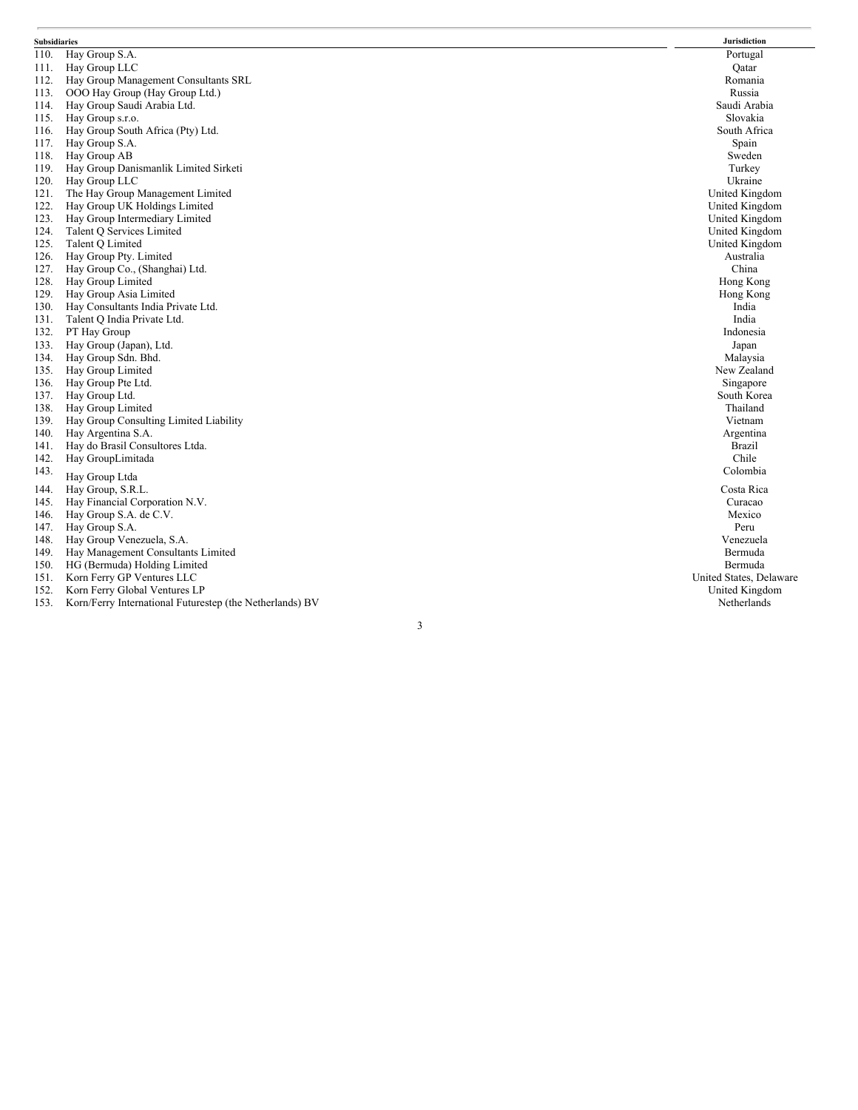|      | <b>Subsidiaries</b>                                      |                         |  |
|------|----------------------------------------------------------|-------------------------|--|
| 110. | Hay Group S.A.                                           | Portugal                |  |
| 111. | Hay Group LLC                                            | Qatar                   |  |
| 112. | Hay Group Management Consultants SRL                     | Romania                 |  |
| 113. | OOO Hay Group (Hay Group Ltd.)                           | Russia                  |  |
| 114. | Hay Group Saudi Arabia Ltd.                              | Saudi Arabia            |  |
| 115. | Hay Group s.r.o.                                         | Slovakia                |  |
| 116. | Hay Group South Africa (Pty) Ltd.                        | South Africa            |  |
| 117. | Hay Group S.A.                                           | Spain                   |  |
| 118. | Hay Group AB                                             | Sweden                  |  |
| 119. | Hay Group Danismanlik Limited Sirketi                    | Turkey                  |  |
| 120. | Hay Group LLC                                            | Ukraine                 |  |
| 121. | The Hay Group Management Limited                         | United Kingdom          |  |
| 122. | Hay Group UK Holdings Limited                            | United Kingdom          |  |
| 123. | Hay Group Intermediary Limited                           | United Kingdom          |  |
| 124. | Talent O Services Limited                                | United Kingdom          |  |
| 125. | Talent Q Limited                                         | United Kingdom          |  |
| 126. | Hay Group Pty. Limited                                   | Australia               |  |
| 127. | Hay Group Co., (Shanghai) Ltd.                           | China                   |  |
| 128. | Hay Group Limited                                        | Hong Kong               |  |
| 129. | Hay Group Asia Limited                                   | Hong Kong               |  |
| 130. | Hay Consultants India Private Ltd.                       | India                   |  |
| 131. | Talent Q India Private Ltd.                              | India                   |  |
| 132. | PT Hay Group                                             | Indonesia               |  |
| 133. | Hay Group (Japan), Ltd.                                  | Japan                   |  |
| 134. | Hay Group Sdn. Bhd.                                      | Malaysia                |  |
| 135. | Hay Group Limited                                        | New Zealand             |  |
| 136. | Hay Group Pte Ltd.                                       | Singapore               |  |
| 137. | Hay Group Ltd.                                           | South Korea             |  |
| 138. | Hay Group Limited                                        | Thailand                |  |
| 139. | Hay Group Consulting Limited Liability                   | Vietnam                 |  |
| 140. | Hay Argentina S.A.                                       | Argentina               |  |
| 141. | Hay do Brasil Consultores Ltda.                          | <b>Brazil</b>           |  |
| 142. | Hay GroupLimitada                                        | Chile                   |  |
| 143. | Hay Group Ltda                                           | Colombia                |  |
| 144. | Hay Group, S.R.L.                                        | Costa Rica              |  |
| 145. | Hay Financial Corporation N.V.                           | Curacao                 |  |
| 146. | Hay Group S.A. de C.V.                                   | Mexico                  |  |
| 147. | Hay Group S.A.                                           | Peru                    |  |
| 148. | Hay Group Venezuela, S.A.                                | Venezuela               |  |
| 149. | Hay Management Consultants Limited                       | Bermuda                 |  |
| 150. | HG (Bermuda) Holding Limited                             | Bermuda                 |  |
| 151. | Korn Ferry GP Ventures LLC                               | United States, Delaware |  |
| 152. | Korn Ferry Global Ventures LP                            | United Kingdom          |  |
| 153. | Korn/Ferry International Futurestep (the Netherlands) BV | Netherlands             |  |
|      |                                                          |                         |  |
|      | 3                                                        |                         |  |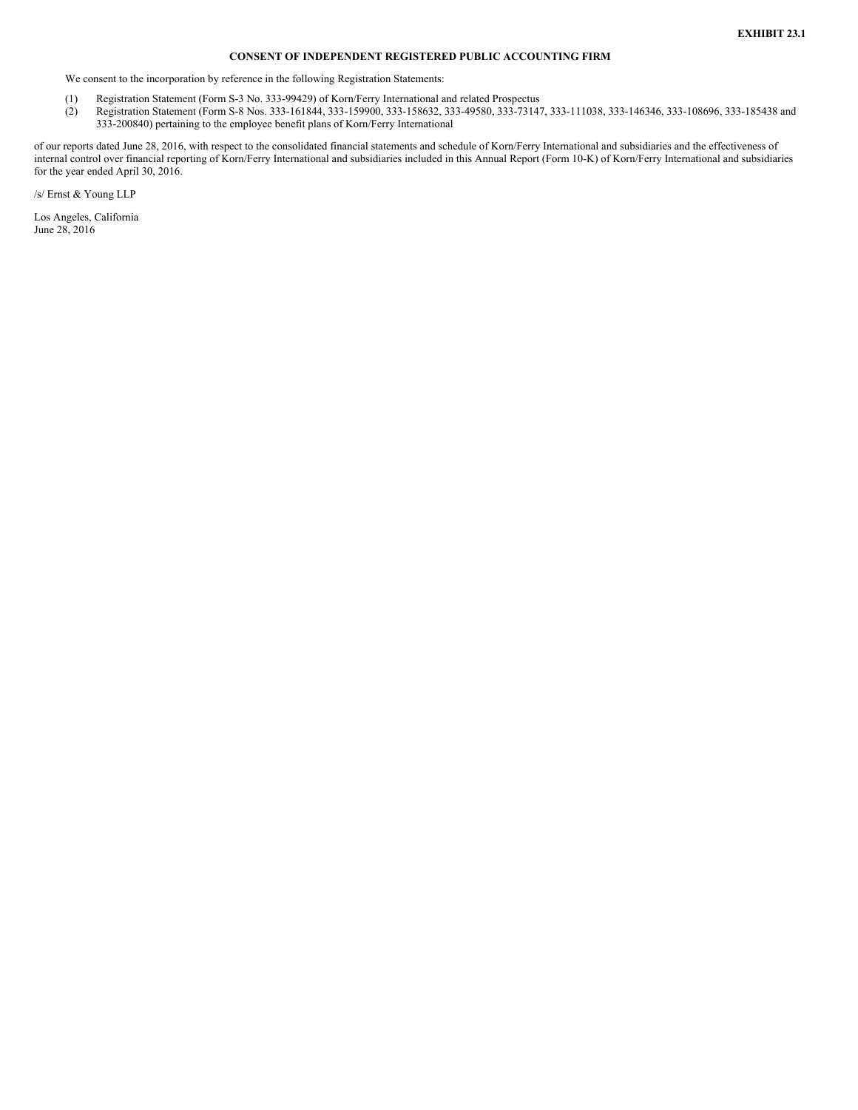## **CONSENT OF INDEPENDENT REGISTERED PUBLIC ACCOUNTING FIRM**

We consent to the incorporation by reference in the following Registration Statements:

- (1) Registration Statement (Form S-3 No. 333-99429) of Korn/Ferry International and related Prospectus
- (2) Registration Statement (Form S-8 Nos. 333-161844, 333-159900, 333-158632, 333-49580, 333-73147, 333-111038, 333-146346, 333-108696, 333-185438 and 333-200840) pertaining to the employee benefit plans of Korn/Ferry International

of our reports dated June 28, 2016, with respect to the consolidated financial statements and schedule of Korn/Ferry International and subsidiaries and the effectiveness of internal control over financial reporting of Korn/Ferry International and subsidiaries included in this Annual Report (Form 10-K) of Korn/Ferry International and subsidiaries for the year ended April 30, 2016.

/s/ Ernst & Young LLP

Los Angeles, California June 28, 2016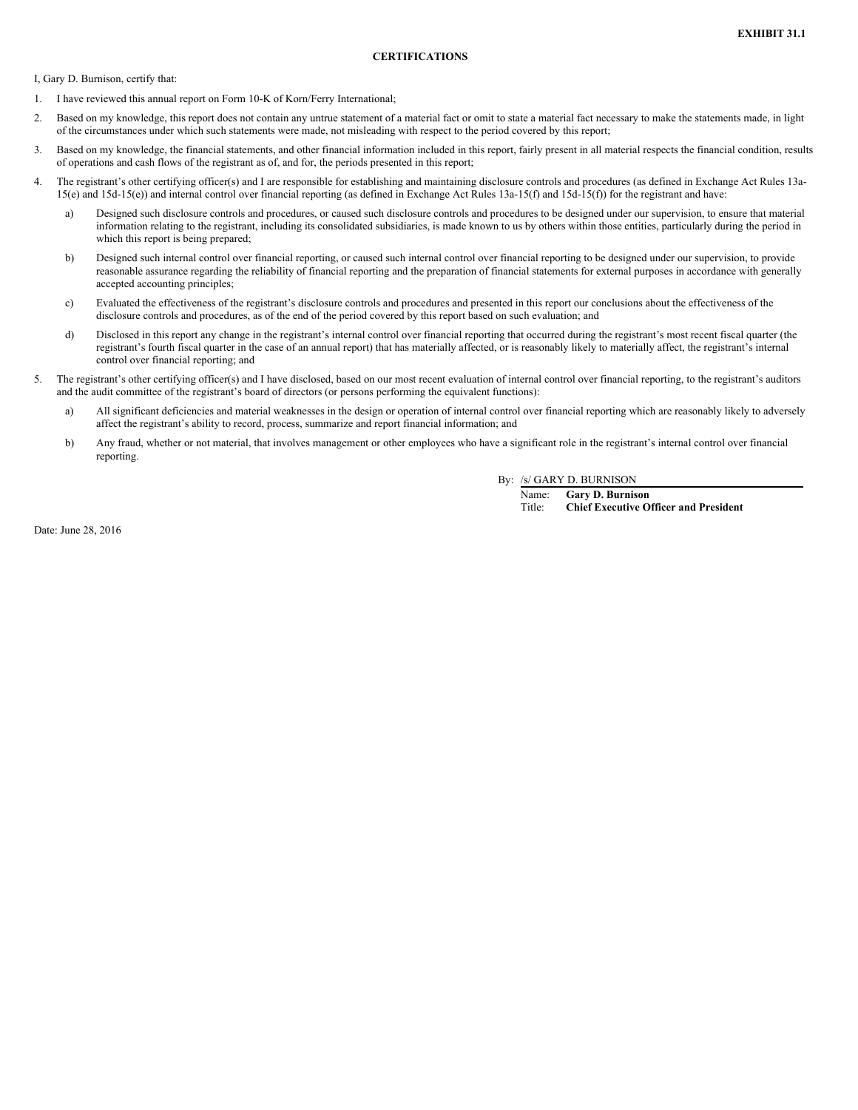I, Gary D. Burnison, certify that:

- 1. I have reviewed this annual report on Form 10-K of Korn/Ferry International;
- 2. Based on my knowledge, this report does not contain any untrue statement of a material fact or omit to state a material fact necessary to make the statements made, in light of the circumstances under which such statements were made, not misleading with respect to the period covered by this report;
- 3. Based on my knowledge, the financial statements, and other financial information included in this report, fairly present in all material respects the financial condition, results of operations and cash flows of the registrant as of, and for, the periods presented in this report;
- 4. The registrant's other certifying officer(s) and I are responsible for establishing and maintaining disclosure controls and procedures (as defined in Exchange Act Rules 13a-15(e) and 15d-15(e)) and internal control over financial reporting (as defined in Exchange Act Rules 13a-15(f) and 15d-15(f)) for the registrant and have:
	- a) Designed such disclosure controls and procedures, or caused such disclosure controls and procedures to be designed under our supervision, to ensure that material information relating to the registrant, including its consolidated subsidiaries, is made known to us by others within those entities, particularly during the period in which this report is being prepared;
	- b) Designed such internal control over financial reporting, or caused such internal control over financial reporting to be designed under our supervision, to provide reasonable assurance regarding the reliability of financial reporting and the preparation of financial statements for external purposes in accordance with generally accepted accounting principles;
	- c) Evaluated the effectiveness of the registrant's disclosure controls and procedures and presented in this report our conclusions about the effectiveness of the disclosure controls and procedures, as of the end of the period covered by this report based on such evaluation; and
	- d) Disclosed in this report any change in the registrant's internal control over financial reporting that occurred during the registrant's most recent fiscal quarter (the registrant's fourth fiscal quarter in the case of an annual report) that has materially affected, or is reasonably likely to materially affect, the registrant's internal control over financial reporting; and
- 5. The registrant's other certifying officer(s) and I have disclosed, based on our most recent evaluation of internal control over financial reporting, to the registrant's auditors and the audit committee of the registrant's board of directors (or persons performing the equivalent functions):
	- a) All significant deficiencies and material weaknesses in the design or operation of internal control over financial reporting which are reasonably likely to adversely affect the registrant's ability to record, process, summarize and report financial information; and
	- b) Any fraud, whether or not material, that involves management or other employees who have a significant role in the registrant's internal control over financial reporting.

By: /s/ GARY D. BURNISON

Name: **Gary D. Burnison Chief Executive Officer and President** 

Date: June 28, 2016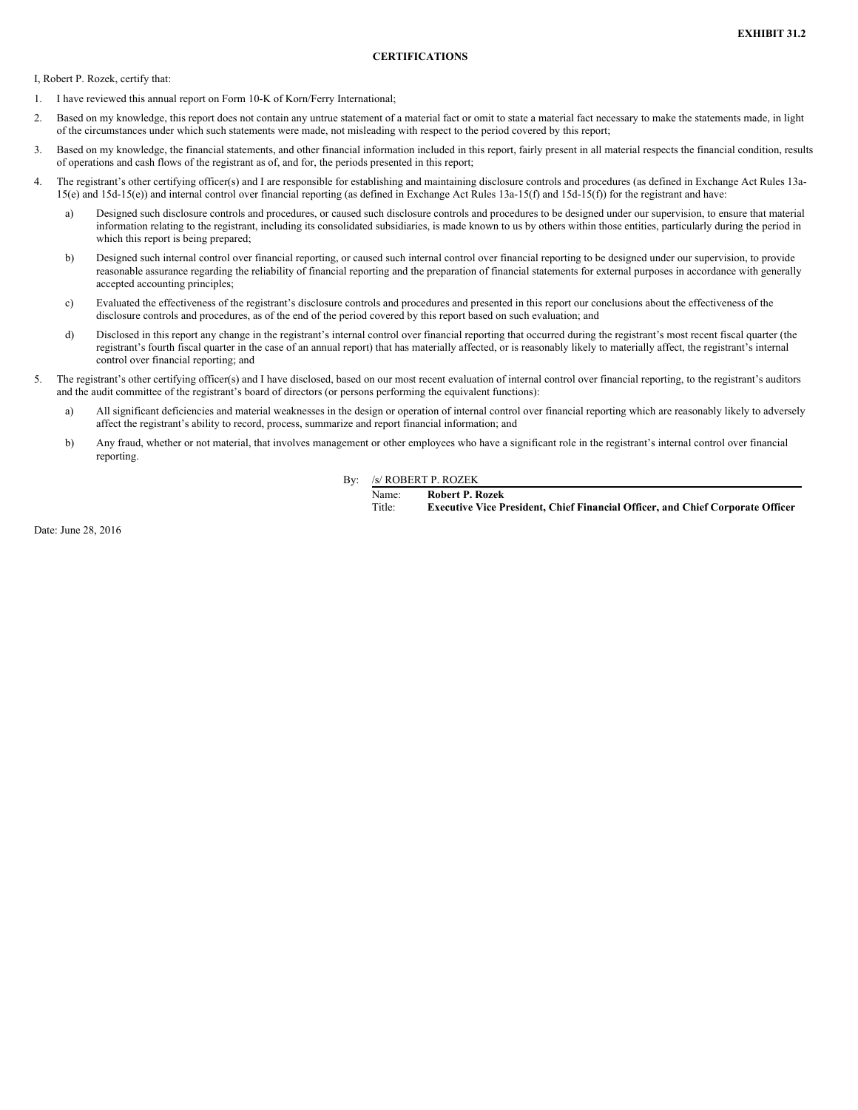I, Robert P. Rozek, certify that:

- 1. I have reviewed this annual report on Form 10-K of Korn/Ferry International;
- 2. Based on my knowledge, this report does not contain any untrue statement of a material fact or omit to state a material fact necessary to make the statements made, in light of the circumstances under which such statements were made, not misleading with respect to the period covered by this report;
- 3. Based on my knowledge, the financial statements, and other financial information included in this report, fairly present in all material respects the financial condition, results of operations and cash flows of the registrant as of, and for, the periods presented in this report;
- 4. The registrant's other certifying officer(s) and I are responsible for establishing and maintaining disclosure controls and procedures (as defined in Exchange Act Rules 13a-15(e) and 15d-15(e)) and internal control over financial reporting (as defined in Exchange Act Rules 13a-15(f) and 15d-15(f)) for the registrant and have:
	- a) Designed such disclosure controls and procedures, or caused such disclosure controls and procedures to be designed under our supervision, to ensure that material information relating to the registrant, including its consolidated subsidiaries, is made known to us by others within those entities, particularly during the period in which this report is being prepared;
	- b) Designed such internal control over financial reporting, or caused such internal control over financial reporting to be designed under our supervision, to provide reasonable assurance regarding the reliability of financial reporting and the preparation of financial statements for external purposes in accordance with generally accepted accounting principles;
	- c) Evaluated the effectiveness of the registrant's disclosure controls and procedures and presented in this report our conclusions about the effectiveness of the disclosure controls and procedures, as of the end of the period covered by this report based on such evaluation; and
	- d) Disclosed in this report any change in the registrant's internal control over financial reporting that occurred during the registrant's most recent fiscal quarter (the registrant's fourth fiscal quarter in the case of an annual report) that has materially affected, or is reasonably likely to materially affect, the registrant's internal control over financial reporting; and
- 5. The registrant's other certifying officer(s) and I have disclosed, based on our most recent evaluation of internal control over financial reporting, to the registrant's auditors and the audit committee of the registrant's board of directors (or persons performing the equivalent functions):
	- a) All significant deficiencies and material weaknesses in the design or operation of internal control over financial reporting which are reasonably likely to adversely affect the registrant's ability to record, process, summarize and report financial information; and
	- b) Any fraud, whether or not material, that involves management or other employees who have a significant role in the registrant's internal control over financial reporting.

#### By: /s/ ROBERT P. ROZEK

| Name:  | Robert P. Rozek                                                                       |
|--------|---------------------------------------------------------------------------------------|
| Title: | <b>Executive Vice President, Chief Financial Officer, and Chief Corporate Officer</b> |

Date: June 28, 2016